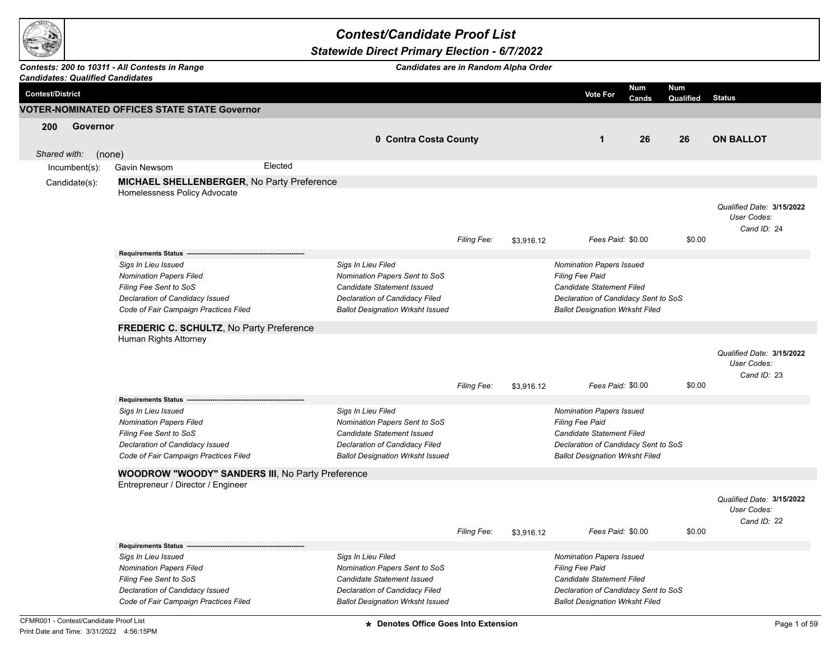

## *Contest/Candidate Proof List*

## *Statewide Direct Primary Election - 6/7/2022*

## *Contests: 200 to 10311 - All Contests in Range*

*Candidates are in Random Alpha Order*

|                         |                  | <b>Candidates: Qualified Candidates</b>                                                                                                                                                   |                                                   |                                                                                                                                                                       |             |            |                                                                                                                                                                                 |                     |                         |                                                         |
|-------------------------|------------------|-------------------------------------------------------------------------------------------------------------------------------------------------------------------------------------------|---------------------------------------------------|-----------------------------------------------------------------------------------------------------------------------------------------------------------------------|-------------|------------|---------------------------------------------------------------------------------------------------------------------------------------------------------------------------------|---------------------|-------------------------|---------------------------------------------------------|
| <b>Contest/District</b> |                  |                                                                                                                                                                                           |                                                   |                                                                                                                                                                       |             |            | Vote For                                                                                                                                                                        | <b>Num</b><br>Cands | <b>Num</b><br>Qualified | <b>Status</b>                                           |
|                         |                  | <b>VOTER-NOMINATED OFFICES STATE STATE Governor</b>                                                                                                                                       |                                                   |                                                                                                                                                                       |             |            |                                                                                                                                                                                 |                     |                         |                                                         |
| 200<br>Shared with:     | Governor         | (none)                                                                                                                                                                                    |                                                   | 0 Contra Costa County                                                                                                                                                 |             |            | $\mathbf{1}$                                                                                                                                                                    | 26                  | 26                      | <b>ON BALLOT</b>                                        |
|                         | $Incumbent(s)$ : | Gavin Newsom                                                                                                                                                                              | Elected                                           |                                                                                                                                                                       |             |            |                                                                                                                                                                                 |                     |                         |                                                         |
|                         | Candidate(s):    |                                                                                                                                                                                           | <b>MICHAEL SHELLENBERGER, No Party Preference</b> |                                                                                                                                                                       |             |            |                                                                                                                                                                                 |                     |                         |                                                         |
|                         |                  | Homelessness Policy Advocate                                                                                                                                                              |                                                   |                                                                                                                                                                       | Filing Fee: | \$3,916.12 | Fees Paid: \$0.00                                                                                                                                                               |                     | \$0.00                  | Qualified Date: 3/15/2022<br>User Codes:<br>Cand ID: 24 |
|                         |                  | <b>Requirements Status</b><br>Sigs In Lieu Issued<br><b>Nomination Papers Filed</b><br>Filing Fee Sent to SoS<br>Declaration of Candidacy Issued<br>Code of Fair Campaign Practices Filed |                                                   | Sigs In Lieu Filed<br>Nomination Papers Sent to SoS<br><b>Candidate Statement Issued</b><br>Declaration of Candidacy Filed<br><b>Ballot Designation Wrksht Issued</b> |             |            | <b>Nomination Papers Issued</b><br><b>Filing Fee Paid</b><br><b>Candidate Statement Filed</b><br>Declaration of Candidacy Sent to SoS<br><b>Ballot Designation Wrksht Filed</b> |                     |                         |                                                         |
|                         |                  |                                                                                                                                                                                           | FREDERIC C. SCHULTZ, No Party Preference          |                                                                                                                                                                       |             |            |                                                                                                                                                                                 |                     |                         |                                                         |
|                         |                  | Human Rights Attorney                                                                                                                                                                     |                                                   |                                                                                                                                                                       | Filing Fee: | \$3,916.12 | Fees Paid: \$0.00                                                                                                                                                               |                     | \$0.00                  | Qualified Date: 3/15/2022<br>User Codes:<br>Cand ID: 23 |
|                         |                  | Requirements Status -                                                                                                                                                                     |                                                   |                                                                                                                                                                       |             |            |                                                                                                                                                                                 |                     |                         |                                                         |
|                         |                  | Sigs In Lieu Issued<br>Nomination Papers Filed<br>Filing Fee Sent to SoS<br>Declaration of Candidacy Issued<br>Code of Fair Campaign Practices Filed                                      |                                                   | Sigs In Lieu Filed<br>Nomination Papers Sent to SoS<br>Candidate Statement Issued<br>Declaration of Candidacy Filed<br><b>Ballot Designation Wrksht Issued</b>        |             |            | <b>Nomination Papers Issued</b><br><b>Filing Fee Paid</b><br><b>Candidate Statement Filed</b><br>Declaration of Candidacy Sent to SoS<br><b>Ballot Designation Wrksht Filed</b> |                     |                         |                                                         |
|                         |                  |                                                                                                                                                                                           | WOODROW "WOODY" SANDERS III, No Party Preference  |                                                                                                                                                                       |             |            |                                                                                                                                                                                 |                     |                         |                                                         |
|                         |                  | Entrepreneur / Director / Engineer                                                                                                                                                        |                                                   |                                                                                                                                                                       | Filing Fee: | \$3,916.12 | Fees Paid: \$0.00                                                                                                                                                               |                     | \$0.00                  | Qualified Date: 3/15/2022<br>User Codes:<br>Cand ID: 22 |
|                         |                  | <b>Requirements Status</b>                                                                                                                                                                |                                                   |                                                                                                                                                                       |             |            |                                                                                                                                                                                 |                     |                         |                                                         |
|                         |                  | Sigs In Lieu Issued<br><b>Nomination Papers Filed</b><br>Filing Fee Sent to SoS<br>Declaration of Candidacy Issued<br>Code of Fair Campaign Practices Filed                               |                                                   | Sigs In Lieu Filed<br>Nomination Papers Sent to SoS<br>Candidate Statement Issued<br>Declaration of Candidacy Filed<br><b>Ballot Designation Wrksht Issued</b>        |             |            | <b>Nomination Papers Issued</b><br>Filing Fee Paid<br>Candidate Statement Filed<br>Declaration of Candidacy Sent to SoS<br><b>Ballot Designation Wrksht Filed</b>               |                     |                         |                                                         |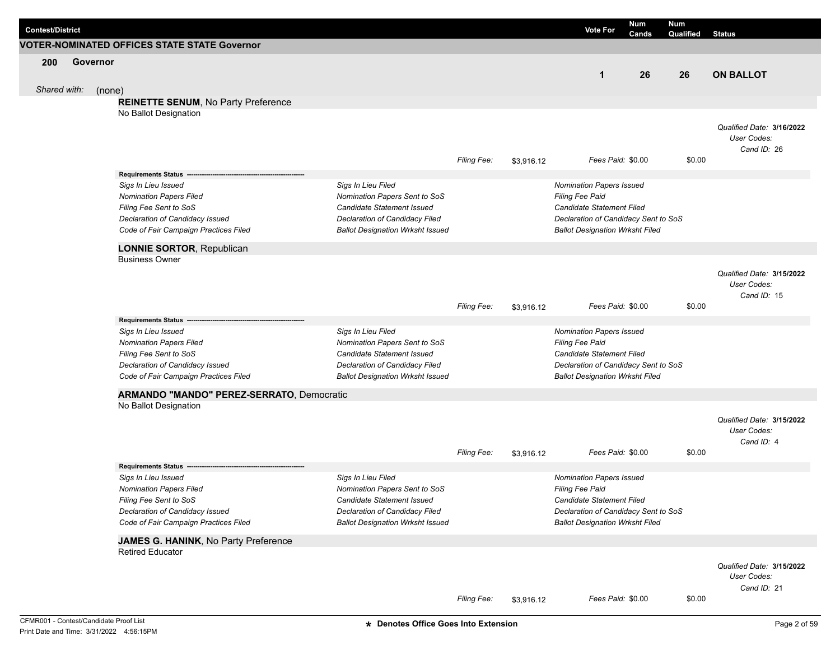| <b>Contest/District</b> |          |                                                                 |                                                     |                    |            | <b>Vote For</b>                                    | Num<br>Cands | <b>Num</b><br>Qualified | <b>Status</b>                            |
|-------------------------|----------|-----------------------------------------------------------------|-----------------------------------------------------|--------------------|------------|----------------------------------------------------|--------------|-------------------------|------------------------------------------|
|                         |          | VOTER-NOMINATED OFFICES STATE STATE Governor                    |                                                     |                    |            |                                                    |              |                         |                                          |
| 200                     | Governor |                                                                 |                                                     |                    |            |                                                    |              |                         |                                          |
|                         |          |                                                                 |                                                     |                    |            | $\mathbf{1}$                                       | 26           | 26                      | <b>ON BALLOT</b>                         |
| Shared with:            | (none)   |                                                                 |                                                     |                    |            |                                                    |              |                         |                                          |
|                         |          | <b>REINETTE SENUM, No Party Preference</b>                      |                                                     |                    |            |                                                    |              |                         |                                          |
|                         |          | No Ballot Designation                                           |                                                     |                    |            |                                                    |              |                         |                                          |
|                         |          |                                                                 |                                                     |                    |            |                                                    |              |                         | Qualified Date: 3/16/2022                |
|                         |          |                                                                 |                                                     |                    |            |                                                    |              |                         | User Codes:                              |
|                         |          |                                                                 |                                                     |                    |            |                                                    |              |                         | Cand ID: 26                              |
|                         |          |                                                                 |                                                     | Filing Fee:        | \$3,916.12 | Fees Paid: \$0.00                                  |              | \$0.00                  |                                          |
|                         |          | <b>Requirements Status</b>                                      |                                                     |                    |            |                                                    |              |                         |                                          |
|                         |          | Sigs In Lieu Issued                                             | Sigs In Lieu Filed                                  |                    |            | <b>Nomination Papers Issued</b>                    |              |                         |                                          |
|                         |          | <b>Nomination Papers Filed</b>                                  | Nomination Papers Sent to SoS                       |                    |            | <b>Filing Fee Paid</b>                             |              |                         |                                          |
|                         |          | Filing Fee Sent to SoS                                          | Candidate Statement Issued                          |                    |            | Candidate Statement Filed                          |              |                         |                                          |
|                         |          | Declaration of Candidacy Issued                                 | Declaration of Candidacy Filed                      |                    |            | Declaration of Candidacy Sent to SoS               |              |                         |                                          |
|                         |          | Code of Fair Campaign Practices Filed                           | <b>Ballot Designation Wrksht Issued</b>             |                    |            | <b>Ballot Designation Wrksht Filed</b>             |              |                         |                                          |
|                         |          | <b>LONNIE SORTOR, Republican</b>                                |                                                     |                    |            |                                                    |              |                         |                                          |
|                         |          | <b>Business Owner</b>                                           |                                                     |                    |            |                                                    |              |                         |                                          |
|                         |          |                                                                 |                                                     |                    |            |                                                    |              |                         | Qualified Date: 3/15/2022                |
|                         |          |                                                                 |                                                     |                    |            |                                                    |              |                         | User Codes:                              |
|                         |          |                                                                 |                                                     |                    |            |                                                    |              |                         | Cand ID: 15                              |
|                         |          |                                                                 |                                                     | <b>Filing Fee:</b> | \$3,916.12 | Fees Paid: \$0.00                                  |              | \$0.00                  |                                          |
|                         |          | <b>Requirements Status</b>                                      |                                                     |                    |            |                                                    |              |                         |                                          |
|                         |          | Sigs In Lieu Issued                                             | Sigs In Lieu Filed                                  |                    |            | Nomination Papers Issued                           |              |                         |                                          |
|                         |          | <b>Nomination Papers Filed</b>                                  | Nomination Papers Sent to SoS                       |                    |            | <b>Filing Fee Paid</b>                             |              |                         |                                          |
|                         |          | Filing Fee Sent to SoS                                          | Candidate Statement Issued                          |                    |            | Candidate Statement Filed                          |              |                         |                                          |
|                         |          | Declaration of Candidacy Issued                                 | Declaration of Candidacy Filed                      |                    |            | Declaration of Candidacy Sent to SoS               |              |                         |                                          |
|                         |          | Code of Fair Campaign Practices Filed                           | <b>Ballot Designation Wrksht Issued</b>             |                    |            | <b>Ballot Designation Wrksht Filed</b>             |              |                         |                                          |
|                         |          | ARMANDO "MANDO" PEREZ-SERRATO, Democratic                       |                                                     |                    |            |                                                    |              |                         |                                          |
|                         |          | No Ballot Designation                                           |                                                     |                    |            |                                                    |              |                         |                                          |
|                         |          |                                                                 |                                                     |                    |            |                                                    |              |                         | Qualified Date: 3/15/2022                |
|                         |          |                                                                 |                                                     |                    |            |                                                    |              |                         | User Codes:                              |
|                         |          |                                                                 |                                                     |                    |            |                                                    |              |                         | Cand ID: 4                               |
|                         |          |                                                                 |                                                     | Filing Fee:        | \$3,916.12 | Fees Paid: \$0.00                                  |              | \$0.00                  |                                          |
|                         |          | <b>Requirements Status</b>                                      |                                                     |                    |            |                                                    |              |                         |                                          |
|                         |          | Sigs In Lieu Issued<br><b>Nomination Papers Filed</b>           | Sigs In Lieu Filed<br>Nomination Papers Sent to SoS |                    |            | <b>Nomination Papers Issued</b><br>Filing Fee Paid |              |                         |                                          |
|                         |          | Filing Fee Sent to SoS                                          | Candidate Statement Issued                          |                    |            | Candidate Statement Filed                          |              |                         |                                          |
|                         |          | Declaration of Candidacy Issued                                 | Declaration of Candidacy Filed                      |                    |            | Declaration of Candidacy Sent to SoS               |              |                         |                                          |
|                         |          | Code of Fair Campaign Practices Filed                           | <b>Ballot Designation Wrksht Issued</b>             |                    |            | <b>Ballot Designation Wrksht Filed</b>             |              |                         |                                          |
|                         |          |                                                                 |                                                     |                    |            |                                                    |              |                         |                                          |
|                         |          | JAMES G. HANINK, No Party Preference<br><b>Retired Educator</b> |                                                     |                    |            |                                                    |              |                         |                                          |
|                         |          |                                                                 |                                                     |                    |            |                                                    |              |                         |                                          |
|                         |          |                                                                 |                                                     |                    |            |                                                    |              |                         | Qualified Date: 3/15/2022<br>User Codes: |
|                         |          |                                                                 |                                                     |                    |            |                                                    |              |                         | Cand ID: 21                              |
|                         |          |                                                                 |                                                     | Filing Fee:        | \$3,916.12 | Fees Paid: \$0.00                                  |              | \$0.00                  |                                          |
|                         |          |                                                                 |                                                     |                    |            |                                                    |              |                         |                                          |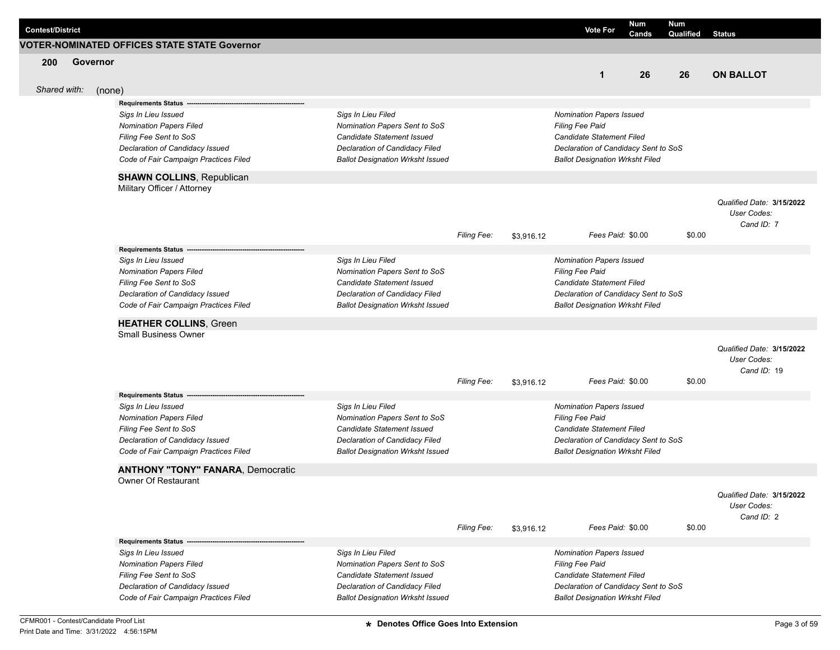| <b>Contest/District</b> |          |                                                                          |                                                                           |                    |            | <b>Vote For</b>                                                                | Num<br>Cands | Num<br>Qualified | <b>Status</b>             |
|-------------------------|----------|--------------------------------------------------------------------------|---------------------------------------------------------------------------|--------------------|------------|--------------------------------------------------------------------------------|--------------|------------------|---------------------------|
|                         |          | <b>VOTER-NOMINATED OFFICES STATE STATE Governor</b>                      |                                                                           |                    |            |                                                                                |              |                  |                           |
| 200                     | Governor |                                                                          |                                                                           |                    |            |                                                                                |              |                  |                           |
|                         |          |                                                                          |                                                                           |                    |            | $\mathbf 1$                                                                    | 26           | 26               | <b>ON BALLOT</b>          |
| Shared with:            | (none)   |                                                                          |                                                                           |                    |            |                                                                                |              |                  |                           |
|                         |          | <b>Requirements Status</b>                                               |                                                                           |                    |            |                                                                                |              |                  |                           |
|                         |          | Sigs In Lieu Issued                                                      | Sigs In Lieu Filed                                                        |                    |            | <b>Nomination Papers Issued</b>                                                |              |                  |                           |
|                         |          | <b>Nomination Papers Filed</b>                                           | Nomination Papers Sent to SoS                                             |                    |            | Filing Fee Paid                                                                |              |                  |                           |
|                         |          | Filing Fee Sent to SoS                                                   | Candidate Statement Issued                                                |                    |            | Candidate Statement Filed                                                      |              |                  |                           |
|                         |          | Declaration of Candidacy Issued                                          | Declaration of Candidacy Filed                                            |                    |            | Declaration of Candidacy Sent to SoS                                           |              |                  |                           |
|                         |          | Code of Fair Campaign Practices Filed                                    | <b>Ballot Designation Wrksht Issued</b>                                   |                    |            | <b>Ballot Designation Wrksht Filed</b>                                         |              |                  |                           |
|                         |          | <b>SHAWN COLLINS, Republican</b>                                         |                                                                           |                    |            |                                                                                |              |                  |                           |
|                         |          | Military Officer / Attorney                                              |                                                                           |                    |            |                                                                                |              |                  |                           |
|                         |          |                                                                          |                                                                           |                    |            |                                                                                |              |                  | Qualified Date: 3/15/2022 |
|                         |          |                                                                          |                                                                           |                    |            |                                                                                |              |                  | User Codes:               |
|                         |          |                                                                          |                                                                           |                    |            |                                                                                |              |                  | Cand ID: 7                |
|                         |          |                                                                          |                                                                           | Filing Fee:        | \$3,916.12 | Fees Paid: \$0.00                                                              |              | \$0.00           |                           |
|                         |          | Requirements Status --                                                   |                                                                           |                    |            |                                                                                |              |                  |                           |
|                         |          | Sigs In Lieu Issued<br><b>Nomination Papers Filed</b>                    | Sigs In Lieu Filed<br>Nomination Papers Sent to SoS                       |                    |            | <b>Nomination Papers Issued</b><br><b>Filing Fee Paid</b>                      |              |                  |                           |
|                         |          | Filing Fee Sent to SoS                                                   | Candidate Statement Issued                                                |                    |            | <b>Candidate Statement Filed</b>                                               |              |                  |                           |
|                         |          | Declaration of Candidacy Issued                                          | Declaration of Candidacy Filed                                            |                    |            | Declaration of Candidacy Sent to SoS                                           |              |                  |                           |
|                         |          | Code of Fair Campaign Practices Filed                                    | <b>Ballot Designation Wrksht Issued</b>                                   |                    |            | <b>Ballot Designation Wrksht Filed</b>                                         |              |                  |                           |
|                         |          | <b>HEATHER COLLINS, Green</b>                                            |                                                                           |                    |            |                                                                                |              |                  |                           |
|                         |          | <b>Small Business Owner</b>                                              |                                                                           |                    |            |                                                                                |              |                  |                           |
|                         |          |                                                                          |                                                                           |                    |            |                                                                                |              |                  | Qualified Date: 3/15/2022 |
|                         |          |                                                                          |                                                                           |                    |            |                                                                                |              |                  | User Codes:               |
|                         |          |                                                                          |                                                                           |                    |            |                                                                                |              |                  | Cand ID: 19               |
|                         |          |                                                                          |                                                                           | <b>Filing Fee:</b> | \$3,916.12 | Fees Paid: \$0.00                                                              |              | \$0.00           |                           |
|                         |          | <b>Requirements Status</b>                                               |                                                                           |                    |            |                                                                                |              |                  |                           |
|                         |          | Sigs In Lieu Issued                                                      | Sigs In Lieu Filed                                                        |                    |            | <b>Nomination Papers Issued</b>                                                |              |                  |                           |
|                         |          | <b>Nomination Papers Filed</b>                                           | Nomination Papers Sent to SoS                                             |                    |            | <b>Filing Fee Paid</b>                                                         |              |                  |                           |
|                         |          | Filing Fee Sent to SoS                                                   | Candidate Statement Issued                                                |                    |            | Candidate Statement Filed                                                      |              |                  |                           |
|                         |          | Declaration of Candidacy Issued<br>Code of Fair Campaign Practices Filed | Declaration of Candidacy Filed<br><b>Ballot Designation Wrksht Issued</b> |                    |            | Declaration of Candidacy Sent to SoS<br><b>Ballot Designation Wrksht Filed</b> |              |                  |                           |
|                         |          |                                                                          |                                                                           |                    |            |                                                                                |              |                  |                           |
|                         |          | <b>ANTHONY "TONY" FANARA, Democratic</b>                                 |                                                                           |                    |            |                                                                                |              |                  |                           |
|                         |          | Owner Of Restaurant                                                      |                                                                           |                    |            |                                                                                |              |                  |                           |
|                         |          |                                                                          |                                                                           |                    |            |                                                                                |              |                  | Qualified Date: 3/15/2022 |
|                         |          |                                                                          |                                                                           |                    |            |                                                                                |              |                  | User Codes:               |
|                         |          |                                                                          |                                                                           | Filing Fee:        | \$3,916.12 | Fees Paid: \$0.00                                                              |              | \$0.00           | Cand ID: 2                |
|                         |          | <b>Requirements Status -</b>                                             |                                                                           |                    |            |                                                                                |              |                  |                           |
|                         |          | Sigs In Lieu Issued                                                      | Sigs In Lieu Filed                                                        |                    |            | <b>Nomination Papers Issued</b>                                                |              |                  |                           |
|                         |          | <b>Nomination Papers Filed</b>                                           | Nomination Papers Sent to SoS                                             |                    |            | Filing Fee Paid                                                                |              |                  |                           |
|                         |          | Filing Fee Sent to SoS                                                   | <b>Candidate Statement Issued</b>                                         |                    |            | Candidate Statement Filed                                                      |              |                  |                           |
|                         |          | Declaration of Candidacy Issued                                          | Declaration of Candidacy Filed                                            |                    |            | Declaration of Candidacy Sent to SoS                                           |              |                  |                           |
|                         |          | Code of Fair Campaign Practices Filed                                    | <b>Ballot Designation Wrksht Issued</b>                                   |                    |            | <b>Ballot Designation Wrksht Filed</b>                                         |              |                  |                           |
|                         |          |                                                                          |                                                                           |                    |            |                                                                                |              |                  |                           |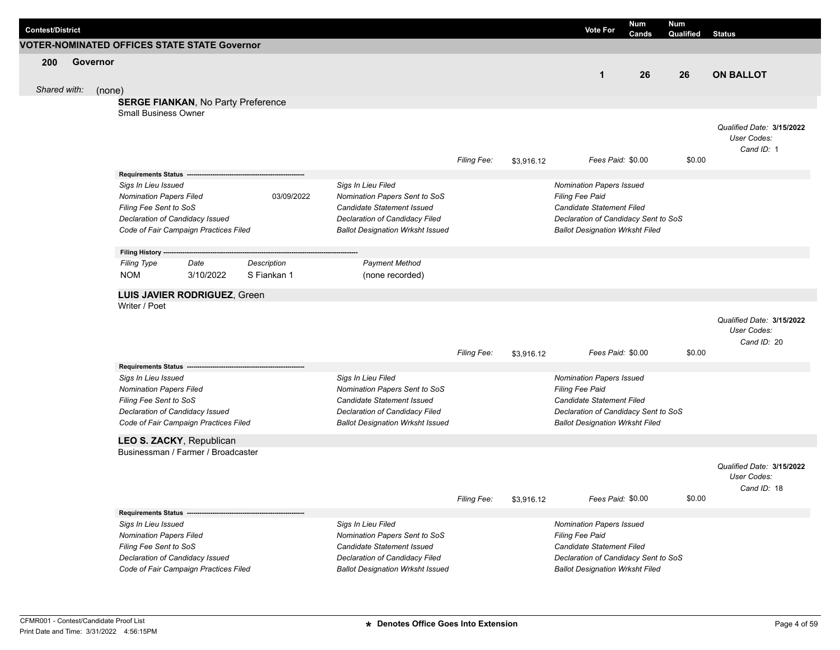|                         |          |                                                          |                                                                |             |                                                              |                    |            |                                                                   | Num               | Num       |                                          |
|-------------------------|----------|----------------------------------------------------------|----------------------------------------------------------------|-------------|--------------------------------------------------------------|--------------------|------------|-------------------------------------------------------------------|-------------------|-----------|------------------------------------------|
| <b>Contest/District</b> |          |                                                          |                                                                |             |                                                              |                    |            | <b>Vote For</b>                                                   | Cands             | Qualified | <b>Status</b>                            |
|                         |          |                                                          | <b>VOTER-NOMINATED OFFICES STATE STATE Governor</b>            |             |                                                              |                    |            |                                                                   |                   |           |                                          |
| 200                     | Governor |                                                          |                                                                |             |                                                              |                    |            |                                                                   |                   |           |                                          |
|                         |          |                                                          |                                                                |             |                                                              |                    |            | $\mathbf{1}$                                                      | 26                | 26        | <b>ON BALLOT</b>                         |
| Shared with:            | (none)   |                                                          |                                                                |             |                                                              |                    |            |                                                                   |                   |           |                                          |
|                         |          |                                                          | <b>SERGE FIANKAN, No Party Preference</b>                      |             |                                                              |                    |            |                                                                   |                   |           |                                          |
|                         |          | <b>Small Business Owner</b>                              |                                                                |             |                                                              |                    |            |                                                                   |                   |           |                                          |
|                         |          |                                                          |                                                                |             |                                                              |                    |            |                                                                   |                   |           | Qualified Date: 3/15/2022                |
|                         |          |                                                          |                                                                |             |                                                              |                    |            |                                                                   |                   |           | User Codes:                              |
|                         |          |                                                          |                                                                |             |                                                              |                    |            |                                                                   |                   |           | Cand ID: 1                               |
|                         |          |                                                          |                                                                |             |                                                              | <b>Filing Fee:</b> | \$3,916.12 |                                                                   | Fees Paid: \$0.00 | \$0.00    |                                          |
|                         |          | Requirements Status -                                    |                                                                |             |                                                              |                    |            |                                                                   |                   |           |                                          |
|                         |          | Sigs In Lieu Issued                                      |                                                                |             | Sigs In Lieu Filed                                           |                    |            | <b>Nomination Papers Issued</b>                                   |                   |           |                                          |
|                         |          | <b>Nomination Papers Filed</b>                           |                                                                | 03/09/2022  | Nomination Papers Sent to SoS                                |                    |            | <b>Filing Fee Paid</b>                                            |                   |           |                                          |
|                         |          | Filing Fee Sent to SoS                                   | Declaration of Candidacy Issued                                |             | Candidate Statement Issued<br>Declaration of Candidacy Filed |                    |            | Candidate Statement Filed<br>Declaration of Candidacy Sent to SoS |                   |           |                                          |
|                         |          |                                                          | Code of Fair Campaign Practices Filed                          |             | <b>Ballot Designation Wrksht Issued</b>                      |                    |            | <b>Ballot Designation Wrksht Filed</b>                            |                   |           |                                          |
|                         |          |                                                          |                                                                |             |                                                              |                    |            |                                                                   |                   |           |                                          |
|                         |          | Filing History ---                                       |                                                                |             |                                                              |                    |            |                                                                   |                   |           |                                          |
|                         |          | <b>Filing Type</b>                                       | Date                                                           | Description | <b>Payment Method</b>                                        |                    |            |                                                                   |                   |           |                                          |
|                         |          | <b>NOM</b>                                               | 3/10/2022                                                      | S Fiankan 1 | (none recorded)                                              |                    |            |                                                                   |                   |           |                                          |
|                         |          |                                                          | LUIS JAVIER RODRIGUEZ, Green                                   |             |                                                              |                    |            |                                                                   |                   |           |                                          |
|                         |          | Writer / Poet                                            |                                                                |             |                                                              |                    |            |                                                                   |                   |           |                                          |
|                         |          |                                                          |                                                                |             |                                                              |                    |            |                                                                   |                   |           | Qualified Date: 3/15/2022                |
|                         |          |                                                          |                                                                |             |                                                              |                    |            |                                                                   |                   |           | User Codes:                              |
|                         |          |                                                          |                                                                |             |                                                              |                    |            |                                                                   |                   |           | Cand ID: 20                              |
|                         |          |                                                          |                                                                |             |                                                              | <b>Filing Fee:</b> | \$3,916.12 |                                                                   | Fees Paid: \$0.00 | \$0.00    |                                          |
|                         |          | <b>Requirements Status</b>                               |                                                                |             |                                                              |                    |            |                                                                   |                   |           |                                          |
|                         |          | Sigs In Lieu Issued                                      |                                                                |             | Sigs In Lieu Filed                                           |                    |            | Nomination Papers Issued                                          |                   |           |                                          |
|                         |          | <b>Nomination Papers Filed</b><br>Filing Fee Sent to SoS |                                                                |             | Nomination Papers Sent to SoS<br>Candidate Statement Issued  |                    |            | <b>Filing Fee Paid</b><br>Candidate Statement Filed               |                   |           |                                          |
|                         |          |                                                          | Declaration of Candidacy Issued                                |             | Declaration of Candidacy Filed                               |                    |            | Declaration of Candidacy Sent to SoS                              |                   |           |                                          |
|                         |          |                                                          | Code of Fair Campaign Practices Filed                          |             | <b>Ballot Designation Wrksht Issued</b>                      |                    |            | <b>Ballot Designation Wrksht Filed</b>                            |                   |           |                                          |
|                         |          |                                                          |                                                                |             |                                                              |                    |            |                                                                   |                   |           |                                          |
|                         |          |                                                          | LEO S. ZACKY, Republican<br>Businessman / Farmer / Broadcaster |             |                                                              |                    |            |                                                                   |                   |           |                                          |
|                         |          |                                                          |                                                                |             |                                                              |                    |            |                                                                   |                   |           |                                          |
|                         |          |                                                          |                                                                |             |                                                              |                    |            |                                                                   |                   |           | Qualified Date: 3/15/2022<br>User Codes: |
|                         |          |                                                          |                                                                |             |                                                              |                    |            |                                                                   |                   |           | Cand ID: 18                              |
|                         |          |                                                          |                                                                |             |                                                              | Filing Fee:        | \$3,916.12 |                                                                   | Fees Paid: \$0.00 | \$0.00    |                                          |
|                         |          | Requirements Status ---                                  |                                                                |             |                                                              |                    |            |                                                                   |                   |           |                                          |
|                         |          | Sigs In Lieu Issued                                      |                                                                |             | Sigs In Lieu Filed                                           |                    |            | Nomination Papers Issued                                          |                   |           |                                          |
|                         |          | <b>Nomination Papers Filed</b>                           |                                                                |             | Nomination Papers Sent to SoS                                |                    |            | Filing Fee Paid                                                   |                   |           |                                          |
|                         |          | Filing Fee Sent to SoS                                   |                                                                |             | Candidate Statement Issued                                   |                    |            | Candidate Statement Filed                                         |                   |           |                                          |
|                         |          |                                                          | Declaration of Candidacy Issued                                |             | Declaration of Candidacy Filed                               |                    |            | Declaration of Candidacy Sent to SoS                              |                   |           |                                          |
|                         |          |                                                          | Code of Fair Campaign Practices Filed                          |             | <b>Ballot Designation Wrksht Issued</b>                      |                    |            | <b>Ballot Designation Wrksht Filed</b>                            |                   |           |                                          |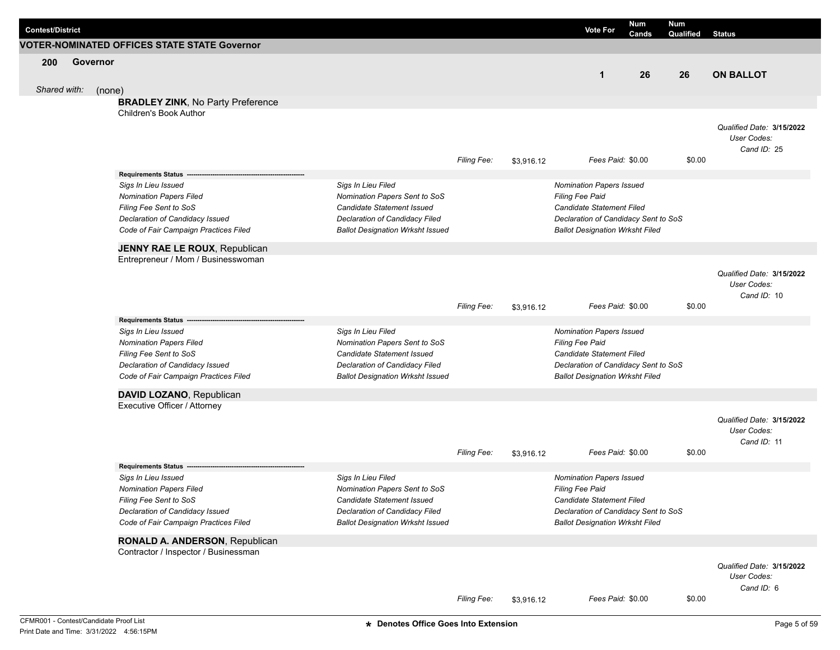| <b>VOTER-NOMINATED OFFICES STATE STATE Governor</b><br>200<br>Governor<br>26<br><b>ON BALLOT</b><br>$\mathbf{1}$<br>26<br>Shared with:<br>(none)<br><b>BRADLEY ZINK, No Party Preference</b><br><b>Children's Book Author</b><br>User Codes:<br>Cand ID: 25<br>Fees Paid: \$0.00<br>\$0.00<br>Filing Fee:<br>\$3,916.12<br><b>Requirements Status</b><br>Sigs In Lieu Filed<br>Sigs In Lieu Issued<br>Nomination Papers Issued<br>Nomination Papers Sent to SoS<br><b>Nomination Papers Filed</b><br><b>Filing Fee Paid</b><br>Filing Fee Sent to SoS<br>Candidate Statement Issued<br>Candidate Statement Filed<br>Declaration of Candidacy Issued<br>Declaration of Candidacy Filed<br>Declaration of Candidacy Sent to SoS<br>Code of Fair Campaign Practices Filed<br><b>Ballot Designation Wrksht Issued</b><br><b>Ballot Designation Wrksht Filed</b><br>JENNY RAE LE ROUX, Republican<br>Entrepreneur / Mom / Businesswoman<br>Qualified Date: 3/15/2022<br>User Codes:<br>Cand ID: 10<br>Filing Fee:<br>Fees Paid: \$0.00<br>\$0.00<br>\$3,916.12<br><b>Requirements Status</b><br>Sigs In Lieu Filed<br>Sigs In Lieu Issued<br>Nomination Papers Issued<br>Nomination Papers Sent to SoS<br><b>Nomination Papers Filed</b><br>Filing Fee Paid<br>Filing Fee Sent to SoS<br>Candidate Statement Issued<br>Candidate Statement Filed<br>Declaration of Candidacy Issued<br>Declaration of Candidacy Filed<br>Declaration of Candidacy Sent to SoS<br>Code of Fair Campaign Practices Filed<br><b>Ballot Designation Wrksht Issued</b><br><b>Ballot Designation Wrksht Filed</b><br>DAVID LOZANO, Republican<br>Executive Officer / Attorney<br>User Codes:<br>Cand ID: 11<br>Fees Paid: \$0.00<br>\$0.00<br><b>Filing Fee:</b><br>\$3,916.12<br><b>Requirements Status</b><br>Sigs In Lieu Filed<br><b>Nomination Papers Issued</b><br>Sigs In Lieu Issued<br><b>Nomination Papers Filed</b><br>Nomination Papers Sent to SoS<br>Filing Fee Paid<br>Filing Fee Sent to SoS<br>Candidate Statement Filed<br>Candidate Statement Issued<br>Declaration of Candidacy Issued<br>Declaration of Candidacy Filed<br>Declaration of Candidacy Sent to SoS<br>Code of Fair Campaign Practices Filed<br><b>Ballot Designation Wrksht Issued</b><br><b>Ballot Designation Wrksht Filed</b><br>RONALD A. ANDERSON, Republican<br>Contractor / Inspector / Businessman<br>User Codes:<br>Cand ID: 6<br><b>Filing Fee:</b><br>Fees Paid: \$0.00<br>\$0.00<br>\$3,916.12<br>CFMR001 - Contest/Candidate Proof List<br>* Denotes Office Goes Into Extension | <b>Contest/District</b> |  |  | <b>Vote For</b> | Num<br>Cands | <b>Num</b><br>Qualified | <b>Status</b>             |
|-----------------------------------------------------------------------------------------------------------------------------------------------------------------------------------------------------------------------------------------------------------------------------------------------------------------------------------------------------------------------------------------------------------------------------------------------------------------------------------------------------------------------------------------------------------------------------------------------------------------------------------------------------------------------------------------------------------------------------------------------------------------------------------------------------------------------------------------------------------------------------------------------------------------------------------------------------------------------------------------------------------------------------------------------------------------------------------------------------------------------------------------------------------------------------------------------------------------------------------------------------------------------------------------------------------------------------------------------------------------------------------------------------------------------------------------------------------------------------------------------------------------------------------------------------------------------------------------------------------------------------------------------------------------------------------------------------------------------------------------------------------------------------------------------------------------------------------------------------------------------------------------------------------------------------------------------------------------------------------------------------------------------------------------------------------------------------------------------------------------------------------------------------------------------------------------------------------------------------------------------------------------------------------------------------------------------------------------------------------------------------------------------------------------------------------------------------------------------------------------------------------------------------------------------------|-------------------------|--|--|-----------------|--------------|-------------------------|---------------------------|
|                                                                                                                                                                                                                                                                                                                                                                                                                                                                                                                                                                                                                                                                                                                                                                                                                                                                                                                                                                                                                                                                                                                                                                                                                                                                                                                                                                                                                                                                                                                                                                                                                                                                                                                                                                                                                                                                                                                                                                                                                                                                                                                                                                                                                                                                                                                                                                                                                                                                                                                                                     |                         |  |  |                 |              |                         |                           |
|                                                                                                                                                                                                                                                                                                                                                                                                                                                                                                                                                                                                                                                                                                                                                                                                                                                                                                                                                                                                                                                                                                                                                                                                                                                                                                                                                                                                                                                                                                                                                                                                                                                                                                                                                                                                                                                                                                                                                                                                                                                                                                                                                                                                                                                                                                                                                                                                                                                                                                                                                     |                         |  |  |                 |              |                         |                           |
|                                                                                                                                                                                                                                                                                                                                                                                                                                                                                                                                                                                                                                                                                                                                                                                                                                                                                                                                                                                                                                                                                                                                                                                                                                                                                                                                                                                                                                                                                                                                                                                                                                                                                                                                                                                                                                                                                                                                                                                                                                                                                                                                                                                                                                                                                                                                                                                                                                                                                                                                                     |                         |  |  |                 |              |                         |                           |
|                                                                                                                                                                                                                                                                                                                                                                                                                                                                                                                                                                                                                                                                                                                                                                                                                                                                                                                                                                                                                                                                                                                                                                                                                                                                                                                                                                                                                                                                                                                                                                                                                                                                                                                                                                                                                                                                                                                                                                                                                                                                                                                                                                                                                                                                                                                                                                                                                                                                                                                                                     |                         |  |  |                 |              |                         |                           |
|                                                                                                                                                                                                                                                                                                                                                                                                                                                                                                                                                                                                                                                                                                                                                                                                                                                                                                                                                                                                                                                                                                                                                                                                                                                                                                                                                                                                                                                                                                                                                                                                                                                                                                                                                                                                                                                                                                                                                                                                                                                                                                                                                                                                                                                                                                                                                                                                                                                                                                                                                     |                         |  |  |                 |              |                         |                           |
|                                                                                                                                                                                                                                                                                                                                                                                                                                                                                                                                                                                                                                                                                                                                                                                                                                                                                                                                                                                                                                                                                                                                                                                                                                                                                                                                                                                                                                                                                                                                                                                                                                                                                                                                                                                                                                                                                                                                                                                                                                                                                                                                                                                                                                                                                                                                                                                                                                                                                                                                                     |                         |  |  |                 |              |                         |                           |
|                                                                                                                                                                                                                                                                                                                                                                                                                                                                                                                                                                                                                                                                                                                                                                                                                                                                                                                                                                                                                                                                                                                                                                                                                                                                                                                                                                                                                                                                                                                                                                                                                                                                                                                                                                                                                                                                                                                                                                                                                                                                                                                                                                                                                                                                                                                                                                                                                                                                                                                                                     |                         |  |  |                 |              |                         | Qualified Date: 3/15/2022 |
|                                                                                                                                                                                                                                                                                                                                                                                                                                                                                                                                                                                                                                                                                                                                                                                                                                                                                                                                                                                                                                                                                                                                                                                                                                                                                                                                                                                                                                                                                                                                                                                                                                                                                                                                                                                                                                                                                                                                                                                                                                                                                                                                                                                                                                                                                                                                                                                                                                                                                                                                                     |                         |  |  |                 |              |                         |                           |
|                                                                                                                                                                                                                                                                                                                                                                                                                                                                                                                                                                                                                                                                                                                                                                                                                                                                                                                                                                                                                                                                                                                                                                                                                                                                                                                                                                                                                                                                                                                                                                                                                                                                                                                                                                                                                                                                                                                                                                                                                                                                                                                                                                                                                                                                                                                                                                                                                                                                                                                                                     |                         |  |  |                 |              |                         |                           |
|                                                                                                                                                                                                                                                                                                                                                                                                                                                                                                                                                                                                                                                                                                                                                                                                                                                                                                                                                                                                                                                                                                                                                                                                                                                                                                                                                                                                                                                                                                                                                                                                                                                                                                                                                                                                                                                                                                                                                                                                                                                                                                                                                                                                                                                                                                                                                                                                                                                                                                                                                     |                         |  |  |                 |              |                         |                           |
|                                                                                                                                                                                                                                                                                                                                                                                                                                                                                                                                                                                                                                                                                                                                                                                                                                                                                                                                                                                                                                                                                                                                                                                                                                                                                                                                                                                                                                                                                                                                                                                                                                                                                                                                                                                                                                                                                                                                                                                                                                                                                                                                                                                                                                                                                                                                                                                                                                                                                                                                                     |                         |  |  |                 |              |                         |                           |
|                                                                                                                                                                                                                                                                                                                                                                                                                                                                                                                                                                                                                                                                                                                                                                                                                                                                                                                                                                                                                                                                                                                                                                                                                                                                                                                                                                                                                                                                                                                                                                                                                                                                                                                                                                                                                                                                                                                                                                                                                                                                                                                                                                                                                                                                                                                                                                                                                                                                                                                                                     |                         |  |  |                 |              |                         |                           |
|                                                                                                                                                                                                                                                                                                                                                                                                                                                                                                                                                                                                                                                                                                                                                                                                                                                                                                                                                                                                                                                                                                                                                                                                                                                                                                                                                                                                                                                                                                                                                                                                                                                                                                                                                                                                                                                                                                                                                                                                                                                                                                                                                                                                                                                                                                                                                                                                                                                                                                                                                     |                         |  |  |                 |              |                         |                           |
|                                                                                                                                                                                                                                                                                                                                                                                                                                                                                                                                                                                                                                                                                                                                                                                                                                                                                                                                                                                                                                                                                                                                                                                                                                                                                                                                                                                                                                                                                                                                                                                                                                                                                                                                                                                                                                                                                                                                                                                                                                                                                                                                                                                                                                                                                                                                                                                                                                                                                                                                                     |                         |  |  |                 |              |                         |                           |
|                                                                                                                                                                                                                                                                                                                                                                                                                                                                                                                                                                                                                                                                                                                                                                                                                                                                                                                                                                                                                                                                                                                                                                                                                                                                                                                                                                                                                                                                                                                                                                                                                                                                                                                                                                                                                                                                                                                                                                                                                                                                                                                                                                                                                                                                                                                                                                                                                                                                                                                                                     |                         |  |  |                 |              |                         |                           |
|                                                                                                                                                                                                                                                                                                                                                                                                                                                                                                                                                                                                                                                                                                                                                                                                                                                                                                                                                                                                                                                                                                                                                                                                                                                                                                                                                                                                                                                                                                                                                                                                                                                                                                                                                                                                                                                                                                                                                                                                                                                                                                                                                                                                                                                                                                                                                                                                                                                                                                                                                     |                         |  |  |                 |              |                         |                           |
|                                                                                                                                                                                                                                                                                                                                                                                                                                                                                                                                                                                                                                                                                                                                                                                                                                                                                                                                                                                                                                                                                                                                                                                                                                                                                                                                                                                                                                                                                                                                                                                                                                                                                                                                                                                                                                                                                                                                                                                                                                                                                                                                                                                                                                                                                                                                                                                                                                                                                                                                                     |                         |  |  |                 |              |                         |                           |
|                                                                                                                                                                                                                                                                                                                                                                                                                                                                                                                                                                                                                                                                                                                                                                                                                                                                                                                                                                                                                                                                                                                                                                                                                                                                                                                                                                                                                                                                                                                                                                                                                                                                                                                                                                                                                                                                                                                                                                                                                                                                                                                                                                                                                                                                                                                                                                                                                                                                                                                                                     |                         |  |  |                 |              |                         |                           |
|                                                                                                                                                                                                                                                                                                                                                                                                                                                                                                                                                                                                                                                                                                                                                                                                                                                                                                                                                                                                                                                                                                                                                                                                                                                                                                                                                                                                                                                                                                                                                                                                                                                                                                                                                                                                                                                                                                                                                                                                                                                                                                                                                                                                                                                                                                                                                                                                                                                                                                                                                     |                         |  |  |                 |              |                         |                           |
|                                                                                                                                                                                                                                                                                                                                                                                                                                                                                                                                                                                                                                                                                                                                                                                                                                                                                                                                                                                                                                                                                                                                                                                                                                                                                                                                                                                                                                                                                                                                                                                                                                                                                                                                                                                                                                                                                                                                                                                                                                                                                                                                                                                                                                                                                                                                                                                                                                                                                                                                                     |                         |  |  |                 |              |                         |                           |
|                                                                                                                                                                                                                                                                                                                                                                                                                                                                                                                                                                                                                                                                                                                                                                                                                                                                                                                                                                                                                                                                                                                                                                                                                                                                                                                                                                                                                                                                                                                                                                                                                                                                                                                                                                                                                                                                                                                                                                                                                                                                                                                                                                                                                                                                                                                                                                                                                                                                                                                                                     |                         |  |  |                 |              |                         |                           |
|                                                                                                                                                                                                                                                                                                                                                                                                                                                                                                                                                                                                                                                                                                                                                                                                                                                                                                                                                                                                                                                                                                                                                                                                                                                                                                                                                                                                                                                                                                                                                                                                                                                                                                                                                                                                                                                                                                                                                                                                                                                                                                                                                                                                                                                                                                                                                                                                                                                                                                                                                     |                         |  |  |                 |              |                         |                           |
|                                                                                                                                                                                                                                                                                                                                                                                                                                                                                                                                                                                                                                                                                                                                                                                                                                                                                                                                                                                                                                                                                                                                                                                                                                                                                                                                                                                                                                                                                                                                                                                                                                                                                                                                                                                                                                                                                                                                                                                                                                                                                                                                                                                                                                                                                                                                                                                                                                                                                                                                                     |                         |  |  |                 |              |                         |                           |
|                                                                                                                                                                                                                                                                                                                                                                                                                                                                                                                                                                                                                                                                                                                                                                                                                                                                                                                                                                                                                                                                                                                                                                                                                                                                                                                                                                                                                                                                                                                                                                                                                                                                                                                                                                                                                                                                                                                                                                                                                                                                                                                                                                                                                                                                                                                                                                                                                                                                                                                                                     |                         |  |  |                 |              |                         |                           |
|                                                                                                                                                                                                                                                                                                                                                                                                                                                                                                                                                                                                                                                                                                                                                                                                                                                                                                                                                                                                                                                                                                                                                                                                                                                                                                                                                                                                                                                                                                                                                                                                                                                                                                                                                                                                                                                                                                                                                                                                                                                                                                                                                                                                                                                                                                                                                                                                                                                                                                                                                     |                         |  |  |                 |              |                         |                           |
|                                                                                                                                                                                                                                                                                                                                                                                                                                                                                                                                                                                                                                                                                                                                                                                                                                                                                                                                                                                                                                                                                                                                                                                                                                                                                                                                                                                                                                                                                                                                                                                                                                                                                                                                                                                                                                                                                                                                                                                                                                                                                                                                                                                                                                                                                                                                                                                                                                                                                                                                                     |                         |  |  |                 |              |                         |                           |
|                                                                                                                                                                                                                                                                                                                                                                                                                                                                                                                                                                                                                                                                                                                                                                                                                                                                                                                                                                                                                                                                                                                                                                                                                                                                                                                                                                                                                                                                                                                                                                                                                                                                                                                                                                                                                                                                                                                                                                                                                                                                                                                                                                                                                                                                                                                                                                                                                                                                                                                                                     |                         |  |  |                 |              |                         |                           |
|                                                                                                                                                                                                                                                                                                                                                                                                                                                                                                                                                                                                                                                                                                                                                                                                                                                                                                                                                                                                                                                                                                                                                                                                                                                                                                                                                                                                                                                                                                                                                                                                                                                                                                                                                                                                                                                                                                                                                                                                                                                                                                                                                                                                                                                                                                                                                                                                                                                                                                                                                     |                         |  |  |                 |              |                         |                           |
|                                                                                                                                                                                                                                                                                                                                                                                                                                                                                                                                                                                                                                                                                                                                                                                                                                                                                                                                                                                                                                                                                                                                                                                                                                                                                                                                                                                                                                                                                                                                                                                                                                                                                                                                                                                                                                                                                                                                                                                                                                                                                                                                                                                                                                                                                                                                                                                                                                                                                                                                                     |                         |  |  |                 |              |                         |                           |
|                                                                                                                                                                                                                                                                                                                                                                                                                                                                                                                                                                                                                                                                                                                                                                                                                                                                                                                                                                                                                                                                                                                                                                                                                                                                                                                                                                                                                                                                                                                                                                                                                                                                                                                                                                                                                                                                                                                                                                                                                                                                                                                                                                                                                                                                                                                                                                                                                                                                                                                                                     |                         |  |  |                 |              |                         | Qualified Date: 3/15/2022 |
|                                                                                                                                                                                                                                                                                                                                                                                                                                                                                                                                                                                                                                                                                                                                                                                                                                                                                                                                                                                                                                                                                                                                                                                                                                                                                                                                                                                                                                                                                                                                                                                                                                                                                                                                                                                                                                                                                                                                                                                                                                                                                                                                                                                                                                                                                                                                                                                                                                                                                                                                                     |                         |  |  |                 |              |                         |                           |
|                                                                                                                                                                                                                                                                                                                                                                                                                                                                                                                                                                                                                                                                                                                                                                                                                                                                                                                                                                                                                                                                                                                                                                                                                                                                                                                                                                                                                                                                                                                                                                                                                                                                                                                                                                                                                                                                                                                                                                                                                                                                                                                                                                                                                                                                                                                                                                                                                                                                                                                                                     |                         |  |  |                 |              |                         |                           |
|                                                                                                                                                                                                                                                                                                                                                                                                                                                                                                                                                                                                                                                                                                                                                                                                                                                                                                                                                                                                                                                                                                                                                                                                                                                                                                                                                                                                                                                                                                                                                                                                                                                                                                                                                                                                                                                                                                                                                                                                                                                                                                                                                                                                                                                                                                                                                                                                                                                                                                                                                     |                         |  |  |                 |              |                         |                           |
|                                                                                                                                                                                                                                                                                                                                                                                                                                                                                                                                                                                                                                                                                                                                                                                                                                                                                                                                                                                                                                                                                                                                                                                                                                                                                                                                                                                                                                                                                                                                                                                                                                                                                                                                                                                                                                                                                                                                                                                                                                                                                                                                                                                                                                                                                                                                                                                                                                                                                                                                                     |                         |  |  |                 |              |                         |                           |
|                                                                                                                                                                                                                                                                                                                                                                                                                                                                                                                                                                                                                                                                                                                                                                                                                                                                                                                                                                                                                                                                                                                                                                                                                                                                                                                                                                                                                                                                                                                                                                                                                                                                                                                                                                                                                                                                                                                                                                                                                                                                                                                                                                                                                                                                                                                                                                                                                                                                                                                                                     |                         |  |  |                 |              |                         |                           |
|                                                                                                                                                                                                                                                                                                                                                                                                                                                                                                                                                                                                                                                                                                                                                                                                                                                                                                                                                                                                                                                                                                                                                                                                                                                                                                                                                                                                                                                                                                                                                                                                                                                                                                                                                                                                                                                                                                                                                                                                                                                                                                                                                                                                                                                                                                                                                                                                                                                                                                                                                     |                         |  |  |                 |              |                         |                           |
|                                                                                                                                                                                                                                                                                                                                                                                                                                                                                                                                                                                                                                                                                                                                                                                                                                                                                                                                                                                                                                                                                                                                                                                                                                                                                                                                                                                                                                                                                                                                                                                                                                                                                                                                                                                                                                                                                                                                                                                                                                                                                                                                                                                                                                                                                                                                                                                                                                                                                                                                                     |                         |  |  |                 |              |                         |                           |
|                                                                                                                                                                                                                                                                                                                                                                                                                                                                                                                                                                                                                                                                                                                                                                                                                                                                                                                                                                                                                                                                                                                                                                                                                                                                                                                                                                                                                                                                                                                                                                                                                                                                                                                                                                                                                                                                                                                                                                                                                                                                                                                                                                                                                                                                                                                                                                                                                                                                                                                                                     |                         |  |  |                 |              |                         |                           |
|                                                                                                                                                                                                                                                                                                                                                                                                                                                                                                                                                                                                                                                                                                                                                                                                                                                                                                                                                                                                                                                                                                                                                                                                                                                                                                                                                                                                                                                                                                                                                                                                                                                                                                                                                                                                                                                                                                                                                                                                                                                                                                                                                                                                                                                                                                                                                                                                                                                                                                                                                     |                         |  |  |                 |              |                         |                           |
|                                                                                                                                                                                                                                                                                                                                                                                                                                                                                                                                                                                                                                                                                                                                                                                                                                                                                                                                                                                                                                                                                                                                                                                                                                                                                                                                                                                                                                                                                                                                                                                                                                                                                                                                                                                                                                                                                                                                                                                                                                                                                                                                                                                                                                                                                                                                                                                                                                                                                                                                                     |                         |  |  |                 |              |                         |                           |
|                                                                                                                                                                                                                                                                                                                                                                                                                                                                                                                                                                                                                                                                                                                                                                                                                                                                                                                                                                                                                                                                                                                                                                                                                                                                                                                                                                                                                                                                                                                                                                                                                                                                                                                                                                                                                                                                                                                                                                                                                                                                                                                                                                                                                                                                                                                                                                                                                                                                                                                                                     |                         |  |  |                 |              |                         | Qualified Date: 3/15/2022 |
|                                                                                                                                                                                                                                                                                                                                                                                                                                                                                                                                                                                                                                                                                                                                                                                                                                                                                                                                                                                                                                                                                                                                                                                                                                                                                                                                                                                                                                                                                                                                                                                                                                                                                                                                                                                                                                                                                                                                                                                                                                                                                                                                                                                                                                                                                                                                                                                                                                                                                                                                                     |                         |  |  |                 |              |                         |                           |
|                                                                                                                                                                                                                                                                                                                                                                                                                                                                                                                                                                                                                                                                                                                                                                                                                                                                                                                                                                                                                                                                                                                                                                                                                                                                                                                                                                                                                                                                                                                                                                                                                                                                                                                                                                                                                                                                                                                                                                                                                                                                                                                                                                                                                                                                                                                                                                                                                                                                                                                                                     |                         |  |  |                 |              |                         |                           |
|                                                                                                                                                                                                                                                                                                                                                                                                                                                                                                                                                                                                                                                                                                                                                                                                                                                                                                                                                                                                                                                                                                                                                                                                                                                                                                                                                                                                                                                                                                                                                                                                                                                                                                                                                                                                                                                                                                                                                                                                                                                                                                                                                                                                                                                                                                                                                                                                                                                                                                                                                     |                         |  |  |                 |              |                         |                           |
|                                                                                                                                                                                                                                                                                                                                                                                                                                                                                                                                                                                                                                                                                                                                                                                                                                                                                                                                                                                                                                                                                                                                                                                                                                                                                                                                                                                                                                                                                                                                                                                                                                                                                                                                                                                                                                                                                                                                                                                                                                                                                                                                                                                                                                                                                                                                                                                                                                                                                                                                                     |                         |  |  |                 |              |                         | Page 5 of 59              |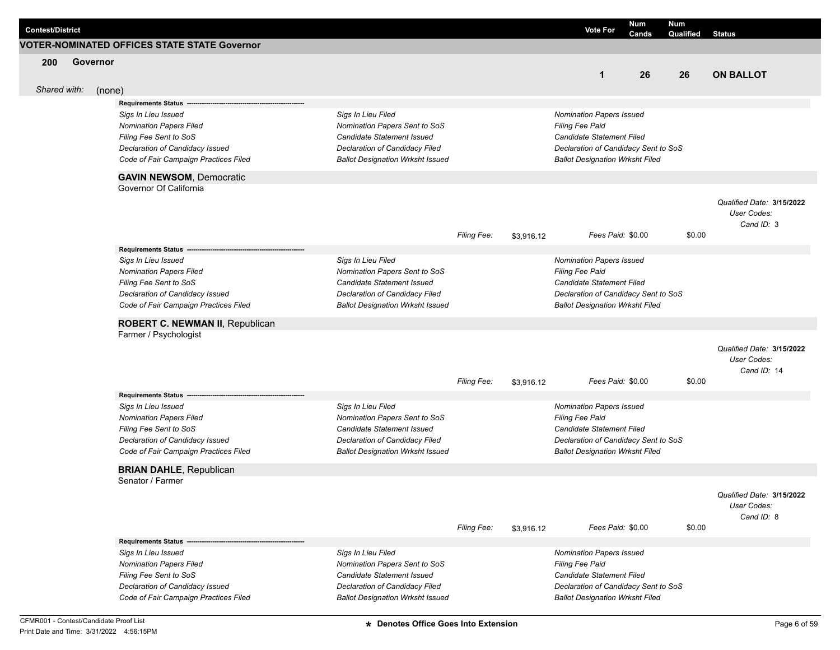| <b>Contest/District</b> |          |                                                           |                                                                     |                    |            | <b>Vote For</b>                                                          | Num<br>Cands | Num<br>Qualified | <b>Status</b>                            |
|-------------------------|----------|-----------------------------------------------------------|---------------------------------------------------------------------|--------------------|------------|--------------------------------------------------------------------------|--------------|------------------|------------------------------------------|
|                         |          | <b>VOTER-NOMINATED OFFICES STATE STATE Governor</b>       |                                                                     |                    |            |                                                                          |              |                  |                                          |
| 200                     | Governor |                                                           |                                                                     |                    |            |                                                                          |              |                  |                                          |
|                         |          |                                                           |                                                                     |                    |            | $\mathbf 1$                                                              | 26           | 26               | <b>ON BALLOT</b>                         |
| Shared with:            | (none)   |                                                           |                                                                     |                    |            |                                                                          |              |                  |                                          |
|                         |          | <b>Requirements Status</b>                                |                                                                     |                    |            |                                                                          |              |                  |                                          |
|                         |          | Sigs In Lieu Issued                                       | Sigs In Lieu Filed                                                  |                    |            | Nomination Papers Issued                                                 |              |                  |                                          |
|                         |          | <b>Nomination Papers Filed</b>                            | Nomination Papers Sent to SoS                                       |                    |            | Filing Fee Paid                                                          |              |                  |                                          |
|                         |          | Filing Fee Sent to SoS<br>Declaration of Candidacy Issued | <b>Candidate Statement Issued</b><br>Declaration of Candidacy Filed |                    |            | Candidate Statement Filed<br>Declaration of Candidacy Sent to SoS        |              |                  |                                          |
|                         |          | Code of Fair Campaign Practices Filed                     | <b>Ballot Designation Wrksht Issued</b>                             |                    |            | <b>Ballot Designation Wrksht Filed</b>                                   |              |                  |                                          |
|                         |          |                                                           |                                                                     |                    |            |                                                                          |              |                  |                                          |
|                         |          | <b>GAVIN NEWSOM, Democratic</b><br>Governor Of California |                                                                     |                    |            |                                                                          |              |                  |                                          |
|                         |          |                                                           |                                                                     |                    |            |                                                                          |              |                  | Qualified Date: 3/15/2022                |
|                         |          |                                                           |                                                                     |                    |            |                                                                          |              |                  | User Codes:                              |
|                         |          |                                                           |                                                                     |                    |            |                                                                          |              |                  | Cand ID: 3                               |
|                         |          |                                                           |                                                                     | Filing Fee:        | \$3,916.12 | Fees Paid: \$0.00                                                        |              | \$0.00           |                                          |
|                         |          | Requirements Status ---                                   |                                                                     |                    |            |                                                                          |              |                  |                                          |
|                         |          | Sigs In Lieu Issued                                       | Sigs In Lieu Filed                                                  |                    |            | Nomination Papers Issued                                                 |              |                  |                                          |
|                         |          | <b>Nomination Papers Filed</b>                            | Nomination Papers Sent to SoS                                       |                    |            | Filing Fee Paid                                                          |              |                  |                                          |
|                         |          | Filing Fee Sent to SoS<br>Declaration of Candidacy Issued | <b>Candidate Statement Issued</b><br>Declaration of Candidacy Filed |                    |            | <b>Candidate Statement Filed</b><br>Declaration of Candidacy Sent to SoS |              |                  |                                          |
|                         |          | Code of Fair Campaign Practices Filed                     | <b>Ballot Designation Wrksht Issued</b>                             |                    |            | <b>Ballot Designation Wrksht Filed</b>                                   |              |                  |                                          |
|                         |          |                                                           |                                                                     |                    |            |                                                                          |              |                  |                                          |
|                         |          | ROBERT C. NEWMAN II, Republican<br>Farmer / Psychologist  |                                                                     |                    |            |                                                                          |              |                  |                                          |
|                         |          |                                                           |                                                                     |                    |            |                                                                          |              |                  |                                          |
|                         |          |                                                           |                                                                     |                    |            |                                                                          |              |                  | Qualified Date: 3/15/2022<br>User Codes: |
|                         |          |                                                           |                                                                     |                    |            |                                                                          |              |                  | Cand ID: 14                              |
|                         |          |                                                           |                                                                     | <b>Filing Fee:</b> | \$3,916.12 | Fees Paid: \$0.00                                                        |              | \$0.00           |                                          |
|                         |          | <b>Requirements Status</b>                                |                                                                     |                    |            |                                                                          |              |                  |                                          |
|                         |          | Sigs In Lieu Issued                                       | Sigs In Lieu Filed                                                  |                    |            | Nomination Papers Issued                                                 |              |                  |                                          |
|                         |          | <b>Nomination Papers Filed</b>                            | Nomination Papers Sent to SoS                                       |                    |            | Filing Fee Paid                                                          |              |                  |                                          |
|                         |          | Filing Fee Sent to SoS<br>Declaration of Candidacy Issued | <b>Candidate Statement Issued</b><br>Declaration of Candidacy Filed |                    |            | Candidate Statement Filed<br>Declaration of Candidacy Sent to SoS        |              |                  |                                          |
|                         |          | Code of Fair Campaign Practices Filed                     | <b>Ballot Designation Wrksht Issued</b>                             |                    |            | <b>Ballot Designation Wrksht Filed</b>                                   |              |                  |                                          |
|                         |          |                                                           |                                                                     |                    |            |                                                                          |              |                  |                                          |
|                         |          | <b>BRIAN DAHLE, Republican</b><br>Senator / Farmer        |                                                                     |                    |            |                                                                          |              |                  |                                          |
|                         |          |                                                           |                                                                     |                    |            |                                                                          |              |                  |                                          |
|                         |          |                                                           |                                                                     |                    |            |                                                                          |              |                  | Qualified Date: 3/15/2022<br>User Codes: |
|                         |          |                                                           |                                                                     |                    |            |                                                                          |              |                  | Cand ID: 8                               |
|                         |          |                                                           |                                                                     | Filing Fee:        | \$3,916.12 | Fees Paid: \$0.00                                                        |              | \$0.00           |                                          |
|                         |          | <b>Requirements Status -</b>                              |                                                                     |                    |            |                                                                          |              |                  |                                          |
|                         |          | Sigs In Lieu Issued                                       | Sigs In Lieu Filed                                                  |                    |            | <b>Nomination Papers Issued</b>                                          |              |                  |                                          |
|                         |          | <b>Nomination Papers Filed</b>                            | Nomination Papers Sent to SoS                                       |                    |            | Filing Fee Paid                                                          |              |                  |                                          |
|                         |          | Filing Fee Sent to SoS<br>Declaration of Candidacy Issued | Candidate Statement Issued<br>Declaration of Candidacy Filed        |                    |            | Candidate Statement Filed<br>Declaration of Candidacy Sent to SoS        |              |                  |                                          |
|                         |          | Code of Fair Campaign Practices Filed                     | <b>Ballot Designation Wrksht Issued</b>                             |                    |            | <b>Ballot Designation Wrksht Filed</b>                                   |              |                  |                                          |
|                         |          |                                                           |                                                                     |                    |            |                                                                          |              |                  |                                          |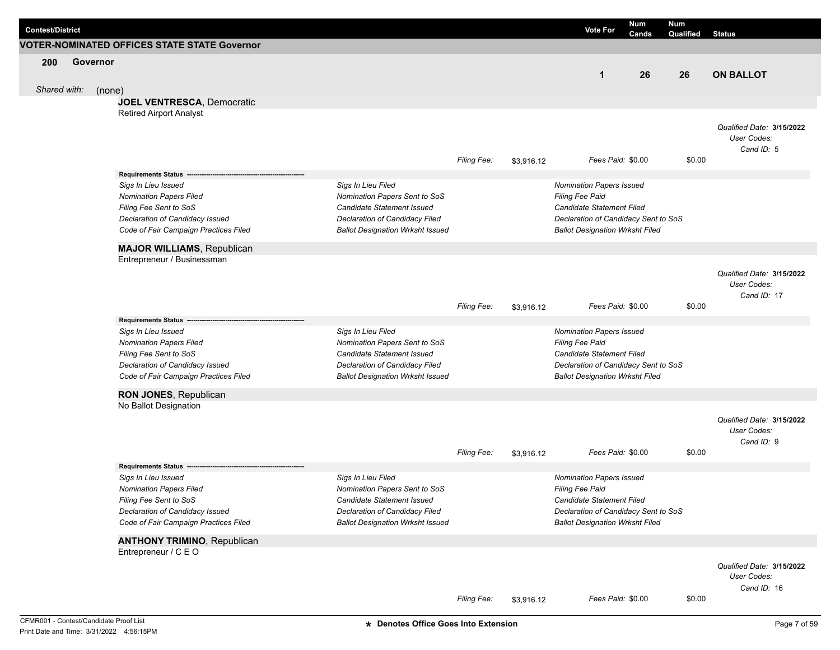| <b>Contest/District</b> |          |                                                           |                                                              |                    |            | <b>Vote For</b>                                                   | <b>Num</b><br>Cands | <b>Num</b><br>Qualified | <b>Status</b>              |
|-------------------------|----------|-----------------------------------------------------------|--------------------------------------------------------------|--------------------|------------|-------------------------------------------------------------------|---------------------|-------------------------|----------------------------|
|                         |          | <b>VOTER-NOMINATED OFFICES STATE STATE Governor</b>       |                                                              |                    |            |                                                                   |                     |                         |                            |
| 200                     | Governor |                                                           |                                                              |                    |            |                                                                   |                     |                         |                            |
|                         |          |                                                           |                                                              |                    |            | $\mathbf 1$                                                       | 26                  | 26                      | <b>ON BALLOT</b>           |
| Shared with:            |          | (none)                                                    |                                                              |                    |            |                                                                   |                     |                         |                            |
|                         |          | <b>JOEL VENTRESCA, Democratic</b>                         |                                                              |                    |            |                                                                   |                     |                         |                            |
|                         |          | <b>Retired Airport Analyst</b>                            |                                                              |                    |            |                                                                   |                     |                         |                            |
|                         |          |                                                           |                                                              |                    |            |                                                                   |                     |                         | Qualified Date: 3/15/2022  |
|                         |          |                                                           |                                                              |                    |            |                                                                   |                     |                         | User Codes:                |
|                         |          |                                                           |                                                              |                    |            |                                                                   |                     |                         | Cand ID: 5                 |
|                         |          |                                                           |                                                              | Filing Fee:        | \$3,916.12 | Fees Paid: \$0.00                                                 |                     | \$0.00                  |                            |
|                         |          | <b>Requirements Status</b>                                |                                                              |                    |            |                                                                   |                     |                         |                            |
|                         |          | Sigs In Lieu Issued                                       | Sigs In Lieu Filed                                           |                    |            | <b>Nomination Papers Issued</b>                                   |                     |                         |                            |
|                         |          | <b>Nomination Papers Filed</b>                            | Nomination Papers Sent to SoS                                |                    |            | Filing Fee Paid                                                   |                     |                         |                            |
|                         |          | Filing Fee Sent to SoS                                    | Candidate Statement Issued                                   |                    |            | Candidate Statement Filed                                         |                     |                         |                            |
|                         |          | Declaration of Candidacy Issued                           | Declaration of Candidacy Filed                               |                    |            | Declaration of Candidacy Sent to SoS                              |                     |                         |                            |
|                         |          | Code of Fair Campaign Practices Filed                     | <b>Ballot Designation Wrksht Issued</b>                      |                    |            | <b>Ballot Designation Wrksht Filed</b>                            |                     |                         |                            |
|                         |          | <b>MAJOR WILLIAMS, Republican</b>                         |                                                              |                    |            |                                                                   |                     |                         |                            |
|                         |          | Entrepreneur / Businessman                                |                                                              |                    |            |                                                                   |                     |                         |                            |
|                         |          |                                                           |                                                              |                    |            |                                                                   |                     |                         | Qualified Date: 3/15/2022  |
|                         |          |                                                           |                                                              |                    |            |                                                                   |                     |                         | User Codes:                |
|                         |          |                                                           |                                                              |                    |            |                                                                   |                     |                         | Cand ID: 17                |
|                         |          |                                                           |                                                              | Filing Fee:        | \$3,916.12 | Fees Paid: \$0.00                                                 |                     | \$0.00                  |                            |
|                         |          | <b>Requirements Status</b>                                |                                                              |                    |            |                                                                   |                     |                         |                            |
|                         |          | Sigs In Lieu Issued                                       | Sigs In Lieu Filed                                           |                    |            | <b>Nomination Papers Issued</b>                                   |                     |                         |                            |
|                         |          | <b>Nomination Papers Filed</b>                            | Nomination Papers Sent to SoS                                |                    |            | Filing Fee Paid                                                   |                     |                         |                            |
|                         |          | Filing Fee Sent to SoS<br>Declaration of Candidacy Issued | Candidate Statement Issued<br>Declaration of Candidacy Filed |                    |            | Candidate Statement Filed<br>Declaration of Candidacy Sent to SoS |                     |                         |                            |
|                         |          | Code of Fair Campaign Practices Filed                     | <b>Ballot Designation Wrksht Issued</b>                      |                    |            | <b>Ballot Designation Wrksht Filed</b>                            |                     |                         |                            |
|                         |          |                                                           |                                                              |                    |            |                                                                   |                     |                         |                            |
|                         |          | RON JONES, Republican                                     |                                                              |                    |            |                                                                   |                     |                         |                            |
|                         |          | No Ballot Designation                                     |                                                              |                    |            |                                                                   |                     |                         |                            |
|                         |          |                                                           |                                                              |                    |            |                                                                   |                     |                         | Qualified Date: 3/15/2022  |
|                         |          |                                                           |                                                              |                    |            |                                                                   |                     |                         | User Codes:                |
|                         |          |                                                           |                                                              | Filing Fee:        |            | Fees Paid: \$0.00                                                 |                     | \$0.00                  | Cand ID: 9                 |
|                         |          |                                                           |                                                              |                    | \$3,916.12 |                                                                   |                     |                         |                            |
|                         |          | <b>Requirements Status</b><br>Sigs In Lieu Issued         | Sigs In Lieu Filed                                           |                    |            | <b>Nomination Papers Issued</b>                                   |                     |                         |                            |
|                         |          | <b>Nomination Papers Filed</b>                            | Nomination Papers Sent to SoS                                |                    |            | <b>Filing Fee Paid</b>                                            |                     |                         |                            |
|                         |          | Filing Fee Sent to SoS                                    | Candidate Statement Issued                                   |                    |            | Candidate Statement Filed                                         |                     |                         |                            |
|                         |          | Declaration of Candidacy Issued                           | Declaration of Candidacy Filed                               |                    |            | Declaration of Candidacy Sent to SoS                              |                     |                         |                            |
|                         |          | Code of Fair Campaign Practices Filed                     | <b>Ballot Designation Wrksht Issued</b>                      |                    |            | <b>Ballot Designation Wrksht Filed</b>                            |                     |                         |                            |
|                         |          |                                                           |                                                              |                    |            |                                                                   |                     |                         |                            |
|                         |          | <b>ANTHONY TRIMINO, Republican</b>                        |                                                              |                    |            |                                                                   |                     |                         |                            |
|                         |          | Entrepreneur / C E O                                      |                                                              |                    |            |                                                                   |                     |                         |                            |
|                         |          |                                                           |                                                              |                    |            |                                                                   |                     |                         | Qualified Date: 3/15/2022  |
|                         |          |                                                           |                                                              |                    |            |                                                                   |                     |                         | User Codes:<br>Cand ID: 16 |
|                         |          |                                                           |                                                              | <b>Filing Fee:</b> | \$3,916.12 | Fees Paid: \$0.00                                                 |                     | \$0.00                  |                            |
|                         |          |                                                           |                                                              |                    |            |                                                                   |                     |                         |                            |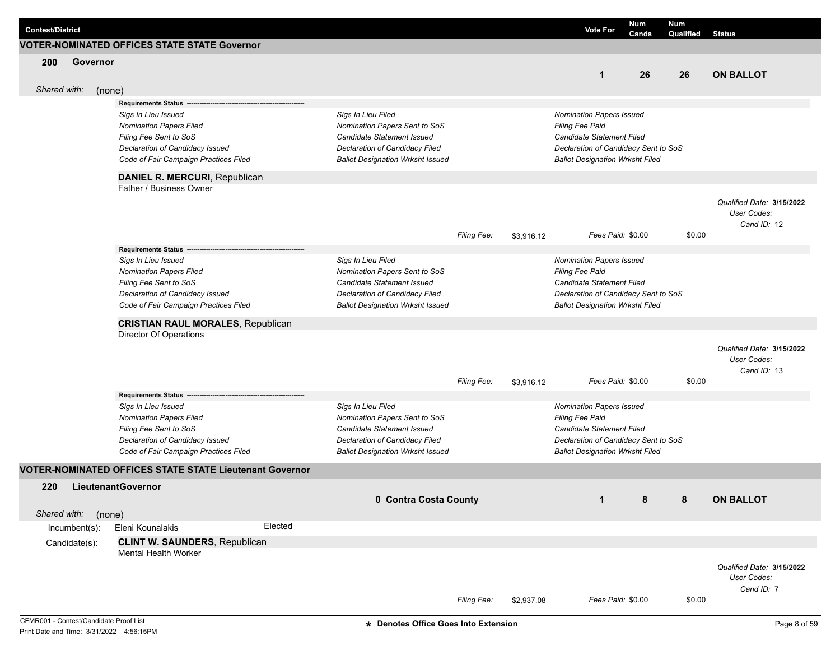| <b>Contest/District</b> |               |        |                                                                |         |                                                                    |                    |            | <b>Vote For</b>                                    | Num   | Num       |                                          |
|-------------------------|---------------|--------|----------------------------------------------------------------|---------|--------------------------------------------------------------------|--------------------|------------|----------------------------------------------------|-------|-----------|------------------------------------------|
|                         |               |        | <b>VOTER-NOMINATED OFFICES STATE STATE Governor</b>            |         |                                                                    |                    |            |                                                    | Cands | Qualified | <b>Status</b>                            |
|                         |               |        |                                                                |         |                                                                    |                    |            |                                                    |       |           |                                          |
| 200                     | Governor      |        |                                                                |         |                                                                    |                    |            | $\mathbf{1}$                                       | 26    | 26        | <b>ON BALLOT</b>                         |
|                         |               |        |                                                                |         |                                                                    |                    |            |                                                    |       |           |                                          |
| Shared with:            |               | (none) |                                                                |         |                                                                    |                    |            |                                                    |       |           |                                          |
|                         |               |        | <b>Requirements Status</b>                                     |         |                                                                    |                    |            |                                                    |       |           |                                          |
|                         |               |        | Sigs In Lieu Issued                                            |         | Sigs In Lieu Filed                                                 |                    |            | <b>Nomination Papers Issued</b><br>Filing Fee Paid |       |           |                                          |
|                         |               |        | <b>Nomination Papers Filed</b><br>Filing Fee Sent to SoS       |         | Nomination Papers Sent to SoS<br><b>Candidate Statement Issued</b> |                    |            | Candidate Statement Filed                          |       |           |                                          |
|                         |               |        | Declaration of Candidacy Issued                                |         | Declaration of Candidacy Filed                                     |                    |            | Declaration of Candidacy Sent to SoS               |       |           |                                          |
|                         |               |        | Code of Fair Campaign Practices Filed                          |         | <b>Ballot Designation Wrksht Issued</b>                            |                    |            | <b>Ballot Designation Wrksht Filed</b>             |       |           |                                          |
|                         |               |        |                                                                |         |                                                                    |                    |            |                                                    |       |           |                                          |
|                         |               |        | DANIEL R. MERCURI, Republican<br>Father / Business Owner       |         |                                                                    |                    |            |                                                    |       |           |                                          |
|                         |               |        |                                                                |         |                                                                    |                    |            |                                                    |       |           |                                          |
|                         |               |        |                                                                |         |                                                                    |                    |            |                                                    |       |           | Qualified Date: 3/15/2022<br>User Codes: |
|                         |               |        |                                                                |         |                                                                    |                    |            |                                                    |       |           | Cand ID: 12                              |
|                         |               |        |                                                                |         |                                                                    | Filing Fee:        | \$3,916.12 | Fees Paid: \$0.00                                  |       | \$0.00    |                                          |
|                         |               |        | <b>Requirements Status</b>                                     |         |                                                                    |                    |            |                                                    |       |           |                                          |
|                         |               |        | Sigs In Lieu Issued                                            |         | Sigs In Lieu Filed                                                 |                    |            | Nomination Papers Issued                           |       |           |                                          |
|                         |               |        | <b>Nomination Papers Filed</b>                                 |         | Nomination Papers Sent to SoS                                      |                    |            | <b>Filing Fee Paid</b>                             |       |           |                                          |
|                         |               |        | Filing Fee Sent to SoS                                         |         | Candidate Statement Issued                                         |                    |            | Candidate Statement Filed                          |       |           |                                          |
|                         |               |        | Declaration of Candidacy Issued                                |         | Declaration of Candidacy Filed                                     |                    |            | Declaration of Candidacy Sent to SoS               |       |           |                                          |
|                         |               |        | Code of Fair Campaign Practices Filed                          |         | <b>Ballot Designation Wrksht Issued</b>                            |                    |            | <b>Ballot Designation Wrksht Filed</b>             |       |           |                                          |
|                         |               |        | <b>CRISTIAN RAUL MORALES, Republican</b>                       |         |                                                                    |                    |            |                                                    |       |           |                                          |
|                         |               |        | Director Of Operations                                         |         |                                                                    |                    |            |                                                    |       |           |                                          |
|                         |               |        |                                                                |         |                                                                    |                    |            |                                                    |       |           | Qualified Date: 3/15/2022                |
|                         |               |        |                                                                |         |                                                                    |                    |            |                                                    |       |           | User Codes:                              |
|                         |               |        |                                                                |         |                                                                    |                    |            |                                                    |       |           | Cand ID: 13                              |
|                         |               |        |                                                                |         |                                                                    | <b>Filing Fee:</b> | \$3,916.12 | Fees Paid: \$0.00                                  |       | \$0.00    |                                          |
|                         |               |        | <b>Requirements Status</b>                                     |         |                                                                    |                    |            |                                                    |       |           |                                          |
|                         |               |        | Sigs In Lieu Issued                                            |         | Sigs In Lieu Filed                                                 |                    |            | Nomination Papers Issued                           |       |           |                                          |
|                         |               |        | <b>Nomination Papers Filed</b>                                 |         | Nomination Papers Sent to SoS                                      |                    |            | Filing Fee Paid                                    |       |           |                                          |
|                         |               |        | Filing Fee Sent to SoS                                         |         | Candidate Statement Issued                                         |                    |            | Candidate Statement Filed                          |       |           |                                          |
|                         |               |        | Declaration of Candidacy Issued                                |         | Declaration of Candidacy Filed                                     |                    |            | Declaration of Candidacy Sent to SoS               |       |           |                                          |
|                         |               |        | Code of Fair Campaign Practices Filed                          |         | <b>Ballot Designation Wrksht Issued</b>                            |                    |            | <b>Ballot Designation Wrksht Filed</b>             |       |           |                                          |
|                         |               |        | <b>VOTER-NOMINATED OFFICES STATE STATE Lieutenant Governor</b> |         |                                                                    |                    |            |                                                    |       |           |                                          |
| 220                     |               |        | <b>LieutenantGovernor</b>                                      |         |                                                                    |                    |            |                                                    |       |           |                                          |
|                         |               |        |                                                                |         | 0 Contra Costa County                                              |                    |            | $\mathbf{1}$                                       | 8     | 8         | <b>ON BALLOT</b>                         |
| Shared with:            |               | (none) |                                                                |         |                                                                    |                    |            |                                                    |       |           |                                          |
|                         | Incumbent(s): |        | Eleni Kounalakis                                               | Elected |                                                                    |                    |            |                                                    |       |           |                                          |
|                         | Candidate(s): |        | <b>CLINT W. SAUNDERS, Republican</b>                           |         |                                                                    |                    |            |                                                    |       |           |                                          |
|                         |               |        | <b>Mental Health Worker</b>                                    |         |                                                                    |                    |            |                                                    |       |           |                                          |
|                         |               |        |                                                                |         |                                                                    |                    |            |                                                    |       |           | Qualified Date: 3/15/2022                |
|                         |               |        |                                                                |         |                                                                    |                    |            |                                                    |       |           | User Codes:                              |
|                         |               |        |                                                                |         |                                                                    |                    |            |                                                    |       |           | Cand ID: 7                               |
|                         |               |        |                                                                |         |                                                                    | Filing Fee:        | \$2,937.08 | Fees Paid: \$0.00                                  |       | \$0.00    |                                          |
|                         |               |        |                                                                |         |                                                                    |                    |            |                                                    |       |           |                                          |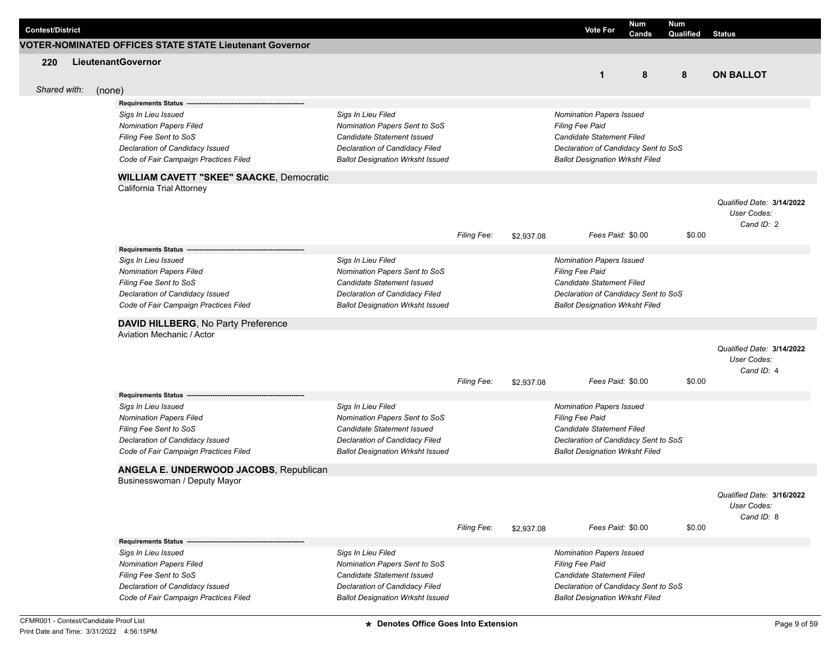| <b>Contest/District</b> |        |                                                                  |                                                             |                    |            | <b>Vote For</b>                                     | Num<br>Cands | Num<br>Qualified | <b>Status</b>                            |
|-------------------------|--------|------------------------------------------------------------------|-------------------------------------------------------------|--------------------|------------|-----------------------------------------------------|--------------|------------------|------------------------------------------|
|                         |        | VOTER-NOMINATED OFFICES STATE STATE Lieutenant Governor          |                                                             |                    |            |                                                     |              |                  |                                          |
| 220                     |        | LieutenantGovernor                                               |                                                             |                    |            |                                                     |              |                  |                                          |
|                         |        |                                                                  |                                                             |                    |            | $\mathbf{1}$                                        | 8            | 8                | <b>ON BALLOT</b>                         |
| Shared with:            |        |                                                                  |                                                             |                    |            |                                                     |              |                  |                                          |
|                         | (none) | <b>Requirements Status</b>                                       |                                                             |                    |            |                                                     |              |                  |                                          |
|                         |        | Sigs In Lieu Issued                                              | Sigs In Lieu Filed                                          |                    |            | Nomination Papers Issued                            |              |                  |                                          |
|                         |        | <b>Nomination Papers Filed</b>                                   | Nomination Papers Sent to SoS                               |                    |            | Filing Fee Paid                                     |              |                  |                                          |
|                         |        | Filing Fee Sent to SoS                                           | Candidate Statement Issued                                  |                    |            | <b>Candidate Statement Filed</b>                    |              |                  |                                          |
|                         |        | Declaration of Candidacy Issued                                  | Declaration of Candidacy Filed                              |                    |            | Declaration of Candidacy Sent to SoS                |              |                  |                                          |
|                         |        | Code of Fair Campaign Practices Filed                            | <b>Ballot Designation Wrksht Issued</b>                     |                    |            | <b>Ballot Designation Wrksht Filed</b>              |              |                  |                                          |
|                         |        | <b>WILLIAM CAVETT "SKEE" SAACKE, Democratic</b>                  |                                                             |                    |            |                                                     |              |                  |                                          |
|                         |        | California Trial Attorney                                        |                                                             |                    |            |                                                     |              |                  |                                          |
|                         |        |                                                                  |                                                             |                    |            |                                                     |              |                  | Qualified Date: 3/14/2022                |
|                         |        |                                                                  |                                                             |                    |            |                                                     |              |                  | User Codes:                              |
|                         |        |                                                                  |                                                             |                    |            |                                                     |              |                  | Cand ID: 2                               |
|                         |        |                                                                  |                                                             | Filing Fee:        | \$2,937.08 | Fees Paid: \$0.00                                   |              | \$0.00           |                                          |
|                         |        | Requirements Status --                                           |                                                             |                    |            |                                                     |              |                  |                                          |
|                         |        | Sigs In Lieu Issued                                              | Sigs In Lieu Filed                                          |                    |            | Nomination Papers Issued                            |              |                  |                                          |
|                         |        | <b>Nomination Papers Filed</b><br>Filing Fee Sent to SoS         | Nomination Papers Sent to SoS<br>Candidate Statement Issued |                    |            | Filing Fee Paid<br><b>Candidate Statement Filed</b> |              |                  |                                          |
|                         |        | Declaration of Candidacy Issued                                  | Declaration of Candidacy Filed                              |                    |            | Declaration of Candidacy Sent to SoS                |              |                  |                                          |
|                         |        | Code of Fair Campaign Practices Filed                            | <b>Ballot Designation Wrksht Issued</b>                     |                    |            | <b>Ballot Designation Wrksht Filed</b>              |              |                  |                                          |
|                         |        |                                                                  |                                                             |                    |            |                                                     |              |                  |                                          |
|                         |        | DAVID HILLBERG, No Party Preference<br>Aviation Mechanic / Actor |                                                             |                    |            |                                                     |              |                  |                                          |
|                         |        |                                                                  |                                                             |                    |            |                                                     |              |                  |                                          |
|                         |        |                                                                  |                                                             |                    |            |                                                     |              |                  | Qualified Date: 3/14/2022<br>User Codes: |
|                         |        |                                                                  |                                                             |                    |            |                                                     |              |                  | Cand ID: 4                               |
|                         |        |                                                                  |                                                             | <b>Filing Fee:</b> | \$2,937.08 | Fees Paid: \$0.00                                   |              | \$0.00           |                                          |
|                         |        | <b>Requirements Status</b>                                       |                                                             |                    |            |                                                     |              |                  |                                          |
|                         |        | Sigs In Lieu Issued                                              | Sigs In Lieu Filed                                          |                    |            | Nomination Papers Issued                            |              |                  |                                          |
|                         |        | <b>Nomination Papers Filed</b>                                   | Nomination Papers Sent to SoS                               |                    |            | Filing Fee Paid                                     |              |                  |                                          |
|                         |        | Filing Fee Sent to SoS                                           | <b>Candidate Statement Issued</b>                           |                    |            | Candidate Statement Filed                           |              |                  |                                          |
|                         |        | Declaration of Candidacy Issued                                  | Declaration of Candidacy Filed                              |                    |            | Declaration of Candidacy Sent to SoS                |              |                  |                                          |
|                         |        | Code of Fair Campaign Practices Filed                            | <b>Ballot Designation Wrksht Issued</b>                     |                    |            | <b>Ballot Designation Wrksht Filed</b>              |              |                  |                                          |
|                         |        | ANGELA E. UNDERWOOD JACOBS, Republican                           |                                                             |                    |            |                                                     |              |                  |                                          |
|                         |        | Businesswoman / Deputy Mayor                                     |                                                             |                    |            |                                                     |              |                  |                                          |
|                         |        |                                                                  |                                                             |                    |            |                                                     |              |                  | Qualified Date: 3/16/2022                |
|                         |        |                                                                  |                                                             |                    |            |                                                     |              |                  | User Codes:                              |
|                         |        |                                                                  |                                                             |                    |            |                                                     |              |                  | Cand ID: 8                               |
|                         |        |                                                                  |                                                             | Filing Fee:        | \$2,937.08 | Fees Paid: \$0.00                                   |              | \$0.00           |                                          |
|                         |        | <b>Requirements Status -</b>                                     |                                                             |                    |            |                                                     |              |                  |                                          |
|                         |        | Sigs In Lieu Issued                                              | Sigs In Lieu Filed                                          |                    |            | <b>Nomination Papers Issued</b>                     |              |                  |                                          |
|                         |        | <b>Nomination Papers Filed</b>                                   | Nomination Papers Sent to SoS                               |                    |            | Filing Fee Paid                                     |              |                  |                                          |
|                         |        | Filing Fee Sent to SoS                                           | Candidate Statement Issued                                  |                    |            | Candidate Statement Filed                           |              |                  |                                          |
|                         |        | Declaration of Candidacy Issued                                  | Declaration of Candidacy Filed                              |                    |            | Declaration of Candidacy Sent to SoS                |              |                  |                                          |
|                         |        | Code of Fair Campaign Practices Filed                            | <b>Ballot Designation Wrksht Issued</b>                     |                    |            | <b>Ballot Designation Wrksht Filed</b>              |              |                  |                                          |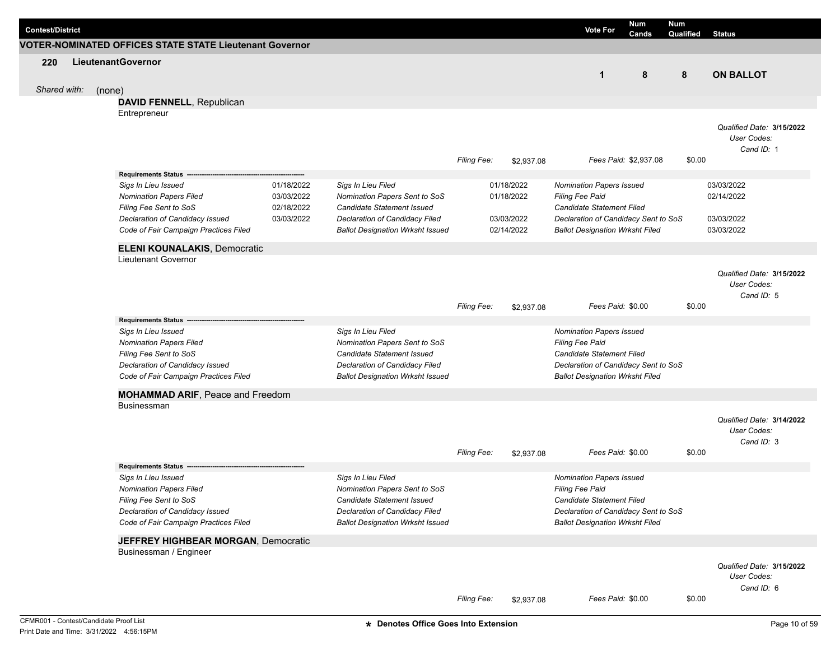| <b>Contest/District</b> |              |                                                                                                                                                             |                                                      |                                                                                                                                                                       |                    |                                                      | <b>Vote For</b>                                                                                                                                                          | Num<br>Cands          | <b>Num</b><br>Qualified | <b>Status</b>                                          |
|-------------------------|--------------|-------------------------------------------------------------------------------------------------------------------------------------------------------------|------------------------------------------------------|-----------------------------------------------------------------------------------------------------------------------------------------------------------------------|--------------------|------------------------------------------------------|--------------------------------------------------------------------------------------------------------------------------------------------------------------------------|-----------------------|-------------------------|--------------------------------------------------------|
|                         |              | <b>VOTER-NOMINATED OFFICES STATE STATE Lieutenant Governor</b>                                                                                              |                                                      |                                                                                                                                                                       |                    |                                                      |                                                                                                                                                                          |                       |                         |                                                        |
| 220                     |              | LieutenantGovernor                                                                                                                                          |                                                      |                                                                                                                                                                       |                    |                                                      | $\mathbf{1}$                                                                                                                                                             | 8                     | 8                       | <b>ON BALLOT</b>                                       |
|                         | Shared with: | (none)                                                                                                                                                      |                                                      |                                                                                                                                                                       |                    |                                                      |                                                                                                                                                                          |                       |                         |                                                        |
|                         |              | DAVID FENNELL, Republican                                                                                                                                   |                                                      |                                                                                                                                                                       |                    |                                                      |                                                                                                                                                                          |                       |                         |                                                        |
|                         |              | Entrepreneur                                                                                                                                                |                                                      |                                                                                                                                                                       |                    |                                                      |                                                                                                                                                                          |                       |                         |                                                        |
|                         |              |                                                                                                                                                             |                                                      |                                                                                                                                                                       | Filing Fee:        | \$2,937.08                                           |                                                                                                                                                                          | Fees Paid: \$2,937.08 | \$0.00                  | Qualified Date: 3/15/2022<br>User Codes:<br>Cand ID: 1 |
|                         |              | Requirements Status -                                                                                                                                       |                                                      |                                                                                                                                                                       |                    |                                                      |                                                                                                                                                                          |                       |                         |                                                        |
|                         |              | Sigs In Lieu Issued<br><b>Nomination Papers Filed</b><br>Filing Fee Sent to SoS<br>Declaration of Candidacy Issued<br>Code of Fair Campaign Practices Filed | 01/18/2022<br>03/03/2022<br>02/18/2022<br>03/03/2022 | Sigs In Lieu Filed<br>Nomination Papers Sent to SoS<br>Candidate Statement Issued<br>Declaration of Candidacy Filed<br><b>Ballot Designation Wrksht Issued</b>        |                    | 01/18/2022<br>01/18/2022<br>03/03/2022<br>02/14/2022 | <b>Nomination Papers Issued</b><br><b>Filing Fee Paid</b><br>Candidate Statement Filed<br>Declaration of Candidacy Sent to SoS<br><b>Ballot Designation Wrksht Filed</b> |                       |                         | 03/03/2022<br>02/14/2022<br>03/03/2022<br>03/03/2022   |
|                         |              |                                                                                                                                                             |                                                      |                                                                                                                                                                       |                    |                                                      |                                                                                                                                                                          |                       |                         |                                                        |
|                         |              | <b>ELENI KOUNALAKIS, Democratic</b><br><b>Lieutenant Governor</b>                                                                                           |                                                      |                                                                                                                                                                       |                    |                                                      |                                                                                                                                                                          |                       |                         |                                                        |
|                         |              |                                                                                                                                                             |                                                      |                                                                                                                                                                       | Filing Fee:        | \$2,937.08                                           | Fees Paid: \$0.00                                                                                                                                                        |                       | \$0.00                  | Qualified Date: 3/15/2022<br>User Codes:<br>Cand ID: 5 |
|                         |              | <b>Requirements Status</b>                                                                                                                                  |                                                      |                                                                                                                                                                       |                    |                                                      |                                                                                                                                                                          |                       |                         |                                                        |
|                         |              | Sigs In Lieu Issued<br><b>Nomination Papers Filed</b><br>Filing Fee Sent to SoS<br>Declaration of Candidacy Issued<br>Code of Fair Campaign Practices Filed |                                                      | Sigs In Lieu Filed<br>Nomination Papers Sent to SoS<br>Candidate Statement Issued<br>Declaration of Candidacy Filed<br><b>Ballot Designation Wrksht Issued</b>        |                    |                                                      | <b>Nomination Papers Issued</b><br>Filing Fee Paid<br>Candidate Statement Filed<br>Declaration of Candidacy Sent to SoS<br><b>Ballot Designation Wrksht Filed</b>        |                       |                         |                                                        |
|                         |              | <b>MOHAMMAD ARIF, Peace and Freedom</b>                                                                                                                     |                                                      |                                                                                                                                                                       |                    |                                                      |                                                                                                                                                                          |                       |                         |                                                        |
|                         |              | Businessman                                                                                                                                                 |                                                      |                                                                                                                                                                       |                    |                                                      |                                                                                                                                                                          |                       |                         |                                                        |
|                         |              |                                                                                                                                                             |                                                      |                                                                                                                                                                       | <b>Filing Fee:</b> | \$2,937.08                                           | Fees Paid: \$0.00                                                                                                                                                        |                       | \$0.00                  | Qualified Date: 3/14/2022<br>User Codes:<br>Cand ID: 3 |
|                         |              | <b>Requirements Status</b>                                                                                                                                  |                                                      |                                                                                                                                                                       |                    |                                                      |                                                                                                                                                                          |                       |                         |                                                        |
|                         |              | Sigs In Lieu Issued<br><b>Nomination Papers Filed</b><br>Filing Fee Sent to SoS<br>Declaration of Candidacy Issued<br>Code of Fair Campaign Practices Filed |                                                      | Sigs In Lieu Filed<br>Nomination Papers Sent to SoS<br>Candidate Statement Issued<br><b>Declaration of Candidacy Filed</b><br><b>Ballot Designation Wrksht Issued</b> |                    |                                                      | <b>Nomination Papers Issued</b><br>Filing Fee Paid<br>Candidate Statement Filed<br>Declaration of Candidacy Sent to SoS<br><b>Ballot Designation Wrksht Filed</b>        |                       |                         |                                                        |
|                         |              | JEFFREY HIGHBEAR MORGAN, Democratic                                                                                                                         |                                                      |                                                                                                                                                                       |                    |                                                      |                                                                                                                                                                          |                       |                         |                                                        |
|                         |              | Businessman / Engineer                                                                                                                                      |                                                      |                                                                                                                                                                       |                    |                                                      |                                                                                                                                                                          |                       |                         | Qualified Date: 3/15/2022<br>User Codes:<br>Cand ID: 6 |
|                         |              |                                                                                                                                                             |                                                      |                                                                                                                                                                       | Filing Fee:        | \$2,937.08                                           | Fees Paid: \$0.00                                                                                                                                                        |                       | \$0.00                  |                                                        |
|                         |              | CFMR001 - Contest/Candidate Proof List                                                                                                                      |                                                      | * Denotes Office Goes Into Extension                                                                                                                                  |                    |                                                      |                                                                                                                                                                          |                       |                         | Page 10 of 59                                          |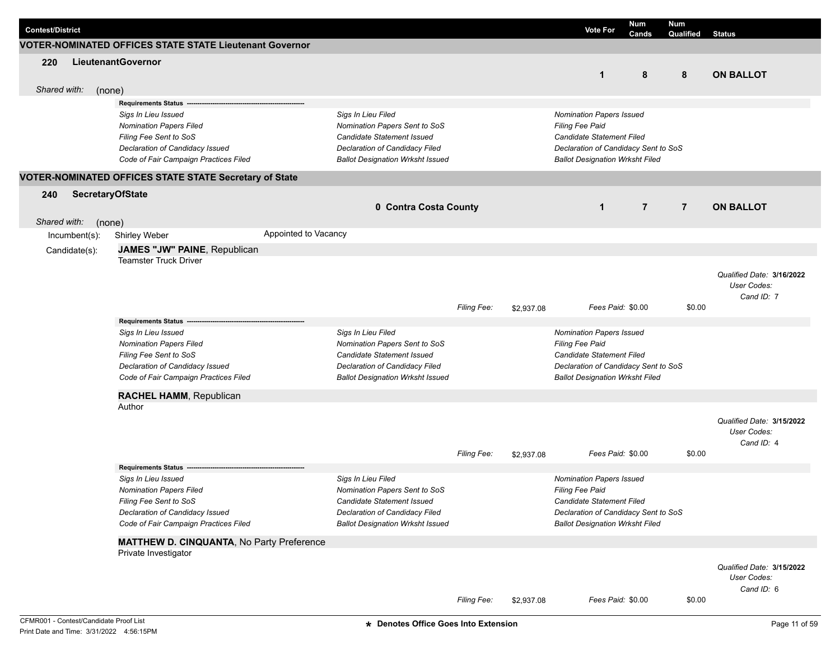| <b>Contest/District</b> |               |                                                                          |                      |                                         |                    |            | <b>Vote For</b>                        | <b>Num</b><br>Cands | <b>Num</b><br>Qualified | <b>Status</b>                                          |
|-------------------------|---------------|--------------------------------------------------------------------------|----------------------|-----------------------------------------|--------------------|------------|----------------------------------------|---------------------|-------------------------|--------------------------------------------------------|
|                         |               | <b>VOTER-NOMINATED OFFICES STATE STATE Lieutenant Governor</b>           |                      |                                         |                    |            |                                        |                     |                         |                                                        |
| 220                     |               | LieutenantGovernor                                                       |                      |                                         |                    |            | $\mathbf{1}$                           | 8                   | 8                       | <b>ON BALLOT</b>                                       |
| Shared with:            |               | (none)                                                                   |                      |                                         |                    |            |                                        |                     |                         |                                                        |
|                         |               | <b>Requirements Status</b>                                               |                      |                                         |                    |            |                                        |                     |                         |                                                        |
|                         |               | Sigs In Lieu Issued                                                      |                      | Sigs In Lieu Filed                      |                    |            | <b>Nomination Papers Issued</b>        |                     |                         |                                                        |
|                         |               | <b>Nomination Papers Filed</b>                                           |                      | Nomination Papers Sent to SoS           |                    |            | Filing Fee Paid                        |                     |                         |                                                        |
|                         |               | Filing Fee Sent to SoS                                                   |                      | Candidate Statement Issued              |                    |            | Candidate Statement Filed              |                     |                         |                                                        |
|                         |               | Declaration of Candidacy Issued                                          |                      | Declaration of Candidacy Filed          |                    |            | Declaration of Candidacy Sent to SoS   |                     |                         |                                                        |
|                         |               | Code of Fair Campaign Practices Filed                                    |                      | <b>Ballot Designation Wrksht Issued</b> |                    |            | <b>Ballot Designation Wrksht Filed</b> |                     |                         |                                                        |
|                         |               | VOTER-NOMINATED OFFICES STATE STATE Secretary of State                   |                      |                                         |                    |            |                                        |                     |                         |                                                        |
| 240                     |               | <b>SecretaryOfState</b>                                                  |                      |                                         |                    |            |                                        |                     |                         |                                                        |
|                         |               |                                                                          |                      | 0 Contra Costa County                   |                    |            | $\mathbf{1}$                           | $\overline{7}$      | $\overline{7}$          | <b>ON BALLOT</b>                                       |
| Shared with:            |               | (none)                                                                   |                      |                                         |                    |            |                                        |                     |                         |                                                        |
|                         | Incumbent(s): | Shirley Weber                                                            | Appointed to Vacancy |                                         |                    |            |                                        |                     |                         |                                                        |
|                         | Candidate(s): | JAMES "JW" PAINE, Republican                                             |                      |                                         |                    |            |                                        |                     |                         |                                                        |
|                         |               | <b>Teamster Truck Driver</b>                                             |                      |                                         |                    |            |                                        |                     |                         |                                                        |
|                         |               |                                                                          |                      |                                         |                    |            |                                        |                     |                         | Qualified Date: 3/16/2022<br>User Codes:<br>Cand ID: 7 |
|                         |               |                                                                          |                      |                                         | Filing Fee:        | \$2,937.08 | Fees Paid: \$0.00                      |                     | \$0.00                  |                                                        |
|                         |               | <b>Requirements Status</b>                                               |                      |                                         |                    |            |                                        |                     |                         |                                                        |
|                         |               | Sigs In Lieu Issued                                                      |                      | Sigs In Lieu Filed                      |                    |            | <b>Nomination Papers Issued</b>        |                     |                         |                                                        |
|                         |               | <b>Nomination Papers Filed</b>                                           |                      | Nomination Papers Sent to SoS           |                    |            | Filing Fee Paid                        |                     |                         |                                                        |
|                         |               | Filing Fee Sent to SoS                                                   |                      | Candidate Statement Issued              |                    |            | Candidate Statement Filed              |                     |                         |                                                        |
|                         |               | Declaration of Candidacy Issued                                          |                      | Declaration of Candidacy Filed          |                    |            | Declaration of Candidacy Sent to SoS   |                     |                         |                                                        |
|                         |               | Code of Fair Campaign Practices Filed                                    |                      | <b>Ballot Designation Wrksht Issued</b> |                    |            | <b>Ballot Designation Wrksht Filed</b> |                     |                         |                                                        |
|                         |               | <b>RACHEL HAMM, Republican</b>                                           |                      |                                         |                    |            |                                        |                     |                         |                                                        |
|                         |               | Author                                                                   |                      |                                         |                    |            |                                        |                     |                         |                                                        |
|                         |               |                                                                          |                      |                                         |                    |            |                                        |                     |                         | Qualified Date: 3/15/2022<br>User Codes:<br>Cand ID: 4 |
|                         |               |                                                                          |                      |                                         | <b>Filing Fee:</b> | \$2,937.08 | Fees Paid: \$0.00                      |                     | \$0.00                  |                                                        |
|                         |               | <b>Requirements Status</b>                                               |                      |                                         |                    |            |                                        |                     |                         |                                                        |
|                         |               | Sigs In Lieu Issued                                                      |                      | Sigs In Lieu Filed                      |                    |            | <b>Nomination Papers Issued</b>        |                     |                         |                                                        |
|                         |               | Nomination Papers Filed                                                  |                      | Nomination Papers Sent to SoS           |                    |            | Filing Fee Paid                        |                     |                         |                                                        |
|                         |               | Filing Fee Sent to SoS                                                   |                      | Candidate Statement Issued              |                    |            | Candidate Statement Filed              |                     |                         |                                                        |
|                         |               | Declaration of Candidacy Issued                                          |                      | Declaration of Candidacy Filed          |                    |            | Declaration of Candidacy Sent to SoS   |                     |                         |                                                        |
|                         |               | Code of Fair Campaign Practices Filed                                    |                      | <b>Ballot Designation Wrksht Issued</b> |                    |            | <b>Ballot Designation Wrksht Filed</b> |                     |                         |                                                        |
|                         |               | <b>MATTHEW D. CINQUANTA, No Party Preference</b><br>Private Investigator |                      |                                         |                    |            |                                        |                     |                         |                                                        |
|                         |               |                                                                          |                      |                                         |                    |            |                                        |                     |                         | Qualified Date: 3/15/2022<br>User Codes:<br>Cand ID: 6 |
|                         |               |                                                                          |                      |                                         | <b>Filing Fee:</b> | \$2,937.08 | Fees Paid: \$0.00                      |                     | \$0.00                  |                                                        |
|                         |               | CFMR001 - Contest/Candidate Proof List                                   |                      | * Denotes Office Goes Into Extension    |                    |            |                                        |                     |                         | Page 11 of 59                                          |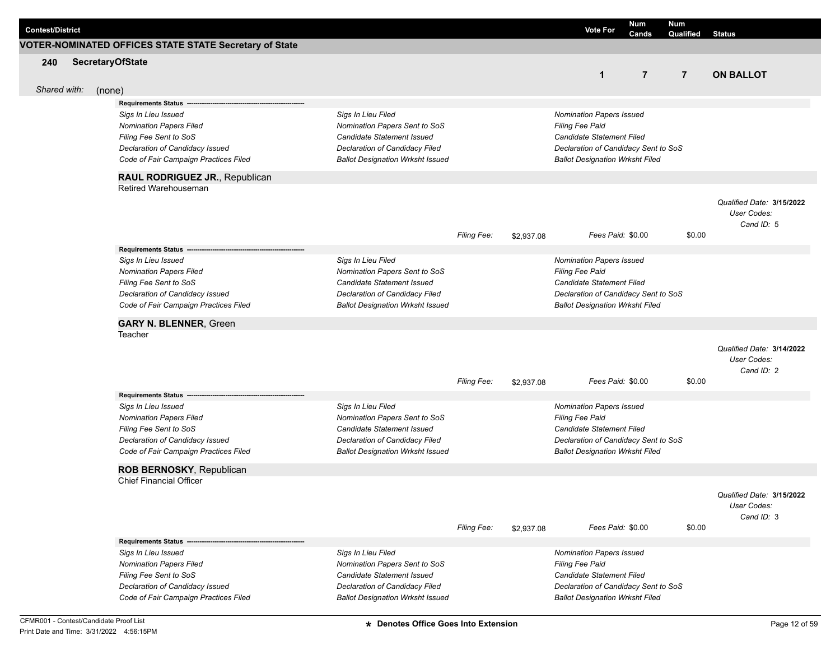| <b>Contest/District</b> |        | VOTER-NOMINATED OFFICES STATE STATE Secretary of State                                                                                                                                                                |                                                                                                                                                                |                    |            | <b>Vote For</b>                                                                                                                                                          | Num<br>Cands   | Num<br>Qualified | <b>Status</b>                                          |
|-------------------------|--------|-----------------------------------------------------------------------------------------------------------------------------------------------------------------------------------------------------------------------|----------------------------------------------------------------------------------------------------------------------------------------------------------------|--------------------|------------|--------------------------------------------------------------------------------------------------------------------------------------------------------------------------|----------------|------------------|--------------------------------------------------------|
|                         |        |                                                                                                                                                                                                                       |                                                                                                                                                                |                    |            |                                                                                                                                                                          |                |                  |                                                        |
| 240                     |        | <b>SecretaryOfState</b>                                                                                                                                                                                               |                                                                                                                                                                |                    |            | $\mathbf{1}$                                                                                                                                                             | $\overline{7}$ | $\overline{7}$   | <b>ON BALLOT</b>                                       |
| Shared with:            | (none) |                                                                                                                                                                                                                       |                                                                                                                                                                |                    |            |                                                                                                                                                                          |                |                  |                                                        |
|                         |        | <b>Requirements Status</b><br>Sigs In Lieu Issued<br><b>Nomination Papers Filed</b><br>Filing Fee Sent to SoS<br>Declaration of Candidacy Issued<br>Code of Fair Campaign Practices Filed                             | Sigs In Lieu Filed<br>Nomination Papers Sent to SoS<br>Candidate Statement Issued<br>Declaration of Candidacy Filed<br><b>Ballot Designation Wrksht Issued</b> |                    |            | Nomination Papers Issued<br><b>Filing Fee Paid</b><br><b>Candidate Statement Filed</b><br>Declaration of Candidacy Sent to SoS<br><b>Ballot Designation Wrksht Filed</b> |                |                  |                                                        |
|                         |        |                                                                                                                                                                                                                       |                                                                                                                                                                |                    |            |                                                                                                                                                                          |                |                  |                                                        |
|                         |        | RAUL RODRIGUEZ JR., Republican                                                                                                                                                                                        |                                                                                                                                                                |                    |            |                                                                                                                                                                          |                |                  |                                                        |
|                         |        | Retired Warehouseman                                                                                                                                                                                                  |                                                                                                                                                                | Filing Fee:        | \$2,937.08 | Fees Paid: \$0.00                                                                                                                                                        |                | \$0.00           | Qualified Date: 3/15/2022<br>User Codes:<br>Cand ID: 5 |
|                         |        | Requirements Status --                                                                                                                                                                                                |                                                                                                                                                                |                    |            |                                                                                                                                                                          |                |                  |                                                        |
|                         |        | Sigs In Lieu Issued<br><b>Nomination Papers Filed</b><br>Filing Fee Sent to SoS<br>Declaration of Candidacy Issued<br>Code of Fair Campaign Practices Filed                                                           | Sigs In Lieu Filed<br>Nomination Papers Sent to SoS<br>Candidate Statement Issued<br>Declaration of Candidacy Filed<br><b>Ballot Designation Wrksht Issued</b> |                    |            | Nomination Papers Issued<br><b>Filing Fee Paid</b><br><b>Candidate Statement Filed</b><br>Declaration of Candidacy Sent to SoS<br><b>Ballot Designation Wrksht Filed</b> |                |                  |                                                        |
|                         |        | <b>GARY N. BLENNER, Green</b>                                                                                                                                                                                         |                                                                                                                                                                |                    |            |                                                                                                                                                                          |                |                  |                                                        |
|                         |        | Teacher                                                                                                                                                                                                               |                                                                                                                                                                | <b>Filing Fee:</b> | \$2,937.08 | Fees Paid: \$0.00                                                                                                                                                        |                | \$0.00           | Qualified Date: 3/14/2022<br>User Codes:<br>Cand ID: 2 |
|                         |        | <b>Requirements Status</b><br>Sigs In Lieu Issued<br><b>Nomination Papers Filed</b><br>Filing Fee Sent to SoS<br>Declaration of Candidacy Issued<br>Code of Fair Campaign Practices Filed<br>ROB BERNOSKY, Republican | Sigs In Lieu Filed<br>Nomination Papers Sent to SoS<br>Candidate Statement Issued<br>Declaration of Candidacy Filed<br><b>Ballot Designation Wrksht Issued</b> |                    |            | Nomination Papers Issued<br>Filing Fee Paid<br><b>Candidate Statement Filed</b><br>Declaration of Candidacy Sent to SoS<br><b>Ballot Designation Wrksht Filed</b>        |                |                  |                                                        |
|                         |        | <b>Chief Financial Officer</b>                                                                                                                                                                                        |                                                                                                                                                                | Filing Fee:        | \$2,937.08 | Fees Paid: \$0.00                                                                                                                                                        |                | \$0.00           | Qualified Date: 3/15/2022<br>User Codes:<br>Cand ID: 3 |
|                         |        | <b>Requirements Status -</b>                                                                                                                                                                                          |                                                                                                                                                                |                    |            |                                                                                                                                                                          |                |                  |                                                        |
|                         |        | Sigs In Lieu Issued<br><b>Nomination Papers Filed</b><br>Filing Fee Sent to SoS<br>Declaration of Candidacy Issued<br>Code of Fair Campaign Practices Filed                                                           | Sigs In Lieu Filed<br>Nomination Papers Sent to SoS<br>Candidate Statement Issued<br>Declaration of Candidacy Filed<br><b>Ballot Designation Wrksht Issued</b> |                    |            | <b>Nomination Papers Issued</b><br>Filing Fee Paid<br>Candidate Statement Filed<br>Declaration of Candidacy Sent to SoS<br><b>Ballot Designation Wrksht Filed</b>        |                |                  |                                                        |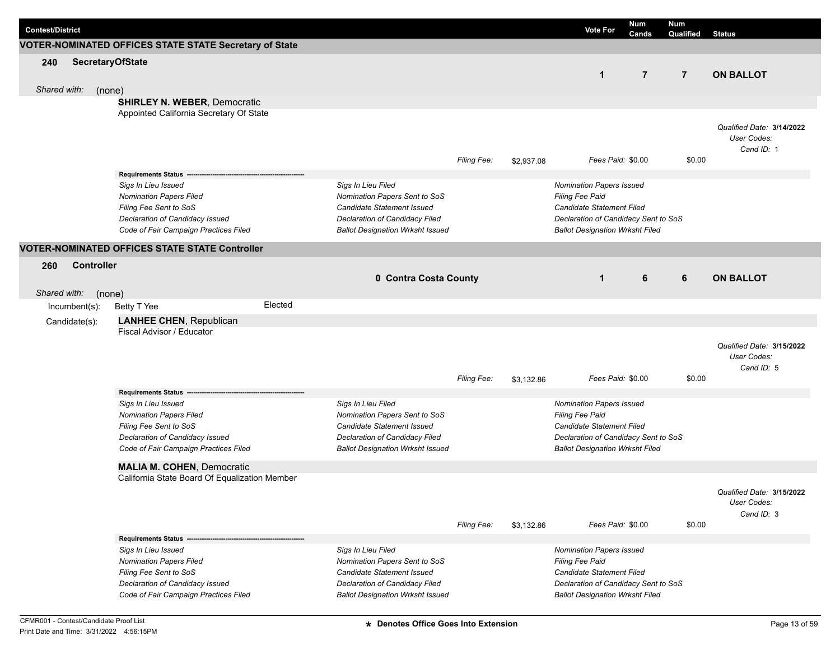|                         |                   |                         |                                                             |         |                                                     |                    |            |                                             |                                      | <b>Num</b>     | <b>Num</b>     |                                          |
|-------------------------|-------------------|-------------------------|-------------------------------------------------------------|---------|-----------------------------------------------------|--------------------|------------|---------------------------------------------|--------------------------------------|----------------|----------------|------------------------------------------|
| <b>Contest/District</b> |                   |                         |                                                             |         |                                                     |                    |            |                                             | <b>Vote For</b>                      | Cands          | Qualified      | <b>Status</b>                            |
|                         |                   |                         | VOTER-NOMINATED OFFICES STATE STATE Secretary of State      |         |                                                     |                    |            |                                             |                                      |                |                |                                          |
| 240                     |                   | <b>SecretaryOfState</b> |                                                             |         |                                                     |                    |            |                                             |                                      |                |                |                                          |
|                         |                   |                         |                                                             |         |                                                     |                    |            |                                             | $\mathbf{1}$                         | $\overline{7}$ | $\overline{7}$ | <b>ON BALLOT</b>                         |
| Shared with:            |                   | (none)                  |                                                             |         |                                                     |                    |            |                                             |                                      |                |                |                                          |
|                         |                   |                         | <b>SHIRLEY N. WEBER, Democratic</b>                         |         |                                                     |                    |            |                                             |                                      |                |                |                                          |
|                         |                   |                         | Appointed California Secretary Of State                     |         |                                                     |                    |            |                                             |                                      |                |                |                                          |
|                         |                   |                         |                                                             |         |                                                     |                    |            |                                             |                                      |                |                | Qualified Date: 3/14/2022                |
|                         |                   |                         |                                                             |         |                                                     |                    |            |                                             |                                      |                |                | User Codes:                              |
|                         |                   |                         |                                                             |         |                                                     |                    |            |                                             |                                      |                |                | Cand ID: 1                               |
|                         |                   |                         |                                                             |         |                                                     | Filing Fee:        | \$2,937.08 |                                             | Fees Paid: \$0.00                    |                | \$0.00         |                                          |
|                         |                   |                         | Requirements Status --                                      |         |                                                     |                    |            |                                             |                                      |                |                |                                          |
|                         |                   |                         | Sigs In Lieu Issued<br><b>Nomination Papers Filed</b>       |         | Sigs In Lieu Filed<br>Nomination Papers Sent to SoS |                    |            | Nomination Papers Issued<br>Filing Fee Paid |                                      |                |                |                                          |
|                         |                   |                         | Filing Fee Sent to SoS                                      |         | Candidate Statement Issued                          |                    |            |                                             | Candidate Statement Filed            |                |                |                                          |
|                         |                   |                         | Declaration of Candidacy Issued                             |         | Declaration of Candidacy Filed                      |                    |            | Declaration of Candidacy Sent to SoS        |                                      |                |                |                                          |
|                         |                   |                         | Code of Fair Campaign Practices Filed                       |         | <b>Ballot Designation Wrksht Issued</b>             |                    |            | <b>Ballot Designation Wrksht Filed</b>      |                                      |                |                |                                          |
|                         |                   |                         | VOTER-NOMINATED OFFICES STATE STATE Controller              |         |                                                     |                    |            |                                             |                                      |                |                |                                          |
| 260                     | <b>Controller</b> |                         |                                                             |         |                                                     |                    |            |                                             |                                      |                |                |                                          |
|                         |                   |                         |                                                             |         | 0 Contra Costa County                               |                    |            |                                             | $\mathbf{1}$                         | 6              | 6              | <b>ON BALLOT</b>                         |
|                         |                   |                         |                                                             |         |                                                     |                    |            |                                             |                                      |                |                |                                          |
| Shared with:            |                   | (none)                  |                                                             | Elected |                                                     |                    |            |                                             |                                      |                |                |                                          |
|                         | $Incumbent(s)$ :  |                         | Betty T Yee                                                 |         |                                                     |                    |            |                                             |                                      |                |                |                                          |
|                         | Candidate(s):     |                         | <b>LANHEE CHEN, Republican</b><br>Fiscal Advisor / Educator |         |                                                     |                    |            |                                             |                                      |                |                |                                          |
|                         |                   |                         |                                                             |         |                                                     |                    |            |                                             |                                      |                |                |                                          |
|                         |                   |                         |                                                             |         |                                                     |                    |            |                                             |                                      |                |                | Qualified Date: 3/15/2022<br>User Codes: |
|                         |                   |                         |                                                             |         |                                                     |                    |            |                                             |                                      |                |                | Cand ID: 5                               |
|                         |                   |                         |                                                             |         |                                                     | <b>Filing Fee:</b> | \$3,132.86 |                                             | Fees Paid: \$0.00                    |                | \$0.00         |                                          |
|                         |                   |                         | <b>Requirements Status</b>                                  |         |                                                     |                    |            |                                             |                                      |                |                |                                          |
|                         |                   |                         | Sigs In Lieu Issued                                         |         | Sigs In Lieu Filed                                  |                    |            | Nomination Papers Issued                    |                                      |                |                |                                          |
|                         |                   |                         | <b>Nomination Papers Filed</b>                              |         | Nomination Papers Sent to SoS                       |                    |            | Filing Fee Paid                             |                                      |                |                |                                          |
|                         |                   |                         | Filing Fee Sent to SoS                                      |         | Candidate Statement Issued                          |                    |            |                                             | Candidate Statement Filed            |                |                |                                          |
|                         |                   |                         | Declaration of Candidacy Issued                             |         | Declaration of Candidacy Filed                      |                    |            |                                             | Declaration of Candidacy Sent to SoS |                |                |                                          |
|                         |                   |                         | Code of Fair Campaign Practices Filed                       |         | <b>Ballot Designation Wrksht Issued</b>             |                    |            | <b>Ballot Designation Wrksht Filed</b>      |                                      |                |                |                                          |
|                         |                   |                         | <b>MALIA M. COHEN, Democratic</b>                           |         |                                                     |                    |            |                                             |                                      |                |                |                                          |
|                         |                   |                         | California State Board Of Equalization Member               |         |                                                     |                    |            |                                             |                                      |                |                |                                          |
|                         |                   |                         |                                                             |         |                                                     |                    |            |                                             |                                      |                |                | Qualified Date: 3/15/2022                |
|                         |                   |                         |                                                             |         |                                                     |                    |            |                                             |                                      |                |                | User Codes:                              |
|                         |                   |                         |                                                             |         |                                                     | Filing Fee:        | \$3,132.86 |                                             | Fees Paid: \$0.00                    |                | \$0.00         | Cand ID: 3                               |
|                         |                   |                         | Requirements Status ---                                     |         |                                                     |                    |            |                                             |                                      |                |                |                                          |
|                         |                   |                         | Sigs In Lieu Issued                                         |         | Sigs In Lieu Filed                                  |                    |            | <b>Nomination Papers Issued</b>             |                                      |                |                |                                          |
|                         |                   |                         | <b>Nomination Papers Filed</b>                              |         | Nomination Papers Sent to SoS                       |                    |            | <b>Filing Fee Paid</b>                      |                                      |                |                |                                          |
|                         |                   |                         | Filing Fee Sent to SoS                                      |         | Candidate Statement Issued                          |                    |            |                                             | Candidate Statement Filed            |                |                |                                          |
|                         |                   |                         | Declaration of Candidacy Issued                             |         | Declaration of Candidacy Filed                      |                    |            | Declaration of Candidacy Sent to SoS        |                                      |                |                |                                          |
|                         |                   |                         | Code of Fair Campaign Practices Filed                       |         | <b>Ballot Designation Wrksht Issued</b>             |                    |            | <b>Ballot Designation Wrksht Filed</b>      |                                      |                |                |                                          |
|                         |                   |                         |                                                             |         |                                                     |                    |            |                                             |                                      |                |                |                                          |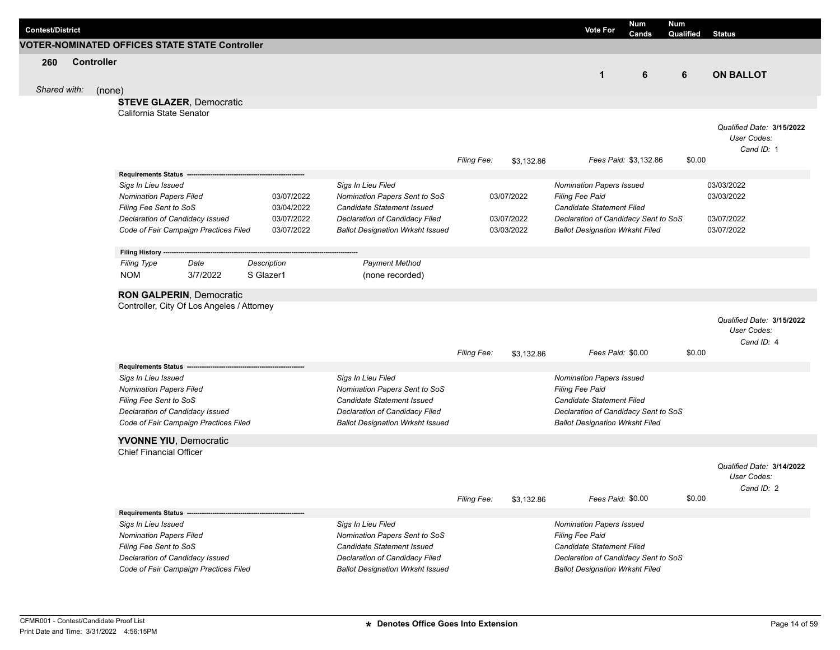| <b>Contest/District</b> |                   |                                                                               |          |             |            |                                                     |             |            |                                                    | <b>Vote For</b>   | Num<br>Cands          | <b>Num</b><br><b>Qualified</b> Status |                                                        |  |
|-------------------------|-------------------|-------------------------------------------------------------------------------|----------|-------------|------------|-----------------------------------------------------|-------------|------------|----------------------------------------------------|-------------------|-----------------------|---------------------------------------|--------------------------------------------------------|--|
|                         |                   | VOTER-NOMINATED OFFICES STATE STATE Controller                                |          |             |            |                                                     |             |            |                                                    |                   |                       |                                       |                                                        |  |
| 260                     | <b>Controller</b> |                                                                               |          |             |            |                                                     |             |            |                                                    | $\mathbf 1$       | 6                     | 6                                     | <b>ON BALLOT</b>                                       |  |
| Shared with:            | (none)            |                                                                               |          |             |            |                                                     |             |            |                                                    |                   |                       |                                       |                                                        |  |
|                         |                   | <b>STEVE GLAZER, Democratic</b>                                               |          |             |            |                                                     |             |            |                                                    |                   |                       |                                       |                                                        |  |
|                         |                   | California State Senator                                                      |          |             |            |                                                     |             |            |                                                    |                   |                       |                                       |                                                        |  |
|                         |                   |                                                                               |          |             |            |                                                     | Filing Fee: | \$3,132.86 |                                                    |                   | Fees Paid: \$3,132.86 | \$0.00                                | Qualified Date: 3/15/2022<br>User Codes:<br>Cand ID: 1 |  |
|                         |                   | <b>Requirements Status</b>                                                    |          |             |            |                                                     |             |            |                                                    |                   |                       |                                       |                                                        |  |
|                         |                   | Sigs In Lieu Issued                                                           |          |             |            | Sigs In Lieu Filed                                  |             |            | <b>Nomination Papers Issued</b>                    |                   |                       |                                       | 03/03/2022                                             |  |
|                         |                   | <b>Nomination Papers Filed</b>                                                |          |             | 03/07/2022 | Nomination Papers Sent to SoS                       |             | 03/07/2022 | Filing Fee Paid                                    |                   |                       |                                       | 03/03/2022                                             |  |
|                         |                   | Filing Fee Sent to SoS                                                        |          |             | 03/04/2022 | Candidate Statement Issued                          |             |            | Candidate Statement Filed                          |                   |                       |                                       |                                                        |  |
|                         |                   | Declaration of Candidacy Issued                                               |          |             | 03/07/2022 | Declaration of Candidacy Filed                      |             | 03/07/2022 | Declaration of Candidacy Sent to SoS               |                   |                       |                                       | 03/07/2022                                             |  |
|                         |                   | Code of Fair Campaign Practices Filed                                         |          |             | 03/07/2022 | <b>Ballot Designation Wrksht Issued</b>             |             | 03/03/2022 | <b>Ballot Designation Wrksht Filed</b>             |                   |                       |                                       | 03/07/2022                                             |  |
|                         |                   |                                                                               |          |             |            |                                                     |             |            |                                                    |                   |                       |                                       |                                                        |  |
|                         |                   | Filing History ---                                                            |          |             |            |                                                     |             |            |                                                    |                   |                       |                                       |                                                        |  |
|                         |                   | <b>Filing Type</b>                                                            | Date     | Description |            | <b>Payment Method</b>                               |             |            |                                                    |                   |                       |                                       |                                                        |  |
|                         |                   | <b>NOM</b>                                                                    | 3/7/2022 | S Glazer1   |            | (none recorded)                                     |             |            |                                                    |                   |                       |                                       |                                                        |  |
|                         |                   |                                                                               |          |             |            |                                                     |             |            |                                                    |                   |                       |                                       |                                                        |  |
|                         |                   | <b>RON GALPERIN, Democratic</b><br>Controller, City Of Los Angeles / Attorney |          |             |            |                                                     |             |            |                                                    |                   |                       |                                       |                                                        |  |
|                         |                   |                                                                               |          |             |            |                                                     | Filing Fee: |            |                                                    | Fees Paid: \$0.00 |                       | \$0.00                                | Qualified Date: 3/15/2022<br>User Codes:<br>Cand ID: 4 |  |
|                         |                   |                                                                               |          |             |            |                                                     |             | \$3,132.86 |                                                    |                   |                       |                                       |                                                        |  |
|                         |                   | <b>Requirements Status</b>                                                    |          |             |            |                                                     |             |            |                                                    |                   |                       |                                       |                                                        |  |
|                         |                   | Sigs In Lieu Issued<br><b>Nomination Papers Filed</b>                         |          |             |            | Sigs In Lieu Filed<br>Nomination Papers Sent to SoS |             |            | <b>Nomination Papers Issued</b><br>Filing Fee Paid |                   |                       |                                       |                                                        |  |
|                         |                   | Filing Fee Sent to SoS                                                        |          |             |            | Candidate Statement Issued                          |             |            | Candidate Statement Filed                          |                   |                       |                                       |                                                        |  |
|                         |                   | Declaration of Candidacy Issued                                               |          |             |            | Declaration of Candidacy Filed                      |             |            | Declaration of Candidacy Sent to SoS               |                   |                       |                                       |                                                        |  |
|                         |                   | Code of Fair Campaign Practices Filed                                         |          |             |            | <b>Ballot Designation Wrksht Issued</b>             |             |            | <b>Ballot Designation Wrksht Filed</b>             |                   |                       |                                       |                                                        |  |
|                         |                   |                                                                               |          |             |            |                                                     |             |            |                                                    |                   |                       |                                       |                                                        |  |
|                         |                   | <b>YVONNE YIU, Democratic</b>                                                 |          |             |            |                                                     |             |            |                                                    |                   |                       |                                       |                                                        |  |
|                         |                   | <b>Chief Financial Officer</b>                                                |          |             |            |                                                     |             |            |                                                    |                   |                       |                                       |                                                        |  |
|                         |                   |                                                                               |          |             |            |                                                     |             |            |                                                    |                   |                       |                                       | Qualified Date: 3/14/2022<br>User Codes:<br>Cand ID: 2 |  |
|                         |                   |                                                                               |          |             |            |                                                     | Filing Fee: | \$3,132.86 |                                                    | Fees Paid: \$0.00 |                       | \$0.00                                |                                                        |  |
|                         |                   | Requirements Status --                                                        |          |             |            |                                                     |             |            |                                                    |                   |                       |                                       |                                                        |  |
|                         |                   | Sigs In Lieu Issued                                                           |          |             |            | Sigs In Lieu Filed                                  |             |            | <b>Nomination Papers Issued</b>                    |                   |                       |                                       |                                                        |  |
|                         |                   | <b>Nomination Papers Filed</b>                                                |          |             |            | Nomination Papers Sent to SoS                       |             |            | Filing Fee Paid                                    |                   |                       |                                       |                                                        |  |
|                         |                   | Filing Fee Sent to SoS                                                        |          |             |            | Candidate Statement Issued                          |             |            | Candidate Statement Filed                          |                   |                       |                                       |                                                        |  |
|                         |                   | Declaration of Candidacy Issued                                               |          |             |            | Declaration of Candidacy Filed                      |             |            | Declaration of Candidacy Sent to SoS               |                   |                       |                                       |                                                        |  |
|                         |                   | Code of Fair Campaign Practices Filed                                         |          |             |            | <b>Ballot Designation Wrksht Issued</b>             |             |            | <b>Ballot Designation Wrksht Filed</b>             |                   |                       |                                       |                                                        |  |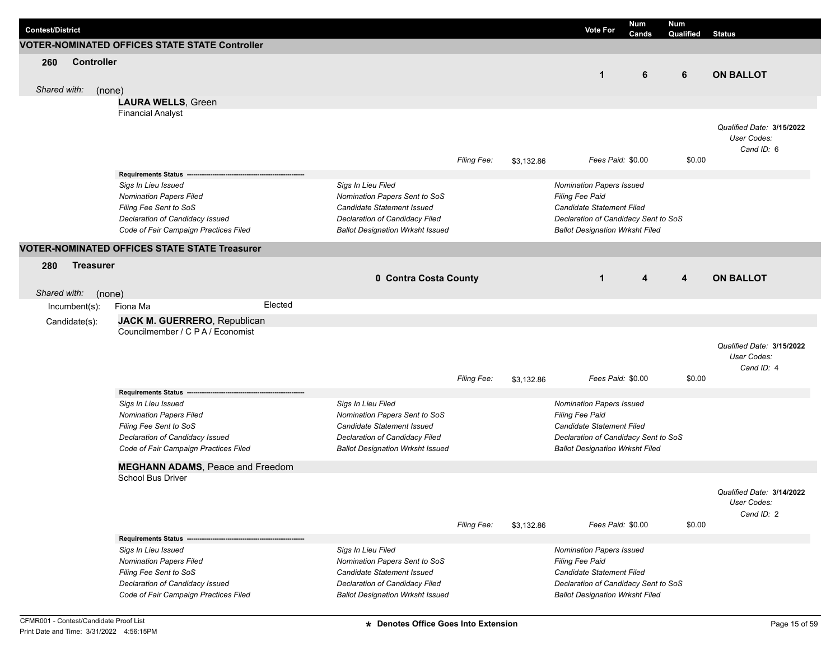| <b>Contest/District</b> |                   |                                                              |         |                                                             |                    |            | <b>Vote For</b>                                     | <b>Num</b><br>Cands |   | <b>Num</b><br>Qualified | <b>Status</b>                            |
|-------------------------|-------------------|--------------------------------------------------------------|---------|-------------------------------------------------------------|--------------------|------------|-----------------------------------------------------|---------------------|---|-------------------------|------------------------------------------|
|                         |                   | <b>VOTER-NOMINATED OFFICES STATE STATE Controller</b>        |         |                                                             |                    |            |                                                     |                     |   |                         |                                          |
| 260                     | <b>Controller</b> |                                                              |         |                                                             |                    |            |                                                     |                     |   |                         |                                          |
|                         |                   |                                                              |         |                                                             |                    |            | $\mathbf{1}$                                        |                     | 6 | 6                       | <b>ON BALLOT</b>                         |
|                         |                   |                                                              |         |                                                             |                    |            |                                                     |                     |   |                         |                                          |
| Shared with:            |                   | (none)                                                       |         |                                                             |                    |            |                                                     |                     |   |                         |                                          |
|                         |                   | <b>LAURA WELLS, Green</b>                                    |         |                                                             |                    |            |                                                     |                     |   |                         |                                          |
|                         |                   | <b>Financial Analyst</b>                                     |         |                                                             |                    |            |                                                     |                     |   |                         |                                          |
|                         |                   |                                                              |         |                                                             |                    |            |                                                     |                     |   |                         | Qualified Date: 3/15/2022<br>User Codes: |
|                         |                   |                                                              |         |                                                             |                    |            |                                                     |                     |   |                         | Cand ID: 6                               |
|                         |                   |                                                              |         |                                                             | <b>Filing Fee:</b> | \$3,132.86 |                                                     | Fees Paid: \$0.00   |   | \$0.00                  |                                          |
|                         |                   | Requirements Status ------                                   |         |                                                             |                    |            |                                                     |                     |   |                         |                                          |
|                         |                   | Sigs In Lieu Issued                                          |         | Sigs In Lieu Filed                                          |                    |            | Nomination Papers Issued                            |                     |   |                         |                                          |
|                         |                   | <b>Nomination Papers Filed</b>                               |         | Nomination Papers Sent to SoS                               |                    |            | <b>Filing Fee Paid</b>                              |                     |   |                         |                                          |
|                         |                   | Filing Fee Sent to SoS                                       |         | Candidate Statement Issued                                  |                    |            | Candidate Statement Filed                           |                     |   |                         |                                          |
|                         |                   | Declaration of Candidacy Issued                              |         | Declaration of Candidacy Filed                              |                    |            | Declaration of Candidacy Sent to SoS                |                     |   |                         |                                          |
|                         |                   | Code of Fair Campaign Practices Filed                        |         | <b>Ballot Designation Wrksht Issued</b>                     |                    |            | <b>Ballot Designation Wrksht Filed</b>              |                     |   |                         |                                          |
|                         |                   | <b>VOTER-NOMINATED OFFICES STATE STATE Treasurer</b>         |         |                                                             |                    |            |                                                     |                     |   |                         |                                          |
| 280                     | <b>Treasurer</b>  |                                                              |         |                                                             |                    |            |                                                     |                     |   |                         |                                          |
|                         |                   |                                                              |         | 0 Contra Costa County                                       |                    |            | $\mathbf{1}$                                        |                     | 4 | 4                       | <b>ON BALLOT</b>                         |
|                         |                   |                                                              |         |                                                             |                    |            |                                                     |                     |   |                         |                                          |
| Shared with:            |                   | (none)                                                       |         |                                                             |                    |            |                                                     |                     |   |                         |                                          |
|                         | $Incumbent(s)$ :  | Fiona Ma                                                     | Elected |                                                             |                    |            |                                                     |                     |   |                         |                                          |
|                         | Candidate(s):     | JACK M. GUERRERO, Republican                                 |         |                                                             |                    |            |                                                     |                     |   |                         |                                          |
|                         |                   | Councilmember / C P A / Economist                            |         |                                                             |                    |            |                                                     |                     |   |                         |                                          |
|                         |                   |                                                              |         |                                                             |                    |            |                                                     |                     |   |                         | Qualified Date: 3/15/2022                |
|                         |                   |                                                              |         |                                                             |                    |            |                                                     |                     |   |                         | User Codes:                              |
|                         |                   |                                                              |         |                                                             |                    |            |                                                     |                     |   |                         | Cand ID: 4                               |
|                         |                   |                                                              |         |                                                             | <b>Filing Fee:</b> | \$3,132.86 |                                                     | Fees Paid: \$0.00   |   | \$0.00                  |                                          |
|                         |                   | <b>Requirements Status</b>                                   |         |                                                             |                    |            |                                                     |                     |   |                         |                                          |
|                         |                   | Sigs In Lieu Issued                                          |         | Sigs In Lieu Filed                                          |                    |            | Nomination Papers Issued                            |                     |   |                         |                                          |
|                         |                   | <b>Nomination Papers Filed</b><br>Filing Fee Sent to SoS     |         | Nomination Papers Sent to SoS<br>Candidate Statement Issued |                    |            | <b>Filing Fee Paid</b><br>Candidate Statement Filed |                     |   |                         |                                          |
|                         |                   | Declaration of Candidacy Issued                              |         | Declaration of Candidacy Filed                              |                    |            | Declaration of Candidacy Sent to SoS                |                     |   |                         |                                          |
|                         |                   | Code of Fair Campaign Practices Filed                        |         | <b>Ballot Designation Wrksht Issued</b>                     |                    |            | <b>Ballot Designation Wrksht Filed</b>              |                     |   |                         |                                          |
|                         |                   |                                                              |         |                                                             |                    |            |                                                     |                     |   |                         |                                          |
|                         |                   | <b>MEGHANN ADAMS, Peace and Freedom</b><br>School Bus Driver |         |                                                             |                    |            |                                                     |                     |   |                         |                                          |
|                         |                   |                                                              |         |                                                             |                    |            |                                                     |                     |   |                         |                                          |
|                         |                   |                                                              |         |                                                             |                    |            |                                                     |                     |   |                         | Qualified Date: 3/14/2022<br>User Codes: |
|                         |                   |                                                              |         |                                                             |                    |            |                                                     |                     |   |                         | Cand ID: 2                               |
|                         |                   |                                                              |         |                                                             | Filing Fee:        | \$3,132.86 |                                                     | Fees Paid: \$0.00   |   | \$0.00                  |                                          |
|                         |                   | <b>Requirements Status --</b>                                |         |                                                             |                    |            |                                                     |                     |   |                         |                                          |
|                         |                   | Sigs In Lieu Issued                                          |         | Sigs In Lieu Filed                                          |                    |            | Nomination Papers Issued                            |                     |   |                         |                                          |
|                         |                   | <b>Nomination Papers Filed</b>                               |         | Nomination Papers Sent to SoS                               |                    |            | <b>Filing Fee Paid</b>                              |                     |   |                         |                                          |
|                         |                   | Filing Fee Sent to SoS                                       |         | Candidate Statement Issued                                  |                    |            | Candidate Statement Filed                           |                     |   |                         |                                          |
|                         |                   | Declaration of Candidacy Issued                              |         | Declaration of Candidacy Filed                              |                    |            | Declaration of Candidacy Sent to SoS                |                     |   |                         |                                          |
|                         |                   | Code of Fair Campaign Practices Filed                        |         | <b>Ballot Designation Wrksht Issued</b>                     |                    |            | <b>Ballot Designation Wrksht Filed</b>              |                     |   |                         |                                          |
|                         |                   |                                                              |         |                                                             |                    |            |                                                     |                     |   |                         |                                          |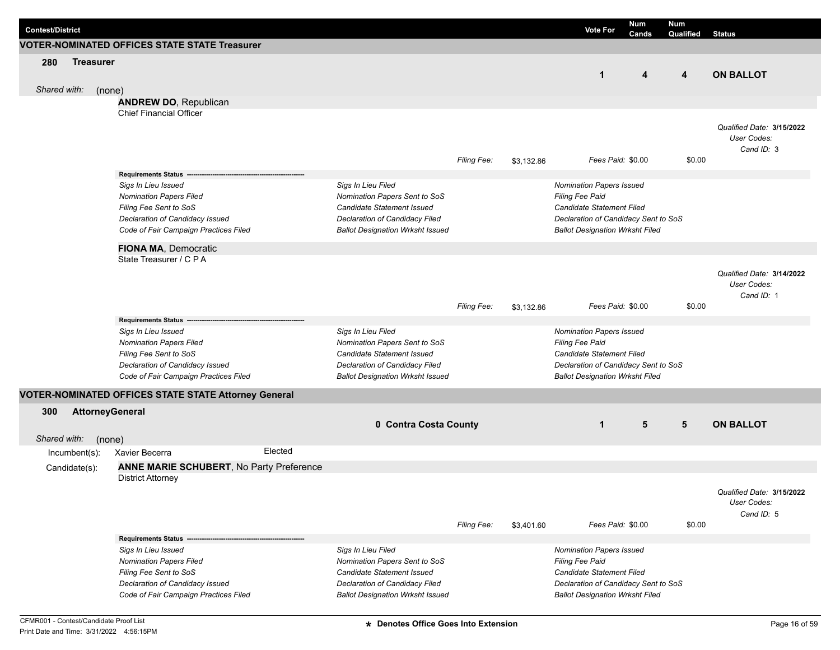| <b>Contest/District</b> |                        |        |                                                                      |         |                                         |                    |            | <b>Vote For</b>                        | <b>Num</b><br>Cands | <b>Num</b><br>Qualified | <b>Status</b>                            |
|-------------------------|------------------------|--------|----------------------------------------------------------------------|---------|-----------------------------------------|--------------------|------------|----------------------------------------|---------------------|-------------------------|------------------------------------------|
|                         |                        |        | <b>VOTER-NOMINATED OFFICES STATE STATE Treasurer</b>                 |         |                                         |                    |            |                                        |                     |                         |                                          |
| 280                     | <b>Treasurer</b>       |        |                                                                      |         |                                         |                    |            |                                        |                     |                         |                                          |
|                         |                        |        |                                                                      |         |                                         |                    |            | $\mathbf{1}$                           | 4                   | 4                       | <b>ON BALLOT</b>                         |
| Shared with:            |                        | (none) |                                                                      |         |                                         |                    |            |                                        |                     |                         |                                          |
|                         |                        |        | <b>ANDREW DO, Republican</b>                                         |         |                                         |                    |            |                                        |                     |                         |                                          |
|                         |                        |        | <b>Chief Financial Officer</b>                                       |         |                                         |                    |            |                                        |                     |                         |                                          |
|                         |                        |        |                                                                      |         |                                         |                    |            |                                        |                     |                         | Qualified Date: 3/15/2022                |
|                         |                        |        |                                                                      |         |                                         |                    |            |                                        |                     |                         | User Codes:                              |
|                         |                        |        |                                                                      |         |                                         |                    |            |                                        |                     |                         | Cand ID: 3                               |
|                         |                        |        |                                                                      |         |                                         | Filing Fee:        | \$3,132.86 | Fees Paid: \$0.00                      |                     | \$0.00                  |                                          |
|                         |                        |        | <b>Requirements Status</b>                                           |         |                                         |                    |            |                                        |                     |                         |                                          |
|                         |                        |        | Sigs In Lieu Issued                                                  |         | Sigs In Lieu Filed                      |                    |            | <b>Nomination Papers Issued</b>        |                     |                         |                                          |
|                         |                        |        | <b>Nomination Papers Filed</b>                                       |         | Nomination Papers Sent to SoS           |                    |            | <b>Filing Fee Paid</b>                 |                     |                         |                                          |
|                         |                        |        | Filing Fee Sent to SoS                                               |         | Candidate Statement Issued              |                    |            | Candidate Statement Filed              |                     |                         |                                          |
|                         |                        |        | Declaration of Candidacy Issued                                      |         | Declaration of Candidacy Filed          |                    |            | Declaration of Candidacy Sent to SoS   |                     |                         |                                          |
|                         |                        |        | Code of Fair Campaign Practices Filed                                |         | <b>Ballot Designation Wrksht Issued</b> |                    |            | <b>Ballot Designation Wrksht Filed</b> |                     |                         |                                          |
|                         |                        |        | <b>FIONA MA, Democratic</b>                                          |         |                                         |                    |            |                                        |                     |                         |                                          |
|                         |                        |        | State Treasurer / C P A                                              |         |                                         |                    |            |                                        |                     |                         |                                          |
|                         |                        |        |                                                                      |         |                                         |                    |            |                                        |                     |                         | Qualified Date: 3/14/2022                |
|                         |                        |        |                                                                      |         |                                         |                    |            |                                        |                     |                         | User Codes:                              |
|                         |                        |        |                                                                      |         |                                         |                    |            | Fees Paid: \$0.00                      |                     | \$0.00                  | Cand ID: 1                               |
|                         |                        |        |                                                                      |         |                                         | <b>Filing Fee:</b> | \$3,132.86 |                                        |                     |                         |                                          |
|                         |                        |        | <b>Requirements Status</b><br>Sigs In Lieu Issued                    |         | Sigs In Lieu Filed                      |                    |            | <b>Nomination Papers Issued</b>        |                     |                         |                                          |
|                         |                        |        | <b>Nomination Papers Filed</b>                                       |         | Nomination Papers Sent to SoS           |                    |            | Filing Fee Paid                        |                     |                         |                                          |
|                         |                        |        | Filing Fee Sent to SoS                                               |         | Candidate Statement Issued              |                    |            | <b>Candidate Statement Filed</b>       |                     |                         |                                          |
|                         |                        |        | Declaration of Candidacy Issued                                      |         | Declaration of Candidacy Filed          |                    |            | Declaration of Candidacy Sent to SoS   |                     |                         |                                          |
|                         |                        |        | Code of Fair Campaign Practices Filed                                |         | <b>Ballot Designation Wrksht Issued</b> |                    |            | <b>Ballot Designation Wrksht Filed</b> |                     |                         |                                          |
|                         |                        |        | VOTER-NOMINATED OFFICES STATE STATE Attorney General                 |         |                                         |                    |            |                                        |                     |                         |                                          |
| 300                     | <b>AttorneyGeneral</b> |        |                                                                      |         |                                         |                    |            |                                        |                     |                         |                                          |
|                         |                        |        |                                                                      |         | 0 Contra Costa County                   |                    |            | $\mathbf{1}$                           | 5                   | $5\phantom{.0}$         | <b>ON BALLOT</b>                         |
| Shared with:            |                        |        |                                                                      |         |                                         |                    |            |                                        |                     |                         |                                          |
|                         | Incumbent(s):          | (none) | Xavier Becerra                                                       | Elected |                                         |                    |            |                                        |                     |                         |                                          |
|                         |                        |        |                                                                      |         |                                         |                    |            |                                        |                     |                         |                                          |
|                         | Candidate(s):          |        | ANNE MARIE SCHUBERT, No Party Preference<br><b>District Attorney</b> |         |                                         |                    |            |                                        |                     |                         |                                          |
|                         |                        |        |                                                                      |         |                                         |                    |            |                                        |                     |                         |                                          |
|                         |                        |        |                                                                      |         |                                         |                    |            |                                        |                     |                         | Qualified Date: 3/15/2022<br>User Codes: |
|                         |                        |        |                                                                      |         |                                         |                    |            |                                        |                     |                         | Cand ID: 5                               |
|                         |                        |        |                                                                      |         |                                         | Filing Fee:        | \$3,401.60 |                                        | Fees Paid: \$0.00   | \$0.00                  |                                          |
|                         |                        |        | Requirements Status --                                               |         |                                         |                    |            |                                        |                     |                         |                                          |
|                         |                        |        | Sigs In Lieu Issued                                                  |         | Sigs In Lieu Filed                      |                    |            | <b>Nomination Papers Issued</b>        |                     |                         |                                          |
|                         |                        |        | <b>Nomination Papers Filed</b>                                       |         | Nomination Papers Sent to SoS           |                    |            | <b>Filing Fee Paid</b>                 |                     |                         |                                          |
|                         |                        |        | Filing Fee Sent to SoS                                               |         | <b>Candidate Statement Issued</b>       |                    |            | Candidate Statement Filed              |                     |                         |                                          |
|                         |                        |        | Declaration of Candidacy Issued                                      |         | Declaration of Candidacy Filed          |                    |            | Declaration of Candidacy Sent to SoS   |                     |                         |                                          |
|                         |                        |        | Code of Fair Campaign Practices Filed                                |         | <b>Ballot Designation Wrksht Issued</b> |                    |            | <b>Ballot Designation Wrksht Filed</b> |                     |                         |                                          |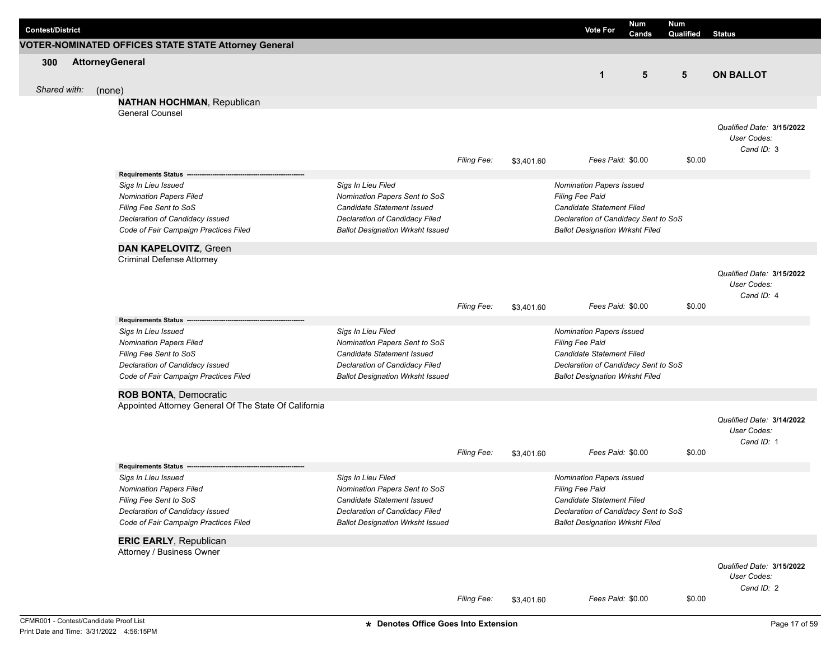| <b>Contest/District</b> |  | <b>VOTER-NOMINATED OFFICES STATE STATE Attorney General</b>              |                                                                           |                    |               | <b>Vote For</b>                                                                | Num<br>Cands | Num<br>Qualified | <b>Status</b>             |
|-------------------------|--|--------------------------------------------------------------------------|---------------------------------------------------------------------------|--------------------|---------------|--------------------------------------------------------------------------------|--------------|------------------|---------------------------|
| 300                     |  | <b>AttorneyGeneral</b>                                                   |                                                                           |                    |               |                                                                                |              |                  |                           |
|                         |  |                                                                          |                                                                           |                    |               | $\mathbf{1}$                                                                   | 5            | 5                | <b>ON BALLOT</b>          |
| Shared with:            |  | (none)                                                                   |                                                                           |                    |               |                                                                                |              |                  |                           |
|                         |  | <b>NATHAN HOCHMAN, Republican</b>                                        |                                                                           |                    |               |                                                                                |              |                  |                           |
|                         |  | <b>General Counsel</b>                                                   |                                                                           |                    |               |                                                                                |              |                  |                           |
|                         |  |                                                                          |                                                                           |                    |               |                                                                                |              |                  | Qualified Date: 3/15/2022 |
|                         |  |                                                                          |                                                                           |                    |               |                                                                                |              |                  | User Codes:               |
|                         |  |                                                                          |                                                                           |                    |               |                                                                                |              |                  | Cand ID: 3                |
|                         |  |                                                                          |                                                                           | <b>Filing Fee:</b> | \$3,401.60    | Fees Paid: \$0.00                                                              |              | \$0.00           |                           |
|                         |  | Requirements Status -                                                    |                                                                           |                    |               |                                                                                |              |                  |                           |
|                         |  | Sigs In Lieu Issued                                                      | Sigs In Lieu Filed                                                        |                    |               | Nomination Papers Issued                                                       |              |                  |                           |
|                         |  | <b>Nomination Papers Filed</b>                                           | Nomination Papers Sent to SoS                                             |                    |               | Filing Fee Paid                                                                |              |                  |                           |
|                         |  | Filing Fee Sent to SoS                                                   | Candidate Statement Issued                                                |                    |               | <b>Candidate Statement Filed</b>                                               |              |                  |                           |
|                         |  | Declaration of Candidacy Issued<br>Code of Fair Campaign Practices Filed | Declaration of Candidacy Filed<br><b>Ballot Designation Wrksht Issued</b> |                    |               | Declaration of Candidacy Sent to SoS<br><b>Ballot Designation Wrksht Filed</b> |              |                  |                           |
|                         |  |                                                                          |                                                                           |                    |               |                                                                                |              |                  |                           |
|                         |  | <b>DAN KAPELOVITZ, Green</b>                                             |                                                                           |                    |               |                                                                                |              |                  |                           |
|                         |  | <b>Criminal Defense Attorney</b>                                         |                                                                           |                    |               |                                                                                |              |                  |                           |
|                         |  |                                                                          |                                                                           |                    |               |                                                                                |              |                  | Qualified Date: 3/15/2022 |
|                         |  |                                                                          |                                                                           |                    |               |                                                                                |              |                  | User Codes:               |
|                         |  |                                                                          |                                                                           |                    |               |                                                                                |              |                  | Cand ID: 4                |
|                         |  |                                                                          |                                                                           | <b>Filing Fee:</b> | \$3,401.60    | Fees Paid: \$0.00                                                              |              | \$0.00           |                           |
|                         |  | <b>Requirements Status</b><br>Sigs In Lieu Issued                        | Sigs In Lieu Filed                                                        |                    |               | Nomination Papers Issued                                                       |              |                  |                           |
|                         |  | <b>Nomination Papers Filed</b>                                           | Nomination Papers Sent to SoS                                             |                    |               | Filing Fee Paid                                                                |              |                  |                           |
|                         |  | Filing Fee Sent to SoS                                                   | Candidate Statement Issued                                                |                    |               | <b>Candidate Statement Filed</b>                                               |              |                  |                           |
|                         |  | Declaration of Candidacy Issued                                          | Declaration of Candidacy Filed                                            |                    |               | Declaration of Candidacy Sent to SoS                                           |              |                  |                           |
|                         |  | Code of Fair Campaign Practices Filed                                    | <b>Ballot Designation Wrksht Issued</b>                                   |                    |               | <b>Ballot Designation Wrksht Filed</b>                                         |              |                  |                           |
|                         |  | <b>ROB BONTA, Democratic</b>                                             |                                                                           |                    |               |                                                                                |              |                  |                           |
|                         |  | Appointed Attorney General Of The State Of California                    |                                                                           |                    |               |                                                                                |              |                  |                           |
|                         |  |                                                                          |                                                                           |                    |               |                                                                                |              |                  | Qualified Date: 3/14/2022 |
|                         |  |                                                                          |                                                                           |                    |               |                                                                                |              |                  | User Codes:               |
|                         |  |                                                                          |                                                                           |                    |               |                                                                                |              |                  | Cand ID: 1                |
|                         |  |                                                                          |                                                                           | <b>Filing Fee:</b> | \$3,401.60    | Fees Paid: \$0.00                                                              |              | \$0.00           |                           |
|                         |  | <b>Requirements Status</b>                                               |                                                                           |                    |               |                                                                                |              |                  |                           |
|                         |  | Sigs In Lieu Issued                                                      | Sigs In Lieu Filed                                                        |                    |               | Nomination Papers Issued                                                       |              |                  |                           |
|                         |  | <b>Nomination Papers Filed</b>                                           | Nomination Papers Sent to SoS                                             |                    |               | <b>Filing Fee Paid</b>                                                         |              |                  |                           |
|                         |  | Filing Fee Sent to SoS                                                   | Candidate Statement Issued                                                |                    |               | Candidate Statement Filed                                                      |              |                  |                           |
|                         |  | Declaration of Candidacy Issued                                          | Declaration of Candidacy Filed                                            |                    |               | Declaration of Candidacy Sent to SoS                                           |              |                  |                           |
|                         |  | Code of Fair Campaign Practices Filed                                    | <b>Ballot Designation Wrksht Issued</b>                                   |                    |               | <b>Ballot Designation Wrksht Filed</b>                                         |              |                  |                           |
|                         |  | <b>ERIC EARLY, Republican</b>                                            |                                                                           |                    |               |                                                                                |              |                  |                           |
|                         |  | Attorney / Business Owner                                                |                                                                           |                    |               |                                                                                |              |                  |                           |
|                         |  |                                                                          |                                                                           |                    |               |                                                                                |              |                  | Qualified Date: 3/15/2022 |
|                         |  |                                                                          |                                                                           |                    |               |                                                                                |              |                  | User Codes:               |
|                         |  |                                                                          |                                                                           |                    |               |                                                                                |              |                  | Cand ID: 2                |
|                         |  |                                                                          |                                                                           | Filing Fee:        | \$3,401.60    | Fees Paid: \$0.00                                                              |              | \$0.00           |                           |
|                         |  | CFMR001 - Contest/Candidate Proof List                                   | * Denotes Office Goes Into Extension                                      |                    | Page 17 of 59 |                                                                                |              |                  |                           |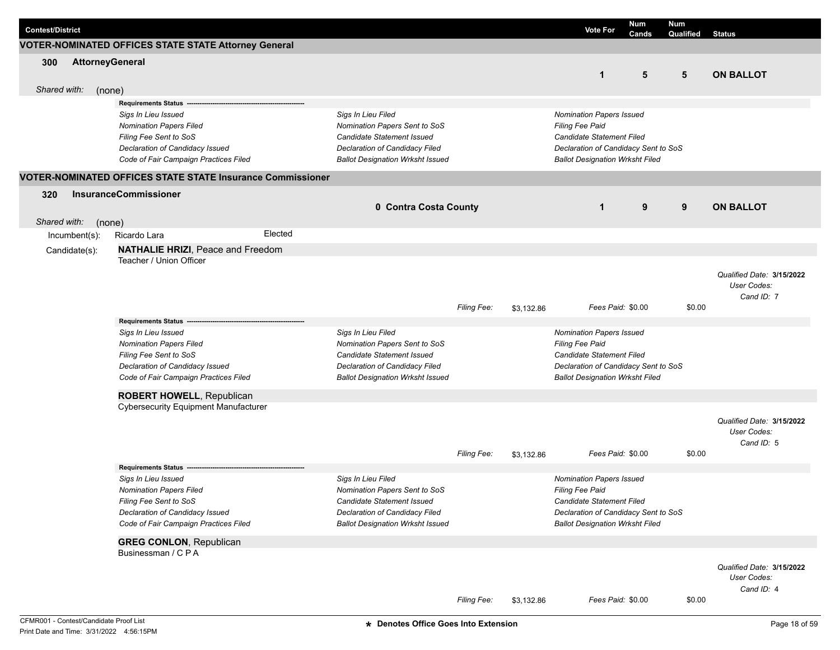| <b>Contest/District</b> |                  |                              |                                                                   |         |                                         |                    |            | <b>Vote For</b>                        | <b>Num</b><br>Cands | <b>Num</b><br>Qualified | <b>Status</b>             |
|-------------------------|------------------|------------------------------|-------------------------------------------------------------------|---------|-----------------------------------------|--------------------|------------|----------------------------------------|---------------------|-------------------------|---------------------------|
|                         |                  |                              | VOTER-NOMINATED OFFICES STATE STATE Attorney General              |         |                                         |                    |            |                                        |                     |                         |                           |
| 300                     |                  | <b>AttorneyGeneral</b>       |                                                                   |         |                                         |                    |            |                                        |                     |                         |                           |
|                         |                  |                              |                                                                   |         |                                         |                    |            | $\mathbf{1}$                           | 5                   | 5                       | <b>ON BALLOT</b>          |
| Shared with:            |                  | (none)                       |                                                                   |         |                                         |                    |            |                                        |                     |                         |                           |
|                         |                  |                              | <b>Requirements Status</b>                                        |         |                                         |                    |            |                                        |                     |                         |                           |
|                         |                  |                              | Sigs In Lieu Issued                                               |         | Sigs In Lieu Filed                      |                    |            | Nomination Papers Issued               |                     |                         |                           |
|                         |                  |                              | <b>Nomination Papers Filed</b>                                    |         | Nomination Papers Sent to SoS           |                    |            | Filing Fee Paid                        |                     |                         |                           |
|                         |                  |                              | Filing Fee Sent to SoS                                            |         | Candidate Statement Issued              |                    |            | Candidate Statement Filed              |                     |                         |                           |
|                         |                  |                              | Declaration of Candidacy Issued                                   |         | Declaration of Candidacy Filed          |                    |            | Declaration of Candidacy Sent to SoS   |                     |                         |                           |
|                         |                  |                              | Code of Fair Campaign Practices Filed                             |         | <b>Ballot Designation Wrksht Issued</b> |                    |            | <b>Ballot Designation Wrksht Filed</b> |                     |                         |                           |
|                         |                  |                              | <b>VOTER-NOMINATED OFFICES STATE STATE Insurance Commissioner</b> |         |                                         |                    |            |                                        |                     |                         |                           |
| 320                     |                  | <b>InsuranceCommissioner</b> |                                                                   |         |                                         |                    |            |                                        |                     |                         |                           |
|                         |                  |                              |                                                                   |         | 0 Contra Costa County                   |                    |            | $\mathbf 1$                            | 9                   | 9                       | <b>ON BALLOT</b>          |
| Shared with:            |                  | (none)                       |                                                                   |         |                                         |                    |            |                                        |                     |                         |                           |
|                         | $Incumbent(s)$ : | Ricardo Lara                 |                                                                   | Elected |                                         |                    |            |                                        |                     |                         |                           |
|                         | Candidate(s):    |                              | <b>NATHALIE HRIZI, Peace and Freedom</b>                          |         |                                         |                    |            |                                        |                     |                         |                           |
|                         |                  |                              | Teacher / Union Officer                                           |         |                                         |                    |            |                                        |                     |                         |                           |
|                         |                  |                              |                                                                   |         |                                         |                    |            |                                        |                     |                         | Qualified Date: 3/15/2022 |
|                         |                  |                              |                                                                   |         |                                         |                    |            |                                        |                     |                         | User Codes:               |
|                         |                  |                              |                                                                   |         |                                         |                    |            |                                        |                     |                         | Cand ID: 7                |
|                         |                  |                              |                                                                   |         |                                         | <b>Filing Fee:</b> | \$3,132.86 | Fees Paid: \$0.00                      |                     | \$0.00                  |                           |
|                         |                  |                              | <b>Requirements Status</b>                                        |         |                                         |                    |            |                                        |                     |                         |                           |
|                         |                  |                              | Sigs In Lieu Issued                                               |         | Sigs In Lieu Filed                      |                    |            | <b>Nomination Papers Issued</b>        |                     |                         |                           |
|                         |                  |                              | <b>Nomination Papers Filed</b>                                    |         | Nomination Papers Sent to SoS           |                    |            | Filing Fee Paid                        |                     |                         |                           |
|                         |                  |                              | Filing Fee Sent to SoS                                            |         | Candidate Statement Issued              |                    |            | Candidate Statement Filed              |                     |                         |                           |
|                         |                  |                              | Declaration of Candidacy Issued                                   |         | Declaration of Candidacy Filed          |                    |            | Declaration of Candidacy Sent to SoS   |                     |                         |                           |
|                         |                  |                              | Code of Fair Campaign Practices Filed                             |         | <b>Ballot Designation Wrksht Issued</b> |                    |            | <b>Ballot Designation Wrksht Filed</b> |                     |                         |                           |
|                         |                  |                              | ROBERT HOWELL, Republican                                         |         |                                         |                    |            |                                        |                     |                         |                           |
|                         |                  |                              | <b>Cybersecurity Equipment Manufacturer</b>                       |         |                                         |                    |            |                                        |                     |                         |                           |
|                         |                  |                              |                                                                   |         |                                         |                    |            |                                        |                     |                         | Qualified Date: 3/15/2022 |
|                         |                  |                              |                                                                   |         |                                         |                    |            |                                        |                     |                         | User Codes:               |
|                         |                  |                              |                                                                   |         |                                         |                    |            |                                        |                     |                         | Cand ID: 5                |
|                         |                  |                              |                                                                   |         |                                         | <b>Filing Fee:</b> | \$3,132.86 | Fees Paid: \$0.00                      |                     | \$0.00                  |                           |
|                         |                  |                              | <b>Requirements Status</b>                                        |         |                                         |                    |            |                                        |                     |                         |                           |
|                         |                  |                              | Sigs In Lieu Issued                                               |         | Sigs In Lieu Filed                      |                    |            | <b>Nomination Papers Issued</b>        |                     |                         |                           |
|                         |                  |                              | <b>Nomination Papers Filed</b>                                    |         | Nomination Papers Sent to SoS           |                    |            | Filing Fee Paid                        |                     |                         |                           |
|                         |                  |                              | Filing Fee Sent to SoS                                            |         | Candidate Statement Issued              |                    |            | Candidate Statement Filed              |                     |                         |                           |
|                         |                  |                              | Declaration of Candidacy Issued                                   |         | Declaration of Candidacy Filed          |                    |            | Declaration of Candidacy Sent to SoS   |                     |                         |                           |
|                         |                  |                              | Code of Fair Campaign Practices Filed                             |         | <b>Ballot Designation Wrksht Issued</b> |                    |            | <b>Ballot Designation Wrksht Filed</b> |                     |                         |                           |
|                         |                  |                              | <b>GREG CONLON, Republican</b>                                    |         |                                         |                    |            |                                        |                     |                         |                           |
|                         |                  |                              | Businessman / C P A                                               |         |                                         |                    |            |                                        |                     |                         |                           |
|                         |                  |                              |                                                                   |         |                                         |                    |            |                                        |                     |                         | Qualified Date: 3/15/2022 |
|                         |                  |                              |                                                                   |         |                                         |                    |            |                                        |                     |                         | User Codes:               |
|                         |                  |                              |                                                                   |         |                                         |                    |            |                                        |                     |                         | Cand ID: 4                |
|                         |                  |                              |                                                                   |         |                                         | <b>Filing Fee:</b> | \$3,132.86 | Fees Paid: \$0.00                      |                     | \$0.00                  |                           |
|                         |                  |                              |                                                                   |         |                                         |                    |            |                                        |                     |                         |                           |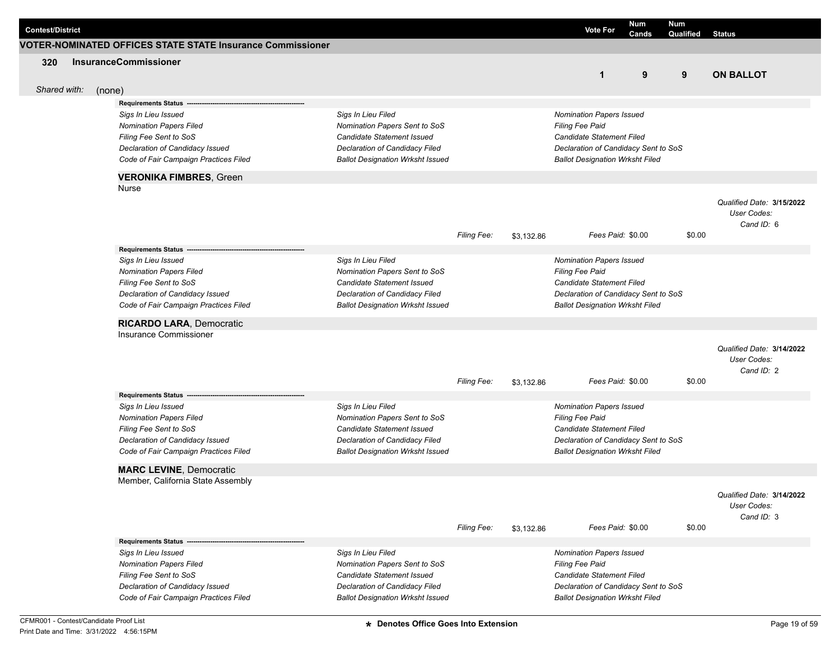| <b>Contest/District</b> |        |                                                                                                                                                                                           |                                                                                                                                                                       |             |            | <b>Vote For</b>                                                                                                                                                                 | Num<br>Cands | <b>Num</b><br>Qualified | <b>Status</b>                                          |
|-------------------------|--------|-------------------------------------------------------------------------------------------------------------------------------------------------------------------------------------------|-----------------------------------------------------------------------------------------------------------------------------------------------------------------------|-------------|------------|---------------------------------------------------------------------------------------------------------------------------------------------------------------------------------|--------------|-------------------------|--------------------------------------------------------|
|                         |        | <b>VOTER-NOMINATED OFFICES STATE STATE Insurance Commissioner</b>                                                                                                                         |                                                                                                                                                                       |             |            |                                                                                                                                                                                 |              |                         |                                                        |
| 320<br>Shared with:     |        | <b>InsuranceCommissioner</b>                                                                                                                                                              |                                                                                                                                                                       |             |            | $\mathbf{1}$                                                                                                                                                                    | 9            | 9                       | <b>ON BALLOT</b>                                       |
|                         | (none) | <b>Requirements Status</b>                                                                                                                                                                |                                                                                                                                                                       |             |            |                                                                                                                                                                                 |              |                         |                                                        |
|                         |        | Sigs In Lieu Issued<br><b>Nomination Papers Filed</b><br>Filing Fee Sent to SoS<br>Declaration of Candidacy Issued<br>Code of Fair Campaign Practices Filed                               | Sigs In Lieu Filed<br>Nomination Papers Sent to SoS<br>Candidate Statement Issued<br>Declaration of Candidacy Filed<br><b>Ballot Designation Wrksht Issued</b>        |             |            | <b>Nomination Papers Issued</b><br>Filing Fee Paid<br>Candidate Statement Filed<br>Declaration of Candidacy Sent to SoS<br><b>Ballot Designation Wrksht Filed</b>               |              |                         |                                                        |
|                         |        | <b>VERONIKA FIMBRES, Green</b>                                                                                                                                                            |                                                                                                                                                                       |             |            |                                                                                                                                                                                 |              |                         |                                                        |
|                         |        | Nurse                                                                                                                                                                                     |                                                                                                                                                                       |             |            |                                                                                                                                                                                 |              |                         | Qualified Date: 3/15/2022<br>User Codes:<br>Cand ID: 6 |
|                         |        |                                                                                                                                                                                           |                                                                                                                                                                       | Filing Fee: | \$3,132.86 | Fees Paid: \$0.00                                                                                                                                                               |              | \$0.00                  |                                                        |
|                         |        | Requirements Status -<br>Sigs In Lieu Issued<br><b>Nomination Papers Filed</b><br>Filing Fee Sent to SoS<br>Declaration of Candidacy Issued<br>Code of Fair Campaign Practices Filed      | Sigs In Lieu Filed<br>Nomination Papers Sent to SoS<br><b>Candidate Statement Issued</b><br>Declaration of Candidacy Filed<br><b>Ballot Designation Wrksht Issued</b> |             |            | <b>Nomination Papers Issued</b><br><b>Filing Fee Paid</b><br>Candidate Statement Filed<br>Declaration of Candidacy Sent to SoS<br><b>Ballot Designation Wrksht Filed</b>        |              |                         |                                                        |
|                         |        | <b>RICARDO LARA, Democratic</b>                                                                                                                                                           |                                                                                                                                                                       |             |            |                                                                                                                                                                                 |              |                         |                                                        |
|                         |        | Insurance Commissioner                                                                                                                                                                    |                                                                                                                                                                       | Filing Fee: | \$3,132.86 | Fees Paid: \$0.00                                                                                                                                                               |              | \$0.00                  | Qualified Date: 3/14/2022<br>User Codes:<br>Cand ID: 2 |
|                         |        | <b>Requirements Status</b><br>Sigs In Lieu Issued<br><b>Nomination Papers Filed</b><br>Filing Fee Sent to SoS<br>Declaration of Candidacy Issued<br>Code of Fair Campaign Practices Filed | Sigs In Lieu Filed<br>Nomination Papers Sent to SoS<br>Candidate Statement Issued<br>Declaration of Candidacy Filed<br><b>Ballot Designation Wrksht Issued</b>        |             |            | <b>Nomination Papers Issued</b><br><b>Filing Fee Paid</b><br><b>Candidate Statement Filed</b><br>Declaration of Candidacy Sent to SoS<br><b>Ballot Designation Wrksht Filed</b> |              |                         |                                                        |
|                         |        | <b>MARC LEVINE, Democratic</b><br>Member, California State Assembly                                                                                                                       |                                                                                                                                                                       |             |            |                                                                                                                                                                                 |              |                         | Qualified Date: 3/14/2022<br>User Codes:               |
|                         |        |                                                                                                                                                                                           |                                                                                                                                                                       | Filing Fee: | \$3,132.86 | Fees Paid: \$0.00                                                                                                                                                               |              | \$0.00                  | Cand ID: 3                                             |
|                         |        | <b>Requirements Status</b><br>Sigs In Lieu Issued                                                                                                                                         | Sigs In Lieu Filed                                                                                                                                                    |             |            | <b>Nomination Papers Issued</b>                                                                                                                                                 |              |                         |                                                        |
|                         |        | <b>Nomination Papers Filed</b><br>Filing Fee Sent to SoS<br>Declaration of Candidacy Issued<br>Code of Fair Campaign Practices Filed                                                      | Nomination Papers Sent to SoS<br>Candidate Statement Issued<br>Declaration of Candidacy Filed<br><b>Ballot Designation Wrksht Issued</b>                              |             |            | <b>Filing Fee Paid</b><br>Candidate Statement Filed<br>Declaration of Candidacy Sent to SoS<br><b>Ballot Designation Wrksht Filed</b>                                           |              |                         |                                                        |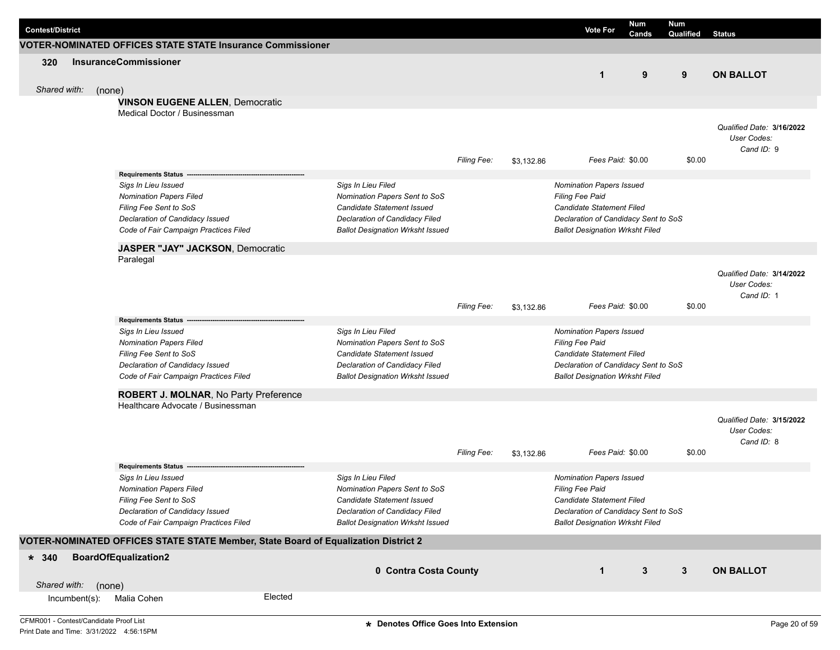| <b>Contest/District</b> |                                                                                                                                                             |         |                                                                                                                                                                |                    |            | <b>Vote For</b>                                                                                                                                                          | <b>Num</b><br>Cands | <b>Num</b><br>Qualified | <b>Status</b>                                          |
|-------------------------|-------------------------------------------------------------------------------------------------------------------------------------------------------------|---------|----------------------------------------------------------------------------------------------------------------------------------------------------------------|--------------------|------------|--------------------------------------------------------------------------------------------------------------------------------------------------------------------------|---------------------|-------------------------|--------------------------------------------------------|
|                         | <b>VOTER-NOMINATED OFFICES STATE STATE Insurance Commissioner</b>                                                                                           |         |                                                                                                                                                                |                    |            |                                                                                                                                                                          |                     |                         |                                                        |
| 320                     | <b>InsuranceCommissioner</b>                                                                                                                                |         |                                                                                                                                                                |                    |            | $\mathbf{1}$                                                                                                                                                             | 9                   | 9                       | <b>ON BALLOT</b>                                       |
| Shared with:            | (none)                                                                                                                                                      |         |                                                                                                                                                                |                    |            |                                                                                                                                                                          |                     |                         |                                                        |
|                         | <b>VINSON EUGENE ALLEN, Democratic</b><br>Medical Doctor / Businessman                                                                                      |         |                                                                                                                                                                |                    |            |                                                                                                                                                                          |                     |                         |                                                        |
|                         |                                                                                                                                                             |         |                                                                                                                                                                | <b>Filing Fee:</b> | \$3,132.86 | Fees Paid: \$0.00                                                                                                                                                        |                     | \$0.00                  | Qualified Date: 3/16/2022<br>User Codes:<br>Cand ID: 9 |
|                         | <b>Requirements Status</b>                                                                                                                                  |         |                                                                                                                                                                |                    |            |                                                                                                                                                                          |                     |                         |                                                        |
|                         | Sigs In Lieu Issued<br><b>Nomination Papers Filed</b><br>Filing Fee Sent to SoS<br>Declaration of Candidacy Issued<br>Code of Fair Campaign Practices Filed |         | Sigs In Lieu Filed<br>Nomination Papers Sent to SoS<br>Candidate Statement Issued<br>Declaration of Candidacy Filed<br><b>Ballot Designation Wrksht Issued</b> |                    |            | <b>Nomination Papers Issued</b><br><b>Filing Fee Paid</b><br>Candidate Statement Filed<br>Declaration of Candidacy Sent to SoS<br><b>Ballot Designation Wrksht Filed</b> |                     |                         |                                                        |
|                         | JASPER "JAY" JACKSON, Democratic                                                                                                                            |         |                                                                                                                                                                |                    |            |                                                                                                                                                                          |                     |                         |                                                        |
|                         | Paralegal                                                                                                                                                   |         |                                                                                                                                                                | Filing Fee:        | \$3,132.86 | Fees Paid: \$0.00                                                                                                                                                        |                     | \$0.00                  | Qualified Date: 3/14/2022<br>User Codes:<br>Cand ID: 1 |
|                         | <b>Requirements Status</b>                                                                                                                                  |         |                                                                                                                                                                |                    |            |                                                                                                                                                                          |                     |                         |                                                        |
|                         | Sigs In Lieu Issued<br><b>Nomination Papers Filed</b><br>Filing Fee Sent to SoS<br>Declaration of Candidacy Issued<br>Code of Fair Campaign Practices Filed |         | Sigs In Lieu Filed<br>Nomination Papers Sent to SoS<br>Candidate Statement Issued<br>Declaration of Candidacy Filed<br><b>Ballot Designation Wrksht Issued</b> |                    |            | <b>Nomination Papers Issued</b><br>Filing Fee Paid<br>Candidate Statement Filed<br>Declaration of Candidacy Sent to SoS<br><b>Ballot Designation Wrksht Filed</b>        |                     |                         |                                                        |
|                         | ROBERT J. MOLNAR, No Party Preference<br>Healthcare Advocate / Businessman                                                                                  |         |                                                                                                                                                                |                    |            |                                                                                                                                                                          |                     |                         | Qualified Date: 3/15/2022<br>User Codes:               |
|                         |                                                                                                                                                             |         |                                                                                                                                                                | <b>Filing Fee:</b> | \$3,132.86 | Fees Paid: \$0.00                                                                                                                                                        |                     | \$0.00                  | Cand ID: 8                                             |
|                         | <b>Requirements Status</b>                                                                                                                                  |         |                                                                                                                                                                |                    |            |                                                                                                                                                                          |                     |                         |                                                        |
|                         | Sigs In Lieu Issued<br>Nomination Papers Filed<br>Filing Fee Sent to SoS<br>Declaration of Candidacy Issued<br>Code of Fair Campaign Practices Filed        |         | Sigs In Lieu Filed<br>Nomination Papers Sent to SoS<br>Candidate Statement Issued<br>Declaration of Candidacy Filed<br><b>Ballot Designation Wrksht Issued</b> |                    |            | <b>Nomination Papers Issued</b><br>Filing Fee Paid<br>Candidate Statement Filed<br>Declaration of Candidacy Sent to SoS<br><b>Ballot Designation Wrksht Filed</b>        |                     |                         |                                                        |
|                         | VOTER-NOMINATED OFFICES STATE STATE Member, State Board of Equalization District 2                                                                          |         |                                                                                                                                                                |                    |            |                                                                                                                                                                          |                     |                         |                                                        |
| $* 340$                 | <b>BoardOfEqualization2</b>                                                                                                                                 |         | 0 Contra Costa County                                                                                                                                          |                    |            | $\mathbf{1}$                                                                                                                                                             | 3                   | $\mathbf{3}$            | <b>ON BALLOT</b>                                       |
| Shared with:            | (none)                                                                                                                                                      |         |                                                                                                                                                                |                    |            |                                                                                                                                                                          |                     |                         |                                                        |
| $Incumbent(s)$ :        | Malia Cohen                                                                                                                                                 | Elected |                                                                                                                                                                |                    |            |                                                                                                                                                                          |                     |                         |                                                        |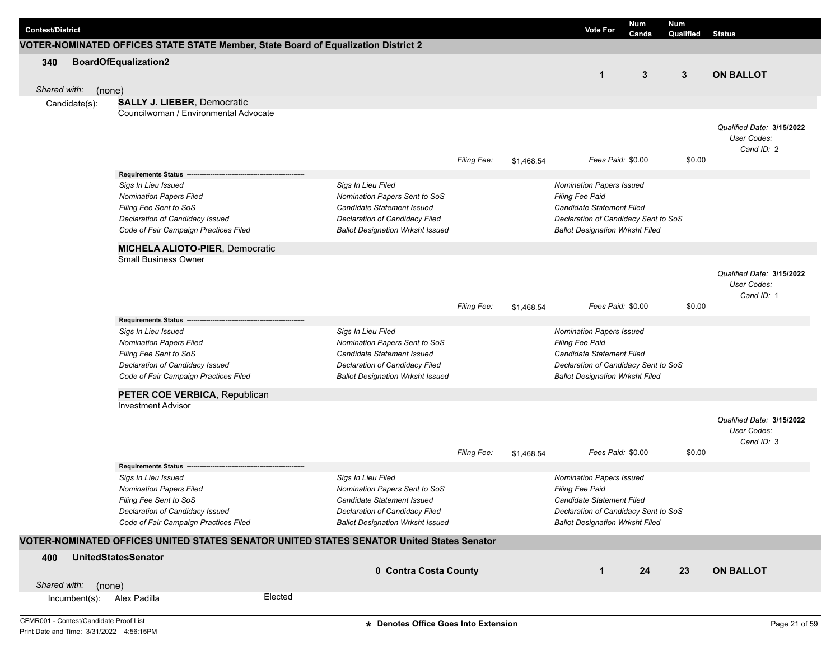| <b>Contest/District</b> |                  |                                                                                           |         |                                                              |                    |            | <b>Vote For</b>                                                   | <b>Num</b><br>Cands | <b>Num</b><br>Qualified | <b>Status</b>             |
|-------------------------|------------------|-------------------------------------------------------------------------------------------|---------|--------------------------------------------------------------|--------------------|------------|-------------------------------------------------------------------|---------------------|-------------------------|---------------------------|
|                         |                  | VOTER-NOMINATED OFFICES STATE STATE Member, State Board of Equalization District 2        |         |                                                              |                    |            |                                                                   |                     |                         |                           |
| 340                     |                  | <b>BoardOfEqualization2</b>                                                               |         |                                                              |                    |            |                                                                   |                     |                         |                           |
|                         |                  |                                                                                           |         |                                                              |                    |            | $\mathbf{1}$                                                      | 3                   | $\mathbf{3}$            | <b>ON BALLOT</b>          |
| Shared with:            |                  | (none)                                                                                    |         |                                                              |                    |            |                                                                   |                     |                         |                           |
|                         | Candidate(s):    | <b>SALLY J. LIEBER, Democratic</b>                                                        |         |                                                              |                    |            |                                                                   |                     |                         |                           |
|                         |                  | Councilwoman / Environmental Advocate                                                     |         |                                                              |                    |            |                                                                   |                     |                         |                           |
|                         |                  |                                                                                           |         |                                                              |                    |            |                                                                   |                     |                         | Qualified Date: 3/15/2022 |
|                         |                  |                                                                                           |         |                                                              |                    |            |                                                                   |                     |                         | User Codes:               |
|                         |                  |                                                                                           |         |                                                              |                    |            |                                                                   |                     |                         | Cand ID: 2                |
|                         |                  |                                                                                           |         |                                                              | <b>Filing Fee:</b> | \$1.468.54 | Fees Paid: \$0.00                                                 |                     | \$0.00                  |                           |
|                         |                  | <b>Requirements Status</b>                                                                |         |                                                              |                    |            |                                                                   |                     |                         |                           |
|                         |                  | Sigs In Lieu Issued                                                                       |         | Sigs In Lieu Filed                                           |                    |            | Nomination Papers Issued                                          |                     |                         |                           |
|                         |                  | <b>Nomination Papers Filed</b>                                                            |         | Nomination Papers Sent to SoS                                |                    |            | <b>Filing Fee Paid</b>                                            |                     |                         |                           |
|                         |                  | Filing Fee Sent to SoS                                                                    |         | Candidate Statement Issued                                   |                    |            | Candidate Statement Filed                                         |                     |                         |                           |
|                         |                  | Declaration of Candidacy Issued                                                           |         | Declaration of Candidacy Filed                               |                    |            | Declaration of Candidacy Sent to SoS                              |                     |                         |                           |
|                         |                  | Code of Fair Campaign Practices Filed                                                     |         | <b>Ballot Designation Wrksht Issued</b>                      |                    |            | <b>Ballot Designation Wrksht Filed</b>                            |                     |                         |                           |
|                         |                  | <b>MICHELA ALIOTO-PIER, Democratic</b>                                                    |         |                                                              |                    |            |                                                                   |                     |                         |                           |
|                         |                  | <b>Small Business Owner</b>                                                               |         |                                                              |                    |            |                                                                   |                     |                         |                           |
|                         |                  |                                                                                           |         |                                                              |                    |            |                                                                   |                     |                         | Qualified Date: 3/15/2022 |
|                         |                  |                                                                                           |         |                                                              |                    |            |                                                                   |                     |                         | User Codes:               |
|                         |                  |                                                                                           |         |                                                              |                    |            |                                                                   |                     |                         | Cand ID: 1                |
|                         |                  |                                                                                           |         |                                                              | <b>Filing Fee:</b> | \$1,468.54 | Fees Paid: \$0.00                                                 |                     | \$0.00                  |                           |
|                         |                  | <b>Requirements Status</b>                                                                |         |                                                              |                    |            |                                                                   |                     |                         |                           |
|                         |                  | Sigs In Lieu Issued                                                                       |         | Sigs In Lieu Filed                                           |                    |            | Nomination Papers Issued                                          |                     |                         |                           |
|                         |                  | <b>Nomination Papers Filed</b>                                                            |         | Nomination Papers Sent to SoS                                |                    |            | <b>Filing Fee Paid</b>                                            |                     |                         |                           |
|                         |                  | Filing Fee Sent to SoS                                                                    |         | Candidate Statement Issued                                   |                    |            | Candidate Statement Filed                                         |                     |                         |                           |
|                         |                  | Declaration of Candidacy Issued                                                           |         | Declaration of Candidacy Filed                               |                    |            | Declaration of Candidacy Sent to SoS                              |                     |                         |                           |
|                         |                  | Code of Fair Campaign Practices Filed                                                     |         | <b>Ballot Designation Wrksht Issued</b>                      |                    |            | <b>Ballot Designation Wrksht Filed</b>                            |                     |                         |                           |
|                         |                  | PETER COE VERBICA, Republican                                                             |         |                                                              |                    |            |                                                                   |                     |                         |                           |
|                         |                  | <b>Investment Advisor</b>                                                                 |         |                                                              |                    |            |                                                                   |                     |                         |                           |
|                         |                  |                                                                                           |         |                                                              |                    |            |                                                                   |                     |                         | Qualified Date: 3/15/2022 |
|                         |                  |                                                                                           |         |                                                              |                    |            |                                                                   |                     |                         | User Codes:               |
|                         |                  |                                                                                           |         |                                                              |                    |            |                                                                   |                     |                         | Cand ID: 3                |
|                         |                  |                                                                                           |         |                                                              | <b>Filing Fee:</b> | \$1,468.54 | Fees Paid: \$0.00                                                 |                     | \$0.00                  |                           |
|                         |                  | <b>Requirements Status</b>                                                                |         |                                                              |                    |            |                                                                   |                     |                         |                           |
|                         |                  | Sigs In Lieu Issued                                                                       |         | Sigs In Lieu Filed                                           |                    |            | <b>Nomination Papers Issued</b>                                   |                     |                         |                           |
|                         |                  | Nomination Papers Filed                                                                   |         | Nomination Papers Sent to SoS                                |                    |            | Filing Fee Paid                                                   |                     |                         |                           |
|                         |                  | Filing Fee Sent to SoS<br>Declaration of Candidacy Issued                                 |         | Candidate Statement Issued<br>Declaration of Candidacy Filed |                    |            | Candidate Statement Filed<br>Declaration of Candidacy Sent to SoS |                     |                         |                           |
|                         |                  | Code of Fair Campaign Practices Filed                                                     |         | <b>Ballot Designation Wrksht Issued</b>                      |                    |            | <b>Ballot Designation Wrksht Filed</b>                            |                     |                         |                           |
|                         |                  |                                                                                           |         |                                                              |                    |            |                                                                   |                     |                         |                           |
|                         |                  | VOTER-NOMINATED OFFICES UNITED STATES SENATOR UNITED STATES SENATOR United States Senator |         |                                                              |                    |            |                                                                   |                     |                         |                           |
| 400                     |                  | <b>UnitedStatesSenator</b>                                                                |         |                                                              |                    |            |                                                                   |                     |                         |                           |
|                         |                  |                                                                                           |         | 0 Contra Costa County                                        |                    |            | $\mathbf 1$                                                       | 24                  | 23                      | <b>ON BALLOT</b>          |
| Shared with:            |                  | (none)                                                                                    |         |                                                              |                    |            |                                                                   |                     |                         |                           |
|                         | $Incumbent(s)$ : | Alex Padilla                                                                              | Elected |                                                              |                    |            |                                                                   |                     |                         |                           |
|                         |                  |                                                                                           |         |                                                              |                    |            |                                                                   |                     |                         |                           |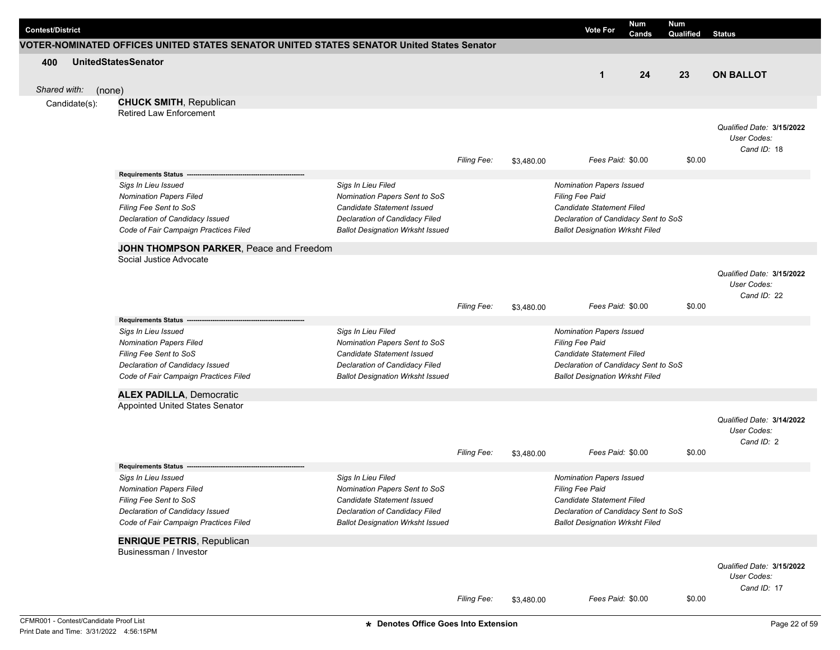| <b>Contest/District</b> |               |                                                                                           |                                                             |                    |            | <b>Vote For</b>                                     | <b>Num</b><br>Cands | <b>Num</b><br>Qualified | <b>Status</b>                            |
|-------------------------|---------------|-------------------------------------------------------------------------------------------|-------------------------------------------------------------|--------------------|------------|-----------------------------------------------------|---------------------|-------------------------|------------------------------------------|
|                         |               | VOTER-NOMINATED OFFICES UNITED STATES SENATOR UNITED STATES SENATOR United States Senator |                                                             |                    |            |                                                     |                     |                         |                                          |
| 400                     |               | <b>UnitedStatesSenator</b>                                                                |                                                             |                    |            |                                                     |                     |                         |                                          |
|                         |               |                                                                                           |                                                             |                    |            | $\mathbf{1}$                                        | 24                  | 23                      | <b>ON BALLOT</b>                         |
| Shared with:            | (none)        |                                                                                           |                                                             |                    |            |                                                     |                     |                         |                                          |
|                         | Candidate(s): | <b>CHUCK SMITH, Republican</b>                                                            |                                                             |                    |            |                                                     |                     |                         |                                          |
|                         |               | <b>Retired Law Enforcement</b>                                                            |                                                             |                    |            |                                                     |                     |                         |                                          |
|                         |               |                                                                                           |                                                             |                    |            |                                                     |                     |                         | Qualified Date: 3/15/2022<br>User Codes: |
|                         |               |                                                                                           |                                                             |                    |            |                                                     |                     |                         | Cand ID: 18                              |
|                         |               |                                                                                           |                                                             | <b>Filing Fee:</b> | \$3,480.00 | Fees Paid: \$0.00                                   |                     | \$0.00                  |                                          |
|                         |               | Requirements Status --                                                                    |                                                             |                    |            |                                                     |                     |                         |                                          |
|                         |               | Sigs In Lieu Issued                                                                       | Sigs In Lieu Filed                                          |                    |            | Nomination Papers Issued                            |                     |                         |                                          |
|                         |               | <b>Nomination Papers Filed</b>                                                            | Nomination Papers Sent to SoS                               |                    |            | Filing Fee Paid                                     |                     |                         |                                          |
|                         |               | Filing Fee Sent to SoS                                                                    | Candidate Statement Issued                                  |                    |            | Candidate Statement Filed                           |                     |                         |                                          |
|                         |               | Declaration of Candidacy Issued                                                           | Declaration of Candidacy Filed                              |                    |            | Declaration of Candidacy Sent to SoS                |                     |                         |                                          |
|                         |               | Code of Fair Campaign Practices Filed                                                     | <b>Ballot Designation Wrksht Issued</b>                     |                    |            | <b>Ballot Designation Wrksht Filed</b>              |                     |                         |                                          |
|                         |               | JOHN THOMPSON PARKER, Peace and Freedom                                                   |                                                             |                    |            |                                                     |                     |                         |                                          |
|                         |               | Social Justice Advocate                                                                   |                                                             |                    |            |                                                     |                     |                         |                                          |
|                         |               |                                                                                           |                                                             |                    |            |                                                     |                     |                         | Qualified Date: 3/15/2022                |
|                         |               |                                                                                           |                                                             |                    |            |                                                     |                     |                         | User Codes:                              |
|                         |               |                                                                                           |                                                             |                    |            |                                                     |                     |                         | Cand ID: 22                              |
|                         |               |                                                                                           |                                                             | Filing Fee:        | \$3,480.00 | Fees Paid: \$0.00                                   |                     | \$0.00                  |                                          |
|                         |               | <b>Requirements Status</b>                                                                |                                                             |                    |            |                                                     |                     |                         |                                          |
|                         |               | Sigs In Lieu Issued                                                                       | Sigs In Lieu Filed                                          |                    |            | Nomination Papers Issued                            |                     |                         |                                          |
|                         |               | <b>Nomination Papers Filed</b><br>Filing Fee Sent to SoS                                  | Nomination Papers Sent to SoS<br>Candidate Statement Issued |                    |            | <b>Filing Fee Paid</b><br>Candidate Statement Filed |                     |                         |                                          |
|                         |               | Declaration of Candidacy Issued                                                           | Declaration of Candidacy Filed                              |                    |            | Declaration of Candidacy Sent to SoS                |                     |                         |                                          |
|                         |               | Code of Fair Campaign Practices Filed                                                     | <b>Ballot Designation Wrksht Issued</b>                     |                    |            | <b>Ballot Designation Wrksht Filed</b>              |                     |                         |                                          |
|                         |               |                                                                                           |                                                             |                    |            |                                                     |                     |                         |                                          |
|                         |               | <b>ALEX PADILLA, Democratic</b><br>Appointed United States Senator                        |                                                             |                    |            |                                                     |                     |                         |                                          |
|                         |               |                                                                                           |                                                             |                    |            |                                                     |                     |                         |                                          |
|                         |               |                                                                                           |                                                             |                    |            |                                                     |                     |                         | Qualified Date: 3/14/2022<br>User Codes: |
|                         |               |                                                                                           |                                                             |                    |            |                                                     |                     |                         | Cand ID: 2                               |
|                         |               |                                                                                           |                                                             | <b>Filing Fee:</b> | \$3,480.00 | Fees Paid: \$0.00                                   |                     | \$0.00                  |                                          |
|                         |               | <b>Requirements Status</b>                                                                |                                                             |                    |            |                                                     |                     |                         |                                          |
|                         |               | Sigs In Lieu Issued                                                                       | Sigs In Lieu Filed                                          |                    |            | <b>Nomination Papers Issued</b>                     |                     |                         |                                          |
|                         |               | <b>Nomination Papers Filed</b>                                                            | Nomination Papers Sent to SoS                               |                    |            | <b>Filing Fee Paid</b>                              |                     |                         |                                          |
|                         |               | Filing Fee Sent to SoS                                                                    | Candidate Statement Issued                                  |                    |            | Candidate Statement Filed                           |                     |                         |                                          |
|                         |               | Declaration of Candidacy Issued                                                           | Declaration of Candidacy Filed                              |                    |            | Declaration of Candidacy Sent to SoS                |                     |                         |                                          |
|                         |               | Code of Fair Campaign Practices Filed                                                     | <b>Ballot Designation Wrksht Issued</b>                     |                    |            | <b>Ballot Designation Wrksht Filed</b>              |                     |                         |                                          |
|                         |               | <b>ENRIQUE PETRIS, Republican</b>                                                         |                                                             |                    |            |                                                     |                     |                         |                                          |
|                         |               | Businessman / Investor                                                                    |                                                             |                    |            |                                                     |                     |                         |                                          |
|                         |               |                                                                                           |                                                             |                    |            |                                                     |                     |                         | Qualified Date: 3/15/2022                |
|                         |               |                                                                                           |                                                             |                    |            |                                                     |                     |                         | User Codes:                              |
|                         |               |                                                                                           |                                                             |                    |            |                                                     |                     |                         | Cand ID: 17                              |
|                         |               |                                                                                           |                                                             | <b>Filing Fee:</b> | \$3,480.00 | Fees Paid: \$0.00                                   |                     | \$0.00                  |                                          |
|                         |               |                                                                                           |                                                             |                    |            |                                                     |                     |                         |                                          |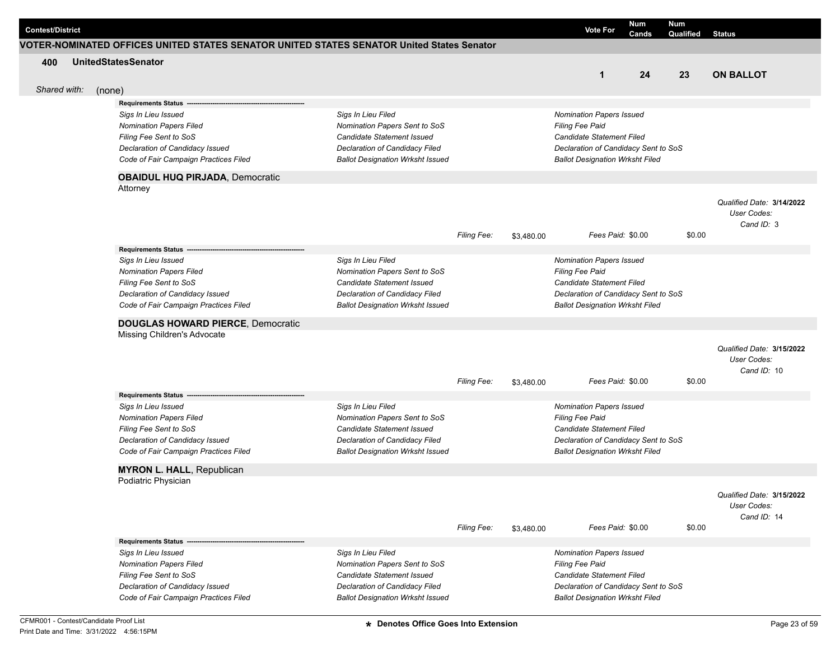| <b>Contest/District</b> |        |                                                                                           |                                                                           |                    |            | <b>Vote For</b>                                                                | Num<br>Cands | <b>Num</b><br>Qualified | <b>Status</b>                            |
|-------------------------|--------|-------------------------------------------------------------------------------------------|---------------------------------------------------------------------------|--------------------|------------|--------------------------------------------------------------------------------|--------------|-------------------------|------------------------------------------|
|                         |        | VOTER-NOMINATED OFFICES UNITED STATES SENATOR UNITED STATES SENATOR United States Senator |                                                                           |                    |            |                                                                                |              |                         |                                          |
| 400                     |        | <b>UnitedStatesSenator</b>                                                                |                                                                           |                    |            |                                                                                |              |                         |                                          |
|                         |        |                                                                                           |                                                                           |                    |            | $\mathbf{1}$                                                                   | 24           | 23                      | <b>ON BALLOT</b>                         |
| Shared with:            | (none) |                                                                                           |                                                                           |                    |            |                                                                                |              |                         |                                          |
|                         |        | <b>Requirements Status</b>                                                                |                                                                           |                    |            |                                                                                |              |                         |                                          |
|                         |        | Sigs In Lieu Issued                                                                       | Sigs In Lieu Filed                                                        |                    |            | Nomination Papers Issued                                                       |              |                         |                                          |
|                         |        | <b>Nomination Papers Filed</b>                                                            | Nomination Papers Sent to SoS                                             |                    |            | <b>Filing Fee Paid</b>                                                         |              |                         |                                          |
|                         |        | Filing Fee Sent to SoS                                                                    | Candidate Statement Issued                                                |                    |            | <b>Candidate Statement Filed</b>                                               |              |                         |                                          |
|                         |        | Declaration of Candidacy Issued<br>Code of Fair Campaign Practices Filed                  | Declaration of Candidacy Filed<br><b>Ballot Designation Wrksht Issued</b> |                    |            | Declaration of Candidacy Sent to SoS<br><b>Ballot Designation Wrksht Filed</b> |              |                         |                                          |
|                         |        |                                                                                           |                                                                           |                    |            |                                                                                |              |                         |                                          |
|                         |        | <b>OBAIDUL HUQ PIRJADA, Democratic</b>                                                    |                                                                           |                    |            |                                                                                |              |                         |                                          |
|                         |        | Attorney                                                                                  |                                                                           |                    |            |                                                                                |              |                         |                                          |
|                         |        |                                                                                           |                                                                           |                    |            |                                                                                |              |                         | Qualified Date: 3/14/2022                |
|                         |        |                                                                                           |                                                                           |                    |            |                                                                                |              |                         | User Codes:<br>Cand ID: 3                |
|                         |        |                                                                                           |                                                                           | Filing Fee:        | \$3,480.00 | Fees Paid: \$0.00                                                              |              | \$0.00                  |                                          |
|                         |        | <b>Requirements Status -</b>                                                              |                                                                           |                    |            |                                                                                |              |                         |                                          |
|                         |        | Sigs In Lieu Issued                                                                       | Sigs In Lieu Filed                                                        |                    |            | Nomination Papers Issued                                                       |              |                         |                                          |
|                         |        | <b>Nomination Papers Filed</b>                                                            | Nomination Papers Sent to SoS                                             |                    |            | <b>Filing Fee Paid</b>                                                         |              |                         |                                          |
|                         |        | Filing Fee Sent to SoS                                                                    | Candidate Statement Issued                                                |                    |            | <b>Candidate Statement Filed</b>                                               |              |                         |                                          |
|                         |        | Declaration of Candidacy Issued                                                           | Declaration of Candidacy Filed                                            |                    |            | Declaration of Candidacy Sent to SoS                                           |              |                         |                                          |
|                         |        | Code of Fair Campaign Practices Filed                                                     | <b>Ballot Designation Wrksht Issued</b>                                   |                    |            | <b>Ballot Designation Wrksht Filed</b>                                         |              |                         |                                          |
|                         |        | <b>DOUGLAS HOWARD PIERCE, Democratic</b>                                                  |                                                                           |                    |            |                                                                                |              |                         |                                          |
|                         |        | Missing Children's Advocate                                                               |                                                                           |                    |            |                                                                                |              |                         |                                          |
|                         |        |                                                                                           |                                                                           |                    |            |                                                                                |              |                         | Qualified Date: 3/15/2022                |
|                         |        |                                                                                           |                                                                           |                    |            |                                                                                |              |                         | User Codes:                              |
|                         |        |                                                                                           |                                                                           |                    |            |                                                                                |              |                         | Cand ID: 10                              |
|                         |        |                                                                                           |                                                                           | <b>Filing Fee:</b> | \$3,480.00 | Fees Paid: \$0.00                                                              |              | \$0.00                  |                                          |
|                         |        | <b>Requirements Status</b>                                                                |                                                                           |                    |            |                                                                                |              |                         |                                          |
|                         |        | Sigs In Lieu Issued                                                                       | Sigs In Lieu Filed                                                        |                    |            | Nomination Papers Issued                                                       |              |                         |                                          |
|                         |        | <b>Nomination Papers Filed</b><br>Filing Fee Sent to SoS                                  | Nomination Papers Sent to SoS<br>Candidate Statement Issued               |                    |            | Filing Fee Paid<br><b>Candidate Statement Filed</b>                            |              |                         |                                          |
|                         |        | Declaration of Candidacy Issued                                                           | Declaration of Candidacy Filed                                            |                    |            | Declaration of Candidacy Sent to SoS                                           |              |                         |                                          |
|                         |        | Code of Fair Campaign Practices Filed                                                     | <b>Ballot Designation Wrksht Issued</b>                                   |                    |            | <b>Ballot Designation Wrksht Filed</b>                                         |              |                         |                                          |
|                         |        |                                                                                           |                                                                           |                    |            |                                                                                |              |                         |                                          |
|                         |        | <b>MYRON L. HALL, Republican</b><br>Podiatric Physician                                   |                                                                           |                    |            |                                                                                |              |                         |                                          |
|                         |        |                                                                                           |                                                                           |                    |            |                                                                                |              |                         |                                          |
|                         |        |                                                                                           |                                                                           |                    |            |                                                                                |              |                         | Qualified Date: 3/15/2022<br>User Codes: |
|                         |        |                                                                                           |                                                                           |                    |            |                                                                                |              |                         | Cand ID: 14                              |
|                         |        |                                                                                           |                                                                           | Filing Fee:        | \$3,480.00 | Fees Paid: \$0.00                                                              |              | \$0.00                  |                                          |
|                         |        | <b>Requirements Status -</b>                                                              |                                                                           |                    |            |                                                                                |              |                         |                                          |
|                         |        | Sigs In Lieu Issued                                                                       | Sigs In Lieu Filed                                                        |                    |            | Nomination Papers Issued                                                       |              |                         |                                          |
|                         |        | <b>Nomination Papers Filed</b>                                                            | Nomination Papers Sent to SoS                                             |                    |            | <b>Filing Fee Paid</b>                                                         |              |                         |                                          |
|                         |        | Filing Fee Sent to SoS                                                                    | Candidate Statement Issued                                                |                    |            | Candidate Statement Filed                                                      |              |                         |                                          |
|                         |        | Declaration of Candidacy Issued                                                           | Declaration of Candidacy Filed                                            |                    |            | Declaration of Candidacy Sent to SoS                                           |              |                         |                                          |
|                         |        | Code of Fair Campaign Practices Filed                                                     | <b>Ballot Designation Wrksht Issued</b>                                   |                    |            | <b>Ballot Designation Wrksht Filed</b>                                         |              |                         |                                          |
|                         |        |                                                                                           |                                                                           |                    |            |                                                                                |              |                         |                                          |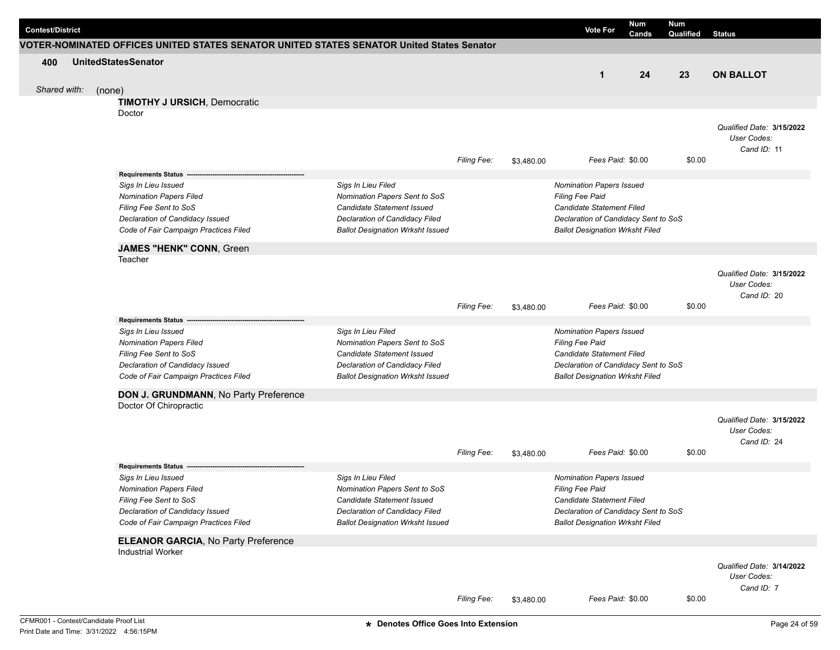| <b>Contest/District</b> |              |                                                                                           |                                                     |                    |            | <b>Vote For</b>                                    | <b>Num</b><br>Cands | Num<br>Qualified | <b>Status</b>             |
|-------------------------|--------------|-------------------------------------------------------------------------------------------|-----------------------------------------------------|--------------------|------------|----------------------------------------------------|---------------------|------------------|---------------------------|
|                         |              | VOTER-NOMINATED OFFICES UNITED STATES SENATOR UNITED STATES SENATOR United States Senator |                                                     |                    |            |                                                    |                     |                  |                           |
| 400                     |              | <b>UnitedStatesSenator</b>                                                                |                                                     |                    |            |                                                    |                     |                  |                           |
|                         |              |                                                                                           |                                                     |                    |            | $\mathbf{1}$                                       | 24                  | 23               | <b>ON BALLOT</b>          |
|                         | Shared with: | (none)                                                                                    |                                                     |                    |            |                                                    |                     |                  |                           |
|                         |              | <b>TIMOTHY J URSICH, Democratic</b>                                                       |                                                     |                    |            |                                                    |                     |                  |                           |
|                         |              | Doctor                                                                                    |                                                     |                    |            |                                                    |                     |                  |                           |
|                         |              |                                                                                           |                                                     |                    |            |                                                    |                     |                  | Qualified Date: 3/15/2022 |
|                         |              |                                                                                           |                                                     |                    |            |                                                    |                     |                  | User Codes:               |
|                         |              |                                                                                           |                                                     | <b>Filing Fee:</b> | \$3,480.00 | Fees Paid: \$0.00                                  |                     | \$0.00           | Cand ID: 11               |
|                         |              |                                                                                           |                                                     |                    |            |                                                    |                     |                  |                           |
|                         |              | <b>Requirements Status</b>                                                                |                                                     |                    |            |                                                    |                     |                  |                           |
|                         |              | Sigs In Lieu Issued<br><b>Nomination Papers Filed</b>                                     | Sigs In Lieu Filed<br>Nomination Papers Sent to SoS |                    |            | Nomination Papers Issued<br>Filing Fee Paid        |                     |                  |                           |
|                         |              | Filing Fee Sent to SoS                                                                    | <b>Candidate Statement Issued</b>                   |                    |            | Candidate Statement Filed                          |                     |                  |                           |
|                         |              | Declaration of Candidacy Issued                                                           | Declaration of Candidacy Filed                      |                    |            | Declaration of Candidacy Sent to SoS               |                     |                  |                           |
|                         |              | Code of Fair Campaign Practices Filed                                                     | <b>Ballot Designation Wrksht Issued</b>             |                    |            | <b>Ballot Designation Wrksht Filed</b>             |                     |                  |                           |
|                         |              | JAMES "HENK" CONN, Green                                                                  |                                                     |                    |            |                                                    |                     |                  |                           |
|                         |              | Teacher                                                                                   |                                                     |                    |            |                                                    |                     |                  |                           |
|                         |              |                                                                                           |                                                     |                    |            |                                                    |                     |                  | Qualified Date: 3/15/2022 |
|                         |              |                                                                                           |                                                     |                    |            |                                                    |                     |                  | User Codes:               |
|                         |              |                                                                                           |                                                     |                    |            |                                                    |                     |                  | Cand ID: 20               |
|                         |              |                                                                                           |                                                     | <b>Filing Fee:</b> | \$3,480.00 | Fees Paid: \$0.00                                  |                     | \$0.00           |                           |
|                         |              | Requirements Status -                                                                     |                                                     |                    |            |                                                    |                     |                  |                           |
|                         |              | Sigs In Lieu Issued<br><b>Nomination Papers Filed</b>                                     | Sigs In Lieu Filed<br>Nomination Papers Sent to SoS |                    |            | <b>Nomination Papers Issued</b><br>Filing Fee Paid |                     |                  |                           |
|                         |              | Filing Fee Sent to SoS                                                                    | <b>Candidate Statement Issued</b>                   |                    |            | Candidate Statement Filed                          |                     |                  |                           |
|                         |              | Declaration of Candidacy Issued                                                           | Declaration of Candidacy Filed                      |                    |            | Declaration of Candidacy Sent to SoS               |                     |                  |                           |
|                         |              | Code of Fair Campaign Practices Filed                                                     | <b>Ballot Designation Wrksht Issued</b>             |                    |            | <b>Ballot Designation Wrksht Filed</b>             |                     |                  |                           |
|                         |              | DON J. GRUNDMANN, No Party Preference                                                     |                                                     |                    |            |                                                    |                     |                  |                           |
|                         |              | Doctor Of Chiropractic                                                                    |                                                     |                    |            |                                                    |                     |                  |                           |
|                         |              |                                                                                           |                                                     |                    |            |                                                    |                     |                  | Qualified Date: 3/15/2022 |
|                         |              |                                                                                           |                                                     |                    |            |                                                    |                     |                  | User Codes:               |
|                         |              |                                                                                           |                                                     |                    |            |                                                    |                     |                  | Cand ID: 24               |
|                         |              |                                                                                           |                                                     | Filing Fee:        | \$3,480.00 | Fees Paid: \$0.00                                  |                     | \$0.00           |                           |
|                         |              | <b>Requirements Status</b>                                                                |                                                     |                    |            |                                                    |                     |                  |                           |
|                         |              | Sigs In Lieu Issued                                                                       | Sigs In Lieu Filed                                  |                    |            | <b>Nomination Papers Issued</b>                    |                     |                  |                           |
|                         |              | <b>Nomination Papers Filed</b>                                                            | Nomination Papers Sent to SoS                       |                    |            | <b>Filing Fee Paid</b>                             |                     |                  |                           |
|                         |              | Filing Fee Sent to SoS                                                                    | Candidate Statement Issued                          |                    |            | Candidate Statement Filed                          |                     |                  |                           |
|                         |              | Declaration of Candidacy Issued                                                           | Declaration of Candidacy Filed                      |                    |            | Declaration of Candidacy Sent to SoS               |                     |                  |                           |
|                         |              | Code of Fair Campaign Practices Filed                                                     | <b>Ballot Designation Wrksht Issued</b>             |                    |            | <b>Ballot Designation Wrksht Filed</b>             |                     |                  |                           |
|                         |              | <b>ELEANOR GARCIA, No Party Preference</b>                                                |                                                     |                    |            |                                                    |                     |                  |                           |
|                         |              | <b>Industrial Worker</b>                                                                  |                                                     |                    |            |                                                    |                     |                  |                           |
|                         |              |                                                                                           |                                                     |                    |            |                                                    |                     |                  | Qualified Date: 3/14/2022 |
|                         |              |                                                                                           |                                                     |                    |            |                                                    |                     |                  | User Codes:               |
|                         |              |                                                                                           |                                                     | <b>Filing Fee:</b> | \$3,480.00 | Fees Paid: \$0.00                                  |                     | \$0.00           | Cand ID: 7                |
|                         |              |                                                                                           |                                                     |                    |            |                                                    |                     |                  |                           |
|                         |              | CFMR001 - Contest/Candidate Proof List                                                    | * Denotes Office Goes Into Extension                |                    |            |                                                    |                     |                  | Page 24 of 59             |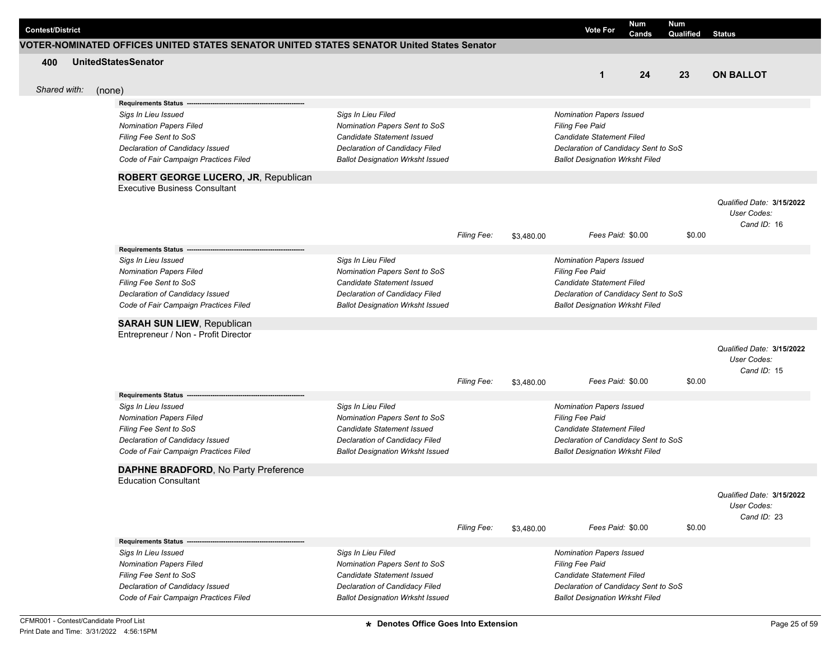|     | <b>Contest/District</b> |                                                                                           |                                                              |                    |            | <b>Vote For</b>                                                   | Num<br>Cands | <b>Num</b><br>Qualified | <b>Status</b>                            |
|-----|-------------------------|-------------------------------------------------------------------------------------------|--------------------------------------------------------------|--------------------|------------|-------------------------------------------------------------------|--------------|-------------------------|------------------------------------------|
|     |                         | VOTER-NOMINATED OFFICES UNITED STATES SENATOR UNITED STATES SENATOR United States Senator |                                                              |                    |            |                                                                   |              |                         |                                          |
| 400 |                         | <b>UnitedStatesSenator</b>                                                                |                                                              |                    |            |                                                                   |              |                         |                                          |
|     |                         |                                                                                           |                                                              |                    |            | $\mathbf{1}$                                                      | 24           | 23                      | <b>ON BALLOT</b>                         |
|     | Shared with:            | (none)                                                                                    |                                                              |                    |            |                                                                   |              |                         |                                          |
|     |                         | <b>Requirements Status</b>                                                                |                                                              |                    |            |                                                                   |              |                         |                                          |
|     |                         | Sigs In Lieu Issued                                                                       | Sigs In Lieu Filed                                           |                    |            | Nomination Papers Issued                                          |              |                         |                                          |
|     |                         | <b>Nomination Papers Filed</b>                                                            | Nomination Papers Sent to SoS                                |                    |            | <b>Filing Fee Paid</b>                                            |              |                         |                                          |
|     |                         | Filing Fee Sent to SoS                                                                    | Candidate Statement Issued                                   |                    |            | <b>Candidate Statement Filed</b>                                  |              |                         |                                          |
|     |                         | Declaration of Candidacy Issued                                                           | Declaration of Candidacy Filed                               |                    |            | Declaration of Candidacy Sent to SoS                              |              |                         |                                          |
|     |                         | Code of Fair Campaign Practices Filed                                                     | <b>Ballot Designation Wrksht Issued</b>                      |                    |            | <b>Ballot Designation Wrksht Filed</b>                            |              |                         |                                          |
|     |                         | ROBERT GEORGE LUCERO, JR, Republican                                                      |                                                              |                    |            |                                                                   |              |                         |                                          |
|     |                         | <b>Executive Business Consultant</b>                                                      |                                                              |                    |            |                                                                   |              |                         |                                          |
|     |                         |                                                                                           |                                                              |                    |            |                                                                   |              |                         | Qualified Date: 3/15/2022                |
|     |                         |                                                                                           |                                                              |                    |            |                                                                   |              |                         | User Codes:                              |
|     |                         |                                                                                           |                                                              | Filing Fee:        |            | Fees Paid: \$0.00                                                 |              | \$0.00                  | Cand ID: 16                              |
|     |                         |                                                                                           |                                                              |                    | \$3,480.00 |                                                                   |              |                         |                                          |
|     |                         | <b>Requirements Status -</b><br>Sigs In Lieu Issued                                       | Sigs In Lieu Filed                                           |                    |            | Nomination Papers Issued                                          |              |                         |                                          |
|     |                         | <b>Nomination Papers Filed</b>                                                            | Nomination Papers Sent to SoS                                |                    |            | Filing Fee Paid                                                   |              |                         |                                          |
|     |                         | Filing Fee Sent to SoS                                                                    | Candidate Statement Issued                                   |                    |            | <b>Candidate Statement Filed</b>                                  |              |                         |                                          |
|     |                         | Declaration of Candidacy Issued                                                           | Declaration of Candidacy Filed                               |                    |            | Declaration of Candidacy Sent to SoS                              |              |                         |                                          |
|     |                         | Code of Fair Campaign Practices Filed                                                     | <b>Ballot Designation Wrksht Issued</b>                      |                    |            | <b>Ballot Designation Wrksht Filed</b>                            |              |                         |                                          |
|     |                         | <b>SARAH SUN LIEW, Republican</b>                                                         |                                                              |                    |            |                                                                   |              |                         |                                          |
|     |                         | Entrepreneur / Non - Profit Director                                                      |                                                              |                    |            |                                                                   |              |                         |                                          |
|     |                         |                                                                                           |                                                              |                    |            |                                                                   |              |                         | Qualified Date: 3/15/2022                |
|     |                         |                                                                                           |                                                              |                    |            |                                                                   |              |                         | User Codes:                              |
|     |                         |                                                                                           |                                                              |                    |            |                                                                   |              |                         | Cand ID: 15                              |
|     |                         |                                                                                           |                                                              | <b>Filing Fee:</b> | \$3,480.00 | Fees Paid: \$0.00                                                 |              | \$0.00                  |                                          |
|     |                         | <b>Requirements Status</b>                                                                |                                                              |                    |            |                                                                   |              |                         |                                          |
|     |                         | Sigs In Lieu Issued                                                                       | Sigs In Lieu Filed                                           |                    |            | Nomination Papers Issued                                          |              |                         |                                          |
|     |                         | <b>Nomination Papers Filed</b>                                                            | Nomination Papers Sent to SoS                                |                    |            | Filing Fee Paid                                                   |              |                         |                                          |
|     |                         | Filing Fee Sent to SoS<br>Declaration of Candidacy Issued                                 | Candidate Statement Issued<br>Declaration of Candidacy Filed |                    |            | Candidate Statement Filed<br>Declaration of Candidacy Sent to SoS |              |                         |                                          |
|     |                         | Code of Fair Campaign Practices Filed                                                     | <b>Ballot Designation Wrksht Issued</b>                      |                    |            | <b>Ballot Designation Wrksht Filed</b>                            |              |                         |                                          |
|     |                         |                                                                                           |                                                              |                    |            |                                                                   |              |                         |                                          |
|     |                         | DAPHNE BRADFORD, No Party Preference                                                      |                                                              |                    |            |                                                                   |              |                         |                                          |
|     |                         | <b>Education Consultant</b>                                                               |                                                              |                    |            |                                                                   |              |                         |                                          |
|     |                         |                                                                                           |                                                              |                    |            |                                                                   |              |                         | Qualified Date: 3/15/2022<br>User Codes: |
|     |                         |                                                                                           |                                                              |                    |            |                                                                   |              |                         | Cand ID: 23                              |
|     |                         |                                                                                           |                                                              | <b>Filing Fee:</b> | \$3,480.00 | Fees Paid: \$0.00                                                 |              | \$0.00                  |                                          |
|     |                         | <b>Requirements Status -</b>                                                              |                                                              |                    |            |                                                                   |              |                         |                                          |
|     |                         | Sigs In Lieu Issued                                                                       | Sigs In Lieu Filed                                           |                    |            | Nomination Papers Issued                                          |              |                         |                                          |
|     |                         | <b>Nomination Papers Filed</b>                                                            | Nomination Papers Sent to SoS                                |                    |            | Filing Fee Paid                                                   |              |                         |                                          |
|     |                         | Filing Fee Sent to SoS                                                                    | Candidate Statement Issued                                   |                    |            | Candidate Statement Filed                                         |              |                         |                                          |
|     |                         | Declaration of Candidacy Issued                                                           | Declaration of Candidacy Filed                               |                    |            | Declaration of Candidacy Sent to SoS                              |              |                         |                                          |
|     |                         | Code of Fair Campaign Practices Filed                                                     | <b>Ballot Designation Wrksht Issued</b>                      |                    |            | <b>Ballot Designation Wrksht Filed</b>                            |              |                         |                                          |
|     |                         |                                                                                           |                                                              |                    |            |                                                                   |              |                         |                                          |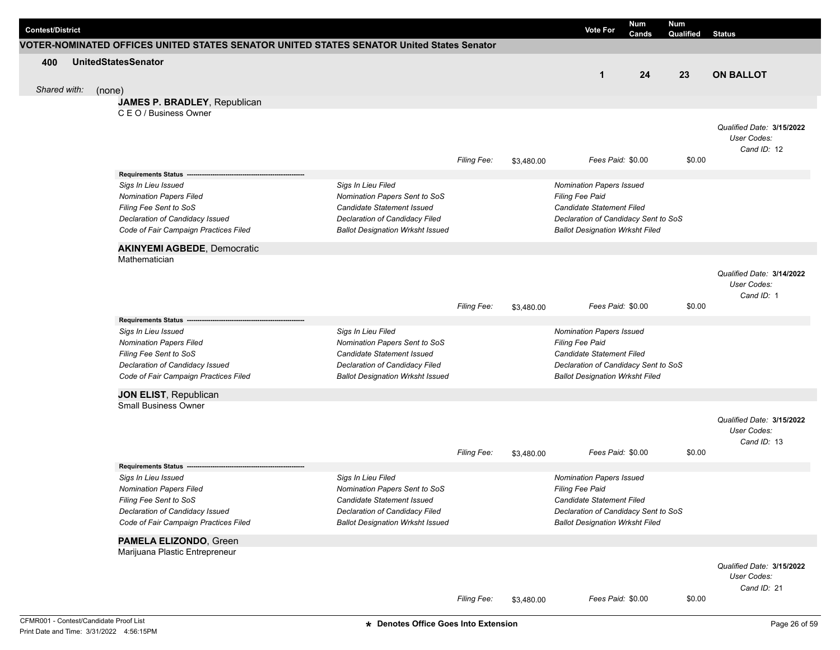| <b>Contest/District</b> |                                                                                           |                                                             |                    |            | <b>Vote For</b>                              | <b>Num</b><br>Cands | Num<br>Qualified | <b>Status</b>             |
|-------------------------|-------------------------------------------------------------------------------------------|-------------------------------------------------------------|--------------------|------------|----------------------------------------------|---------------------|------------------|---------------------------|
|                         | VOTER-NOMINATED OFFICES UNITED STATES SENATOR UNITED STATES SENATOR United States Senator |                                                             |                    |            |                                              |                     |                  |                           |
| 400                     | <b>UnitedStatesSenator</b>                                                                |                                                             |                    |            |                                              |                     |                  |                           |
|                         |                                                                                           |                                                             |                    |            | $\mathbf{1}$                                 | 24                  | 23               | <b>ON BALLOT</b>          |
| Shared with:            | (none)                                                                                    |                                                             |                    |            |                                              |                     |                  |                           |
|                         | JAMES P. BRADLEY, Republican                                                              |                                                             |                    |            |                                              |                     |                  |                           |
|                         | C E O / Business Owner                                                                    |                                                             |                    |            |                                              |                     |                  |                           |
|                         |                                                                                           |                                                             |                    |            |                                              |                     |                  | Qualified Date: 3/15/2022 |
|                         |                                                                                           |                                                             |                    |            |                                              |                     |                  | User Codes:               |
|                         |                                                                                           |                                                             |                    |            |                                              |                     |                  | Cand ID: 12               |
|                         |                                                                                           |                                                             | <b>Filing Fee:</b> | \$3,480.00 | Fees Paid: \$0.00                            |                     | \$0.00           |                           |
|                         | Requirements Status --                                                                    |                                                             |                    |            |                                              |                     |                  |                           |
|                         | Sigs In Lieu Issued                                                                       | Sigs In Lieu Filed                                          |                    |            | <b>Nomination Papers Issued</b>              |                     |                  |                           |
|                         | <b>Nomination Papers Filed</b><br>Filing Fee Sent to SoS                                  | Nomination Papers Sent to SoS<br>Candidate Statement Issued |                    |            | Filing Fee Paid<br>Candidate Statement Filed |                     |                  |                           |
|                         | Declaration of Candidacy Issued                                                           | Declaration of Candidacy Filed                              |                    |            | Declaration of Candidacy Sent to SoS         |                     |                  |                           |
|                         | Code of Fair Campaign Practices Filed                                                     | <b>Ballot Designation Wrksht Issued</b>                     |                    |            | <b>Ballot Designation Wrksht Filed</b>       |                     |                  |                           |
|                         |                                                                                           |                                                             |                    |            |                                              |                     |                  |                           |
|                         | <b>AKINYEMI AGBEDE, Democratic</b>                                                        |                                                             |                    |            |                                              |                     |                  |                           |
|                         | Mathematician                                                                             |                                                             |                    |            |                                              |                     |                  |                           |
|                         |                                                                                           |                                                             |                    |            |                                              |                     |                  | Qualified Date: 3/14/2022 |
|                         |                                                                                           |                                                             |                    |            |                                              |                     |                  | User Codes:<br>Cand ID: 1 |
|                         |                                                                                           |                                                             | Filing Fee:        | \$3,480.00 | Fees Paid: \$0.00                            |                     | \$0.00           |                           |
|                         | <b>Requirements Status</b>                                                                |                                                             |                    |            |                                              |                     |                  |                           |
|                         | Sigs In Lieu Issued                                                                       | Sigs In Lieu Filed                                          |                    |            | <b>Nomination Papers Issued</b>              |                     |                  |                           |
|                         | <b>Nomination Papers Filed</b>                                                            | Nomination Papers Sent to SoS                               |                    |            | Filing Fee Paid                              |                     |                  |                           |
|                         | Filing Fee Sent to SoS                                                                    | Candidate Statement Issued                                  |                    |            | Candidate Statement Filed                    |                     |                  |                           |
|                         | Declaration of Candidacy Issued                                                           | Declaration of Candidacy Filed                              |                    |            | Declaration of Candidacy Sent to SoS         |                     |                  |                           |
|                         | Code of Fair Campaign Practices Filed                                                     | <b>Ballot Designation Wrksht Issued</b>                     |                    |            | <b>Ballot Designation Wrksht Filed</b>       |                     |                  |                           |
|                         | JON ELIST, Republican                                                                     |                                                             |                    |            |                                              |                     |                  |                           |
|                         | <b>Small Business Owner</b>                                                               |                                                             |                    |            |                                              |                     |                  |                           |
|                         |                                                                                           |                                                             |                    |            |                                              |                     |                  | Qualified Date: 3/15/2022 |
|                         |                                                                                           |                                                             |                    |            |                                              |                     |                  | User Codes:               |
|                         |                                                                                           |                                                             |                    |            |                                              |                     |                  | Cand ID: 13               |
|                         |                                                                                           |                                                             | Filing Fee:        | \$3,480.00 | Fees Paid: \$0.00                            |                     | \$0.00           |                           |
|                         | <b>Requirements Status</b>                                                                |                                                             |                    |            |                                              |                     |                  |                           |
|                         | Sigs In Lieu Issued                                                                       | Sigs In Lieu Filed                                          |                    |            | <b>Nomination Papers Issued</b>              |                     |                  |                           |
|                         | <b>Nomination Papers Filed</b>                                                            | Nomination Papers Sent to SoS                               |                    |            | Filing Fee Paid                              |                     |                  |                           |
|                         | Filing Fee Sent to SoS                                                                    | Candidate Statement Issued                                  |                    |            | Candidate Statement Filed                    |                     |                  |                           |
|                         | Declaration of Candidacy Issued                                                           | <b>Declaration of Candidacy Filed</b>                       |                    |            | Declaration of Candidacy Sent to SoS         |                     |                  |                           |
|                         | Code of Fair Campaign Practices Filed                                                     | <b>Ballot Designation Wrksht Issued</b>                     |                    |            | <b>Ballot Designation Wrksht Filed</b>       |                     |                  |                           |
|                         | PAMELA ELIZONDO, Green                                                                    |                                                             |                    |            |                                              |                     |                  |                           |
|                         | Marijuana Plastic Entrepreneur                                                            |                                                             |                    |            |                                              |                     |                  |                           |
|                         |                                                                                           |                                                             |                    |            |                                              |                     |                  | Qualified Date: 3/15/2022 |
|                         |                                                                                           |                                                             |                    |            |                                              |                     |                  | User Codes:               |
|                         |                                                                                           |                                                             |                    |            |                                              |                     |                  | Cand ID: 21               |
|                         |                                                                                           |                                                             | Filing Fee:        | \$3,480.00 | Fees Paid: \$0.00                            |                     | \$0.00           |                           |
|                         | CFMR001 - Contest/Candidate Proof List                                                    | * Denotes Office Goes Into Extension                        |                    |            |                                              |                     |                  | Page 26 of 59             |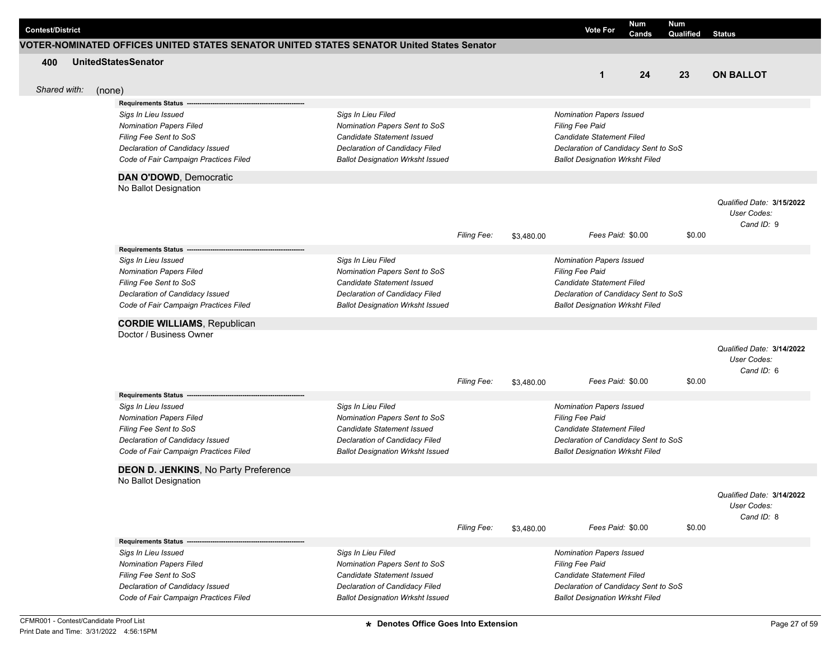| <b>Contest/District</b> |        |                                                                                                                                                                                                                                     |                                                                                                                                                                |                    |            | <b>Vote For</b>                                                                                                                                                          | Num<br>Cands | <b>Num</b><br>Qualified | <b>Status</b>                                          |
|-------------------------|--------|-------------------------------------------------------------------------------------------------------------------------------------------------------------------------------------------------------------------------------------|----------------------------------------------------------------------------------------------------------------------------------------------------------------|--------------------|------------|--------------------------------------------------------------------------------------------------------------------------------------------------------------------------|--------------|-------------------------|--------------------------------------------------------|
|                         |        | VOTER-NOMINATED OFFICES UNITED STATES SENATOR UNITED STATES SENATOR United States Senator                                                                                                                                           |                                                                                                                                                                |                    |            |                                                                                                                                                                          |              |                         |                                                        |
| 400<br>Shared with:     |        | <b>UnitedStatesSenator</b>                                                                                                                                                                                                          |                                                                                                                                                                |                    |            | $\mathbf{1}$                                                                                                                                                             | 24           | 23                      | <b>ON BALLOT</b>                                       |
|                         | (none) | <b>Requirements Status -</b>                                                                                                                                                                                                        |                                                                                                                                                                |                    |            |                                                                                                                                                                          |              |                         |                                                        |
|                         |        | Sigs In Lieu Issued<br><b>Nomination Papers Filed</b><br>Filing Fee Sent to SoS<br>Declaration of Candidacy Issued<br>Code of Fair Campaign Practices Filed                                                                         | Sigs In Lieu Filed<br>Nomination Papers Sent to SoS<br>Candidate Statement Issued<br>Declaration of Candidacy Filed<br><b>Ballot Designation Wrksht Issued</b> |                    |            | Nomination Papers Issued<br><b>Filing Fee Paid</b><br><b>Candidate Statement Filed</b><br>Declaration of Candidacy Sent to SoS<br><b>Ballot Designation Wrksht Filed</b> |              |                         |                                                        |
|                         |        | DAN O'DOWD, Democratic                                                                                                                                                                                                              |                                                                                                                                                                |                    |            |                                                                                                                                                                          |              |                         |                                                        |
|                         |        | No Ballot Designation                                                                                                                                                                                                               |                                                                                                                                                                | <b>Filing Fee:</b> | \$3,480.00 | Fees Paid: \$0.00                                                                                                                                                        |              | \$0.00                  | Qualified Date: 3/15/2022<br>User Codes:<br>Cand ID: 9 |
|                         |        | Requirements Status -                                                                                                                                                                                                               |                                                                                                                                                                |                    |            |                                                                                                                                                                          |              |                         |                                                        |
|                         |        | Sigs In Lieu Issued<br><b>Nomination Papers Filed</b><br>Filing Fee Sent to SoS<br>Declaration of Candidacy Issued<br>Code of Fair Campaign Practices Filed                                                                         | Sigs In Lieu Filed<br>Nomination Papers Sent to SoS<br>Candidate Statement Issued<br>Declaration of Candidacy Filed<br><b>Ballot Designation Wrksht Issued</b> |                    |            | Nomination Papers Issued<br>Filing Fee Paid<br><b>Candidate Statement Filed</b><br>Declaration of Candidacy Sent to SoS<br><b>Ballot Designation Wrksht Filed</b>        |              |                         |                                                        |
|                         |        | <b>CORDIE WILLIAMS, Republican</b>                                                                                                                                                                                                  |                                                                                                                                                                |                    |            |                                                                                                                                                                          |              |                         |                                                        |
|                         |        | Doctor / Business Owner                                                                                                                                                                                                             |                                                                                                                                                                | <b>Filing Fee:</b> | \$3,480.00 | Fees Paid: \$0.00                                                                                                                                                        |              | \$0.00                  | Qualified Date: 3/14/2022<br>User Codes:<br>Cand ID: 6 |
|                         |        | Requirements Status -<br>Sigs In Lieu Issued<br><b>Nomination Papers Filed</b><br>Filing Fee Sent to SoS<br>Declaration of Candidacy Issued<br>Code of Fair Campaign Practices Filed<br><b>DEON D. JENKINS, No Party Preference</b> | Sigs In Lieu Filed<br>Nomination Papers Sent to SoS<br>Candidate Statement Issued<br>Declaration of Candidacy Filed<br><b>Ballot Designation Wrksht Issued</b> |                    |            | Nomination Papers Issued<br>Filing Fee Paid<br><b>Candidate Statement Filed</b><br>Declaration of Candidacy Sent to SoS<br><b>Ballot Designation Wrksht Filed</b>        |              |                         |                                                        |
|                         |        | No Ballot Designation                                                                                                                                                                                                               |                                                                                                                                                                | Filing Fee:        | \$3,480.00 | Fees Paid: \$0.00                                                                                                                                                        |              | \$0.00                  | Qualified Date: 3/14/2022<br>User Codes:<br>Cand ID: 8 |
|                         |        | Requirements Status ---<br>Sigs In Lieu Issued<br><b>Nomination Papers Filed</b><br>Filing Fee Sent to SoS<br>Declaration of Candidacy Issued<br>Code of Fair Campaign Practices Filed                                              | Sigs In Lieu Filed<br>Nomination Papers Sent to SoS<br>Candidate Statement Issued<br>Declaration of Candidacy Filed<br><b>Ballot Designation Wrksht Issued</b> |                    |            | Nomination Papers Issued<br><b>Filing Fee Paid</b><br>Candidate Statement Filed<br>Declaration of Candidacy Sent to SoS<br><b>Ballot Designation Wrksht Filed</b>        |              |                         |                                                        |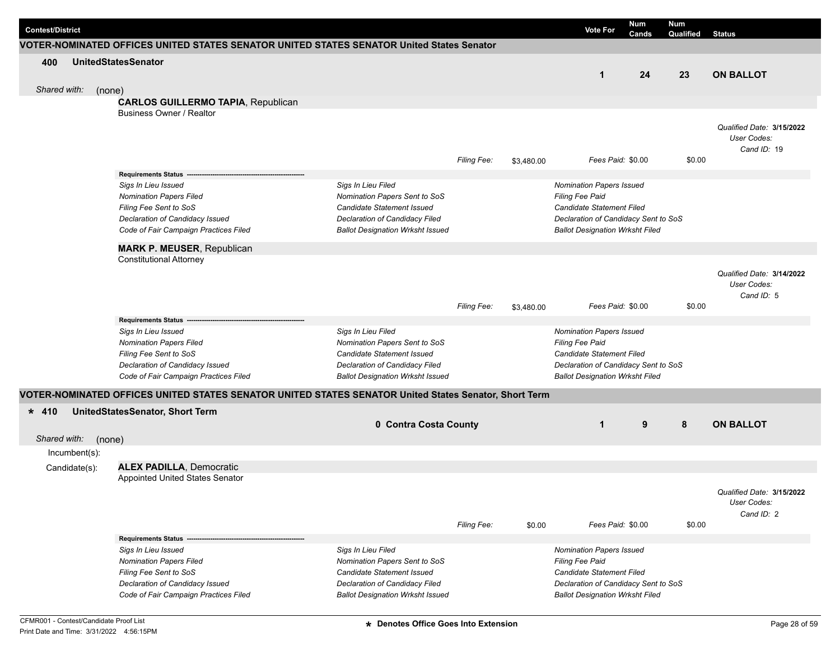|                         |               |                                                                                                       |                                         |                    |            |                                        | Num   |                  |                           |
|-------------------------|---------------|-------------------------------------------------------------------------------------------------------|-----------------------------------------|--------------------|------------|----------------------------------------|-------|------------------|---------------------------|
| <b>Contest/District</b> |               |                                                                                                       |                                         |                    |            | <b>Vote For</b>                        | Cands | Num<br>Qualified | <b>Status</b>             |
|                         |               | VOTER-NOMINATED OFFICES UNITED STATES SENATOR UNITED STATES SENATOR United States Senator             |                                         |                    |            |                                        |       |                  |                           |
| 400                     |               | <b>UnitedStatesSenator</b>                                                                            |                                         |                    |            |                                        |       |                  |                           |
|                         |               |                                                                                                       |                                         |                    |            | $\mathbf{1}$                           | 24    | 23               | <b>ON BALLOT</b>          |
| Shared with:            |               | (none)                                                                                                |                                         |                    |            |                                        |       |                  |                           |
|                         |               | <b>CARLOS GUILLERMO TAPIA, Republican</b>                                                             |                                         |                    |            |                                        |       |                  |                           |
|                         |               | Business Owner / Realtor                                                                              |                                         |                    |            |                                        |       |                  |                           |
|                         |               |                                                                                                       |                                         |                    |            |                                        |       |                  | Qualified Date: 3/15/2022 |
|                         |               |                                                                                                       |                                         |                    |            |                                        |       |                  | User Codes:               |
|                         |               |                                                                                                       |                                         |                    |            |                                        |       |                  | Cand ID: 19               |
|                         |               |                                                                                                       |                                         | <b>Filing Fee:</b> | \$3,480.00 | Fees Paid: \$0.00                      |       | \$0.00           |                           |
|                         |               | Requirements Status ------                                                                            |                                         |                    |            |                                        |       |                  |                           |
|                         |               | Sigs In Lieu Issued                                                                                   | Sigs In Lieu Filed                      |                    |            | Nomination Papers Issued               |       |                  |                           |
|                         |               | <b>Nomination Papers Filed</b>                                                                        | Nomination Papers Sent to SoS           |                    |            | Filing Fee Paid                        |       |                  |                           |
|                         |               | Filing Fee Sent to SoS                                                                                | Candidate Statement Issued              |                    |            | <b>Candidate Statement Filed</b>       |       |                  |                           |
|                         |               | Declaration of Candidacy Issued                                                                       | Declaration of Candidacy Filed          |                    |            | Declaration of Candidacy Sent to SoS   |       |                  |                           |
|                         |               | Code of Fair Campaign Practices Filed                                                                 | <b>Ballot Designation Wrksht Issued</b> |                    |            | <b>Ballot Designation Wrksht Filed</b> |       |                  |                           |
|                         |               | <b>MARK P. MEUSER, Republican</b>                                                                     |                                         |                    |            |                                        |       |                  |                           |
|                         |               | <b>Constitutional Attorney</b>                                                                        |                                         |                    |            |                                        |       |                  |                           |
|                         |               |                                                                                                       |                                         |                    |            |                                        |       |                  | Qualified Date: 3/14/2022 |
|                         |               |                                                                                                       |                                         |                    |            |                                        |       |                  | User Codes:               |
|                         |               |                                                                                                       |                                         |                    |            |                                        |       |                  | Cand ID: 5                |
|                         |               |                                                                                                       |                                         | <b>Filing Fee:</b> | \$3,480.00 | Fees Paid: \$0.00                      |       | \$0.00           |                           |
|                         |               | <b>Requirements Status</b>                                                                            |                                         |                    |            |                                        |       |                  |                           |
|                         |               | Sigs In Lieu Issued                                                                                   | Sigs In Lieu Filed                      |                    |            | Nomination Papers Issued               |       |                  |                           |
|                         |               | <b>Nomination Papers Filed</b>                                                                        | Nomination Papers Sent to SoS           |                    |            | Filing Fee Paid                        |       |                  |                           |
|                         |               | Filing Fee Sent to SoS                                                                                | Candidate Statement Issued              |                    |            | <b>Candidate Statement Filed</b>       |       |                  |                           |
|                         |               | Declaration of Candidacy Issued                                                                       | Declaration of Candidacy Filed          |                    |            | Declaration of Candidacy Sent to SoS   |       |                  |                           |
|                         |               | Code of Fair Campaign Practices Filed                                                                 | <b>Ballot Designation Wrksht Issued</b> |                    |            | <b>Ballot Designation Wrksht Filed</b> |       |                  |                           |
|                         |               | VOTER-NOMINATED OFFICES UNITED STATES SENATOR UNITED STATES SENATOR United States Senator, Short Term |                                         |                    |            |                                        |       |                  |                           |
| $* 410$                 |               | UnitedStatesSenator, Short Term                                                                       |                                         |                    |            |                                        |       |                  |                           |
|                         |               |                                                                                                       | 0 Contra Costa County                   |                    |            | $\mathbf{1}$                           | 9     | 8                | <b>ON BALLOT</b>          |
| Shared with:            |               | (none)                                                                                                |                                         |                    |            |                                        |       |                  |                           |
|                         | Incumbent(s): |                                                                                                       |                                         |                    |            |                                        |       |                  |                           |
|                         |               |                                                                                                       |                                         |                    |            |                                        |       |                  |                           |
|                         | Candidate(s): | <b>ALEX PADILLA, Democratic</b>                                                                       |                                         |                    |            |                                        |       |                  |                           |
|                         |               | Appointed United States Senator                                                                       |                                         |                    |            |                                        |       |                  |                           |
|                         |               |                                                                                                       |                                         |                    |            |                                        |       |                  | Qualified Date: 3/15/2022 |
|                         |               |                                                                                                       |                                         |                    |            |                                        |       |                  | User Codes:<br>Cand ID: 2 |
|                         |               |                                                                                                       |                                         | Filing Fee:        | \$0.00     | Fees Paid: \$0.00                      |       | \$0.00           |                           |
|                         |               | <b>Requirements Status --</b>                                                                         |                                         |                    |            |                                        |       |                  |                           |
|                         |               | Sigs In Lieu Issued                                                                                   | Sigs In Lieu Filed                      |                    |            | <b>Nomination Papers Issued</b>        |       |                  |                           |
|                         |               | <b>Nomination Papers Filed</b>                                                                        | Nomination Papers Sent to SoS           |                    |            | Filing Fee Paid                        |       |                  |                           |
|                         |               | Filing Fee Sent to SoS                                                                                | <b>Candidate Statement Issued</b>       |                    |            | Candidate Statement Filed              |       |                  |                           |
|                         |               | Declaration of Candidacy Issued                                                                       | Declaration of Candidacy Filed          |                    |            | Declaration of Candidacy Sent to SoS   |       |                  |                           |
|                         |               | Code of Fair Campaign Practices Filed                                                                 | <b>Ballot Designation Wrksht Issued</b> |                    |            | <b>Ballot Designation Wrksht Filed</b> |       |                  |                           |
|                         |               |                                                                                                       |                                         |                    |            |                                        |       |                  |                           |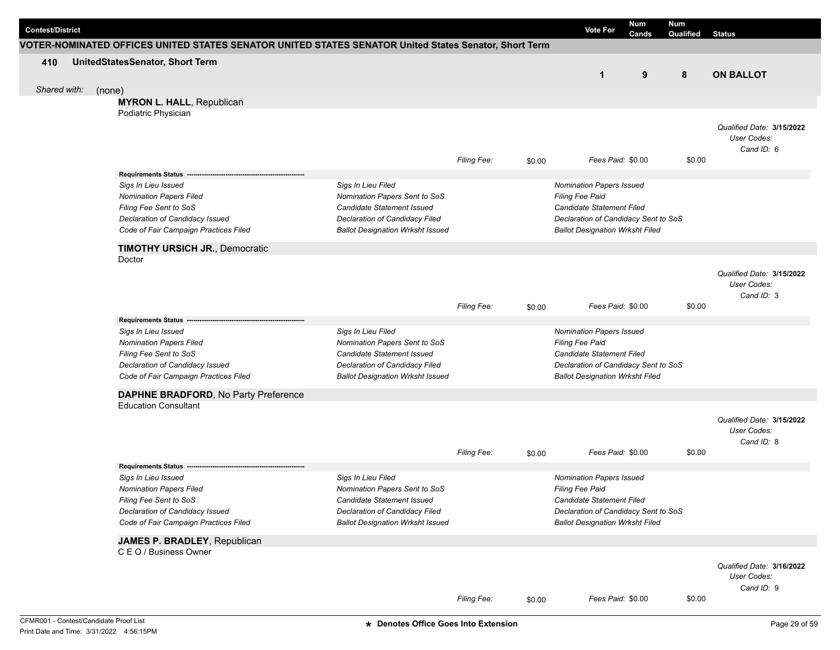| VOTER-NOMINATED OFFICES UNITED STATES SENATOR UNITED STATES SENATOR United States Senator, Short Term<br>UnitedStatesSenator, Short Term<br>410<br>9<br>8<br>1<br>Shared with:<br>(none)<br><b>MYRON L. HALL, Republican</b><br>Podiatric Physician<br>\$0.00<br>Fees Paid: \$0.00<br><b>Filing Fee:</b><br>\$0.00<br>Requirements Status ------<br>Sigs In Lieu Issued<br>Sigs In Lieu Filed<br><b>Nomination Papers Issued</b><br><b>Nomination Papers Filed</b><br>Nomination Papers Sent to SoS<br><b>Filing Fee Paid</b><br>Candidate Statement Filed<br>Filing Fee Sent to SoS<br>Candidate Statement Issued<br>Declaration of Candidacy Issued<br>Declaration of Candidacy Filed<br>Declaration of Candidacy Sent to SoS<br>Code of Fair Campaign Practices Filed<br><b>Ballot Designation Wrksht Issued</b><br><b>Ballot Designation Wrksht Filed</b><br><b>TIMOTHY URSICH JR., Democratic</b><br>Doctor<br>Filing Fee:<br>Fees Paid: \$0.00<br>\$0.00<br>\$0.00<br><b>Requirements Status</b><br>Sigs In Lieu Issued<br>Sigs In Lieu Filed<br><b>Nomination Papers Issued</b><br><b>Nomination Papers Filed</b><br>Nomination Papers Sent to SoS<br><b>Filing Fee Paid</b><br>Filing Fee Sent to SoS<br>Candidate Statement Issued<br><b>Candidate Statement Filed</b><br>Declaration of Candidacy Issued<br>Declaration of Candidacy Filed<br>Declaration of Candidacy Sent to SoS<br>Code of Fair Campaign Practices Filed<br><b>Ballot Designation Wrksht Issued</b><br><b>Ballot Designation Wrksht Filed</b><br>DAPHNE BRADFORD, No Party Preference<br><b>Education Consultant</b><br>Fees Paid: \$0.00<br><b>Filing Fee:</b><br>\$0.00<br>\$0.00<br><b>Requirements Status</b><br>Sigs In Lieu Issued<br>Sigs In Lieu Filed<br><b>Nomination Papers Issued</b><br><b>Nomination Papers Filed</b><br>Nomination Papers Sent to SoS<br>Filing Fee Paid<br>Filing Fee Sent to SoS<br>Candidate Statement Filed<br>Candidate Statement Issued<br>Declaration of Candidacy Issued<br>Declaration of Candidacy Filed<br>Declaration of Candidacy Sent to SoS<br>Code of Fair Campaign Practices Filed<br><b>Ballot Designation Wrksht Issued</b><br><b>Ballot Designation Wrksht Filed</b><br>JAMES P. BRADLEY, Republican<br>C E O / Business Owner | <b>Status</b>                                          | <b>Num</b><br>Qualified | Num<br>Cands | <b>Vote For</b> |  |  | <b>Contest/District</b> |
|----------------------------------------------------------------------------------------------------------------------------------------------------------------------------------------------------------------------------------------------------------------------------------------------------------------------------------------------------------------------------------------------------------------------------------------------------------------------------------------------------------------------------------------------------------------------------------------------------------------------------------------------------------------------------------------------------------------------------------------------------------------------------------------------------------------------------------------------------------------------------------------------------------------------------------------------------------------------------------------------------------------------------------------------------------------------------------------------------------------------------------------------------------------------------------------------------------------------------------------------------------------------------------------------------------------------------------------------------------------------------------------------------------------------------------------------------------------------------------------------------------------------------------------------------------------------------------------------------------------------------------------------------------------------------------------------------------------------------------------------------------------------------------------------------------------------------------------------------------------------------------------------------------------------------------------------------------------------------------------------------------------------------------------------------------------------------------------------------------------------------------------------------------------------------------------------------------------------------------------------------------------|--------------------------------------------------------|-------------------------|--------------|-----------------|--|--|-------------------------|
|                                                                                                                                                                                                                                                                                                                                                                                                                                                                                                                                                                                                                                                                                                                                                                                                                                                                                                                                                                                                                                                                                                                                                                                                                                                                                                                                                                                                                                                                                                                                                                                                                                                                                                                                                                                                                                                                                                                                                                                                                                                                                                                                                                                                                                                                |                                                        |                         |              |                 |  |  |                         |
|                                                                                                                                                                                                                                                                                                                                                                                                                                                                                                                                                                                                                                                                                                                                                                                                                                                                                                                                                                                                                                                                                                                                                                                                                                                                                                                                                                                                                                                                                                                                                                                                                                                                                                                                                                                                                                                                                                                                                                                                                                                                                                                                                                                                                                                                | <b>ON BALLOT</b>                                       |                         |              |                 |  |  |                         |
|                                                                                                                                                                                                                                                                                                                                                                                                                                                                                                                                                                                                                                                                                                                                                                                                                                                                                                                                                                                                                                                                                                                                                                                                                                                                                                                                                                                                                                                                                                                                                                                                                                                                                                                                                                                                                                                                                                                                                                                                                                                                                                                                                                                                                                                                |                                                        |                         |              |                 |  |  |                         |
|                                                                                                                                                                                                                                                                                                                                                                                                                                                                                                                                                                                                                                                                                                                                                                                                                                                                                                                                                                                                                                                                                                                                                                                                                                                                                                                                                                                                                                                                                                                                                                                                                                                                                                                                                                                                                                                                                                                                                                                                                                                                                                                                                                                                                                                                |                                                        |                         |              |                 |  |  |                         |
|                                                                                                                                                                                                                                                                                                                                                                                                                                                                                                                                                                                                                                                                                                                                                                                                                                                                                                                                                                                                                                                                                                                                                                                                                                                                                                                                                                                                                                                                                                                                                                                                                                                                                                                                                                                                                                                                                                                                                                                                                                                                                                                                                                                                                                                                | Qualified Date: 3/15/2022<br>User Codes:<br>Cand ID: 6 |                         |              |                 |  |  |                         |
|                                                                                                                                                                                                                                                                                                                                                                                                                                                                                                                                                                                                                                                                                                                                                                                                                                                                                                                                                                                                                                                                                                                                                                                                                                                                                                                                                                                                                                                                                                                                                                                                                                                                                                                                                                                                                                                                                                                                                                                                                                                                                                                                                                                                                                                                |                                                        |                         |              |                 |  |  |                         |
|                                                                                                                                                                                                                                                                                                                                                                                                                                                                                                                                                                                                                                                                                                                                                                                                                                                                                                                                                                                                                                                                                                                                                                                                                                                                                                                                                                                                                                                                                                                                                                                                                                                                                                                                                                                                                                                                                                                                                                                                                                                                                                                                                                                                                                                                |                                                        |                         |              |                 |  |  |                         |
|                                                                                                                                                                                                                                                                                                                                                                                                                                                                                                                                                                                                                                                                                                                                                                                                                                                                                                                                                                                                                                                                                                                                                                                                                                                                                                                                                                                                                                                                                                                                                                                                                                                                                                                                                                                                                                                                                                                                                                                                                                                                                                                                                                                                                                                                |                                                        |                         |              |                 |  |  |                         |
|                                                                                                                                                                                                                                                                                                                                                                                                                                                                                                                                                                                                                                                                                                                                                                                                                                                                                                                                                                                                                                                                                                                                                                                                                                                                                                                                                                                                                                                                                                                                                                                                                                                                                                                                                                                                                                                                                                                                                                                                                                                                                                                                                                                                                                                                | Qualified Date: 3/15/2022<br>User Codes:<br>Cand ID: 3 |                         |              |                 |  |  |                         |
|                                                                                                                                                                                                                                                                                                                                                                                                                                                                                                                                                                                                                                                                                                                                                                                                                                                                                                                                                                                                                                                                                                                                                                                                                                                                                                                                                                                                                                                                                                                                                                                                                                                                                                                                                                                                                                                                                                                                                                                                                                                                                                                                                                                                                                                                |                                                        |                         |              |                 |  |  |                         |
|                                                                                                                                                                                                                                                                                                                                                                                                                                                                                                                                                                                                                                                                                                                                                                                                                                                                                                                                                                                                                                                                                                                                                                                                                                                                                                                                                                                                                                                                                                                                                                                                                                                                                                                                                                                                                                                                                                                                                                                                                                                                                                                                                                                                                                                                |                                                        |                         |              |                 |  |  |                         |
|                                                                                                                                                                                                                                                                                                                                                                                                                                                                                                                                                                                                                                                                                                                                                                                                                                                                                                                                                                                                                                                                                                                                                                                                                                                                                                                                                                                                                                                                                                                                                                                                                                                                                                                                                                                                                                                                                                                                                                                                                                                                                                                                                                                                                                                                |                                                        |                         |              |                 |  |  |                         |
|                                                                                                                                                                                                                                                                                                                                                                                                                                                                                                                                                                                                                                                                                                                                                                                                                                                                                                                                                                                                                                                                                                                                                                                                                                                                                                                                                                                                                                                                                                                                                                                                                                                                                                                                                                                                                                                                                                                                                                                                                                                                                                                                                                                                                                                                | Qualified Date: 3/15/2022<br>User Codes:<br>Cand ID: 8 |                         |              |                 |  |  |                         |
|                                                                                                                                                                                                                                                                                                                                                                                                                                                                                                                                                                                                                                                                                                                                                                                                                                                                                                                                                                                                                                                                                                                                                                                                                                                                                                                                                                                                                                                                                                                                                                                                                                                                                                                                                                                                                                                                                                                                                                                                                                                                                                                                                                                                                                                                |                                                        |                         |              |                 |  |  |                         |
|                                                                                                                                                                                                                                                                                                                                                                                                                                                                                                                                                                                                                                                                                                                                                                                                                                                                                                                                                                                                                                                                                                                                                                                                                                                                                                                                                                                                                                                                                                                                                                                                                                                                                                                                                                                                                                                                                                                                                                                                                                                                                                                                                                                                                                                                |                                                        |                         |              |                 |  |  |                         |
|                                                                                                                                                                                                                                                                                                                                                                                                                                                                                                                                                                                                                                                                                                                                                                                                                                                                                                                                                                                                                                                                                                                                                                                                                                                                                                                                                                                                                                                                                                                                                                                                                                                                                                                                                                                                                                                                                                                                                                                                                                                                                                                                                                                                                                                                |                                                        |                         |              |                 |  |  |                         |
| <b>Filing Fee:</b><br>Fees Paid: \$0.00<br>\$0.00<br>\$0.00                                                                                                                                                                                                                                                                                                                                                                                                                                                                                                                                                                                                                                                                                                                                                                                                                                                                                                                                                                                                                                                                                                                                                                                                                                                                                                                                                                                                                                                                                                                                                                                                                                                                                                                                                                                                                                                                                                                                                                                                                                                                                                                                                                                                    | Qualified Date: 3/16/2022<br>User Codes:<br>Cand ID: 9 |                         |              |                 |  |  |                         |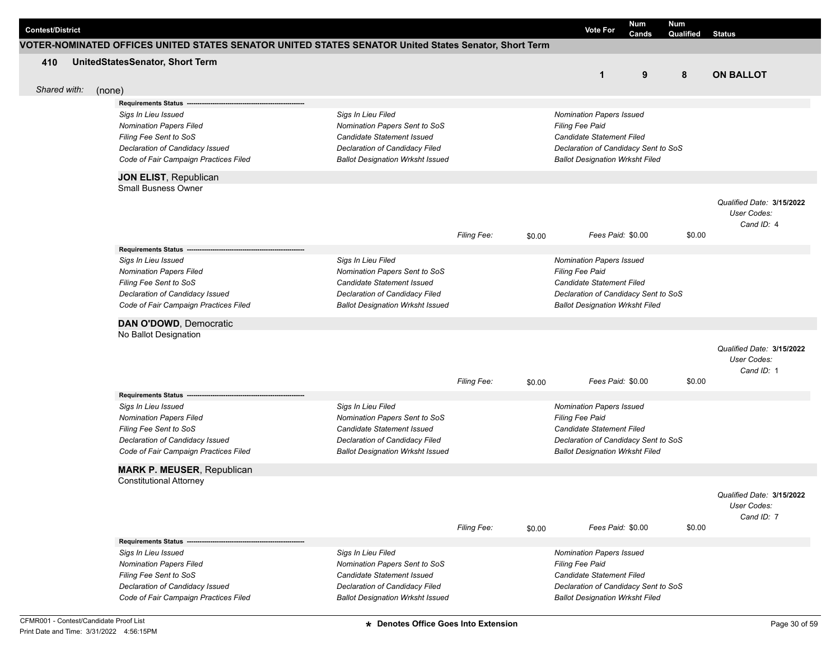| Num<br>Num<br><b>Contest/District</b><br><b>Vote For</b><br>Cands<br>Qualified<br>Status<br>VOTER-NOMINATED OFFICES UNITED STATES SENATOR UNITED STATES SENATOR United States Senator, Short Term<br>UnitedStatesSenator, Short Term<br>410<br>$\mathbf{1}$<br>9<br>8<br><b>ON BALLOT</b><br>Shared with:<br>(none)<br>Requirements Status --<br>Sigs In Lieu Filed<br>Sigs In Lieu Issued<br>Nomination Papers Issued<br><b>Nomination Papers Filed</b><br>Nomination Papers Sent to SoS<br><b>Filing Fee Paid</b><br>Filing Fee Sent to SoS<br>Candidate Statement Issued<br><b>Candidate Statement Filed</b><br>Declaration of Candidacy Issued<br>Declaration of Candidacy Filed<br>Declaration of Candidacy Sent to SoS<br>Code of Fair Campaign Practices Filed<br><b>Ballot Designation Wrksht Issued</b><br><b>Ballot Designation Wrksht Filed</b><br>JON ELIST, Republican<br>Small Busness Owner<br>Qualified Date: 3/15/2022<br>User Codes:<br>Cand ID: 4<br>Filing Fee:<br>Fees Paid: \$0.00<br>\$0.00<br>\$0.00<br>Requirements Status --<br>Sigs In Lieu Issued<br>Sigs In Lieu Filed<br>Nomination Papers Issued<br><b>Nomination Papers Filed</b><br>Nomination Papers Sent to SoS<br><b>Filing Fee Paid</b><br>Filing Fee Sent to SoS<br>Candidate Statement Issued<br><b>Candidate Statement Filed</b><br>Declaration of Candidacy Issued<br>Declaration of Candidacy Filed<br>Declaration of Candidacy Sent to SoS<br>Code of Fair Campaign Practices Filed<br><b>Ballot Designation Wrksht Issued</b><br><b>Ballot Designation Wrksht Filed</b><br>DAN O'DOWD, Democratic<br>No Ballot Designation<br>Qualified Date: 3/15/2022<br>User Codes:<br>Cand ID: 1<br>Fees Paid: \$0.00<br><b>Filing Fee:</b><br>\$0.00<br>\$0.00<br><b>Requirements Status</b><br>Sigs In Lieu Issued<br>Sigs In Lieu Filed<br>Nomination Papers Issued<br><b>Nomination Papers Filed</b><br>Nomination Papers Sent to SoS<br><b>Filing Fee Paid</b><br>Filing Fee Sent to SoS<br>Candidate Statement Issued<br>Candidate Statement Filed<br>Declaration of Candidacy Issued<br>Declaration of Candidacy Filed<br>Declaration of Candidacy Sent to SoS<br>Code of Fair Campaign Practices Filed<br><b>Ballot Designation Wrksht Issued</b><br><b>Ballot Designation Wrksht Filed</b><br><b>MARK P. MEUSER, Republican</b><br><b>Constitutional Attorney</b><br>Qualified Date: 3/15/2022<br>User Codes:<br>Cand ID: 7<br>\$0.00<br>Filing Fee:<br>Fees Paid: \$0.00<br>\$0.00<br><b>Requirements Status</b><br>Sigs In Lieu Issued<br>Sigs In Lieu Filed<br><b>Nomination Papers Issued</b><br><b>Nomination Papers Filed</b><br>Nomination Papers Sent to SoS<br>Filing Fee Paid<br>Filing Fee Sent to SoS<br><b>Candidate Statement Issued</b><br>Candidate Statement Filed<br>Declaration of Candidacy Issued<br>Declaration of Candidacy Filed<br>Declaration of Candidacy Sent to SoS<br>Code of Fair Campaign Practices Filed<br><b>Ballot Designation Wrksht Issued</b><br><b>Ballot Designation Wrksht Filed</b> |  |  |  |  |  |  |
|-------------------------------------------------------------------------------------------------------------------------------------------------------------------------------------------------------------------------------------------------------------------------------------------------------------------------------------------------------------------------------------------------------------------------------------------------------------------------------------------------------------------------------------------------------------------------------------------------------------------------------------------------------------------------------------------------------------------------------------------------------------------------------------------------------------------------------------------------------------------------------------------------------------------------------------------------------------------------------------------------------------------------------------------------------------------------------------------------------------------------------------------------------------------------------------------------------------------------------------------------------------------------------------------------------------------------------------------------------------------------------------------------------------------------------------------------------------------------------------------------------------------------------------------------------------------------------------------------------------------------------------------------------------------------------------------------------------------------------------------------------------------------------------------------------------------------------------------------------------------------------------------------------------------------------------------------------------------------------------------------------------------------------------------------------------------------------------------------------------------------------------------------------------------------------------------------------------------------------------------------------------------------------------------------------------------------------------------------------------------------------------------------------------------------------------------------------------------------------------------------------------------------------------------------------------------------------------------------------------------------------------------------------------------------------------------------------------------------------------------------------------------------------------------------------------------------------------------------------------------------------------------------------------------------------------------------------------------------------------------------------------------------|--|--|--|--|--|--|
|                                                                                                                                                                                                                                                                                                                                                                                                                                                                                                                                                                                                                                                                                                                                                                                                                                                                                                                                                                                                                                                                                                                                                                                                                                                                                                                                                                                                                                                                                                                                                                                                                                                                                                                                                                                                                                                                                                                                                                                                                                                                                                                                                                                                                                                                                                                                                                                                                                                                                                                                                                                                                                                                                                                                                                                                                                                                                                                                                                                                                         |  |  |  |  |  |  |
|                                                                                                                                                                                                                                                                                                                                                                                                                                                                                                                                                                                                                                                                                                                                                                                                                                                                                                                                                                                                                                                                                                                                                                                                                                                                                                                                                                                                                                                                                                                                                                                                                                                                                                                                                                                                                                                                                                                                                                                                                                                                                                                                                                                                                                                                                                                                                                                                                                                                                                                                                                                                                                                                                                                                                                                                                                                                                                                                                                                                                         |  |  |  |  |  |  |
|                                                                                                                                                                                                                                                                                                                                                                                                                                                                                                                                                                                                                                                                                                                                                                                                                                                                                                                                                                                                                                                                                                                                                                                                                                                                                                                                                                                                                                                                                                                                                                                                                                                                                                                                                                                                                                                                                                                                                                                                                                                                                                                                                                                                                                                                                                                                                                                                                                                                                                                                                                                                                                                                                                                                                                                                                                                                                                                                                                                                                         |  |  |  |  |  |  |
|                                                                                                                                                                                                                                                                                                                                                                                                                                                                                                                                                                                                                                                                                                                                                                                                                                                                                                                                                                                                                                                                                                                                                                                                                                                                                                                                                                                                                                                                                                                                                                                                                                                                                                                                                                                                                                                                                                                                                                                                                                                                                                                                                                                                                                                                                                                                                                                                                                                                                                                                                                                                                                                                                                                                                                                                                                                                                                                                                                                                                         |  |  |  |  |  |  |
|                                                                                                                                                                                                                                                                                                                                                                                                                                                                                                                                                                                                                                                                                                                                                                                                                                                                                                                                                                                                                                                                                                                                                                                                                                                                                                                                                                                                                                                                                                                                                                                                                                                                                                                                                                                                                                                                                                                                                                                                                                                                                                                                                                                                                                                                                                                                                                                                                                                                                                                                                                                                                                                                                                                                                                                                                                                                                                                                                                                                                         |  |  |  |  |  |  |
|                                                                                                                                                                                                                                                                                                                                                                                                                                                                                                                                                                                                                                                                                                                                                                                                                                                                                                                                                                                                                                                                                                                                                                                                                                                                                                                                                                                                                                                                                                                                                                                                                                                                                                                                                                                                                                                                                                                                                                                                                                                                                                                                                                                                                                                                                                                                                                                                                                                                                                                                                                                                                                                                                                                                                                                                                                                                                                                                                                                                                         |  |  |  |  |  |  |
|                                                                                                                                                                                                                                                                                                                                                                                                                                                                                                                                                                                                                                                                                                                                                                                                                                                                                                                                                                                                                                                                                                                                                                                                                                                                                                                                                                                                                                                                                                                                                                                                                                                                                                                                                                                                                                                                                                                                                                                                                                                                                                                                                                                                                                                                                                                                                                                                                                                                                                                                                                                                                                                                                                                                                                                                                                                                                                                                                                                                                         |  |  |  |  |  |  |
|                                                                                                                                                                                                                                                                                                                                                                                                                                                                                                                                                                                                                                                                                                                                                                                                                                                                                                                                                                                                                                                                                                                                                                                                                                                                                                                                                                                                                                                                                                                                                                                                                                                                                                                                                                                                                                                                                                                                                                                                                                                                                                                                                                                                                                                                                                                                                                                                                                                                                                                                                                                                                                                                                                                                                                                                                                                                                                                                                                                                                         |  |  |  |  |  |  |
|                                                                                                                                                                                                                                                                                                                                                                                                                                                                                                                                                                                                                                                                                                                                                                                                                                                                                                                                                                                                                                                                                                                                                                                                                                                                                                                                                                                                                                                                                                                                                                                                                                                                                                                                                                                                                                                                                                                                                                                                                                                                                                                                                                                                                                                                                                                                                                                                                                                                                                                                                                                                                                                                                                                                                                                                                                                                                                                                                                                                                         |  |  |  |  |  |  |
|                                                                                                                                                                                                                                                                                                                                                                                                                                                                                                                                                                                                                                                                                                                                                                                                                                                                                                                                                                                                                                                                                                                                                                                                                                                                                                                                                                                                                                                                                                                                                                                                                                                                                                                                                                                                                                                                                                                                                                                                                                                                                                                                                                                                                                                                                                                                                                                                                                                                                                                                                                                                                                                                                                                                                                                                                                                                                                                                                                                                                         |  |  |  |  |  |  |
|                                                                                                                                                                                                                                                                                                                                                                                                                                                                                                                                                                                                                                                                                                                                                                                                                                                                                                                                                                                                                                                                                                                                                                                                                                                                                                                                                                                                                                                                                                                                                                                                                                                                                                                                                                                                                                                                                                                                                                                                                                                                                                                                                                                                                                                                                                                                                                                                                                                                                                                                                                                                                                                                                                                                                                                                                                                                                                                                                                                                                         |  |  |  |  |  |  |
|                                                                                                                                                                                                                                                                                                                                                                                                                                                                                                                                                                                                                                                                                                                                                                                                                                                                                                                                                                                                                                                                                                                                                                                                                                                                                                                                                                                                                                                                                                                                                                                                                                                                                                                                                                                                                                                                                                                                                                                                                                                                                                                                                                                                                                                                                                                                                                                                                                                                                                                                                                                                                                                                                                                                                                                                                                                                                                                                                                                                                         |  |  |  |  |  |  |
|                                                                                                                                                                                                                                                                                                                                                                                                                                                                                                                                                                                                                                                                                                                                                                                                                                                                                                                                                                                                                                                                                                                                                                                                                                                                                                                                                                                                                                                                                                                                                                                                                                                                                                                                                                                                                                                                                                                                                                                                                                                                                                                                                                                                                                                                                                                                                                                                                                                                                                                                                                                                                                                                                                                                                                                                                                                                                                                                                                                                                         |  |  |  |  |  |  |
|                                                                                                                                                                                                                                                                                                                                                                                                                                                                                                                                                                                                                                                                                                                                                                                                                                                                                                                                                                                                                                                                                                                                                                                                                                                                                                                                                                                                                                                                                                                                                                                                                                                                                                                                                                                                                                                                                                                                                                                                                                                                                                                                                                                                                                                                                                                                                                                                                                                                                                                                                                                                                                                                                                                                                                                                                                                                                                                                                                                                                         |  |  |  |  |  |  |
|                                                                                                                                                                                                                                                                                                                                                                                                                                                                                                                                                                                                                                                                                                                                                                                                                                                                                                                                                                                                                                                                                                                                                                                                                                                                                                                                                                                                                                                                                                                                                                                                                                                                                                                                                                                                                                                                                                                                                                                                                                                                                                                                                                                                                                                                                                                                                                                                                                                                                                                                                                                                                                                                                                                                                                                                                                                                                                                                                                                                                         |  |  |  |  |  |  |
|                                                                                                                                                                                                                                                                                                                                                                                                                                                                                                                                                                                                                                                                                                                                                                                                                                                                                                                                                                                                                                                                                                                                                                                                                                                                                                                                                                                                                                                                                                                                                                                                                                                                                                                                                                                                                                                                                                                                                                                                                                                                                                                                                                                                                                                                                                                                                                                                                                                                                                                                                                                                                                                                                                                                                                                                                                                                                                                                                                                                                         |  |  |  |  |  |  |
|                                                                                                                                                                                                                                                                                                                                                                                                                                                                                                                                                                                                                                                                                                                                                                                                                                                                                                                                                                                                                                                                                                                                                                                                                                                                                                                                                                                                                                                                                                                                                                                                                                                                                                                                                                                                                                                                                                                                                                                                                                                                                                                                                                                                                                                                                                                                                                                                                                                                                                                                                                                                                                                                                                                                                                                                                                                                                                                                                                                                                         |  |  |  |  |  |  |
|                                                                                                                                                                                                                                                                                                                                                                                                                                                                                                                                                                                                                                                                                                                                                                                                                                                                                                                                                                                                                                                                                                                                                                                                                                                                                                                                                                                                                                                                                                                                                                                                                                                                                                                                                                                                                                                                                                                                                                                                                                                                                                                                                                                                                                                                                                                                                                                                                                                                                                                                                                                                                                                                                                                                                                                                                                                                                                                                                                                                                         |  |  |  |  |  |  |
|                                                                                                                                                                                                                                                                                                                                                                                                                                                                                                                                                                                                                                                                                                                                                                                                                                                                                                                                                                                                                                                                                                                                                                                                                                                                                                                                                                                                                                                                                                                                                                                                                                                                                                                                                                                                                                                                                                                                                                                                                                                                                                                                                                                                                                                                                                                                                                                                                                                                                                                                                                                                                                                                                                                                                                                                                                                                                                                                                                                                                         |  |  |  |  |  |  |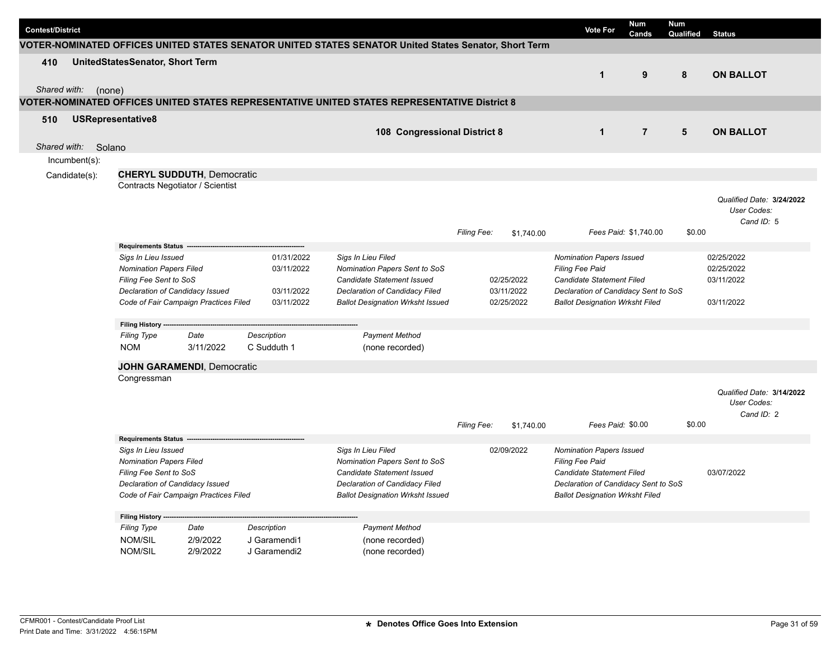| <b>Contest/District</b> |                                                                                                                    |                                                                                                                                                             |                                                      |                                                                                                                                                                |                                        | <b>Vote For</b>                                                                                                                                                          | <b>Num</b><br>Cands   | <b>Num</b><br>Qualified | <b>Status</b>                                          |
|-------------------------|--------------------------------------------------------------------------------------------------------------------|-------------------------------------------------------------------------------------------------------------------------------------------------------------|------------------------------------------------------|----------------------------------------------------------------------------------------------------------------------------------------------------------------|----------------------------------------|--------------------------------------------------------------------------------------------------------------------------------------------------------------------------|-----------------------|-------------------------|--------------------------------------------------------|
|                         |                                                                                                                    |                                                                                                                                                             |                                                      | VOTER-NOMINATED OFFICES UNITED STATES SENATOR UNITED STATES SENATOR United States Senator, Short Term                                                          |                                        |                                                                                                                                                                          |                       |                         |                                                        |
| 410<br>Shared with:     | UnitedStatesSenator, Short Term<br>(none)                                                                          |                                                                                                                                                             |                                                      |                                                                                                                                                                |                                        | $\mathbf 1$                                                                                                                                                              | 9                     | 8                       | <b>ON BALLOT</b>                                       |
|                         |                                                                                                                    |                                                                                                                                                             |                                                      | VOTER-NOMINATED OFFICES UNITED STATES REPRESENTATIVE UNITED STATES REPRESENTATIVE District 8                                                                   |                                        |                                                                                                                                                                          |                       |                         |                                                        |
| 510                     | USRepresentative8                                                                                                  |                                                                                                                                                             |                                                      | 108 Congressional District 8                                                                                                                                   |                                        | $\mathbf 1$                                                                                                                                                              | $\overline{7}$        | $5\phantom{1}$          | <b>ON BALLOT</b>                                       |
| Shared with:            | Solano                                                                                                             |                                                                                                                                                             |                                                      |                                                                                                                                                                |                                        |                                                                                                                                                                          |                       |                         |                                                        |
| Incumbent(s):           |                                                                                                                    |                                                                                                                                                             |                                                      |                                                                                                                                                                |                                        |                                                                                                                                                                          |                       |                         |                                                        |
| Candidate(s):           |                                                                                                                    | <b>CHERYL SUDDUTH, Democratic</b><br>Contracts Negotiator / Scientist                                                                                       |                                                      |                                                                                                                                                                |                                        |                                                                                                                                                                          |                       |                         |                                                        |
|                         |                                                                                                                    |                                                                                                                                                             |                                                      |                                                                                                                                                                | Filing Fee:<br>\$1,740.00              |                                                                                                                                                                          | Fees Paid: \$1,740.00 | \$0.00                  | Qualified Date: 3/24/2022<br>User Codes:<br>Cand ID: 5 |
|                         | <b>Requirements Status</b>                                                                                         |                                                                                                                                                             |                                                      |                                                                                                                                                                |                                        |                                                                                                                                                                          |                       |                         |                                                        |
|                         | Sigs In Lieu Issued<br><b>Nomination Papers Filed</b><br>Filing Fee Sent to SoS<br>Declaration of Candidacy Issued | Code of Fair Campaign Practices Filed                                                                                                                       | 01/31/2022<br>03/11/2022<br>03/11/2022<br>03/11/2022 | Sigs In Lieu Filed<br>Nomination Papers Sent to SoS<br>Candidate Statement Issued<br>Declaration of Candidacy Filed<br><b>Ballot Designation Wrksht Issued</b> | 02/25/2022<br>03/11/2022<br>02/25/2022 | <b>Nomination Papers Issued</b><br><b>Filing Fee Paid</b><br>Candidate Statement Filed<br>Declaration of Candidacy Sent to SoS<br><b>Ballot Designation Wrksht Filed</b> |                       |                         | 02/25/2022<br>02/25/2022<br>03/11/2022<br>03/11/2022   |
|                         | Filing History ---                                                                                                 |                                                                                                                                                             |                                                      |                                                                                                                                                                |                                        |                                                                                                                                                                          |                       |                         |                                                        |
|                         | <b>Filing Type</b><br><b>NOM</b>                                                                                   | Date<br>3/11/2022                                                                                                                                           | <b>Description</b><br>C Sudduth 1                    | <b>Payment Method</b><br>(none recorded)                                                                                                                       |                                        |                                                                                                                                                                          |                       |                         |                                                        |
|                         |                                                                                                                    | <b>JOHN GARAMENDI, Democratic</b>                                                                                                                           |                                                      |                                                                                                                                                                |                                        |                                                                                                                                                                          |                       |                         |                                                        |
|                         | Congressman                                                                                                        |                                                                                                                                                             |                                                      |                                                                                                                                                                |                                        |                                                                                                                                                                          |                       |                         |                                                        |
|                         |                                                                                                                    |                                                                                                                                                             |                                                      |                                                                                                                                                                | Filing Fee:<br>\$1,740.00              | Fees Paid: \$0.00                                                                                                                                                        |                       | \$0.00                  | Qualified Date: 3/14/2022<br>User Codes:<br>Cand ID: 2 |
|                         | <b>Requirements Status</b>                                                                                         |                                                                                                                                                             |                                                      |                                                                                                                                                                |                                        |                                                                                                                                                                          |                       |                         |                                                        |
|                         |                                                                                                                    | Sigs In Lieu Issued<br><b>Nomination Papers Filed</b><br>Filing Fee Sent to SoS<br>Declaration of Candidacy Issued<br>Code of Fair Campaign Practices Filed |                                                      | Sigs In Lieu Filed<br>Nomination Papers Sent to SoS<br>Candidate Statement Issued<br>Declaration of Candidacy Filed<br><b>Ballot Designation Wrksht Issued</b> | 02/09/2022                             | <b>Nomination Papers Issued</b><br>Filing Fee Paid<br>Candidate Statement Filed<br>Declaration of Candidacy Sent to SoS<br><b>Ballot Designation Wrksht Filed</b>        |                       |                         | 03/07/2022                                             |
|                         | Filing History --                                                                                                  |                                                                                                                                                             |                                                      |                                                                                                                                                                |                                        |                                                                                                                                                                          |                       |                         |                                                        |
|                         | <b>Filing Type</b><br><b>NOM/SIL</b><br><b>NOM/SIL</b>                                                             | Date<br>2/9/2022<br>2/9/2022                                                                                                                                | Description<br>J Garamendi1<br>J Garamendi2          | <b>Payment Method</b><br>(none recorded)<br>(none recorded)                                                                                                    |                                        |                                                                                                                                                                          |                       |                         |                                                        |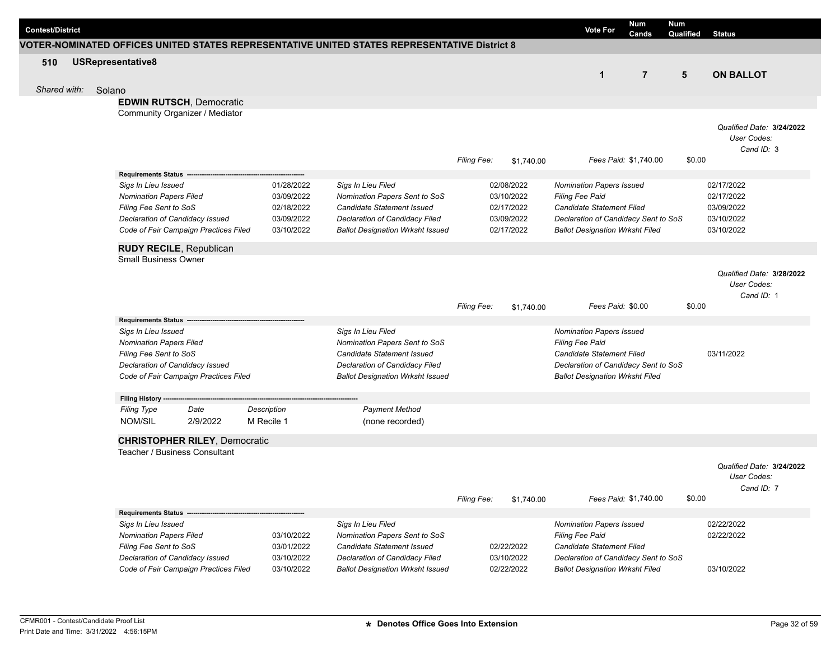| <b>Contest/District</b> |                                                       |                                       |                          |                                                                                              |                    |                          | Num<br><b>Vote For</b><br>Cands                                   | <b>Num</b><br>Qualified | <b>Status</b>             |
|-------------------------|-------------------------------------------------------|---------------------------------------|--------------------------|----------------------------------------------------------------------------------------------|--------------------|--------------------------|-------------------------------------------------------------------|-------------------------|---------------------------|
|                         |                                                       |                                       |                          | VOTER-NOMINATED OFFICES UNITED STATES REPRESENTATIVE UNITED STATES REPRESENTATIVE District 8 |                    |                          |                                                                   |                         |                           |
| 510                     | USRepresentative8                                     |                                       |                          |                                                                                              |                    |                          |                                                                   |                         |                           |
|                         |                                                       |                                       |                          |                                                                                              |                    |                          | $\overline{7}$<br>$\mathbf{1}$                                    | 5                       | <b>ON BALLOT</b>          |
| Shared with:            | Solano                                                |                                       |                          |                                                                                              |                    |                          |                                                                   |                         |                           |
|                         |                                                       | <b>EDWIN RUTSCH, Democratic</b>       |                          |                                                                                              |                    |                          |                                                                   |                         |                           |
|                         |                                                       | Community Organizer / Mediator        |                          |                                                                                              |                    |                          |                                                                   |                         |                           |
|                         |                                                       |                                       |                          |                                                                                              |                    |                          |                                                                   |                         | Qualified Date: 3/24/2022 |
|                         |                                                       |                                       |                          |                                                                                              |                    |                          |                                                                   |                         | User Codes:               |
|                         |                                                       |                                       |                          |                                                                                              |                    |                          |                                                                   |                         | Cand ID: 3                |
|                         |                                                       |                                       |                          |                                                                                              | <b>Filing Fee:</b> | \$1,740.00               | Fees Paid: \$1,740.00                                             | \$0.00                  |                           |
|                         | <b>Requirements Status</b>                            |                                       |                          |                                                                                              |                    |                          |                                                                   |                         |                           |
|                         | Sigs In Lieu Issued                                   |                                       | 01/28/2022               | Sigs In Lieu Filed                                                                           |                    | 02/08/2022               | Nomination Papers Issued                                          |                         | 02/17/2022                |
|                         | <b>Nomination Papers Filed</b>                        |                                       | 03/09/2022               | Nomination Papers Sent to SoS                                                                |                    | 03/10/2022               | Filing Fee Paid                                                   |                         | 02/17/2022                |
|                         | Filing Fee Sent to SoS                                |                                       | 02/18/2022<br>03/09/2022 | Candidate Statement Issued                                                                   |                    | 02/17/2022<br>03/09/2022 | Candidate Statement Filed<br>Declaration of Candidacy Sent to SoS |                         | 03/09/2022<br>03/10/2022  |
|                         | Declaration of Candidacy Issued                       | Code of Fair Campaign Practices Filed | 03/10/2022               | Declaration of Candidacy Filed<br><b>Ballot Designation Wrksht Issued</b>                    |                    | 02/17/2022               | <b>Ballot Designation Wrksht Filed</b>                            |                         | 03/10/2022                |
|                         |                                                       |                                       |                          |                                                                                              |                    |                          |                                                                   |                         |                           |
|                         | <b>RUDY RECILE, Republican</b>                        |                                       |                          |                                                                                              |                    |                          |                                                                   |                         |                           |
|                         | <b>Small Business Owner</b>                           |                                       |                          |                                                                                              |                    |                          |                                                                   |                         |                           |
|                         |                                                       |                                       |                          |                                                                                              |                    |                          |                                                                   |                         | Qualified Date: 3/28/2022 |
|                         |                                                       |                                       |                          |                                                                                              |                    |                          |                                                                   |                         | User Codes:<br>Cand ID: 1 |
|                         |                                                       |                                       |                          |                                                                                              | <b>Filing Fee:</b> | \$1,740.00               | Fees Paid: \$0.00                                                 | \$0.00                  |                           |
|                         | Requirements Status --                                |                                       |                          |                                                                                              |                    |                          |                                                                   |                         |                           |
|                         | Sigs In Lieu Issued                                   |                                       |                          | Sigs In Lieu Filed                                                                           |                    |                          | Nomination Papers Issued                                          |                         |                           |
|                         | <b>Nomination Papers Filed</b>                        |                                       |                          | Nomination Papers Sent to SoS                                                                |                    |                          | <b>Filing Fee Paid</b>                                            |                         |                           |
|                         | Filing Fee Sent to SoS                                |                                       |                          | Candidate Statement Issued                                                                   |                    |                          | <b>Candidate Statement Filed</b>                                  |                         | 03/11/2022                |
|                         | Declaration of Candidacy Issued                       |                                       |                          | Declaration of Candidacy Filed                                                               |                    |                          | Declaration of Candidacy Sent to SoS                              |                         |                           |
|                         |                                                       | Code of Fair Campaign Practices Filed |                          | <b>Ballot Designation Wrksht Issued</b>                                                      |                    |                          | <b>Ballot Designation Wrksht Filed</b>                            |                         |                           |
|                         | Filing History ---                                    |                                       |                          |                                                                                              |                    |                          |                                                                   |                         |                           |
|                         | <b>Filing Type</b>                                    | Date                                  | Description              | <b>Payment Method</b>                                                                        |                    |                          |                                                                   |                         |                           |
|                         | NOM/SIL                                               | 2/9/2022                              | M Recile 1               | (none recorded)                                                                              |                    |                          |                                                                   |                         |                           |
|                         |                                                       | <b>CHRISTOPHER RILEY, Democratic</b>  |                          |                                                                                              |                    |                          |                                                                   |                         |                           |
|                         |                                                       | Teacher / Business Consultant         |                          |                                                                                              |                    |                          |                                                                   |                         |                           |
|                         |                                                       |                                       |                          |                                                                                              |                    |                          |                                                                   |                         | Qualified Date: 3/24/2022 |
|                         |                                                       |                                       |                          |                                                                                              |                    |                          |                                                                   |                         | User Codes:               |
|                         |                                                       |                                       |                          |                                                                                              |                    |                          |                                                                   |                         | Cand ID: 7                |
|                         |                                                       |                                       |                          |                                                                                              | Filing Fee:        | \$1,740.00               | Fees Paid: \$1,740.00                                             | \$0.00                  |                           |
|                         | <b>Requirements Status -</b>                          |                                       |                          |                                                                                              |                    |                          |                                                                   |                         |                           |
|                         | Sigs In Lieu Issued<br><b>Nomination Papers Filed</b> |                                       | 03/10/2022               | Sigs In Lieu Filed<br>Nomination Papers Sent to SoS                                          |                    |                          | Nomination Papers Issued<br>Filing Fee Paid                       |                         | 02/22/2022<br>02/22/2022  |
|                         | Filing Fee Sent to SoS                                |                                       | 03/01/2022               | <b>Candidate Statement Issued</b>                                                            |                    | 02/22/2022               | Candidate Statement Filed                                         |                         |                           |
|                         | Declaration of Candidacy Issued                       |                                       | 03/10/2022               | Declaration of Candidacy Filed                                                               |                    | 03/10/2022               | Declaration of Candidacy Sent to SoS                              |                         |                           |
|                         |                                                       | Code of Fair Campaign Practices Filed | 03/10/2022               | <b>Ballot Designation Wrksht Issued</b>                                                      |                    | 02/22/2022               | <b>Ballot Designation Wrksht Filed</b>                            |                         | 03/10/2022                |
|                         |                                                       |                                       |                          |                                                                                              |                    |                          |                                                                   |                         |                           |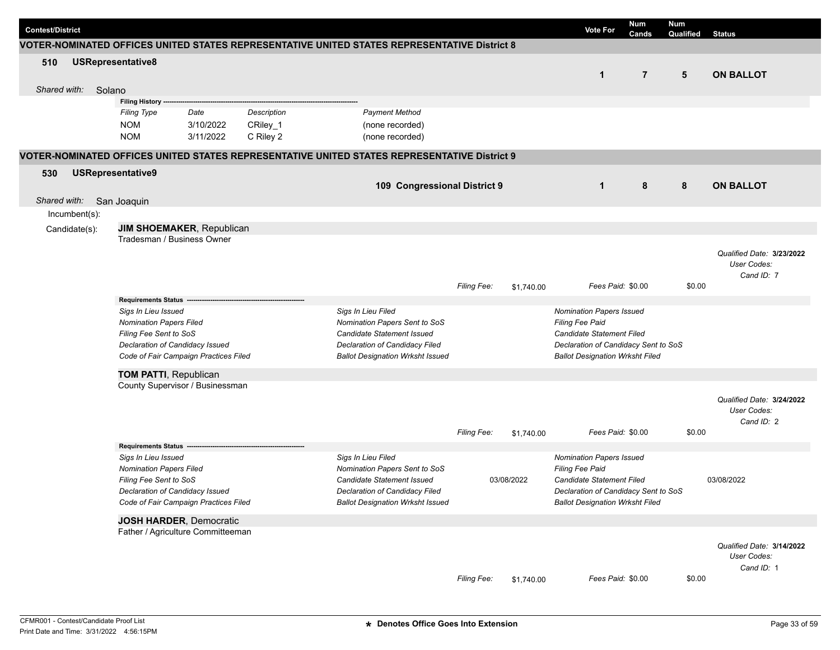| <b>Contest/District</b> |                                                                                                                                                             |                                       |                                      |                                                                                                                                                                |                    |            | <b>Vote For</b>                                                                                                                                                          | Num<br>Cands   | <b>Num</b><br>Qualified | <b>Status</b>                                          |
|-------------------------|-------------------------------------------------------------------------------------------------------------------------------------------------------------|---------------------------------------|--------------------------------------|----------------------------------------------------------------------------------------------------------------------------------------------------------------|--------------------|------------|--------------------------------------------------------------------------------------------------------------------------------------------------------------------------|----------------|-------------------------|--------------------------------------------------------|
|                         |                                                                                                                                                             |                                       |                                      | VOTER-NOMINATED OFFICES UNITED STATES REPRESENTATIVE UNITED STATES REPRESENTATIVE District 8                                                                   |                    |            |                                                                                                                                                                          |                |                         |                                                        |
| 510<br>Shared with:     | USRepresentative8<br>Solano                                                                                                                                 |                                       |                                      |                                                                                                                                                                |                    |            | $\mathbf{1}$                                                                                                                                                             | $\overline{7}$ | $5\phantom{.0}$         | <b>ON BALLOT</b>                                       |
|                         | Filing History --                                                                                                                                           |                                       |                                      |                                                                                                                                                                |                    |            |                                                                                                                                                                          |                |                         |                                                        |
|                         | <b>Filing Type</b><br><b>NOM</b><br><b>NOM</b>                                                                                                              | Date<br>3/10/2022<br>3/11/2022        | Description<br>CRiley_1<br>C Riley 2 | <b>Payment Method</b><br>(none recorded)<br>(none recorded)                                                                                                    |                    |            |                                                                                                                                                                          |                |                         |                                                        |
|                         |                                                                                                                                                             |                                       |                                      | VOTER-NOMINATED OFFICES UNITED STATES REPRESENTATIVE UNITED STATES REPRESENTATIVE District 9                                                                   |                    |            |                                                                                                                                                                          |                |                         |                                                        |
| 530<br>Shared with:     | <b>USRepresentative9</b><br>San Joaquin                                                                                                                     |                                       |                                      | 109 Congressional District 9                                                                                                                                   |                    |            | $\mathbf{1}$                                                                                                                                                             | 8              | 8                       | <b>ON BALLOT</b>                                       |
| Incumbent(s):           |                                                                                                                                                             |                                       |                                      |                                                                                                                                                                |                    |            |                                                                                                                                                                          |                |                         |                                                        |
|                         | <b>JIM SHOEMAKER, Republican</b>                                                                                                                            |                                       |                                      |                                                                                                                                                                |                    |            |                                                                                                                                                                          |                |                         |                                                        |
| Candidate(s):           | Tradesman / Business Owner                                                                                                                                  |                                       |                                      |                                                                                                                                                                |                    |            |                                                                                                                                                                          |                |                         | Qualified Date: 3/23/2022<br>User Codes:<br>Cand ID: 7 |
|                         | Requirements Status ---                                                                                                                                     |                                       |                                      |                                                                                                                                                                | Filing Fee:        | \$1,740.00 | Fees Paid: \$0.00                                                                                                                                                        |                | \$0.00                  |                                                        |
|                         | Sigs In Lieu Issued<br><b>Nomination Papers Filed</b><br>Filing Fee Sent to SoS<br>Declaration of Candidacy Issued<br>Code of Fair Campaign Practices Filed |                                       |                                      | Sigs In Lieu Filed<br>Nomination Papers Sent to SoS<br>Candidate Statement Issued<br>Declaration of Candidacy Filed<br><b>Ballot Designation Wrksht Issued</b> |                    |            | <b>Nomination Papers Issued</b><br>Filing Fee Paid<br><b>Candidate Statement Filed</b><br>Declaration of Candidacy Sent to SoS<br><b>Ballot Designation Wrksht Filed</b> |                |                         |                                                        |
|                         | <b>TOM PATTI, Republican</b>                                                                                                                                |                                       |                                      |                                                                                                                                                                |                    |            |                                                                                                                                                                          |                |                         |                                                        |
|                         | County Supervisor / Businessman                                                                                                                             |                                       |                                      |                                                                                                                                                                | Filing Fee:        | \$1,740.00 | Fees Paid: \$0.00                                                                                                                                                        |                | \$0.00                  | Qualified Date: 3/24/2022<br>User Codes:<br>Cand ID: 2 |
|                         | <b>Requirements Status</b>                                                                                                                                  |                                       |                                      |                                                                                                                                                                |                    |            |                                                                                                                                                                          |                |                         |                                                        |
|                         | Sigs In Lieu Issued<br><b>Nomination Papers Filed</b><br>Filing Fee Sent to SoS<br>Declaration of Candidacy Issued                                          | Code of Fair Campaign Practices Filed |                                      | Sigs In Lieu Filed<br>Nomination Papers Sent to SoS<br>Candidate Statement Issued<br>Declaration of Candidacy Filed<br><b>Ballot Designation Wrksht Issued</b> |                    | 03/08/2022 | <b>Nomination Papers Issued</b><br>Filing Fee Paid<br><b>Candidate Statement Filed</b><br>Declaration of Candidacy Sent to SoS<br><b>Ballot Designation Wrksht Filed</b> |                |                         | 03/08/2022                                             |
|                         | JOSH HARDER, Democratic                                                                                                                                     |                                       |                                      |                                                                                                                                                                |                    |            |                                                                                                                                                                          |                |                         |                                                        |
|                         | Father / Agriculture Committeeman                                                                                                                           |                                       |                                      |                                                                                                                                                                | <b>Filing Fee:</b> | \$1,740.00 | Fees Paid: \$0.00                                                                                                                                                        |                | \$0.00                  | Qualified Date: 3/14/2022<br>User Codes:<br>Cand ID: 1 |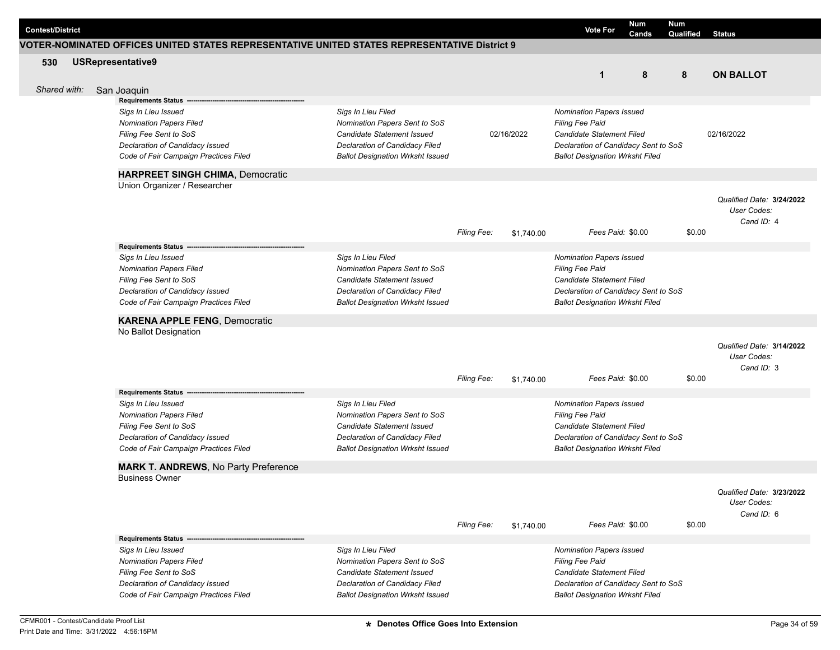| <b>Contest/District</b> |              |                                                                                              |                                                                           |                    |            | <b>Vote For</b>                                           | Num<br>Cands | <b>Num</b><br>Qualified | <b>Status</b>                            |
|-------------------------|--------------|----------------------------------------------------------------------------------------------|---------------------------------------------------------------------------|--------------------|------------|-----------------------------------------------------------|--------------|-------------------------|------------------------------------------|
|                         |              | VOTER-NOMINATED OFFICES UNITED STATES REPRESENTATIVE UNITED STATES REPRESENTATIVE District 9 |                                                                           |                    |            |                                                           |              |                         |                                          |
| 530                     |              | <b>USRepresentative9</b>                                                                     |                                                                           |                    |            |                                                           |              |                         |                                          |
|                         |              |                                                                                              |                                                                           |                    |            | $\mathbf{1}$                                              | 8            | 8                       | <b>ON BALLOT</b>                         |
|                         | Shared with: | San Joaquin                                                                                  |                                                                           |                    |            |                                                           |              |                         |                                          |
|                         |              | Requirements Status -                                                                        |                                                                           |                    |            |                                                           |              |                         |                                          |
|                         |              | Sigs In Lieu Issued                                                                          | Sigs In Lieu Filed                                                        |                    |            | <b>Nomination Papers Issued</b>                           |              |                         |                                          |
|                         |              | <b>Nomination Papers Filed</b>                                                               | Nomination Papers Sent to SoS                                             |                    |            | <b>Filing Fee Paid</b>                                    |              |                         |                                          |
|                         |              | Filing Fee Sent to SoS                                                                       | Candidate Statement Issued                                                |                    | 02/16/2022 | <b>Candidate Statement Filed</b>                          |              |                         | 02/16/2022                               |
|                         |              | Declaration of Candidacy Issued                                                              | Declaration of Candidacy Filed                                            |                    |            | Declaration of Candidacy Sent to SoS                      |              |                         |                                          |
|                         |              | Code of Fair Campaign Practices Filed                                                        | <b>Ballot Designation Wrksht Issued</b>                                   |                    |            | <b>Ballot Designation Wrksht Filed</b>                    |              |                         |                                          |
|                         |              | <b>HARPREET SINGH CHIMA, Democratic</b>                                                      |                                                                           |                    |            |                                                           |              |                         |                                          |
|                         |              | Union Organizer / Researcher                                                                 |                                                                           |                    |            |                                                           |              |                         |                                          |
|                         |              |                                                                                              |                                                                           |                    |            |                                                           |              |                         | Qualified Date: 3/24/2022                |
|                         |              |                                                                                              |                                                                           |                    |            |                                                           |              |                         | User Codes:                              |
|                         |              |                                                                                              |                                                                           |                    |            |                                                           |              |                         | Cand ID: 4                               |
|                         |              |                                                                                              |                                                                           | <b>Filing Fee:</b> | \$1,740.00 | Fees Paid: \$0.00                                         |              | \$0.00                  |                                          |
|                         |              | <b>Requirements Status</b>                                                                   |                                                                           |                    |            |                                                           |              |                         |                                          |
|                         |              | Sigs In Lieu Issued                                                                          | Sigs In Lieu Filed                                                        |                    |            | Nomination Papers Issued                                  |              |                         |                                          |
|                         |              | <b>Nomination Papers Filed</b>                                                               | Nomination Papers Sent to SoS                                             |                    |            | <b>Filing Fee Paid</b>                                    |              |                         |                                          |
|                         |              | Filing Fee Sent to SoS                                                                       | Candidate Statement Issued                                                |                    |            | Candidate Statement Filed                                 |              |                         |                                          |
|                         |              | Declaration of Candidacy Issued<br>Code of Fair Campaign Practices Filed                     | Declaration of Candidacy Filed<br><b>Ballot Designation Wrksht Issued</b> |                    |            | Declaration of Candidacy Sent to SoS                      |              |                         |                                          |
|                         |              |                                                                                              |                                                                           |                    |            | <b>Ballot Designation Wrksht Filed</b>                    |              |                         |                                          |
|                         |              | <b>KARENA APPLE FENG, Democratic</b>                                                         |                                                                           |                    |            |                                                           |              |                         |                                          |
|                         |              | No Ballot Designation                                                                        |                                                                           |                    |            |                                                           |              |                         |                                          |
|                         |              |                                                                                              |                                                                           |                    |            |                                                           |              |                         | Qualified Date: 3/14/2022                |
|                         |              |                                                                                              |                                                                           |                    |            |                                                           |              |                         | User Codes:                              |
|                         |              |                                                                                              |                                                                           |                    |            | Fees Paid: \$0.00                                         |              | \$0.00                  | Cand ID: 3                               |
|                         |              |                                                                                              |                                                                           | <b>Filing Fee:</b> | \$1,740.00 |                                                           |              |                         |                                          |
|                         |              | <b>Requirements Status -</b>                                                                 |                                                                           |                    |            |                                                           |              |                         |                                          |
|                         |              | Sigs In Lieu Issued<br><b>Nomination Papers Filed</b>                                        | Sigs In Lieu Filed<br>Nomination Papers Sent to SoS                       |                    |            | <b>Nomination Papers Issued</b><br><b>Filing Fee Paid</b> |              |                         |                                          |
|                         |              | Filing Fee Sent to SoS                                                                       | Candidate Statement Issued                                                |                    |            | Candidate Statement Filed                                 |              |                         |                                          |
|                         |              | Declaration of Candidacy Issued                                                              | Declaration of Candidacy Filed                                            |                    |            | Declaration of Candidacy Sent to SoS                      |              |                         |                                          |
|                         |              | Code of Fair Campaign Practices Filed                                                        | <b>Ballot Designation Wrksht Issued</b>                                   |                    |            | <b>Ballot Designation Wrksht Filed</b>                    |              |                         |                                          |
|                         |              |                                                                                              |                                                                           |                    |            |                                                           |              |                         |                                          |
|                         |              | <b>MARK T. ANDREWS, No Party Preference</b><br><b>Business Owner</b>                         |                                                                           |                    |            |                                                           |              |                         |                                          |
|                         |              |                                                                                              |                                                                           |                    |            |                                                           |              |                         |                                          |
|                         |              |                                                                                              |                                                                           |                    |            |                                                           |              |                         | Qualified Date: 3/23/2022<br>User Codes: |
|                         |              |                                                                                              |                                                                           |                    |            |                                                           |              |                         | Cand ID: 6                               |
|                         |              |                                                                                              |                                                                           | Filing Fee:        | \$1,740.00 | Fees Paid: \$0.00                                         |              | \$0.00                  |                                          |
|                         |              | Requirements Status --                                                                       |                                                                           |                    |            |                                                           |              |                         |                                          |
|                         |              | Sigs In Lieu Issued                                                                          | Sigs In Lieu Filed                                                        |                    |            | <b>Nomination Papers Issued</b>                           |              |                         |                                          |
|                         |              | <b>Nomination Papers Filed</b>                                                               | Nomination Papers Sent to SoS                                             |                    |            | <b>Filing Fee Paid</b>                                    |              |                         |                                          |
|                         |              | Filing Fee Sent to SoS                                                                       | <b>Candidate Statement Issued</b>                                         |                    |            | Candidate Statement Filed                                 |              |                         |                                          |
|                         |              | Declaration of Candidacy Issued                                                              | Declaration of Candidacy Filed                                            |                    |            | Declaration of Candidacy Sent to SoS                      |              |                         |                                          |
|                         |              | Code of Fair Campaign Practices Filed                                                        | <b>Ballot Designation Wrksht Issued</b>                                   |                    |            | <b>Ballot Designation Wrksht Filed</b>                    |              |                         |                                          |
|                         |              |                                                                                              |                                                                           |                    |            |                                                           |              |                         |                                          |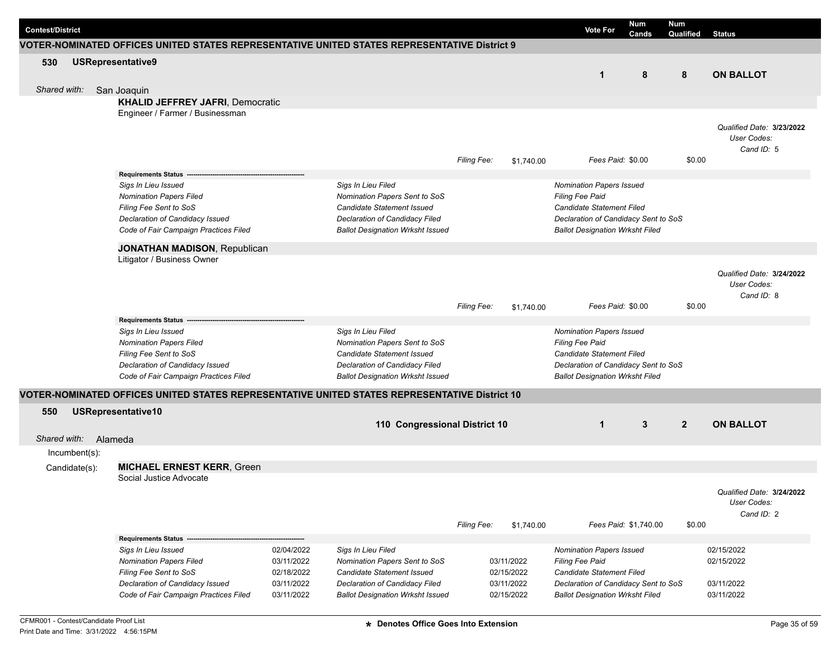| <b>Contest/District</b> |                                                                                               |            |                                         |                    |            | <b>Vote For</b>                        | Num<br>Cands          | <b>Num</b><br>Qualified | <b>Status</b>             |
|-------------------------|-----------------------------------------------------------------------------------------------|------------|-----------------------------------------|--------------------|------------|----------------------------------------|-----------------------|-------------------------|---------------------------|
|                         | VOTER-NOMINATED OFFICES UNITED STATES REPRESENTATIVE UNITED STATES REPRESENTATIVE District 9  |            |                                         |                    |            |                                        |                       |                         |                           |
| 530                     | <b>USRepresentative9</b>                                                                      |            |                                         |                    |            |                                        |                       |                         |                           |
|                         |                                                                                               |            |                                         |                    |            | $\mathbf{1}$                           | 8                     | 8                       | <b>ON BALLOT</b>          |
| Shared with:            | San Joaquin                                                                                   |            |                                         |                    |            |                                        |                       |                         |                           |
|                         | <b>KHALID JEFFREY JAFRI, Democratic</b>                                                       |            |                                         |                    |            |                                        |                       |                         |                           |
|                         | Engineer / Farmer / Businessman                                                               |            |                                         |                    |            |                                        |                       |                         |                           |
|                         |                                                                                               |            |                                         |                    |            |                                        |                       |                         | Qualified Date: 3/23/2022 |
|                         |                                                                                               |            |                                         |                    |            |                                        |                       |                         | User Codes:               |
|                         |                                                                                               |            |                                         |                    |            |                                        |                       |                         | Cand ID: 5                |
|                         |                                                                                               |            |                                         | Filing Fee:        | \$1,740.00 |                                        | Fees Paid: \$0.00     | \$0.00                  |                           |
|                         | Requirements Status --                                                                        |            |                                         |                    |            |                                        |                       |                         |                           |
|                         | Sigs In Lieu Issued                                                                           |            | Sigs In Lieu Filed                      |                    |            | <b>Nomination Papers Issued</b>        |                       |                         |                           |
|                         | <b>Nomination Papers Filed</b>                                                                |            | Nomination Papers Sent to SoS           |                    |            | <b>Filing Fee Paid</b>                 |                       |                         |                           |
|                         | Filing Fee Sent to SoS                                                                        |            | Candidate Statement Issued              |                    |            | <b>Candidate Statement Filed</b>       |                       |                         |                           |
|                         | Declaration of Candidacy Issued                                                               |            | Declaration of Candidacy Filed          |                    |            | Declaration of Candidacy Sent to SoS   |                       |                         |                           |
|                         | Code of Fair Campaign Practices Filed                                                         |            | <b>Ballot Designation Wrksht Issued</b> |                    |            | <b>Ballot Designation Wrksht Filed</b> |                       |                         |                           |
|                         | <b>JONATHAN MADISON, Republican</b>                                                           |            |                                         |                    |            |                                        |                       |                         |                           |
|                         | Litigator / Business Owner                                                                    |            |                                         |                    |            |                                        |                       |                         |                           |
|                         |                                                                                               |            |                                         |                    |            |                                        |                       |                         | Qualified Date: 3/24/2022 |
|                         |                                                                                               |            |                                         |                    |            |                                        |                       |                         | User Codes:               |
|                         |                                                                                               |            |                                         |                    |            |                                        |                       |                         | Cand ID: 8                |
|                         |                                                                                               |            |                                         | <b>Filing Fee:</b> | \$1,740.00 |                                        | Fees Paid: \$0.00     | \$0.00                  |                           |
|                         | <b>Requirements Status</b>                                                                    |            |                                         |                    |            |                                        |                       |                         |                           |
|                         | Sigs In Lieu Issued                                                                           |            | Sigs In Lieu Filed                      |                    |            | <b>Nomination Papers Issued</b>        |                       |                         |                           |
|                         | <b>Nomination Papers Filed</b>                                                                |            | Nomination Papers Sent to SoS           |                    |            | <b>Filing Fee Paid</b>                 |                       |                         |                           |
|                         | Filing Fee Sent to SoS                                                                        |            | Candidate Statement Issued              |                    |            | <b>Candidate Statement Filed</b>       |                       |                         |                           |
|                         | Declaration of Candidacy Issued                                                               |            | Declaration of Candidacy Filed          |                    |            | Declaration of Candidacy Sent to SoS   |                       |                         |                           |
|                         | Code of Fair Campaign Practices Filed                                                         |            | <b>Ballot Designation Wrksht Issued</b> |                    |            | <b>Ballot Designation Wrksht Filed</b> |                       |                         |                           |
|                         | VOTER-NOMINATED OFFICES UNITED STATES REPRESENTATIVE UNITED STATES REPRESENTATIVE District 10 |            |                                         |                    |            |                                        |                       |                         |                           |
| 550                     | USRepresentative10                                                                            |            |                                         |                    |            |                                        |                       |                         |                           |
|                         |                                                                                               |            | 110 Congressional District 10           |                    |            | $\mathbf{1}$                           | 3                     | $\overline{2}$          | <b>ON BALLOT</b>          |
| Shared with:            | Alameda                                                                                       |            |                                         |                    |            |                                        |                       |                         |                           |
| Incumbent(s):           |                                                                                               |            |                                         |                    |            |                                        |                       |                         |                           |
| Candidate(s):           | <b>MICHAEL ERNEST KERR, Green</b>                                                             |            |                                         |                    |            |                                        |                       |                         |                           |
|                         | Social Justice Advocate                                                                       |            |                                         |                    |            |                                        |                       |                         |                           |
|                         |                                                                                               |            |                                         |                    |            |                                        |                       |                         | Qualified Date: 3/24/2022 |
|                         |                                                                                               |            |                                         |                    |            |                                        |                       |                         | User Codes:               |
|                         |                                                                                               |            |                                         |                    |            |                                        |                       |                         | Cand ID: 2                |
|                         |                                                                                               |            |                                         | Filing Fee:        | \$1,740.00 |                                        | Fees Paid: \$1,740.00 | \$0.00                  |                           |
|                         | Requirements Status --                                                                        |            |                                         |                    |            |                                        |                       |                         |                           |
|                         | Sigs In Lieu Issued                                                                           | 02/04/2022 | Sigs In Lieu Filed                      |                    |            | <b>Nomination Papers Issued</b>        |                       |                         | 02/15/2022                |
|                         | <b>Nomination Papers Filed</b>                                                                | 03/11/2022 | Nomination Papers Sent to SoS           |                    | 03/11/2022 | Filing Fee Paid                        |                       |                         | 02/15/2022                |
|                         | Filing Fee Sent to SoS                                                                        | 02/18/2022 | Candidate Statement Issued              |                    | 02/15/2022 | Candidate Statement Filed              |                       |                         |                           |
|                         | Declaration of Candidacy Issued                                                               | 03/11/2022 | Declaration of Candidacy Filed          |                    | 03/11/2022 | Declaration of Candidacy Sent to SoS   |                       |                         | 03/11/2022                |
|                         | Code of Fair Campaign Practices Filed                                                         | 03/11/2022 | <b>Ballot Designation Wrksht Issued</b> |                    | 02/15/2022 | <b>Ballot Designation Wrksht Filed</b> |                       |                         | 03/11/2022                |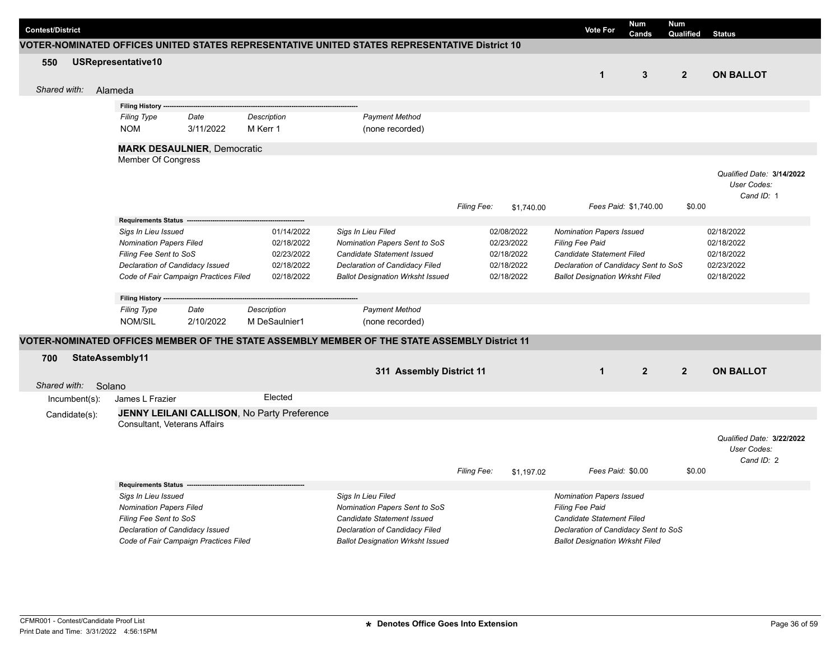| <b>Contest/District</b> |                                       |                                       |                                             |                                                                                               |             |            | Vote For                               | <b>Num</b><br>Cands   | <b>Num</b><br>Qualified | <b>Status</b>             |  |
|-------------------------|---------------------------------------|---------------------------------------|---------------------------------------------|-----------------------------------------------------------------------------------------------|-------------|------------|----------------------------------------|-----------------------|-------------------------|---------------------------|--|
|                         |                                       |                                       |                                             | VOTER-NOMINATED OFFICES UNITED STATES REPRESENTATIVE UNITED STATES REPRESENTATIVE District 10 |             |            |                                        |                       |                         |                           |  |
| 550                     | USRepresentative10                    |                                       |                                             |                                                                                               |             |            |                                        |                       |                         |                           |  |
|                         |                                       |                                       |                                             |                                                                                               |             |            | $\mathbf 1$                            | $\mathbf{3}$          | $\overline{2}$          | <b>ON BALLOT</b>          |  |
| Shared with:            | Alameda                               |                                       |                                             |                                                                                               |             |            |                                        |                       |                         |                           |  |
|                         |                                       |                                       |                                             |                                                                                               |             |            |                                        |                       |                         |                           |  |
|                         | Filing History -                      |                                       |                                             |                                                                                               |             |            |                                        |                       |                         |                           |  |
|                         | Filing Type                           | Date                                  | Description                                 | <b>Payment Method</b>                                                                         |             |            |                                        |                       |                         |                           |  |
|                         | <b>NOM</b>                            | 3/11/2022                             | M Kerr 1                                    | (none recorded)                                                                               |             |            |                                        |                       |                         |                           |  |
|                         | <b>MARK DESAULNIER, Democratic</b>    |                                       |                                             |                                                                                               |             |            |                                        |                       |                         |                           |  |
|                         | Member Of Congress                    |                                       |                                             |                                                                                               |             |            |                                        |                       |                         |                           |  |
|                         |                                       |                                       |                                             |                                                                                               |             |            |                                        |                       |                         | Qualified Date: 3/14/2022 |  |
|                         |                                       |                                       |                                             |                                                                                               |             |            |                                        |                       |                         | User Codes:               |  |
|                         |                                       |                                       |                                             |                                                                                               |             |            |                                        |                       |                         | Cand ID: 1                |  |
|                         |                                       |                                       |                                             |                                                                                               | Filing Fee: | \$1,740.00 |                                        | Fees Paid: \$1.740.00 | \$0.00                  |                           |  |
|                         | <b>Requirements Status</b>            |                                       |                                             |                                                                                               |             |            |                                        |                       |                         |                           |  |
|                         | Sigs In Lieu Issued                   |                                       | 01/14/2022                                  | Sigs In Lieu Filed                                                                            |             | 02/08/2022 | <b>Nomination Papers Issued</b>        |                       |                         | 02/18/2022                |  |
|                         | <b>Nomination Papers Filed</b>        |                                       | 02/18/2022                                  | Nomination Papers Sent to SoS                                                                 |             | 02/23/2022 | Filing Fee Paid                        |                       |                         | 02/18/2022                |  |
|                         | Filing Fee Sent to SoS                |                                       | 02/23/2022                                  | Candidate Statement Issued                                                                    |             | 02/18/2022 | Candidate Statement Filed              |                       |                         | 02/18/2022                |  |
|                         | Declaration of Candidacy Issued       |                                       | 02/18/2022                                  | Declaration of Candidacy Filed                                                                |             | 02/18/2022 | Declaration of Candidacy Sent to SoS   |                       |                         | 02/23/2022                |  |
|                         | Code of Fair Campaign Practices Filed |                                       | 02/18/2022                                  | <b>Ballot Designation Wrksht Issued</b>                                                       |             | 02/18/2022 | <b>Ballot Designation Wrksht Filed</b> |                       |                         | 02/18/2022                |  |
|                         | Filing History -                      |                                       |                                             |                                                                                               |             |            |                                        |                       |                         |                           |  |
|                         | <b>Filing Type</b>                    | Date                                  | <b>Description</b>                          | <b>Payment Method</b>                                                                         |             |            |                                        |                       |                         |                           |  |
|                         | NOM/SIL                               | 2/10/2022                             | M DeSaulnier1                               | (none recorded)                                                                               |             |            |                                        |                       |                         |                           |  |
|                         |                                       |                                       |                                             |                                                                                               |             |            |                                        |                       |                         |                           |  |
|                         |                                       |                                       |                                             | VOTER-NOMINATED OFFICES MEMBER OF THE STATE ASSEMBLY MEMBER OF THE STATE ASSEMBLY District 11 |             |            |                                        |                       |                         |                           |  |
| 700<br>StateAssembly11  |                                       |                                       |                                             |                                                                                               |             |            |                                        |                       |                         |                           |  |
|                         |                                       |                                       |                                             | 311 Assembly District 11                                                                      |             |            | $\blacktriangleleft$                   | $\overline{2}$        | $\overline{2}$          | <b>ON BALLOT</b>          |  |
| Shared with:<br>Solano  |                                       |                                       |                                             |                                                                                               |             |            |                                        |                       |                         |                           |  |
| Incumbent(s):           | James L Frazier                       |                                       | Elected                                     |                                                                                               |             |            |                                        |                       |                         |                           |  |
| Candidate(s):           |                                       |                                       | JENNY LEILANI CALLISON, No Party Preference |                                                                                               |             |            |                                        |                       |                         |                           |  |
|                         | <b>Consultant, Veterans Affairs</b>   |                                       |                                             |                                                                                               |             |            |                                        |                       |                         |                           |  |
|                         |                                       |                                       |                                             |                                                                                               |             |            |                                        |                       |                         | Qualified Date: 3/22/2022 |  |
|                         |                                       |                                       |                                             |                                                                                               |             |            |                                        |                       |                         | User Codes:               |  |
|                         |                                       |                                       |                                             |                                                                                               |             |            |                                        |                       |                         | Cand ID: 2                |  |
|                         |                                       |                                       |                                             |                                                                                               | Filing Fee: | \$1,197.02 |                                        | Fees Paid: \$0.00     | \$0.00                  |                           |  |
|                         | <b>Requirements Status</b>            |                                       |                                             |                                                                                               |             |            |                                        |                       |                         |                           |  |
|                         | Sigs In Lieu Issued                   |                                       |                                             | Sigs In Lieu Filed                                                                            |             |            | <b>Nomination Papers Issued</b>        |                       |                         |                           |  |
|                         | <b>Nomination Papers Filed</b>        |                                       |                                             | Nomination Papers Sent to SoS                                                                 |             |            | <b>Filing Fee Paid</b>                 |                       |                         |                           |  |
|                         | Filing Fee Sent to SoS                |                                       |                                             | Candidate Statement Issued                                                                    |             |            | Candidate Statement Filed              |                       |                         |                           |  |
|                         | Declaration of Candidacy Issued       |                                       |                                             | <b>Declaration of Candidacy Filed</b>                                                         |             |            | Declaration of Candidacy Sent to SoS   |                       |                         |                           |  |
|                         |                                       | Code of Fair Campaign Practices Filed |                                             | <b>Ballot Designation Wrksht Issued</b>                                                       |             |            | <b>Ballot Designation Wrksht Filed</b> |                       |                         |                           |  |
|                         |                                       |                                       |                                             |                                                                                               |             |            |                                        |                       |                         |                           |  |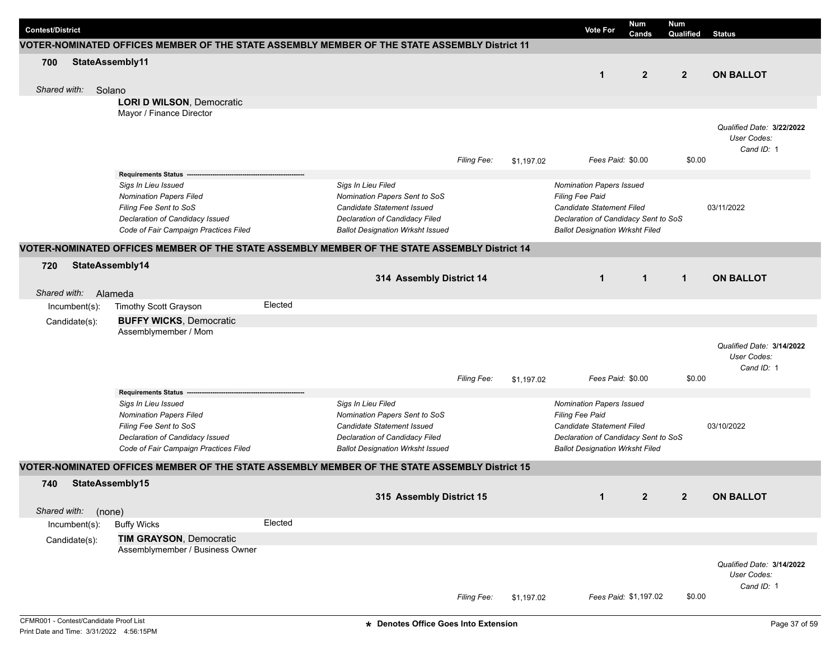|                         |               |                 |                                                                                               |         |                                                                           |                    |            |                                                                                | Num                   | Num            |                                          |
|-------------------------|---------------|-----------------|-----------------------------------------------------------------------------------------------|---------|---------------------------------------------------------------------------|--------------------|------------|--------------------------------------------------------------------------------|-----------------------|----------------|------------------------------------------|
| <b>Contest/District</b> |               |                 |                                                                                               |         |                                                                           |                    |            | <b>Vote For</b>                                                                | Cands                 | Qualified      | <b>Status</b>                            |
|                         |               |                 | VOTER-NOMINATED OFFICES MEMBER OF THE STATE ASSEMBLY MEMBER OF THE STATE ASSEMBLY District 11 |         |                                                                           |                    |            |                                                                                |                       |                |                                          |
| 700                     |               | StateAssembly11 |                                                                                               |         |                                                                           |                    |            |                                                                                |                       |                |                                          |
|                         |               |                 |                                                                                               |         |                                                                           |                    |            | $\mathbf 1$                                                                    | $\overline{2}$        | $\overline{2}$ | <b>ON BALLOT</b>                         |
| Shared with:            |               | Solano          |                                                                                               |         |                                                                           |                    |            |                                                                                |                       |                |                                          |
|                         |               |                 | <b>LORI D WILSON, Democratic</b>                                                              |         |                                                                           |                    |            |                                                                                |                       |                |                                          |
|                         |               |                 | Mayor / Finance Director                                                                      |         |                                                                           |                    |            |                                                                                |                       |                |                                          |
|                         |               |                 |                                                                                               |         |                                                                           |                    |            |                                                                                |                       |                | Qualified Date: 3/22/2022                |
|                         |               |                 |                                                                                               |         |                                                                           |                    |            |                                                                                |                       |                | User Codes:                              |
|                         |               |                 |                                                                                               |         |                                                                           | Filing Fee:        | \$1,197.02 |                                                                                | Fees Paid: \$0.00     | \$0.00         | Cand ID: 1                               |
|                         |               |                 | <b>Requirements Status -</b>                                                                  |         |                                                                           |                    |            |                                                                                |                       |                |                                          |
|                         |               |                 | Sigs In Lieu Issued                                                                           |         | Sigs In Lieu Filed                                                        |                    |            | Nomination Papers Issued                                                       |                       |                |                                          |
|                         |               |                 | <b>Nomination Papers Filed</b>                                                                |         | Nomination Papers Sent to SoS                                             |                    |            | Filing Fee Paid                                                                |                       |                |                                          |
|                         |               |                 | Filing Fee Sent to SoS                                                                        |         | Candidate Statement Issued                                                |                    |            | Candidate Statement Filed                                                      |                       |                | 03/11/2022                               |
|                         |               |                 | Declaration of Candidacy Issued<br>Code of Fair Campaign Practices Filed                      |         | Declaration of Candidacy Filed<br><b>Ballot Designation Wrksht Issued</b> |                    |            | Declaration of Candidacy Sent to SoS<br><b>Ballot Designation Wrksht Filed</b> |                       |                |                                          |
|                         |               |                 |                                                                                               |         |                                                                           |                    |            |                                                                                |                       |                |                                          |
|                         |               |                 | VOTER-NOMINATED OFFICES MEMBER OF THE STATE ASSEMBLY MEMBER OF THE STATE ASSEMBLY District 14 |         |                                                                           |                    |            |                                                                                |                       |                |                                          |
| 720                     |               | StateAssembly14 |                                                                                               |         |                                                                           |                    |            |                                                                                |                       |                |                                          |
|                         |               |                 |                                                                                               |         | 314 Assembly District 14                                                  |                    |            | $\mathbf{1}$                                                                   | $\mathbf{1}$          | $\mathbf{1}$   | <b>ON BALLOT</b>                         |
| Shared with:            |               | Alameda         |                                                                                               |         |                                                                           |                    |            |                                                                                |                       |                |                                          |
|                         | Incumbent(s): |                 | Timothy Scott Grayson                                                                         | Elected |                                                                           |                    |            |                                                                                |                       |                |                                          |
|                         | Candidate(s): |                 | <b>BUFFY WICKS, Democratic</b>                                                                |         |                                                                           |                    |            |                                                                                |                       |                |                                          |
|                         |               |                 | Assemblymember / Mom                                                                          |         |                                                                           |                    |            |                                                                                |                       |                |                                          |
|                         |               |                 |                                                                                               |         |                                                                           |                    |            |                                                                                |                       |                | Qualified Date: 3/14/2022                |
|                         |               |                 |                                                                                               |         |                                                                           |                    |            |                                                                                |                       |                | User Codes:<br>Cand ID: 1                |
|                         |               |                 |                                                                                               |         |                                                                           | <b>Filing Fee:</b> | \$1,197.02 |                                                                                | Fees Paid: \$0.00     | \$0.00         |                                          |
|                         |               |                 | <b>Requirements Status</b>                                                                    |         |                                                                           |                    |            |                                                                                |                       |                |                                          |
|                         |               |                 | Sigs In Lieu Issued                                                                           |         | Sigs In Lieu Filed                                                        |                    |            | Nomination Papers Issued                                                       |                       |                |                                          |
|                         |               |                 | <b>Nomination Papers Filed</b>                                                                |         | Nomination Papers Sent to SoS                                             |                    |            | Filing Fee Paid                                                                |                       |                |                                          |
|                         |               |                 | Filing Fee Sent to SoS<br>Declaration of Candidacy Issued                                     |         | Candidate Statement Issued<br>Declaration of Candidacy Filed              |                    |            | Candidate Statement Filed<br>Declaration of Candidacy Sent to SoS              |                       |                | 03/10/2022                               |
|                         |               |                 | Code of Fair Campaign Practices Filed                                                         |         | <b>Ballot Designation Wrksht Issued</b>                                   |                    |            | <b>Ballot Designation Wrksht Filed</b>                                         |                       |                |                                          |
|                         |               |                 |                                                                                               |         |                                                                           |                    |            |                                                                                |                       |                |                                          |
|                         |               |                 | VOTER-NOMINATED OFFICES MEMBER OF THE STATE ASSEMBLY MEMBER OF THE STATE ASSEMBLY District 15 |         |                                                                           |                    |            |                                                                                |                       |                |                                          |
| 740                     |               | StateAssembly15 |                                                                                               |         |                                                                           |                    |            |                                                                                |                       |                |                                          |
|                         |               |                 |                                                                                               |         | 315 Assembly District 15                                                  |                    |            | $\mathbf{1}$                                                                   | $\overline{2}$        | $\overline{2}$ | <b>ON BALLOT</b>                         |
| Shared with:            |               | (none)          |                                                                                               |         |                                                                           |                    |            |                                                                                |                       |                |                                          |
|                         | Incumbent(s): |                 | <b>Buffy Wicks</b>                                                                            | Elected |                                                                           |                    |            |                                                                                |                       |                |                                          |
|                         | Candidate(s): |                 | <b>TIM GRAYSON, Democratic</b><br>Assemblymember / Business Owner                             |         |                                                                           |                    |            |                                                                                |                       |                |                                          |
|                         |               |                 |                                                                                               |         |                                                                           |                    |            |                                                                                |                       |                |                                          |
|                         |               |                 |                                                                                               |         |                                                                           |                    |            |                                                                                |                       |                | Qualified Date: 3/14/2022<br>User Codes: |
|                         |               |                 |                                                                                               |         |                                                                           |                    |            |                                                                                |                       |                | Cand ID: 1                               |
|                         |               |                 |                                                                                               |         |                                                                           | Filing Fee:        | \$1,197.02 |                                                                                | Fees Paid: \$1,197.02 | \$0.00         |                                          |
|                         |               |                 |                                                                                               |         |                                                                           |                    |            |                                                                                |                       |                |                                          |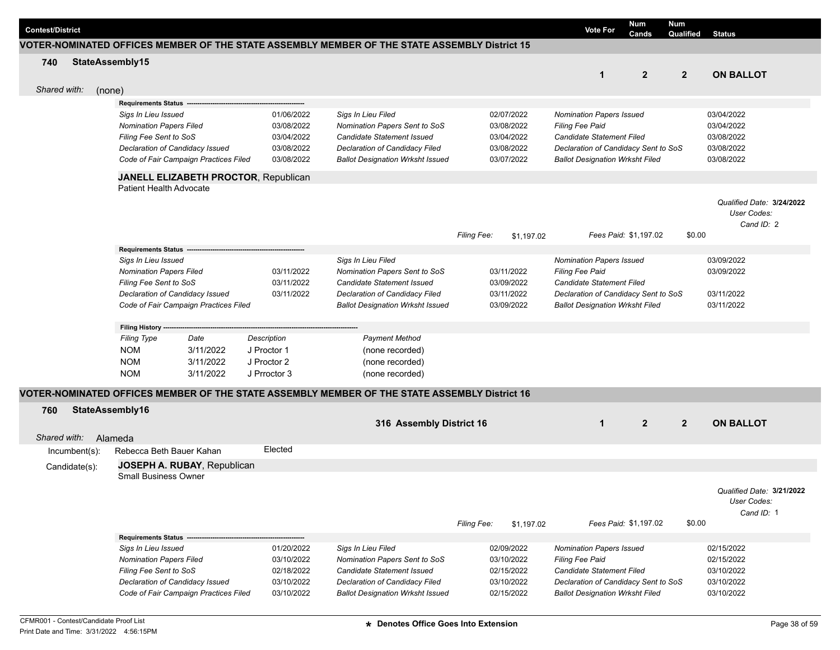| <b>Contest/District</b> |                                       |           |                                      |                                                                                               |                    |            | <b>Vote For</b>                        | Num<br>Cands          | Num<br>Qualified | <b>Status</b>             |  |
|-------------------------|---------------------------------------|-----------|--------------------------------------|-----------------------------------------------------------------------------------------------|--------------------|------------|----------------------------------------|-----------------------|------------------|---------------------------|--|
|                         |                                       |           |                                      | VOTER-NOMINATED OFFICES MEMBER OF THE STATE ASSEMBLY MEMBER OF THE STATE ASSEMBLY District 15 |                    |            |                                        |                       |                  |                           |  |
| 740                     | StateAssembly15                       |           |                                      |                                                                                               |                    |            |                                        |                       |                  |                           |  |
|                         |                                       |           |                                      |                                                                                               |                    |            | $\mathbf{1}$                           | $\overline{2}$        | $\overline{2}$   | <b>ON BALLOT</b>          |  |
|                         |                                       |           |                                      |                                                                                               |                    |            |                                        |                       |                  |                           |  |
| Shared with:            | (none)                                |           |                                      |                                                                                               |                    |            |                                        |                       |                  |                           |  |
|                         | <b>Requirements Status</b>            |           |                                      |                                                                                               |                    |            |                                        |                       |                  |                           |  |
|                         | Sigs In Lieu Issued                   |           | 01/06/2022                           | Sigs In Lieu Filed                                                                            |                    | 02/07/2022 | <b>Nomination Papers Issued</b>        |                       |                  | 03/04/2022                |  |
|                         | <b>Nomination Papers Filed</b>        |           | 03/08/2022                           | Nomination Papers Sent to SoS                                                                 |                    | 03/08/2022 | <b>Filing Fee Paid</b>                 |                       |                  | 03/04/2022                |  |
|                         | Filing Fee Sent to SoS                |           | 03/04/2022                           | Candidate Statement Issued                                                                    |                    | 03/04/2022 | Candidate Statement Filed              |                       |                  | 03/08/2022                |  |
|                         | Declaration of Candidacy Issued       |           | 03/08/2022                           | Declaration of Candidacy Filed                                                                |                    | 03/08/2022 | Declaration of Candidacy Sent to SoS   |                       |                  | 03/08/2022                |  |
|                         | Code of Fair Campaign Practices Filed |           | 03/08/2022                           | <b>Ballot Designation Wrksht Issued</b>                                                       |                    | 03/07/2022 | <b>Ballot Designation Wrksht Filed</b> |                       |                  | 03/08/2022                |  |
|                         |                                       |           | JANELL ELIZABETH PROCTOR, Republican |                                                                                               |                    |            |                                        |                       |                  |                           |  |
|                         | Patient Health Advocate               |           |                                      |                                                                                               |                    |            |                                        |                       |                  |                           |  |
|                         |                                       |           |                                      |                                                                                               |                    |            |                                        |                       |                  |                           |  |
|                         |                                       |           |                                      |                                                                                               |                    |            |                                        |                       |                  | Qualified Date: 3/24/2022 |  |
|                         |                                       |           |                                      |                                                                                               |                    |            |                                        |                       |                  | User Codes:               |  |
|                         |                                       |           |                                      |                                                                                               |                    |            |                                        |                       |                  | Cand ID: 2                |  |
|                         |                                       |           |                                      |                                                                                               | <b>Filing Fee:</b> | \$1.197.02 |                                        | Fees Paid: \$1,197.02 | \$0.00           |                           |  |
|                         | <b>Requirements Status</b>            |           |                                      |                                                                                               |                    |            |                                        |                       |                  |                           |  |
|                         | Sigs In Lieu Issued                   |           |                                      | Sigs In Lieu Filed                                                                            |                    |            | <b>Nomination Papers Issued</b>        |                       |                  | 03/09/2022                |  |
|                         | <b>Nomination Papers Filed</b>        |           | 03/11/2022                           | Nomination Papers Sent to SoS                                                                 |                    | 03/11/2022 | <b>Filing Fee Paid</b>                 |                       |                  | 03/09/2022                |  |
|                         | Filing Fee Sent to SoS                |           | 03/11/2022                           | <b>Candidate Statement Issued</b>                                                             |                    | 03/09/2022 | Candidate Statement Filed              |                       |                  |                           |  |
|                         | Declaration of Candidacy Issued       |           | 03/11/2022                           | Declaration of Candidacy Filed                                                                |                    | 03/11/2022 | Declaration of Candidacy Sent to SoS   |                       |                  | 03/11/2022                |  |
|                         | Code of Fair Campaign Practices Filed |           |                                      | <b>Ballot Designation Wrksht Issued</b>                                                       |                    | 03/09/2022 | <b>Ballot Designation Wrksht Filed</b> |                       |                  | 03/11/2022                |  |
|                         |                                       |           |                                      |                                                                                               |                    |            |                                        |                       |                  |                           |  |
|                         | Filing History --                     |           |                                      |                                                                                               |                    |            |                                        |                       |                  |                           |  |
|                         | <b>Filing Type</b>                    | Date      | Description                          | <b>Payment Method</b>                                                                         |                    |            |                                        |                       |                  |                           |  |
|                         | <b>NOM</b>                            | 3/11/2022 | J Proctor 1                          | (none recorded)                                                                               |                    |            |                                        |                       |                  |                           |  |
|                         | <b>NOM</b>                            | 3/11/2022 | J Proctor 2                          | (none recorded)                                                                               |                    |            |                                        |                       |                  |                           |  |
|                         | <b>NOM</b>                            | 3/11/2022 | J Prroctor 3                         | (none recorded)                                                                               |                    |            |                                        |                       |                  |                           |  |
|                         |                                       |           |                                      |                                                                                               |                    |            |                                        |                       |                  |                           |  |
|                         |                                       |           |                                      | VOTER-NOMINATED OFFICES MEMBER OF THE STATE ASSEMBLY MEMBER OF THE STATE ASSEMBLY District 16 |                    |            |                                        |                       |                  |                           |  |
| 760                     | StateAssembly16                       |           |                                      |                                                                                               |                    |            |                                        |                       |                  |                           |  |
|                         |                                       |           |                                      | 316 Assembly District 16                                                                      |                    |            | $\mathbf{1}$                           | $\overline{2}$        | $\overline{2}$   | <b>ON BALLOT</b>          |  |
| Shared with:            | Alameda                               |           |                                      |                                                                                               |                    |            |                                        |                       |                  |                           |  |
|                         |                                       |           | Elected                              |                                                                                               |                    |            |                                        |                       |                  |                           |  |
| Incumbent(s):           | Rebecca Beth Bauer Kahan              |           |                                      |                                                                                               |                    |            |                                        |                       |                  |                           |  |
| Candidate(s):           | JOSEPH A. RUBAY, Republican           |           |                                      |                                                                                               |                    |            |                                        |                       |                  |                           |  |
|                         | <b>Small Business Owner</b>           |           |                                      |                                                                                               |                    |            |                                        |                       |                  |                           |  |
|                         |                                       |           |                                      |                                                                                               |                    |            |                                        |                       |                  | Qualified Date: 3/21/2022 |  |
|                         |                                       |           |                                      |                                                                                               |                    |            |                                        |                       |                  | User Codes:               |  |
|                         |                                       |           |                                      |                                                                                               |                    |            |                                        |                       |                  | Cand ID: 1                |  |
|                         |                                       |           |                                      |                                                                                               | <b>Filing Fee:</b> | \$1,197.02 |                                        | Fees Paid: \$1,197.02 | \$0.00           |                           |  |
|                         | Requirements Status --                |           |                                      |                                                                                               |                    |            |                                        |                       |                  |                           |  |
|                         | Sigs In Lieu Issued                   |           | 01/20/2022                           | Sigs In Lieu Filed                                                                            |                    | 02/09/2022 | <b>Nomination Papers Issued</b>        |                       |                  | 02/15/2022                |  |
|                         | <b>Nomination Papers Filed</b>        |           | 03/10/2022                           | Nomination Papers Sent to SoS                                                                 |                    | 03/10/2022 | <b>Filing Fee Paid</b>                 |                       |                  | 02/15/2022                |  |
|                         | Filing Fee Sent to SoS                |           | 02/18/2022                           | Candidate Statement Issued                                                                    |                    | 02/15/2022 | Candidate Statement Filed              |                       |                  | 03/10/2022                |  |
|                         | Declaration of Candidacy Issued       |           | 03/10/2022                           | Declaration of Candidacy Filed                                                                |                    | 03/10/2022 | Declaration of Candidacy Sent to SoS   |                       |                  | 03/10/2022                |  |
|                         | Code of Fair Campaign Practices Filed |           | 03/10/2022                           | <b>Ballot Designation Wrksht Issued</b>                                                       |                    | 02/15/2022 | <b>Ballot Designation Wrksht Filed</b> |                       |                  | 03/10/2022                |  |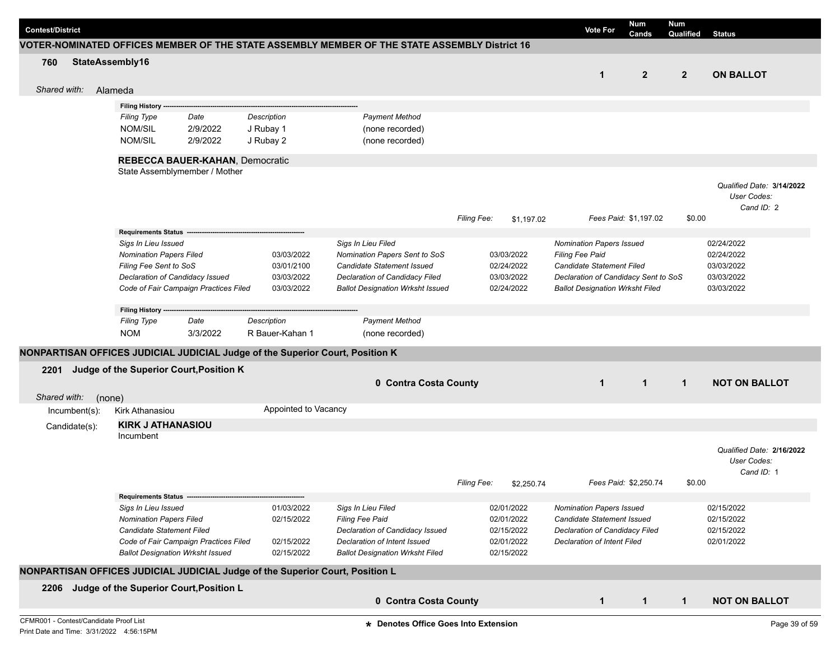| <b>Contest/District</b>                                                            |                                                                               |                      |                                                                                               |                    |            | <b>Vote For</b>                        | Num<br>Cands          | <b>Num</b><br>Qualified | <b>Status</b>             |
|------------------------------------------------------------------------------------|-------------------------------------------------------------------------------|----------------------|-----------------------------------------------------------------------------------------------|--------------------|------------|----------------------------------------|-----------------------|-------------------------|---------------------------|
|                                                                                    |                                                                               |                      | VOTER-NOMINATED OFFICES MEMBER OF THE STATE ASSEMBLY MEMBER OF THE STATE ASSEMBLY District 16 |                    |            |                                        |                       |                         |                           |
| 760                                                                                | StateAssembly16                                                               |                      |                                                                                               |                    |            |                                        |                       |                         |                           |
|                                                                                    |                                                                               |                      |                                                                                               |                    |            | 1                                      | $\mathbf{2}$          | $\overline{2}$          | <b>ON BALLOT</b>          |
| Shared with:                                                                       |                                                                               |                      |                                                                                               |                    |            |                                        |                       |                         |                           |
|                                                                                    | Alameda                                                                       |                      |                                                                                               |                    |            |                                        |                       |                         |                           |
|                                                                                    | Filing History -                                                              |                      |                                                                                               |                    |            |                                        |                       |                         |                           |
|                                                                                    | <b>Filing Type</b><br>Date                                                    | Description          | <b>Payment Method</b>                                                                         |                    |            |                                        |                       |                         |                           |
|                                                                                    | <b>NOM/SIL</b><br>2/9/2022                                                    | J Rubay 1            | (none recorded)                                                                               |                    |            |                                        |                       |                         |                           |
|                                                                                    | NOM/SIL<br>2/9/2022                                                           | J Rubay 2            | (none recorded)                                                                               |                    |            |                                        |                       |                         |                           |
|                                                                                    | <b>REBECCA BAUER-KAHAN, Democratic</b>                                        |                      |                                                                                               |                    |            |                                        |                       |                         |                           |
|                                                                                    | State Assemblymember / Mother                                                 |                      |                                                                                               |                    |            |                                        |                       |                         |                           |
|                                                                                    |                                                                               |                      |                                                                                               |                    |            |                                        |                       |                         | Qualified Date: 3/14/2022 |
|                                                                                    |                                                                               |                      |                                                                                               |                    |            |                                        |                       |                         | User Codes:               |
|                                                                                    |                                                                               |                      |                                                                                               |                    |            |                                        |                       |                         | Cand ID: 2                |
|                                                                                    |                                                                               |                      |                                                                                               | <b>Filing Fee:</b> | \$1,197.02 |                                        | Fees Paid: \$1,197.02 | \$0.00                  |                           |
|                                                                                    | <b>Requirements Status</b>                                                    |                      |                                                                                               |                    |            |                                        |                       |                         |                           |
|                                                                                    | Sigs In Lieu Issued                                                           |                      | Sigs In Lieu Filed                                                                            |                    |            | <b>Nomination Papers Issued</b>        |                       |                         | 02/24/2022                |
|                                                                                    | <b>Nomination Papers Filed</b>                                                | 03/03/2022           | Nomination Papers Sent to SoS                                                                 |                    | 03/03/2022 | <b>Filing Fee Paid</b>                 |                       |                         | 02/24/2022                |
|                                                                                    | Filing Fee Sent to SoS                                                        | 03/01/2100           | Candidate Statement Issued                                                                    |                    | 02/24/2022 | Candidate Statement Filed              |                       |                         | 03/03/2022                |
|                                                                                    | Declaration of Candidacy Issued                                               | 03/03/2022           | Declaration of Candidacy Filed                                                                |                    | 03/03/2022 | Declaration of Candidacy Sent to SoS   |                       |                         | 03/03/2022                |
|                                                                                    | Code of Fair Campaign Practices Filed                                         | 03/03/2022           | <b>Ballot Designation Wrksht Issued</b>                                                       |                    | 02/24/2022 | <b>Ballot Designation Wrksht Filed</b> |                       |                         | 03/03/2022                |
|                                                                                    | Filing History --                                                             |                      |                                                                                               |                    |            |                                        |                       |                         |                           |
|                                                                                    | <b>Filing Type</b><br>Date                                                    | Description          | <b>Payment Method</b>                                                                         |                    |            |                                        |                       |                         |                           |
|                                                                                    | 3/3/2022<br><b>NOM</b>                                                        | R Bauer-Kahan 1      | (none recorded)                                                                               |                    |            |                                        |                       |                         |                           |
|                                                                                    |                                                                               |                      |                                                                                               |                    |            |                                        |                       |                         |                           |
|                                                                                    | NONPARTISAN OFFICES JUDICIAL JUDICIAL Judge of the Superior Court, Position K |                      |                                                                                               |                    |            |                                        |                       |                         |                           |
| 2201                                                                               | Judge of the Superior Court, Position K                                       |                      |                                                                                               |                    |            |                                        |                       |                         |                           |
|                                                                                    |                                                                               |                      | 0 Contra Costa County                                                                         |                    |            | $\mathbf{1}$                           | $\mathbf{1}$          | $\mathbf{1}$            | <b>NOT ON BALLOT</b>      |
| Shared with:                                                                       | (none)                                                                        |                      |                                                                                               |                    |            |                                        |                       |                         |                           |
| Incumbent(s):                                                                      | Kirk Athanasiou                                                               | Appointed to Vacancy |                                                                                               |                    |            |                                        |                       |                         |                           |
|                                                                                    | <b>KIRK J ATHANASIOU</b>                                                      |                      |                                                                                               |                    |            |                                        |                       |                         |                           |
| Candidate(s):                                                                      | Incumbent                                                                     |                      |                                                                                               |                    |            |                                        |                       |                         |                           |
|                                                                                    |                                                                               |                      |                                                                                               |                    |            |                                        |                       |                         | Qualified Date: 2/16/2022 |
|                                                                                    |                                                                               |                      |                                                                                               |                    |            |                                        |                       |                         | User Codes:               |
|                                                                                    |                                                                               |                      |                                                                                               |                    |            |                                        |                       |                         | Cand ID: 1                |
|                                                                                    |                                                                               |                      |                                                                                               | <b>Filing Fee:</b> | \$2,250.74 |                                        | Fees Paid: \$2,250.74 | \$0.00                  |                           |
|                                                                                    | Requirements Status ---------------                                           |                      |                                                                                               |                    |            |                                        |                       |                         |                           |
|                                                                                    | Sigs In Lieu Issued                                                           | 01/03/2022           | Sigs In Lieu Filed                                                                            |                    | 02/01/2022 | <b>Nomination Papers Issued</b>        |                       |                         | 02/15/2022                |
|                                                                                    | <b>Nomination Papers Filed</b>                                                | 02/15/2022           | Filing Fee Paid                                                                               |                    | 02/01/2022 | Candidate Statement Issued             |                       |                         | 02/15/2022                |
|                                                                                    | <b>Candidate Statement Filed</b>                                              |                      | Declaration of Candidacy Issued                                                               |                    | 02/15/2022 | Declaration of Candidacy Filed         |                       |                         | 02/15/2022                |
|                                                                                    | Code of Fair Campaign Practices Filed                                         | 02/15/2022           | Declaration of Intent Issued                                                                  |                    | 02/01/2022 | Declaration of Intent Filed            |                       |                         | 02/01/2022                |
|                                                                                    | <b>Ballot Designation Wrksht Issued</b>                                       | 02/15/2022           | <b>Ballot Designation Wrksht Filed</b>                                                        |                    | 02/15/2022 |                                        |                       |                         |                           |
|                                                                                    | NONPARTISAN OFFICES JUDICIAL JUDICIAL Judge of the Superior Court, Position L |                      |                                                                                               |                    |            |                                        |                       |                         |                           |
|                                                                                    | 2206 Judge of the Superior Court, Position L                                  |                      |                                                                                               |                    |            |                                        |                       |                         |                           |
|                                                                                    |                                                                               |                      | 0 Contra Costa County                                                                         |                    |            |                                        |                       |                         |                           |
|                                                                                    |                                                                               |                      |                                                                                               |                    |            | $\mathbf{1}$                           | $\mathbf{1}$          | $\mathbf{1}$            | <b>NOT ON BALLOT</b>      |
| CFMR001 - Contest/Candidate Proof List<br>Print Date and Time: 3/31/2022 4:56:15PM |                                                                               |                      | * Denotes Office Goes Into Extension                                                          |                    |            |                                        |                       |                         | Page 39 of 59             |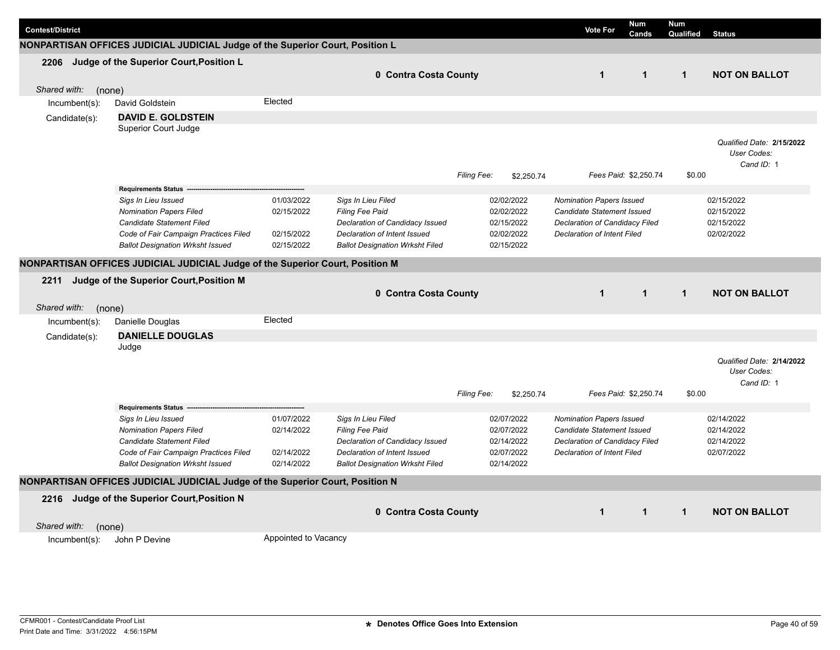| <b>Contest/District</b> |                                                                               |                      |                                        |             |            | <b>Vote For</b>                    | <b>Num</b><br>Cands   | <b>Num</b><br>Qualified | <b>Status</b>                            |
|-------------------------|-------------------------------------------------------------------------------|----------------------|----------------------------------------|-------------|------------|------------------------------------|-----------------------|-------------------------|------------------------------------------|
|                         | NONPARTISAN OFFICES JUDICIAL JUDICIAL Judge of the Superior Court, Position L |                      |                                        |             |            |                                    |                       |                         |                                          |
| 2206                    | Judge of the Superior Court, Position L                                       |                      |                                        |             |            |                                    |                       |                         |                                          |
|                         |                                                                               |                      | 0 Contra Costa County                  |             |            | $\mathbf{1}$                       | $\mathbf{1}$          | $\mathbf{1}$            | <b>NOT ON BALLOT</b>                     |
| Shared with:<br>(none)  |                                                                               |                      |                                        |             |            |                                    |                       |                         |                                          |
|                         | David Goldstein                                                               | Elected              |                                        |             |            |                                    |                       |                         |                                          |
| Incumbent(s):           |                                                                               |                      |                                        |             |            |                                    |                       |                         |                                          |
| Candidate(s):           | <b>DAVID E. GOLDSTEIN</b>                                                     |                      |                                        |             |            |                                    |                       |                         |                                          |
|                         | Superior Court Judge                                                          |                      |                                        |             |            |                                    |                       |                         | Qualified Date: 2/15/2022<br>User Codes: |
|                         |                                                                               |                      |                                        | Filing Fee: | \$2,250.74 |                                    | Fees Paid: \$2,250.74 | \$0.00                  | Cand ID: 1                               |
|                         | Requirements Status ---                                                       |                      |                                        |             |            |                                    |                       |                         |                                          |
|                         | Sigs In Lieu Issued                                                           | 01/03/2022           | Sigs In Lieu Filed                     |             | 02/02/2022 | Nomination Papers Issued           |                       |                         | 02/15/2022                               |
|                         | <b>Nomination Papers Filed</b>                                                | 02/15/2022           | <b>Filing Fee Paid</b>                 |             | 02/02/2022 | Candidate Statement Issued         |                       |                         | 02/15/2022                               |
|                         | Candidate Statement Filed                                                     |                      | Declaration of Candidacy Issued        |             | 02/15/2022 | Declaration of Candidacy Filed     |                       |                         | 02/15/2022                               |
|                         | Code of Fair Campaign Practices Filed                                         | 02/15/2022           | Declaration of Intent Issued           |             | 02/02/2022 | <b>Declaration of Intent Filed</b> |                       |                         | 02/02/2022                               |
|                         | <b>Ballot Designation Wrksht Issued</b>                                       | 02/15/2022           | <b>Ballot Designation Wrksht Filed</b> |             | 02/15/2022 |                                    |                       |                         |                                          |
|                         | NONPARTISAN OFFICES JUDICIAL JUDICIAL Judge of the Superior Court, Position M |                      |                                        |             |            |                                    |                       |                         |                                          |
| 2211                    | Judge of the Superior Court, Position M                                       |                      |                                        |             |            |                                    |                       |                         |                                          |
|                         |                                                                               |                      | 0 Contra Costa County                  |             |            | $\mathbf{1}$                       | $\mathbf{1}$          | $\mathbf{1}$            | <b>NOT ON BALLOT</b>                     |
| Shared with:            |                                                                               |                      |                                        |             |            |                                    |                       |                         |                                          |
| (none)                  | Danielle Douglas                                                              | Elected              |                                        |             |            |                                    |                       |                         |                                          |
| Incumbent(s):           |                                                                               |                      |                                        |             |            |                                    |                       |                         |                                          |
| Candidate(s):           | <b>DANIELLE DOUGLAS</b>                                                       |                      |                                        |             |            |                                    |                       |                         |                                          |
|                         | Judge                                                                         |                      |                                        |             |            |                                    |                       |                         |                                          |
|                         |                                                                               |                      |                                        |             |            |                                    |                       |                         | Qualified Date: 2/14/2022<br>User Codes: |
|                         |                                                                               |                      |                                        |             |            |                                    |                       |                         | Cand ID: 1                               |
|                         |                                                                               |                      |                                        | Filing Fee: | \$2,250.74 |                                    | Fees Paid: \$2,250.74 | \$0.00                  |                                          |
|                         | <b>Requirements Status</b>                                                    |                      |                                        |             |            |                                    |                       |                         |                                          |
|                         | Sigs In Lieu Issued                                                           | 01/07/2022           | Sigs In Lieu Filed                     |             | 02/07/2022 | <b>Nomination Papers Issued</b>    |                       |                         | 02/14/2022                               |
|                         | <b>Nomination Papers Filed</b>                                                | 02/14/2022           | <b>Filing Fee Paid</b>                 |             | 02/07/2022 | Candidate Statement Issued         |                       |                         | 02/14/2022                               |
|                         | Candidate Statement Filed                                                     |                      | Declaration of Candidacy Issued        |             | 02/14/2022 | Declaration of Candidacy Filed     |                       |                         | 02/14/2022                               |
|                         | Code of Fair Campaign Practices Filed                                         | 02/14/2022           | Declaration of Intent Issued           |             | 02/07/2022 | Declaration of Intent Filed        |                       |                         | 02/07/2022                               |
|                         | <b>Ballot Designation Wrksht Issued</b>                                       | 02/14/2022           | <b>Ballot Designation Wrksht Filed</b> |             | 02/14/2022 |                                    |                       |                         |                                          |
|                         | NONPARTISAN OFFICES JUDICIAL JUDICIAL Judge of the Superior Court, Position N |                      |                                        |             |            |                                    |                       |                         |                                          |
|                         | 2216 Judge of the Superior Court, Position N                                  |                      |                                        |             |            |                                    |                       |                         |                                          |
|                         |                                                                               |                      | 0 Contra Costa County                  |             |            | $\mathbf 1$                        | $\mathbf{1}$          | $\mathbf{1}$            | <b>NOT ON BALLOT</b>                     |
|                         |                                                                               |                      |                                        |             |            |                                    |                       |                         |                                          |
| Shared with:<br>(none)  |                                                                               |                      |                                        |             |            |                                    |                       |                         |                                          |
| $Incumbent(s)$ :        | John P Devine                                                                 | Appointed to Vacancy |                                        |             |            |                                    |                       |                         |                                          |
|                         |                                                                               |                      |                                        |             |            |                                    |                       |                         |                                          |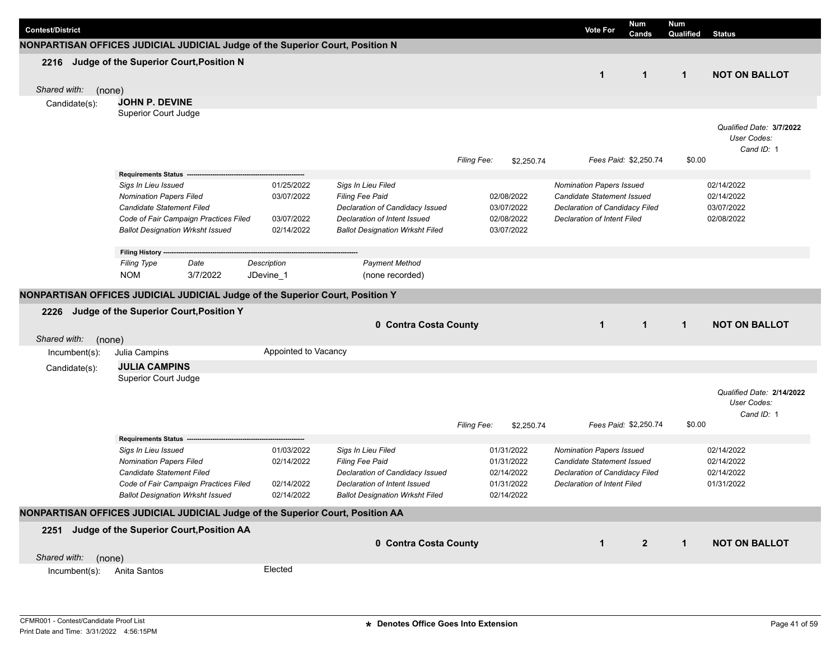| <b>Contest/District</b> |                                                                                                                                                                        |                                                      |                                                                                                                                                    |             |                                                      | <b>Vote For</b>                                                                                                                | <b>Num</b><br>Cands   | Num<br>Qualified | <b>Status</b>                                          |
|-------------------------|------------------------------------------------------------------------------------------------------------------------------------------------------------------------|------------------------------------------------------|----------------------------------------------------------------------------------------------------------------------------------------------------|-------------|------------------------------------------------------|--------------------------------------------------------------------------------------------------------------------------------|-----------------------|------------------|--------------------------------------------------------|
|                         | NONPARTISAN OFFICES JUDICIAL JUDICIAL Judge of the Superior Court, Position N                                                                                          |                                                      |                                                                                                                                                    |             |                                                      |                                                                                                                                |                       |                  |                                                        |
| 2216                    | Judge of the Superior Court, Position N                                                                                                                                |                                                      |                                                                                                                                                    |             |                                                      | $\mathbf{1}$                                                                                                                   | $\mathbf{1}$          | $\mathbf{1}$     | <b>NOT ON BALLOT</b>                                   |
| Shared with:            | (none)                                                                                                                                                                 |                                                      |                                                                                                                                                    |             |                                                      |                                                                                                                                |                       |                  |                                                        |
| Candidate(s):           | <b>JOHN P. DEVINE</b>                                                                                                                                                  |                                                      |                                                                                                                                                    |             |                                                      |                                                                                                                                |                       |                  |                                                        |
|                         | Superior Court Judge                                                                                                                                                   |                                                      |                                                                                                                                                    | Filing Fee: | \$2,250.74                                           |                                                                                                                                | Fees Paid: \$2,250.74 | \$0.00           | Qualified Date: 3/7/2022<br>User Codes:<br>Cand ID: 1  |
|                         | <b>Requirements Status -</b>                                                                                                                                           |                                                      |                                                                                                                                                    |             |                                                      |                                                                                                                                |                       |                  |                                                        |
|                         | Sigs In Lieu Issued<br><b>Nomination Papers Filed</b><br>Candidate Statement Filed<br>Code of Fair Campaign Practices Filed<br><b>Ballot Designation Wrksht Issued</b> | 01/25/2022<br>03/07/2022<br>03/07/2022<br>02/14/2022 | Sigs In Lieu Filed<br>Filing Fee Paid<br>Declaration of Candidacy Issued<br>Declaration of Intent Issued<br><b>Ballot Designation Wrksht Filed</b> |             | 02/08/2022<br>03/07/2022<br>02/08/2022<br>03/07/2022 | Nomination Papers Issued<br>Candidate Statement Issued<br>Declaration of Candidacy Filed<br><b>Declaration of Intent Filed</b> |                       |                  | 02/14/2022<br>02/14/2022<br>03/07/2022<br>02/08/2022   |
|                         | Filing History ---                                                                                                                                                     |                                                      |                                                                                                                                                    |             |                                                      |                                                                                                                                |                       |                  |                                                        |
|                         | <b>Filing Type</b><br>Date<br>3/7/2022<br><b>NOM</b>                                                                                                                   | Description<br>JDevine_1                             | <b>Payment Method</b><br>(none recorded)                                                                                                           |             |                                                      |                                                                                                                                |                       |                  |                                                        |
|                         | NONPARTISAN OFFICES JUDICIAL JUDICIAL Judge of the Superior Court, Position Y                                                                                          |                                                      |                                                                                                                                                    |             |                                                      |                                                                                                                                |                       |                  |                                                        |
|                         |                                                                                                                                                                        |                                                      |                                                                                                                                                    |             |                                                      |                                                                                                                                |                       |                  |                                                        |
| 2226                    | Judge of the Superior Court, Position Y                                                                                                                                |                                                      | 0 Contra Costa County                                                                                                                              |             |                                                      | $\mathbf{1}$                                                                                                                   | $\mathbf{1}$          | $\mathbf{1}$     | <b>NOT ON BALLOT</b>                                   |
|                         |                                                                                                                                                                        |                                                      |                                                                                                                                                    |             |                                                      |                                                                                                                                |                       |                  |                                                        |
| Shared with:            | (none)<br>Julia Campins                                                                                                                                                | Appointed to Vacancy                                 |                                                                                                                                                    |             |                                                      |                                                                                                                                |                       |                  |                                                        |
| $Incumbent(s)$ :        |                                                                                                                                                                        |                                                      |                                                                                                                                                    |             |                                                      |                                                                                                                                |                       |                  |                                                        |
| Candidate(s):           | <b>JULIA CAMPINS</b><br>Superior Court Judge                                                                                                                           |                                                      |                                                                                                                                                    |             |                                                      |                                                                                                                                |                       |                  |                                                        |
|                         |                                                                                                                                                                        |                                                      |                                                                                                                                                    | Filing Fee: | \$2,250.74                                           |                                                                                                                                | Fees Paid: \$2,250.74 | \$0.00           | Qualified Date: 2/14/2022<br>User Codes:<br>Cand ID: 1 |
|                         | <b>Requirements Status</b>                                                                                                                                             |                                                      |                                                                                                                                                    |             |                                                      |                                                                                                                                |                       |                  |                                                        |
|                         | Sigs In Lieu Issued                                                                                                                                                    | 01/03/2022                                           | Sigs In Lieu Filed                                                                                                                                 |             | 01/31/2022                                           | <b>Nomination Papers Issued</b>                                                                                                |                       |                  | 02/14/2022                                             |
|                         | <b>Nomination Papers Filed</b><br>Candidate Statement Filed                                                                                                            | 02/14/2022                                           | Filing Fee Paid<br>Declaration of Candidacy Issued                                                                                                 |             | 01/31/2022<br>02/14/2022                             | <b>Candidate Statement Issued</b><br>Declaration of Candidacy Filed                                                            |                       |                  | 02/14/2022<br>02/14/2022                               |
|                         | Code of Fair Campaign Practices Filed                                                                                                                                  | 02/14/2022                                           | Declaration of Intent Issued                                                                                                                       |             | 01/31/2022                                           | Declaration of Intent Filed                                                                                                    |                       |                  | 01/31/2022                                             |
|                         | <b>Ballot Designation Wrksht Issued</b>                                                                                                                                | 02/14/2022                                           | <b>Ballot Designation Wrksht Filed</b>                                                                                                             |             | 02/14/2022                                           |                                                                                                                                |                       |                  |                                                        |
|                         | NONPARTISAN OFFICES JUDICIAL JUDICIAL Judge of the Superior Court, Position AA                                                                                         |                                                      |                                                                                                                                                    |             |                                                      |                                                                                                                                |                       |                  |                                                        |
|                         |                                                                                                                                                                        |                                                      |                                                                                                                                                    |             |                                                      |                                                                                                                                |                       |                  |                                                        |
| 2251                    | Judge of the Superior Court, Position AA                                                                                                                               |                                                      | 0 Contra Costa County                                                                                                                              |             |                                                      | $\mathbf{1}$                                                                                                                   | $\mathbf{2}$          | $\mathbf{1}$     | <b>NOT ON BALLOT</b>                                   |
| Shared with:<br>(none)  |                                                                                                                                                                        |                                                      |                                                                                                                                                    |             |                                                      |                                                                                                                                |                       |                  |                                                        |
| Incumbent(s):           | Anita Santos                                                                                                                                                           | Elected                                              |                                                                                                                                                    |             |                                                      |                                                                                                                                |                       |                  |                                                        |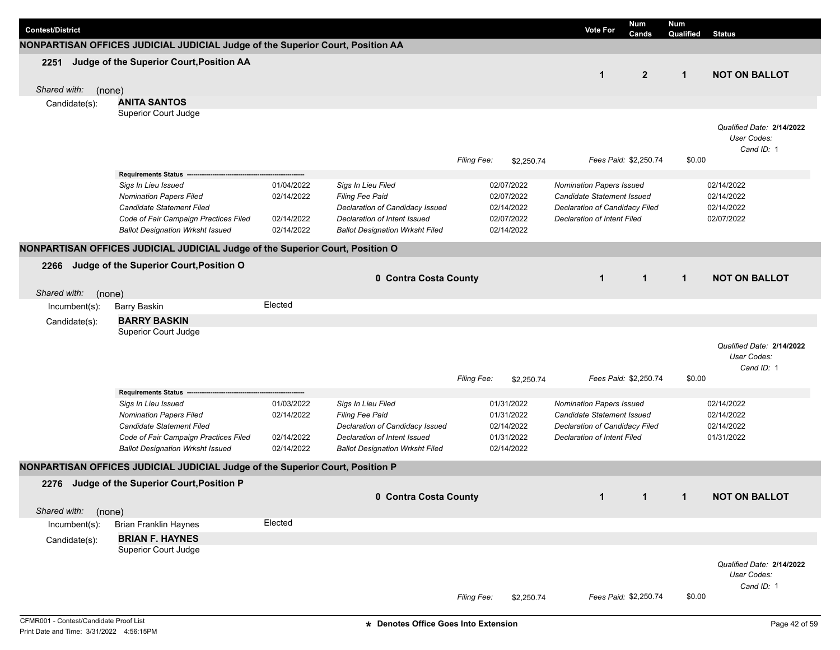| <b>Contest/District</b> |               |                                                                                |            |                                                                 |                    |                          | <b>Vote For</b>                                                      | <b>Num</b><br>Cands   | <b>Num</b><br>Qualified | <b>Status</b>                            |
|-------------------------|---------------|--------------------------------------------------------------------------------|------------|-----------------------------------------------------------------|--------------------|--------------------------|----------------------------------------------------------------------|-----------------------|-------------------------|------------------------------------------|
|                         |               | NONPARTISAN OFFICES JUDICIAL JUDICIAL Judge of the Superior Court, Position AA |            |                                                                 |                    |                          |                                                                      |                       |                         |                                          |
|                         |               | 2251 Judge of the Superior Court, Position AA                                  |            |                                                                 |                    |                          |                                                                      |                       |                         |                                          |
|                         |               |                                                                                |            |                                                                 |                    |                          | $\mathbf{1}$                                                         | $\mathbf{2}$          | $\mathbf{1}$            | <b>NOT ON BALLOT</b>                     |
| Shared with:            | (none)        |                                                                                |            |                                                                 |                    |                          |                                                                      |                       |                         |                                          |
|                         | Candidate(s): | <b>ANITA SANTOS</b>                                                            |            |                                                                 |                    |                          |                                                                      |                       |                         |                                          |
|                         |               | Superior Court Judge                                                           |            |                                                                 |                    |                          |                                                                      |                       |                         |                                          |
|                         |               |                                                                                |            |                                                                 |                    |                          |                                                                      |                       |                         | Qualified Date: 2/14/2022                |
|                         |               |                                                                                |            |                                                                 |                    |                          |                                                                      |                       |                         | User Codes:<br>Cand ID: 1                |
|                         |               |                                                                                |            |                                                                 | <b>Filing Fee:</b> | \$2,250.74               |                                                                      | Fees Paid: \$2,250.74 | \$0.00                  |                                          |
|                         |               | Requirements Status -------                                                    |            |                                                                 |                    |                          |                                                                      |                       |                         |                                          |
|                         |               | Sigs In Lieu Issued                                                            | 01/04/2022 | Sigs In Lieu Filed                                              |                    | 02/07/2022               | <b>Nomination Papers Issued</b>                                      |                       |                         | 02/14/2022                               |
|                         |               | <b>Nomination Papers Filed</b>                                                 | 02/14/2022 | Filing Fee Paid                                                 |                    | 02/07/2022               | Candidate Statement Issued                                           |                       |                         | 02/14/2022                               |
|                         |               | Candidate Statement Filed<br>Code of Fair Campaign Practices Filed             | 02/14/2022 | Declaration of Candidacy Issued<br>Declaration of Intent Issued |                    | 02/14/2022<br>02/07/2022 | Declaration of Candidacy Filed<br>Declaration of Intent Filed        |                       |                         | 02/14/2022<br>02/07/2022                 |
|                         |               | <b>Ballot Designation Wrksht Issued</b>                                        | 02/14/2022 | <b>Ballot Designation Wrksht Filed</b>                          |                    | 02/14/2022               |                                                                      |                       |                         |                                          |
|                         |               |                                                                                |            |                                                                 |                    |                          |                                                                      |                       |                         |                                          |
|                         |               | NONPARTISAN OFFICES JUDICIAL JUDICIAL Judge of the Superior Court, Position O  |            |                                                                 |                    |                          |                                                                      |                       |                         |                                          |
| 2266                    |               | Judge of the Superior Court, Position O                                        |            |                                                                 |                    |                          |                                                                      |                       |                         |                                          |
|                         |               |                                                                                |            | 0 Contra Costa County                                           |                    |                          | $\mathbf{1}$                                                         | $\mathbf{1}$          | $\mathbf{1}$            | <b>NOT ON BALLOT</b>                     |
| Shared with:            | (none)        |                                                                                |            |                                                                 |                    |                          |                                                                      |                       |                         |                                          |
|                         | Incumbent(s): | <b>Barry Baskin</b>                                                            | Elected    |                                                                 |                    |                          |                                                                      |                       |                         |                                          |
|                         | Candidate(s): | <b>BARRY BASKIN</b>                                                            |            |                                                                 |                    |                          |                                                                      |                       |                         |                                          |
|                         |               | Superior Court Judge                                                           |            |                                                                 |                    |                          |                                                                      |                       |                         |                                          |
|                         |               |                                                                                |            |                                                                 |                    |                          |                                                                      |                       |                         | Qualified Date: 2/14/2022<br>User Codes: |
|                         |               |                                                                                |            |                                                                 |                    |                          |                                                                      |                       |                         | Cand ID: 1                               |
|                         |               |                                                                                |            |                                                                 | <b>Filing Fee:</b> | \$2,250.74               |                                                                      | Fees Paid: \$2,250.74 | \$0.00                  |                                          |
|                         |               | <b>Requirements Status</b>                                                     |            |                                                                 |                    |                          |                                                                      |                       |                         |                                          |
|                         |               | Sigs In Lieu Issued                                                            | 01/03/2022 | Sigs In Lieu Filed                                              |                    | 01/31/2022               | Nomination Papers Issued                                             |                       |                         | 02/14/2022                               |
|                         |               | <b>Nomination Papers Filed</b>                                                 | 02/14/2022 | Filing Fee Paid                                                 |                    | 01/31/2022<br>02/14/2022 | Candidate Statement Issued                                           |                       |                         | 02/14/2022                               |
|                         |               | Candidate Statement Filed<br>Code of Fair Campaign Practices Filed             | 02/14/2022 | Declaration of Candidacy Issued<br>Declaration of Intent Issued |                    | 01/31/2022               | Declaration of Candidacy Filed<br><b>Declaration of Intent Filed</b> |                       |                         | 02/14/2022<br>01/31/2022                 |
|                         |               | <b>Ballot Designation Wrksht Issued</b>                                        | 02/14/2022 | <b>Ballot Designation Wrksht Filed</b>                          |                    | 02/14/2022               |                                                                      |                       |                         |                                          |
|                         |               | NONPARTISAN OFFICES JUDICIAL JUDICIAL Judge of the Superior Court, Position P  |            |                                                                 |                    |                          |                                                                      |                       |                         |                                          |
| 2276                    |               | Judge of the Superior Court, Position P                                        |            |                                                                 |                    |                          |                                                                      |                       |                         |                                          |
|                         |               |                                                                                |            | 0 Contra Costa County                                           |                    |                          | $\mathbf{1}$                                                         | $\mathbf{1}$          | $\mathbf{1}$            | <b>NOT ON BALLOT</b>                     |
| Shared with:            | (none)        |                                                                                |            |                                                                 |                    |                          |                                                                      |                       |                         |                                          |
|                         | Incumbent(s): | <b>Brian Franklin Haynes</b>                                                   | Elected    |                                                                 |                    |                          |                                                                      |                       |                         |                                          |
|                         | Candidate(s): | <b>BRIAN F. HAYNES</b>                                                         |            |                                                                 |                    |                          |                                                                      |                       |                         |                                          |
|                         |               | <b>Superior Court Judge</b>                                                    |            |                                                                 |                    |                          |                                                                      |                       |                         |                                          |
|                         |               |                                                                                |            |                                                                 |                    |                          |                                                                      |                       |                         | Qualified Date: 2/14/2022                |
|                         |               |                                                                                |            |                                                                 |                    |                          |                                                                      |                       |                         | User Codes:                              |
|                         |               |                                                                                |            |                                                                 |                    |                          |                                                                      |                       |                         | Cand ID: 1                               |
|                         |               |                                                                                |            |                                                                 | <b>Filing Fee:</b> | \$2,250.74               |                                                                      | Fees Paid: \$2,250.74 | \$0.00                  |                                          |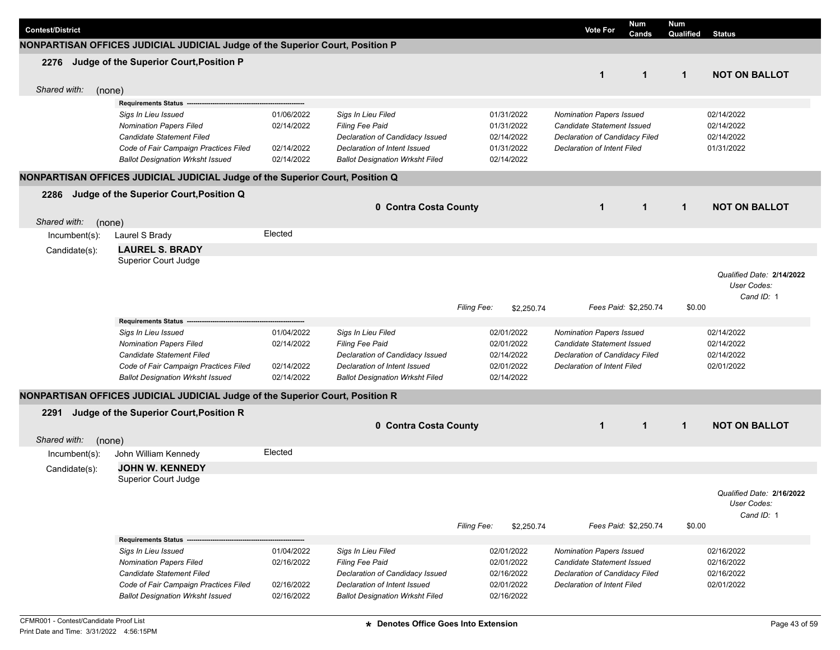| <b>Contest/District</b> |                                                                               |            |                                        |             |            | <b>Vote For</b>                    | <b>Num</b><br>Cands   | <b>Num</b><br><b>Qualified</b> Status |                           |
|-------------------------|-------------------------------------------------------------------------------|------------|----------------------------------------|-------------|------------|------------------------------------|-----------------------|---------------------------------------|---------------------------|
|                         | NONPARTISAN OFFICES JUDICIAL JUDICIAL Judge of the Superior Court, Position P |            |                                        |             |            |                                    |                       |                                       |                           |
|                         | 2276 Judge of the Superior Court, Position P                                  |            |                                        |             |            |                                    |                       |                                       |                           |
|                         |                                                                               |            |                                        |             |            | $\mathbf{1}$                       | $\mathbf 1$           | $\mathbf{1}$                          | <b>NOT ON BALLOT</b>      |
| Shared with:<br>(none)  |                                                                               |            |                                        |             |            |                                    |                       |                                       |                           |
|                         | <b>Requirements Status</b>                                                    |            |                                        |             |            |                                    |                       |                                       |                           |
|                         | Sigs In Lieu Issued                                                           | 01/06/2022 | Sigs In Lieu Filed                     |             | 01/31/2022 | <b>Nomination Papers Issued</b>    |                       |                                       | 02/14/2022                |
|                         | <b>Nomination Papers Filed</b>                                                | 02/14/2022 | Filing Fee Paid                        |             | 01/31/2022 | Candidate Statement Issued         |                       |                                       | 02/14/2022                |
|                         | Candidate Statement Filed                                                     |            | Declaration of Candidacy Issued        |             | 02/14/2022 | Declaration of Candidacy Filed     |                       |                                       | 02/14/2022                |
|                         | Code of Fair Campaign Practices Filed                                         | 02/14/2022 | Declaration of Intent Issued           |             | 01/31/2022 | <b>Declaration of Intent Filed</b> |                       |                                       | 01/31/2022                |
|                         | <b>Ballot Designation Wrksht Issued</b>                                       | 02/14/2022 | <b>Ballot Designation Wrksht Filed</b> |             | 02/14/2022 |                                    |                       |                                       |                           |
|                         | NONPARTISAN OFFICES JUDICIAL JUDICIAL Judge of the Superior Court, Position Q |            |                                        |             |            |                                    |                       |                                       |                           |
| 2286                    | Judge of the Superior Court, Position Q                                       |            |                                        |             |            |                                    |                       |                                       |                           |
|                         |                                                                               |            | 0 Contra Costa County                  |             |            | $\mathbf 1$                        | $\mathbf{1}$          | $\mathbf{1}$                          | <b>NOT ON BALLOT</b>      |
| Shared with:<br>(none)  |                                                                               |            |                                        |             |            |                                    |                       |                                       |                           |
| $lncumbent(s)$ :        | Laurel S Brady                                                                | Elected    |                                        |             |            |                                    |                       |                                       |                           |
| Candidate(s):           | <b>LAUREL S. BRADY</b>                                                        |            |                                        |             |            |                                    |                       |                                       |                           |
|                         | Superior Court Judge                                                          |            |                                        |             |            |                                    |                       |                                       |                           |
|                         |                                                                               |            |                                        |             |            |                                    |                       |                                       | Qualified Date: 2/14/2022 |
|                         |                                                                               |            |                                        |             |            |                                    |                       |                                       | User Codes:               |
|                         |                                                                               |            |                                        |             |            |                                    |                       |                                       | Cand ID: 1                |
|                         |                                                                               |            |                                        | Filing Fee: | \$2,250.74 |                                    | Fees Paid: \$2,250.74 | \$0.00                                |                           |
|                         | Requirements Status --                                                        |            |                                        |             |            |                                    |                       |                                       |                           |
|                         | Sigs In Lieu Issued                                                           | 01/04/2022 | Sigs In Lieu Filed                     |             | 02/01/2022 | Nomination Papers Issued           |                       |                                       | 02/14/2022                |
|                         | <b>Nomination Papers Filed</b>                                                | 02/14/2022 | Filing Fee Paid                        |             | 02/01/2022 | Candidate Statement Issued         |                       |                                       | 02/14/2022                |
|                         | Candidate Statement Filed                                                     |            | Declaration of Candidacy Issued        |             | 02/14/2022 | Declaration of Candidacy Filed     |                       |                                       | 02/14/2022                |
|                         | Code of Fair Campaign Practices Filed                                         | 02/14/2022 | Declaration of Intent Issued           |             | 02/01/2022 | <b>Declaration of Intent Filed</b> |                       |                                       | 02/01/2022                |
|                         | <b>Ballot Designation Wrksht Issued</b>                                       | 02/14/2022 | <b>Ballot Designation Wrksht Filed</b> |             | 02/14/2022 |                                    |                       |                                       |                           |
|                         | NONPARTISAN OFFICES JUDICIAL JUDICIAL Judge of the Superior Court, Position R |            |                                        |             |            |                                    |                       |                                       |                           |
| 2291                    | Judge of the Superior Court, Position R                                       |            |                                        |             |            |                                    |                       |                                       |                           |
|                         |                                                                               |            | 0 Contra Costa County                  |             |            | $\mathbf 1$                        | $\mathbf 1$           | $\mathbf{1}$                          | <b>NOT ON BALLOT</b>      |
| Shared with:<br>(none)  |                                                                               |            |                                        |             |            |                                    |                       |                                       |                           |
| Incumbent(s):           | John William Kennedy                                                          | Elected    |                                        |             |            |                                    |                       |                                       |                           |
| Candidate(s):           | <b>JOHN W. KENNEDY</b>                                                        |            |                                        |             |            |                                    |                       |                                       |                           |
|                         | Superior Court Judge                                                          |            |                                        |             |            |                                    |                       |                                       |                           |
|                         |                                                                               |            |                                        |             |            |                                    |                       |                                       | Qualified Date: 2/16/2022 |
|                         |                                                                               |            |                                        |             |            |                                    |                       |                                       | User Codes:               |
|                         |                                                                               |            |                                        |             |            |                                    |                       |                                       | Cand ID: 1                |
|                         |                                                                               |            |                                        | Filing Fee: | \$2,250.74 |                                    | Fees Paid: \$2,250.74 | \$0.00                                |                           |
|                         | Requirements Status --                                                        |            |                                        |             |            |                                    |                       |                                       |                           |
|                         | Sigs In Lieu Issued                                                           | 01/04/2022 | Sigs In Lieu Filed                     |             | 02/01/2022 | <b>Nomination Papers Issued</b>    |                       |                                       | 02/16/2022                |
|                         | <b>Nomination Papers Filed</b>                                                | 02/16/2022 | Filing Fee Paid                        |             | 02/01/2022 | Candidate Statement Issued         |                       |                                       | 02/16/2022                |
|                         | Candidate Statement Filed                                                     |            | Declaration of Candidacy Issued        |             | 02/16/2022 | Declaration of Candidacy Filed     |                       |                                       | 02/16/2022                |
|                         | Code of Fair Campaign Practices Filed                                         | 02/16/2022 | Declaration of Intent Issued           |             | 02/01/2022 | Declaration of Intent Filed        |                       |                                       | 02/01/2022                |
|                         | <b>Ballot Designation Wrksht Issued</b>                                       | 02/16/2022 | <b>Ballot Designation Wrksht Filed</b> |             | 02/16/2022 |                                    |                       |                                       |                           |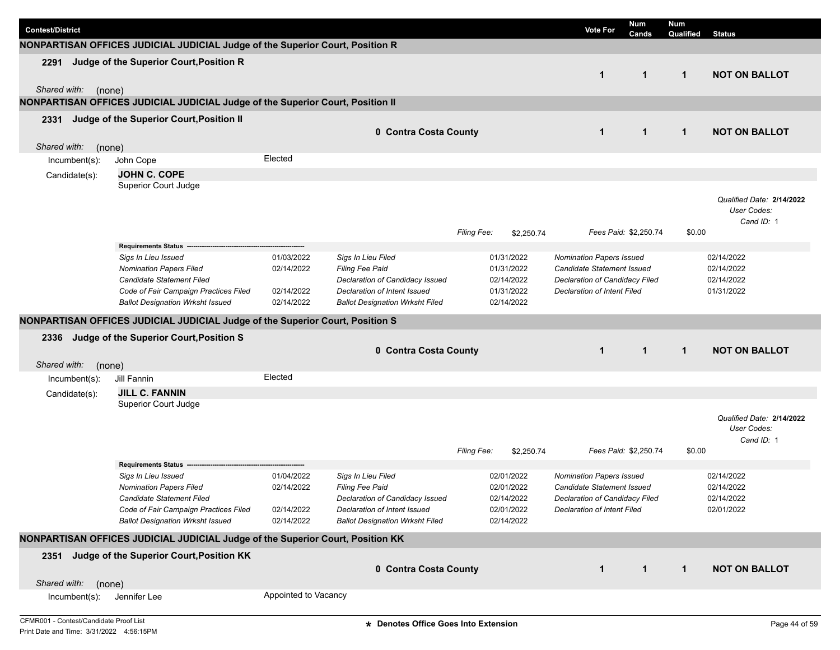| <b>Contest/District</b> |                                                                                                                                                                               |                                                      |                                                                                                                                                           |                                                                    | <b>Vote For</b>                                                                                                                       | <b>Num</b><br>Cands   | Num<br>Qualified | <b>Status</b>                                          |
|-------------------------|-------------------------------------------------------------------------------------------------------------------------------------------------------------------------------|------------------------------------------------------|-----------------------------------------------------------------------------------------------------------------------------------------------------------|--------------------------------------------------------------------|---------------------------------------------------------------------------------------------------------------------------------------|-----------------------|------------------|--------------------------------------------------------|
|                         | NONPARTISAN OFFICES JUDICIAL JUDICIAL Judge of the Superior Court, Position R                                                                                                 |                                                      |                                                                                                                                                           |                                                                    |                                                                                                                                       |                       |                  |                                                        |
| 2291                    | Judge of the Superior Court, Position R                                                                                                                                       |                                                      |                                                                                                                                                           |                                                                    | $\mathbf{1}$                                                                                                                          | $\mathbf{1}$          | $\mathbf{1}$     | <b>NOT ON BALLOT</b>                                   |
| Shared with:            | (none)<br>NONPARTISAN OFFICES JUDICIAL JUDICIAL Judge of the Superior Court, Position II                                                                                      |                                                      |                                                                                                                                                           |                                                                    |                                                                                                                                       |                       |                  |                                                        |
|                         | Judge of the Superior Court, Position II                                                                                                                                      |                                                      |                                                                                                                                                           |                                                                    |                                                                                                                                       |                       |                  |                                                        |
| 2331                    |                                                                                                                                                                               |                                                      | 0 Contra Costa County                                                                                                                                     |                                                                    | $\mathbf 1$                                                                                                                           | $\mathbf{1}$          | $\mathbf{1}$     | <b>NOT ON BALLOT</b>                                   |
| Shared with:            | (none)                                                                                                                                                                        |                                                      |                                                                                                                                                           |                                                                    |                                                                                                                                       |                       |                  |                                                        |
| Incumbent(s):           | John Cope                                                                                                                                                                     | Elected                                              |                                                                                                                                                           |                                                                    |                                                                                                                                       |                       |                  |                                                        |
| Candidate(s):           | <b>JOHN C. COPE</b>                                                                                                                                                           |                                                      |                                                                                                                                                           |                                                                    |                                                                                                                                       |                       |                  |                                                        |
|                         | Superior Court Judge                                                                                                                                                          |                                                      |                                                                                                                                                           |                                                                    |                                                                                                                                       |                       |                  |                                                        |
|                         |                                                                                                                                                                               |                                                      |                                                                                                                                                           | Filing Fee:<br>\$2,250.74                                          |                                                                                                                                       | Fees Paid: \$2,250.74 | \$0.00           | Qualified Date: 2/14/2022<br>User Codes:<br>Cand ID: 1 |
|                         | Requirements Status --                                                                                                                                                        |                                                      |                                                                                                                                                           |                                                                    |                                                                                                                                       |                       |                  |                                                        |
|                         | Sigs In Lieu Issued<br><b>Nomination Papers Filed</b><br><b>Candidate Statement Filed</b><br>Code of Fair Campaign Practices Filed<br><b>Ballot Designation Wrksht Issued</b> | 01/03/2022<br>02/14/2022<br>02/14/2022<br>02/14/2022 | Sigs In Lieu Filed<br>Filing Fee Paid<br>Declaration of Candidacy Issued<br>Declaration of Intent Issued<br><b>Ballot Designation Wrksht Filed</b>        | 01/31/2022<br>01/31/2022<br>02/14/2022<br>01/31/2022<br>02/14/2022 | Nomination Papers Issued<br>Candidate Statement Issued<br>Declaration of Candidacy Filed<br>Declaration of Intent Filed               |                       |                  | 02/14/2022<br>02/14/2022<br>02/14/2022<br>01/31/2022   |
|                         | NONPARTISAN OFFICES JUDICIAL JUDICIAL Judge of the Superior Court, Position S                                                                                                 |                                                      |                                                                                                                                                           |                                                                    |                                                                                                                                       |                       |                  |                                                        |
|                         |                                                                                                                                                                               |                                                      |                                                                                                                                                           |                                                                    |                                                                                                                                       |                       |                  |                                                        |
| 2336                    | Judge of the Superior Court, Position S                                                                                                                                       |                                                      | 0 Contra Costa County                                                                                                                                     |                                                                    | $\mathbf 1$                                                                                                                           | $\mathbf{1}$          | $\mathbf{1}$     | <b>NOT ON BALLOT</b>                                   |
| Shared with:            | (none)<br>Jill Fannin                                                                                                                                                         | Elected                                              |                                                                                                                                                           |                                                                    |                                                                                                                                       |                       |                  |                                                        |
| Incumbent(s):           | <b>JILL C. FANNIN</b>                                                                                                                                                         |                                                      |                                                                                                                                                           |                                                                    |                                                                                                                                       |                       |                  |                                                        |
| Candidate(s):           | Superior Court Judge                                                                                                                                                          |                                                      |                                                                                                                                                           |                                                                    |                                                                                                                                       |                       |                  |                                                        |
|                         |                                                                                                                                                                               |                                                      |                                                                                                                                                           | Filing Fee:<br>\$2,250.74                                          |                                                                                                                                       | Fees Paid: \$2,250.74 | \$0.00           | Qualified Date: 2/14/2022<br>User Codes:<br>Cand ID: 1 |
|                         | <b>Requirements Status</b>                                                                                                                                                    |                                                      |                                                                                                                                                           |                                                                    |                                                                                                                                       |                       |                  |                                                        |
|                         | Sigs In Lieu Issued<br><b>Nomination Papers Filed</b><br>Candidate Statement Filed<br>Code of Fair Campaign Practices Filed<br><b>Ballot Designation Wrksht Issued</b>        | 01/04/2022<br>02/14/2022<br>02/14/2022<br>02/14/2022 | Sigs In Lieu Filed<br><b>Filing Fee Paid</b><br>Declaration of Candidacy Issued<br>Declaration of Intent Issued<br><b>Ballot Designation Wrksht Filed</b> | 02/01/2022<br>02/01/2022<br>02/14/2022<br>02/01/2022<br>02/14/2022 | <b>Nomination Papers Issued</b><br>Candidate Statement Issued<br>Declaration of Candidacy Filed<br><b>Declaration of Intent Filed</b> |                       |                  | 02/14/2022<br>02/14/2022<br>02/14/2022<br>02/01/2022   |
|                         | NONPARTISAN OFFICES JUDICIAL JUDICIAL Judge of the Superior Court, Position KK                                                                                                |                                                      |                                                                                                                                                           |                                                                    |                                                                                                                                       |                       |                  |                                                        |
|                         | 2351 Judge of the Superior Court, Position KK                                                                                                                                 |                                                      | 0 Contra Costa County                                                                                                                                     |                                                                    | 1                                                                                                                                     | $\mathbf{1}$          | $\mathbf{1}$     | <b>NOT ON BALLOT</b>                                   |
| Shared with:            | (none)                                                                                                                                                                        |                                                      |                                                                                                                                                           |                                                                    |                                                                                                                                       |                       |                  |                                                        |
| Incumbent(s):           | Jennifer Lee                                                                                                                                                                  | Appointed to Vacancy                                 |                                                                                                                                                           |                                                                    |                                                                                                                                       |                       |                  |                                                        |
|                         |                                                                                                                                                                               |                                                      |                                                                                                                                                           |                                                                    |                                                                                                                                       |                       |                  |                                                        |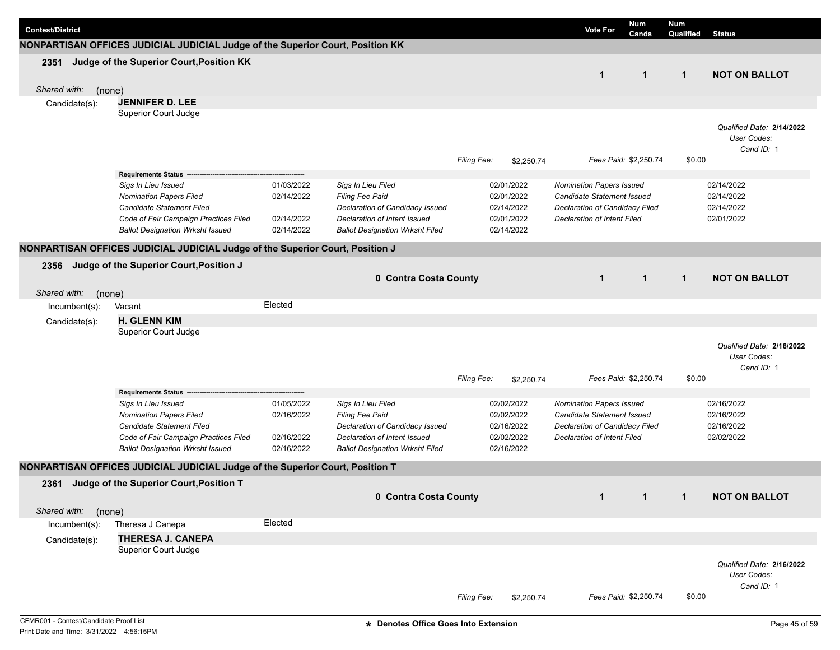|                         |               |                                                                                  |                          |                                                                        |             |                          |                                                              | Num                   | Num          |                                          |
|-------------------------|---------------|----------------------------------------------------------------------------------|--------------------------|------------------------------------------------------------------------|-------------|--------------------------|--------------------------------------------------------------|-----------------------|--------------|------------------------------------------|
| <b>Contest/District</b> |               |                                                                                  |                          |                                                                        |             |                          | <b>Vote For</b>                                              | Cands                 | Qualified    | <b>Status</b>                            |
|                         |               | NONPARTISAN OFFICES JUDICIAL JUDICIAL Judge of the Superior Court, Position KK   |                          |                                                                        |             |                          |                                                              |                       |              |                                          |
| 2351                    |               | Judge of the Superior Court, Position KK                                         |                          |                                                                        |             |                          |                                                              |                       |              |                                          |
|                         |               |                                                                                  |                          |                                                                        |             |                          | $\mathbf 1$                                                  | $\mathbf{1}$          | $\mathbf{1}$ | <b>NOT ON BALLOT</b>                     |
| Shared with:            | (none)        |                                                                                  |                          |                                                                        |             |                          |                                                              |                       |              |                                          |
|                         | Candidate(s): | <b>JENNIFER D. LEE</b>                                                           |                          |                                                                        |             |                          |                                                              |                       |              |                                          |
|                         |               | Superior Court Judge                                                             |                          |                                                                        |             |                          |                                                              |                       |              |                                          |
|                         |               |                                                                                  |                          |                                                                        |             |                          |                                                              |                       |              | Qualified Date: 2/14/2022<br>User Codes: |
|                         |               |                                                                                  |                          |                                                                        |             |                          |                                                              |                       |              | Cand ID: 1                               |
|                         |               |                                                                                  |                          |                                                                        | Filing Fee: | \$2,250.74               |                                                              | Fees Paid: \$2,250.74 | \$0.00       |                                          |
|                         |               | <b>Requirements Status</b>                                                       |                          |                                                                        |             |                          |                                                              |                       |              |                                          |
|                         |               | Sigs In Lieu Issued                                                              | 01/03/2022               | Sigs In Lieu Filed                                                     |             | 02/01/2022               | <b>Nomination Papers Issued</b>                              |                       |              | 02/14/2022                               |
|                         |               | <b>Nomination Papers Filed</b><br>Candidate Statement Filed                      | 02/14/2022               | Filing Fee Paid<br>Declaration of Candidacy Issued                     |             | 02/01/2022<br>02/14/2022 | Candidate Statement Issued<br>Declaration of Candidacy Filed |                       |              | 02/14/2022<br>02/14/2022                 |
|                         |               | Code of Fair Campaign Practices Filed                                            | 02/14/2022               | Declaration of Intent Issued                                           |             | 02/01/2022               | Declaration of Intent Filed                                  |                       |              | 02/01/2022                               |
|                         |               | <b>Ballot Designation Wrksht Issued</b>                                          | 02/14/2022               | <b>Ballot Designation Wrksht Filed</b>                                 |             | 02/14/2022               |                                                              |                       |              |                                          |
|                         |               | NONPARTISAN OFFICES JUDICIAL JUDICIAL Judge of the Superior Court, Position J    |                          |                                                                        |             |                          |                                                              |                       |              |                                          |
| 2356                    |               | Judge of the Superior Court, Position J                                          |                          |                                                                        |             |                          |                                                              |                       |              |                                          |
|                         |               |                                                                                  |                          | 0 Contra Costa County                                                  |             |                          | $\mathbf{1}$                                                 | $\mathbf{1}$          | $\mathbf{1}$ | <b>NOT ON BALLOT</b>                     |
| Shared with:            | (none)        |                                                                                  |                          |                                                                        |             |                          |                                                              |                       |              |                                          |
|                         | Incumbent(s): | Vacant                                                                           | Elected                  |                                                                        |             |                          |                                                              |                       |              |                                          |
|                         | Candidate(s): | <b>H. GLENN KIM</b>                                                              |                          |                                                                        |             |                          |                                                              |                       |              |                                          |
|                         |               | Superior Court Judge                                                             |                          |                                                                        |             |                          |                                                              |                       |              |                                          |
|                         |               |                                                                                  |                          |                                                                        |             |                          |                                                              |                       |              | Qualified Date: 2/16/2022                |
|                         |               |                                                                                  |                          |                                                                        |             |                          |                                                              |                       |              | User Codes:                              |
|                         |               |                                                                                  |                          |                                                                        | Filing Fee: | \$2,250.74               |                                                              | Fees Paid: \$2,250.74 | \$0.00       | Cand ID: 1                               |
|                         |               | <b>Requirements Status</b>                                                       |                          |                                                                        |             |                          |                                                              |                       |              |                                          |
|                         |               | Sigs In Lieu Issued                                                              | 01/05/2022               | Sigs In Lieu Filed                                                     |             | 02/02/2022               | Nomination Papers Issued                                     |                       |              | 02/16/2022                               |
|                         |               | <b>Nomination Papers Filed</b>                                                   | 02/16/2022               | Filing Fee Paid                                                        |             | 02/02/2022               | Candidate Statement Issued                                   |                       |              | 02/16/2022                               |
|                         |               | Candidate Statement Filed                                                        |                          | Declaration of Candidacy Issued                                        |             | 02/16/2022               | <b>Declaration of Candidacy Filed</b>                        |                       |              | 02/16/2022                               |
|                         |               | Code of Fair Campaign Practices Filed<br><b>Ballot Designation Wrksht Issued</b> | 02/16/2022<br>02/16/2022 | Declaration of Intent Issued<br><b>Ballot Designation Wrksht Filed</b> |             | 02/02/2022<br>02/16/2022 | <b>Declaration of Intent Filed</b>                           |                       |              | 02/02/2022                               |
|                         |               | NONPARTISAN OFFICES JUDICIAL JUDICIAL Judge of the Superior Court, Position T    |                          |                                                                        |             |                          |                                                              |                       |              |                                          |
|                         |               |                                                                                  |                          |                                                                        |             |                          |                                                              |                       |              |                                          |
| 2361                    |               | Judge of the Superior Court, Position T                                          |                          |                                                                        |             |                          |                                                              |                       |              |                                          |
|                         |               |                                                                                  |                          | 0 Contra Costa County                                                  |             |                          | $\mathbf{1}$                                                 | $\mathbf{1}$          | $\mathbf{1}$ | <b>NOT ON BALLOT</b>                     |
| Shared with:            | (none)        | Theresa J Canepa                                                                 | Elected                  |                                                                        |             |                          |                                                              |                       |              |                                          |
|                         | Incumbent(s): | <b>THERESA J. CANEPA</b>                                                         |                          |                                                                        |             |                          |                                                              |                       |              |                                          |
|                         | Candidate(s): | Superior Court Judge                                                             |                          |                                                                        |             |                          |                                                              |                       |              |                                          |
|                         |               |                                                                                  |                          |                                                                        |             |                          |                                                              |                       |              | Qualified Date: 2/16/2022                |
|                         |               |                                                                                  |                          |                                                                        |             |                          |                                                              |                       |              | User Codes:                              |
|                         |               |                                                                                  |                          |                                                                        |             |                          |                                                              |                       |              | Cand ID: 1                               |
|                         |               |                                                                                  |                          |                                                                        | Filing Fee: | \$2,250.74               |                                                              | Fees Paid: \$2,250.74 | \$0.00       |                                          |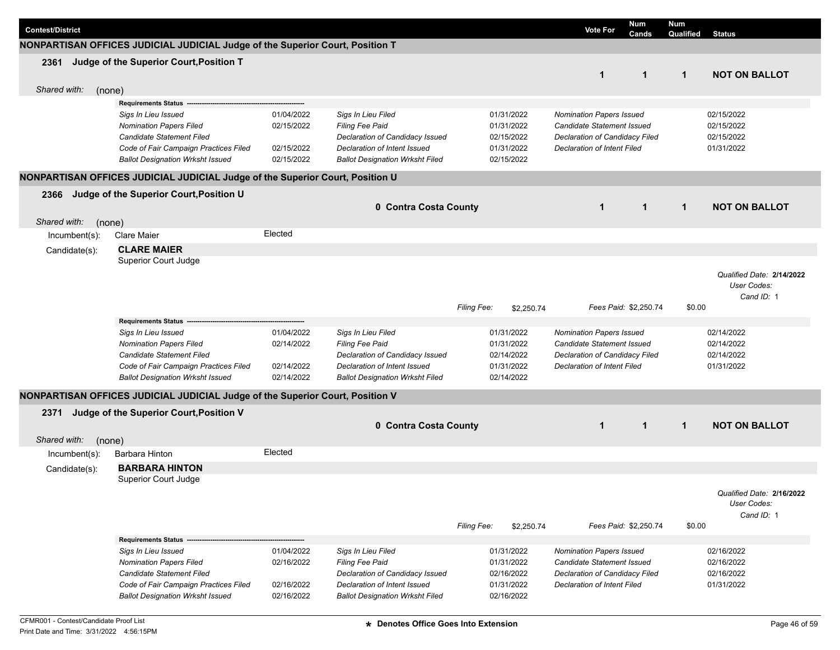| <b>Contest/District</b> |                                                                               |            |                                        |             |            | <b>Vote For</b>                    | <b>Num</b><br>Cands   | <b>Num</b><br><b>Qualified</b> Status |                           |
|-------------------------|-------------------------------------------------------------------------------|------------|----------------------------------------|-------------|------------|------------------------------------|-----------------------|---------------------------------------|---------------------------|
|                         | NONPARTISAN OFFICES JUDICIAL JUDICIAL Judge of the Superior Court, Position T |            |                                        |             |            |                                    |                       |                                       |                           |
| 2361                    | Judge of the Superior Court, Position T                                       |            |                                        |             |            |                                    |                       |                                       |                           |
|                         |                                                                               |            |                                        |             |            | $\mathbf{1}$                       | $\mathbf 1$           | $\mathbf{1}$                          | <b>NOT ON BALLOT</b>      |
| Shared with:            | (none)                                                                        |            |                                        |             |            |                                    |                       |                                       |                           |
|                         | <b>Requirements Status</b>                                                    |            |                                        |             |            |                                    |                       |                                       |                           |
|                         | Sigs In Lieu Issued                                                           | 01/04/2022 | Sigs In Lieu Filed                     |             | 01/31/2022 | <b>Nomination Papers Issued</b>    |                       |                                       | 02/15/2022                |
|                         | <b>Nomination Papers Filed</b>                                                | 02/15/2022 | Filing Fee Paid                        |             | 01/31/2022 | Candidate Statement Issued         |                       |                                       | 02/15/2022                |
|                         | Candidate Statement Filed                                                     |            | Declaration of Candidacy Issued        |             | 02/15/2022 | Declaration of Candidacy Filed     |                       |                                       | 02/15/2022                |
|                         | Code of Fair Campaign Practices Filed                                         | 02/15/2022 | Declaration of Intent Issued           |             | 01/31/2022 | <b>Declaration of Intent Filed</b> |                       |                                       | 01/31/2022                |
|                         | <b>Ballot Designation Wrksht Issued</b>                                       | 02/15/2022 | <b>Ballot Designation Wrksht Filed</b> |             | 02/15/2022 |                                    |                       |                                       |                           |
|                         | NONPARTISAN OFFICES JUDICIAL JUDICIAL Judge of the Superior Court, Position U |            |                                        |             |            |                                    |                       |                                       |                           |
| 2366                    | Judge of the Superior Court, Position U                                       |            |                                        |             |            |                                    |                       |                                       |                           |
|                         |                                                                               |            | 0 Contra Costa County                  |             |            | $\mathbf 1$                        | $\mathbf{1}$          | $\mathbf{1}$                          | <b>NOT ON BALLOT</b>      |
| Shared with:            | (none)                                                                        |            |                                        |             |            |                                    |                       |                                       |                           |
| $lncumbent(s)$ :        | <b>Clare Maier</b>                                                            | Elected    |                                        |             |            |                                    |                       |                                       |                           |
| Candidate(s):           | <b>CLARE MAIER</b>                                                            |            |                                        |             |            |                                    |                       |                                       |                           |
|                         | Superior Court Judge                                                          |            |                                        |             |            |                                    |                       |                                       |                           |
|                         |                                                                               |            |                                        |             |            |                                    |                       |                                       | Qualified Date: 2/14/2022 |
|                         |                                                                               |            |                                        |             |            |                                    |                       |                                       | User Codes:               |
|                         |                                                                               |            |                                        |             |            |                                    |                       |                                       | Cand ID: 1                |
|                         |                                                                               |            |                                        | Filing Fee: | \$2,250.74 |                                    | Fees Paid: \$2,250.74 | \$0.00                                |                           |
|                         | Requirements Status --                                                        |            |                                        |             |            |                                    |                       |                                       |                           |
|                         | Sigs In Lieu Issued                                                           | 01/04/2022 | Sigs In Lieu Filed                     |             | 01/31/2022 | Nomination Papers Issued           |                       |                                       | 02/14/2022                |
|                         | <b>Nomination Papers Filed</b>                                                | 02/14/2022 | Filing Fee Paid                        |             | 01/31/2022 | Candidate Statement Issued         |                       |                                       | 02/14/2022                |
|                         | Candidate Statement Filed                                                     |            | Declaration of Candidacy Issued        |             | 02/14/2022 | Declaration of Candidacy Filed     |                       |                                       | 02/14/2022                |
|                         | Code of Fair Campaign Practices Filed                                         | 02/14/2022 | Declaration of Intent Issued           |             | 01/31/2022 | <b>Declaration of Intent Filed</b> |                       |                                       | 01/31/2022                |
|                         | <b>Ballot Designation Wrksht Issued</b>                                       | 02/14/2022 | <b>Ballot Designation Wrksht Filed</b> |             | 02/14/2022 |                                    |                       |                                       |                           |
|                         | NONPARTISAN OFFICES JUDICIAL JUDICIAL Judge of the Superior Court, Position V |            |                                        |             |            |                                    |                       |                                       |                           |
| 2371                    | Judge of the Superior Court, Position V                                       |            |                                        |             |            |                                    |                       |                                       |                           |
|                         |                                                                               |            | 0 Contra Costa County                  |             |            | $\mathbf 1$                        | $\mathbf 1$           | $\mathbf{1}$                          | <b>NOT ON BALLOT</b>      |
| Shared with:            | (none)                                                                        |            |                                        |             |            |                                    |                       |                                       |                           |
| Incumbent(s):           | Barbara Hinton                                                                | Elected    |                                        |             |            |                                    |                       |                                       |                           |
|                         | <b>BARBARA HINTON</b>                                                         |            |                                        |             |            |                                    |                       |                                       |                           |
| Candidate(s):           | Superior Court Judge                                                          |            |                                        |             |            |                                    |                       |                                       |                           |
|                         |                                                                               |            |                                        |             |            |                                    |                       |                                       | Qualified Date: 2/16/2022 |
|                         |                                                                               |            |                                        |             |            |                                    |                       |                                       | User Codes:               |
|                         |                                                                               |            |                                        |             |            |                                    |                       |                                       | Cand ID: 1                |
|                         |                                                                               |            |                                        | Filing Fee: | \$2,250.74 |                                    | Fees Paid: \$2,250.74 | \$0.00                                |                           |
|                         | Requirements Status --                                                        |            |                                        |             |            |                                    |                       |                                       |                           |
|                         | Sigs In Lieu Issued                                                           | 01/04/2022 | Sigs In Lieu Filed                     |             | 01/31/2022 | <b>Nomination Papers Issued</b>    |                       |                                       | 02/16/2022                |
|                         | <b>Nomination Papers Filed</b>                                                | 02/16/2022 | Filing Fee Paid                        |             | 01/31/2022 | Candidate Statement Issued         |                       |                                       | 02/16/2022                |
|                         | Candidate Statement Filed                                                     |            | Declaration of Candidacy Issued        |             | 02/16/2022 | Declaration of Candidacy Filed     |                       |                                       | 02/16/2022                |
|                         | Code of Fair Campaign Practices Filed                                         | 02/16/2022 | Declaration of Intent Issued           |             | 01/31/2022 | Declaration of Intent Filed        |                       |                                       | 01/31/2022                |
|                         | <b>Ballot Designation Wrksht Issued</b>                                       | 02/16/2022 | <b>Ballot Designation Wrksht Filed</b> |             | 02/16/2022 |                                    |                       |                                       |                           |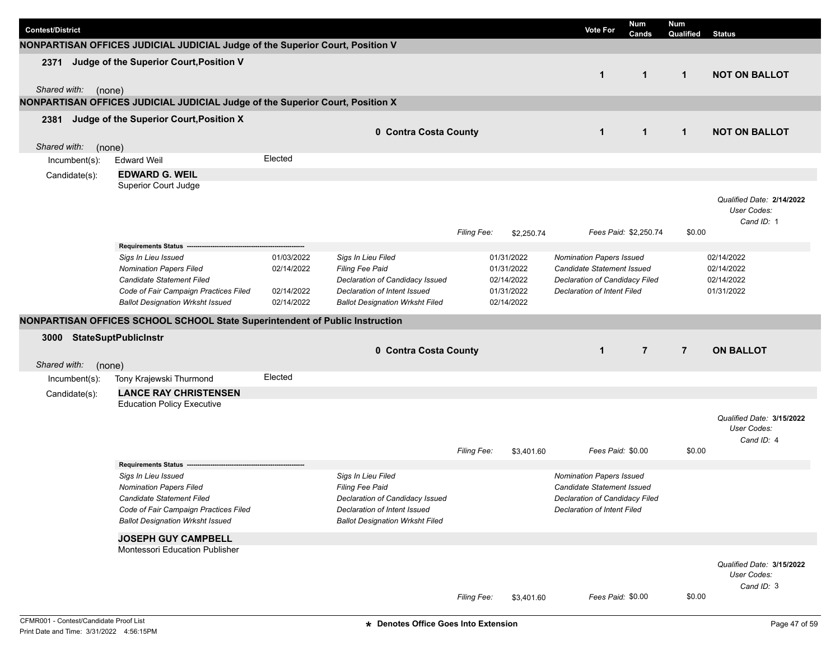| <b>Contest/District</b>        |                                                                               |                          |                                        |                    |                          | <b>Vote For</b>                                               | <b>Num</b><br>Cands   | <b>Num</b><br>Qualified | <b>Status</b>                                          |
|--------------------------------|-------------------------------------------------------------------------------|--------------------------|----------------------------------------|--------------------|--------------------------|---------------------------------------------------------------|-----------------------|-------------------------|--------------------------------------------------------|
|                                | NONPARTISAN OFFICES JUDICIAL JUDICIAL Judge of the Superior Court, Position V |                          |                                        |                    |                          |                                                               |                       |                         |                                                        |
| 2371<br>Shared with:<br>(none) | Judge of the Superior Court, Position V                                       |                          |                                        |                    |                          | $\mathbf{1}$                                                  | $\mathbf{1}$          | $\mathbf{1}$            | <b>NOT ON BALLOT</b>                                   |
|                                | NONPARTISAN OFFICES JUDICIAL JUDICIAL Judge of the Superior Court, Position X |                          |                                        |                    |                          |                                                               |                       |                         |                                                        |
| 2381                           | Judge of the Superior Court, Position X                                       |                          |                                        |                    |                          |                                                               |                       |                         |                                                        |
|                                |                                                                               |                          | 0 Contra Costa County                  |                    |                          | $\mathbf{1}$                                                  | $\mathbf{1}$          | $\mathbf{1}$            | <b>NOT ON BALLOT</b>                                   |
| Shared with:<br>(none)         |                                                                               |                          |                                        |                    |                          |                                                               |                       |                         |                                                        |
| Incumbent(s):                  | <b>Edward Weil</b>                                                            | Elected                  |                                        |                    |                          |                                                               |                       |                         |                                                        |
| Candidate(s):                  | <b>EDWARD G. WEIL</b>                                                         |                          |                                        |                    |                          |                                                               |                       |                         |                                                        |
|                                | Superior Court Judge                                                          |                          |                                        |                    |                          |                                                               |                       |                         |                                                        |
|                                |                                                                               |                          |                                        | Filing Fee:        | \$2,250.74               |                                                               | Fees Paid: \$2,250.74 | \$0.00                  | Qualified Date: 2/14/2022<br>User Codes:<br>Cand ID: 1 |
|                                | Requirements Status ---                                                       |                          |                                        |                    |                          |                                                               |                       |                         |                                                        |
|                                | Sigs In Lieu Issued<br><b>Nomination Papers Filed</b>                         | 01/03/2022<br>02/14/2022 | Sigs In Lieu Filed<br>Filing Fee Paid  |                    | 01/31/2022<br>01/31/2022 | Nomination Papers Issued<br><b>Candidate Statement Issued</b> |                       |                         | 02/14/2022<br>02/14/2022                               |
|                                | Candidate Statement Filed                                                     |                          | Declaration of Candidacy Issued        |                    | 02/14/2022               | Declaration of Candidacy Filed                                |                       |                         | 02/14/2022                                             |
|                                | Code of Fair Campaign Practices Filed                                         | 02/14/2022               | Declaration of Intent Issued           |                    | 01/31/2022               | <b>Declaration of Intent Filed</b>                            |                       |                         | 01/31/2022                                             |
|                                | <b>Ballot Designation Wrksht Issued</b>                                       | 02/14/2022               | <b>Ballot Designation Wrksht Filed</b> |                    | 02/14/2022               |                                                               |                       |                         |                                                        |
|                                | NONPARTISAN OFFICES SCHOOL SCHOOL State Superintendent of Public Instruction  |                          |                                        |                    |                          |                                                               |                       |                         |                                                        |
| 3000                           | <b>StateSuptPublicInstr</b>                                                   |                          |                                        |                    |                          |                                                               |                       |                         |                                                        |
|                                |                                                                               |                          | 0 Contra Costa County                  |                    |                          | $\mathbf{1}$                                                  | $\overline{7}$        | $\overline{7}$          | <b>ON BALLOT</b>                                       |
| Shared with:<br>(none)         |                                                                               |                          |                                        |                    |                          |                                                               |                       |                         |                                                        |
| Incumbent(s):                  | Tony Krajewski Thurmond                                                       | Elected                  |                                        |                    |                          |                                                               |                       |                         |                                                        |
| Candidate(s):                  | <b>LANCE RAY CHRISTENSEN</b>                                                  |                          |                                        |                    |                          |                                                               |                       |                         |                                                        |
|                                | <b>Education Policy Executive</b>                                             |                          |                                        |                    |                          |                                                               |                       |                         | Qualified Date: 3/15/2022<br>User Codes:<br>Cand ID: 4 |
|                                |                                                                               |                          |                                        | <b>Filing Fee:</b> | \$3,401.60               | Fees Paid: \$0.00                                             |                       | \$0.00                  |                                                        |
|                                | <b>Requirements Status</b>                                                    |                          |                                        |                    |                          |                                                               |                       |                         |                                                        |
|                                | Sigs In Lieu Issued<br><b>Nomination Papers Filed</b>                         |                          | Sigs In Lieu Filed<br>Filing Fee Paid  |                    |                          | <b>Nomination Papers Issued</b><br>Candidate Statement Issued |                       |                         |                                                        |
|                                | Candidate Statement Filed                                                     |                          | Declaration of Candidacy Issued        |                    |                          | Declaration of Candidacy Filed                                |                       |                         |                                                        |
|                                | Code of Fair Campaign Practices Filed                                         |                          | Declaration of Intent Issued           |                    |                          | <b>Declaration of Intent Filed</b>                            |                       |                         |                                                        |
|                                | <b>Ballot Designation Wrksht Issued</b>                                       |                          | <b>Ballot Designation Wrksht Filed</b> |                    |                          |                                                               |                       |                         |                                                        |
|                                | <b>JOSEPH GUY CAMPBELL</b>                                                    |                          |                                        |                    |                          |                                                               |                       |                         |                                                        |
|                                | Montessori Education Publisher                                                |                          |                                        |                    |                          |                                                               |                       |                         |                                                        |
|                                |                                                                               |                          |                                        |                    |                          |                                                               |                       |                         | Qualified Date: 3/15/2022<br>User Codes:<br>Cand ID: 3 |
|                                |                                                                               |                          |                                        | Filing Fee:        | \$3,401.60               | Fees Paid: \$0.00                                             |                       | \$0.00                  |                                                        |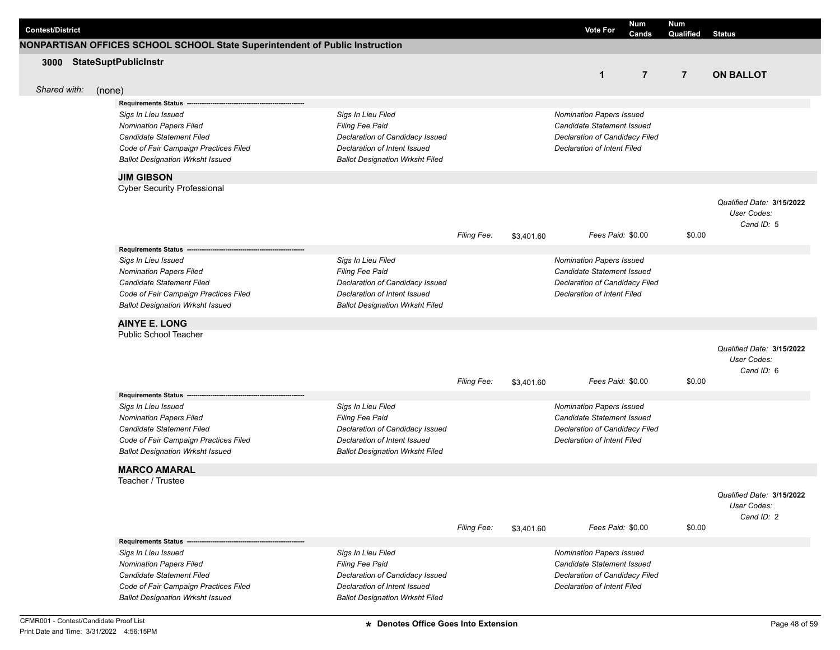| <b>Contest/District</b> |                                                                              |                                                                 |                    |            | <b>Vote For</b>                                                      | <b>Num</b><br>Cands | Num<br>Qualified | <b>Status</b>                            |
|-------------------------|------------------------------------------------------------------------------|-----------------------------------------------------------------|--------------------|------------|----------------------------------------------------------------------|---------------------|------------------|------------------------------------------|
|                         | NONPARTISAN OFFICES SCHOOL SCHOOL State Superintendent of Public Instruction |                                                                 |                    |            |                                                                      |                     |                  |                                          |
| 3000                    | <b>StateSuptPublicInstr</b>                                                  |                                                                 |                    |            |                                                                      |                     |                  |                                          |
|                         |                                                                              |                                                                 |                    |            | $\mathbf{1}$                                                         | $\overline{7}$      | $\overline{7}$   | <b>ON BALLOT</b>                         |
| Shared with:            | (none)                                                                       |                                                                 |                    |            |                                                                      |                     |                  |                                          |
|                         | <b>Requirements Status -</b>                                                 |                                                                 |                    |            |                                                                      |                     |                  |                                          |
|                         | Sigs In Lieu Issued                                                          | Sigs In Lieu Filed                                              |                    |            | <b>Nomination Papers Issued</b>                                      |                     |                  |                                          |
|                         | <b>Nomination Papers Filed</b>                                               | Filing Fee Paid                                                 |                    |            | <b>Candidate Statement Issued</b>                                    |                     |                  |                                          |
|                         | Candidate Statement Filed                                                    | Declaration of Candidacy Issued                                 |                    |            | Declaration of Candidacy Filed                                       |                     |                  |                                          |
|                         | Code of Fair Campaign Practices Filed                                        | Declaration of Intent Issued                                    |                    |            | <b>Declaration of Intent Filed</b>                                   |                     |                  |                                          |
|                         | <b>Ballot Designation Wrksht Issued</b>                                      | <b>Ballot Designation Wrksht Filed</b>                          |                    |            |                                                                      |                     |                  |                                          |
|                         | <b>JIM GIBSON</b>                                                            |                                                                 |                    |            |                                                                      |                     |                  |                                          |
|                         | <b>Cyber Security Professional</b>                                           |                                                                 |                    |            |                                                                      |                     |                  |                                          |
|                         |                                                                              |                                                                 |                    |            |                                                                      |                     |                  | Qualified Date: 3/15/2022                |
|                         |                                                                              |                                                                 |                    |            |                                                                      |                     |                  | User Codes:                              |
|                         |                                                                              |                                                                 |                    |            |                                                                      |                     |                  | Cand ID: 5                               |
|                         |                                                                              |                                                                 | Filing Fee:        | \$3,401.60 | Fees Paid: \$0.00                                                    |                     | \$0.00           |                                          |
|                         | Requirements Status ---                                                      |                                                                 |                    |            |                                                                      |                     |                  |                                          |
|                         | Sigs In Lieu Issued<br><b>Nomination Papers Filed</b>                        | Sigs In Lieu Filed<br>Filing Fee Paid                           |                    |            | <b>Nomination Papers Issued</b><br><b>Candidate Statement Issued</b> |                     |                  |                                          |
|                         | Candidate Statement Filed                                                    | Declaration of Candidacy Issued                                 |                    |            | Declaration of Candidacy Filed                                       |                     |                  |                                          |
|                         | Code of Fair Campaign Practices Filed                                        | Declaration of Intent Issued                                    |                    |            | <b>Declaration of Intent Filed</b>                                   |                     |                  |                                          |
|                         | <b>Ballot Designation Wrksht Issued</b>                                      | <b>Ballot Designation Wrksht Filed</b>                          |                    |            |                                                                      |                     |                  |                                          |
|                         |                                                                              |                                                                 |                    |            |                                                                      |                     |                  |                                          |
|                         | <b>AINYE E. LONG</b><br>Public School Teacher                                |                                                                 |                    |            |                                                                      |                     |                  |                                          |
|                         |                                                                              |                                                                 |                    |            |                                                                      |                     |                  |                                          |
|                         |                                                                              |                                                                 |                    |            |                                                                      |                     |                  | Qualified Date: 3/15/2022<br>User Codes: |
|                         |                                                                              |                                                                 |                    |            |                                                                      |                     |                  | Cand ID: 6                               |
|                         |                                                                              |                                                                 | <b>Filing Fee:</b> | \$3,401.60 | Fees Paid: \$0.00                                                    |                     | \$0.00           |                                          |
|                         | <b>Requirements Status</b>                                                   |                                                                 |                    |            |                                                                      |                     |                  |                                          |
|                         | Sigs In Lieu Issued                                                          | Sigs In Lieu Filed                                              |                    |            | <b>Nomination Papers Issued</b>                                      |                     |                  |                                          |
|                         | <b>Nomination Papers Filed</b>                                               | Filing Fee Paid                                                 |                    |            | <b>Candidate Statement Issued</b>                                    |                     |                  |                                          |
|                         | Candidate Statement Filed                                                    | Declaration of Candidacy Issued                                 |                    |            | Declaration of Candidacy Filed                                       |                     |                  |                                          |
|                         | Code of Fair Campaign Practices Filed                                        | Declaration of Intent Issued                                    |                    |            | Declaration of Intent Filed                                          |                     |                  |                                          |
|                         | <b>Ballot Designation Wrksht Issued</b>                                      | <b>Ballot Designation Wrksht Filed</b>                          |                    |            |                                                                      |                     |                  |                                          |
|                         | <b>MARCO AMARAL</b>                                                          |                                                                 |                    |            |                                                                      |                     |                  |                                          |
|                         | Teacher / Trustee                                                            |                                                                 |                    |            |                                                                      |                     |                  |                                          |
|                         |                                                                              |                                                                 |                    |            |                                                                      |                     |                  | Qualified Date: 3/15/2022                |
|                         |                                                                              |                                                                 |                    |            |                                                                      |                     |                  | User Codes:                              |
|                         |                                                                              |                                                                 |                    |            |                                                                      |                     |                  | Cand ID: 2                               |
|                         |                                                                              |                                                                 | Filing Fee:        | \$3,401.60 | Fees Paid: \$0.00                                                    |                     | \$0.00           |                                          |
|                         | <b>Requirements Status -</b>                                                 |                                                                 |                    |            |                                                                      |                     |                  |                                          |
|                         | Sigs In Lieu Issued                                                          | Sigs In Lieu Filed                                              |                    |            | Nomination Papers Issued                                             |                     |                  |                                          |
|                         | <b>Nomination Papers Filed</b>                                               | Filing Fee Paid                                                 |                    |            | Candidate Statement Issued                                           |                     |                  |                                          |
|                         | Candidate Statement Filed<br>Code of Fair Campaign Practices Filed           | Declaration of Candidacy Issued<br>Declaration of Intent Issued |                    |            | Declaration of Candidacy Filed<br>Declaration of Intent Filed        |                     |                  |                                          |
|                         | <b>Ballot Designation Wrksht Issued</b>                                      | <b>Ballot Designation Wrksht Filed</b>                          |                    |            |                                                                      |                     |                  |                                          |
|                         |                                                                              |                                                                 |                    |            |                                                                      |                     |                  |                                          |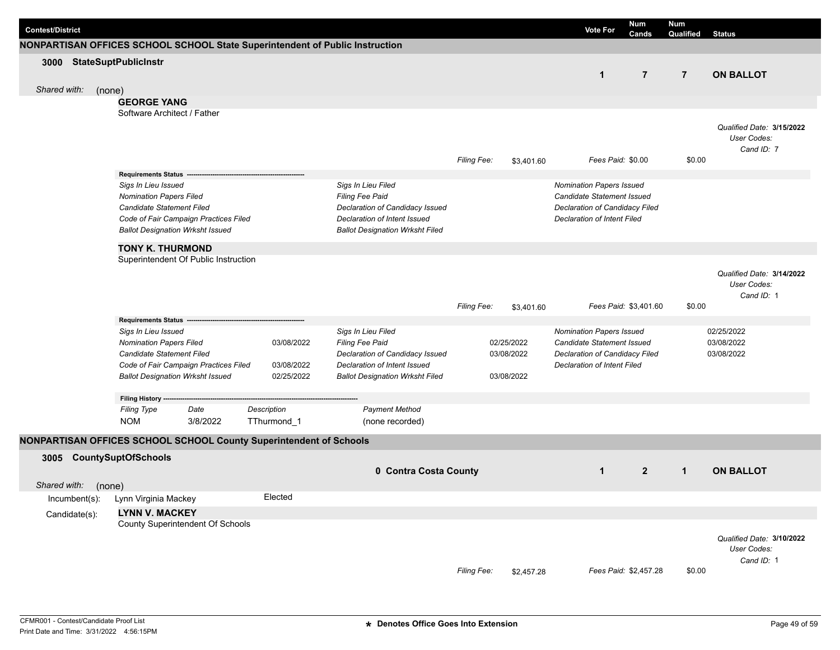| <b>Contest/District</b>                                                      |                                                                                  |          |                          |                                        |                    |            | <b>Vote For</b>                    | <b>Num</b><br>Cands   | <b>Num</b><br>Qualified | <b>Status</b>             |
|------------------------------------------------------------------------------|----------------------------------------------------------------------------------|----------|--------------------------|----------------------------------------|--------------------|------------|------------------------------------|-----------------------|-------------------------|---------------------------|
| NONPARTISAN OFFICES SCHOOL SCHOOL State Superintendent of Public Instruction |                                                                                  |          |                          |                                        |                    |            |                                    |                       |                         |                           |
| 3000 StateSuptPublicInstr                                                    |                                                                                  |          |                          |                                        |                    |            |                                    |                       |                         |                           |
|                                                                              |                                                                                  |          |                          |                                        |                    |            | $\mathbf{1}$                       | $\overline{7}$        | $\overline{7}$          | <b>ON BALLOT</b>          |
| Shared with:<br>(none)                                                       |                                                                                  |          |                          |                                        |                    |            |                                    |                       |                         |                           |
|                                                                              | <b>GEORGE YANG</b>                                                               |          |                          |                                        |                    |            |                                    |                       |                         |                           |
|                                                                              | Software Architect / Father                                                      |          |                          |                                        |                    |            |                                    |                       |                         |                           |
|                                                                              |                                                                                  |          |                          |                                        |                    |            |                                    |                       |                         | Qualified Date: 3/15/2022 |
|                                                                              |                                                                                  |          |                          |                                        |                    |            |                                    |                       |                         | User Codes:               |
|                                                                              |                                                                                  |          |                          |                                        |                    |            |                                    |                       |                         | Cand ID: 7                |
|                                                                              |                                                                                  |          |                          |                                        | <b>Filing Fee:</b> | \$3,401.60 | Fees Paid: \$0.00                  |                       | \$0.00                  |                           |
|                                                                              | Requirements Status --                                                           |          |                          |                                        |                    |            |                                    |                       |                         |                           |
|                                                                              | Sigs In Lieu Issued                                                              |          |                          | Sigs In Lieu Filed                     |                    |            | <b>Nomination Papers Issued</b>    |                       |                         |                           |
|                                                                              | <b>Nomination Papers Filed</b>                                                   |          |                          | Filing Fee Paid                        |                    |            | Candidate Statement Issued         |                       |                         |                           |
|                                                                              | Candidate Statement Filed                                                        |          |                          | Declaration of Candidacy Issued        |                    |            | Declaration of Candidacy Filed     |                       |                         |                           |
|                                                                              | Code of Fair Campaign Practices Filed                                            |          |                          | Declaration of Intent Issued           |                    |            | <b>Declaration of Intent Filed</b> |                       |                         |                           |
|                                                                              | <b>Ballot Designation Wrksht Issued</b>                                          |          |                          | <b>Ballot Designation Wrksht Filed</b> |                    |            |                                    |                       |                         |                           |
|                                                                              | <b>TONY K. THURMOND</b>                                                          |          |                          |                                        |                    |            |                                    |                       |                         |                           |
|                                                                              | Superintendent Of Public Instruction                                             |          |                          |                                        |                    |            |                                    |                       |                         |                           |
|                                                                              |                                                                                  |          |                          |                                        |                    |            |                                    |                       |                         | Qualified Date: 3/14/2022 |
|                                                                              |                                                                                  |          |                          |                                        |                    |            |                                    |                       |                         | User Codes:               |
|                                                                              |                                                                                  |          |                          |                                        |                    |            |                                    |                       |                         | Cand ID: 1                |
|                                                                              |                                                                                  |          |                          |                                        | Filing Fee:        | \$3,401.60 |                                    | Fees Paid: \$3,401.60 | \$0.00                  |                           |
|                                                                              | Requirements Status -----                                                        |          |                          |                                        |                    |            |                                    |                       |                         |                           |
|                                                                              | Sigs In Lieu Issued                                                              |          |                          | Sigs In Lieu Filed                     |                    |            | Nomination Papers Issued           |                       |                         | 02/25/2022                |
|                                                                              | <b>Nomination Papers Filed</b>                                                   |          | 03/08/2022               | Filing Fee Paid                        |                    | 02/25/2022 | <b>Candidate Statement Issued</b>  |                       |                         | 03/08/2022                |
|                                                                              | Candidate Statement Filed                                                        |          |                          | Declaration of Candidacy Issued        |                    | 03/08/2022 | Declaration of Candidacy Filed     |                       |                         | 03/08/2022                |
|                                                                              | Code of Fair Campaign Practices Filed<br><b>Ballot Designation Wrksht Issued</b> |          | 03/08/2022<br>02/25/2022 | Declaration of Intent Issued           |                    | 03/08/2022 | <b>Declaration of Intent Filed</b> |                       |                         |                           |
|                                                                              |                                                                                  |          |                          | <b>Ballot Designation Wrksht Filed</b> |                    |            |                                    |                       |                         |                           |
|                                                                              | Filing History -                                                                 |          |                          |                                        |                    |            |                                    |                       |                         |                           |
|                                                                              | <b>Filing Type</b>                                                               | Date     | Description              | <b>Payment Method</b>                  |                    |            |                                    |                       |                         |                           |
|                                                                              | <b>NOM</b>                                                                       | 3/8/2022 | TThurmond_1              | (none recorded)                        |                    |            |                                    |                       |                         |                           |
| NONPARTISAN OFFICES SCHOOL SCHOOL County Superintendent of Schools           |                                                                                  |          |                          |                                        |                    |            |                                    |                       |                         |                           |
|                                                                              |                                                                                  |          |                          |                                        |                    |            |                                    |                       |                         |                           |
| 3005                                                                         | <b>CountySuptOfSchools</b>                                                       |          |                          |                                        |                    |            |                                    |                       |                         |                           |
|                                                                              |                                                                                  |          |                          | 0 Contra Costa County                  |                    |            | $\mathbf{1}$                       | $\overline{2}$        | $\mathbf{1}$            | <b>ON BALLOT</b>          |
| Shared with:                                                                 | (none)                                                                           |          |                          |                                        |                    |            |                                    |                       |                         |                           |
| Incumbent(s):                                                                | Lynn Virginia Mackey                                                             |          | Elected                  |                                        |                    |            |                                    |                       |                         |                           |
| Candidate(s):                                                                | <b>LYNN V. MACKEY</b>                                                            |          |                          |                                        |                    |            |                                    |                       |                         |                           |
|                                                                              | County Superintendent Of Schools                                                 |          |                          |                                        |                    |            |                                    |                       |                         |                           |
|                                                                              |                                                                                  |          |                          |                                        |                    |            |                                    |                       |                         | Qualified Date: 3/10/2022 |
|                                                                              |                                                                                  |          |                          |                                        |                    |            |                                    |                       |                         | User Codes:               |
|                                                                              |                                                                                  |          |                          |                                        |                    |            |                                    |                       |                         | Cand ID: 1                |
|                                                                              |                                                                                  |          |                          |                                        | Filing Fee:        | \$2,457.28 |                                    | Fees Paid: \$2,457.28 | \$0.00                  |                           |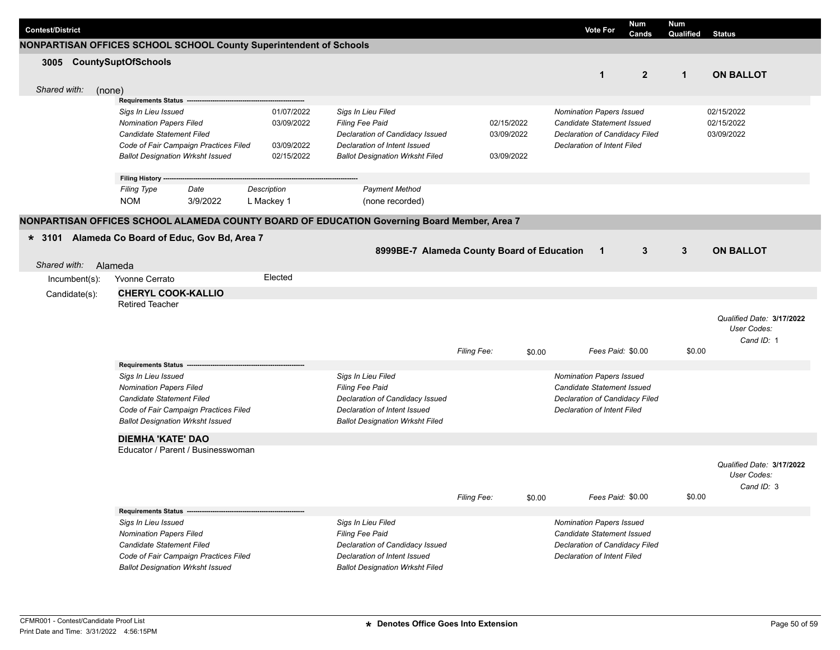| <b>Contest/District</b> |                                                                                             |                          |                                                                 |             | <b>Vote For</b>                    | <b>Num</b><br>Cands            | <b>Num</b><br>Qualified | <b>Status</b>             |
|-------------------------|---------------------------------------------------------------------------------------------|--------------------------|-----------------------------------------------------------------|-------------|------------------------------------|--------------------------------|-------------------------|---------------------------|
|                         | NONPARTISAN OFFICES SCHOOL SCHOOL County Superintendent of Schools                          |                          |                                                                 |             |                                    |                                |                         |                           |
|                         | 3005 CountySuptOfSchools                                                                    |                          |                                                                 |             |                                    |                                |                         |                           |
|                         |                                                                                             |                          |                                                                 |             |                                    | $\overline{2}$<br>$\mathbf{1}$ | $\mathbf{1}$            | <b>ON BALLOT</b>          |
| Shared with:            | (none)                                                                                      |                          |                                                                 |             |                                    |                                |                         |                           |
|                         | <b>Requirements Status</b>                                                                  |                          |                                                                 |             |                                    |                                |                         |                           |
|                         | Sigs In Lieu Issued<br><b>Nomination Papers Filed</b>                                       | 01/07/2022<br>03/09/2022 | Sigs In Lieu Filed<br>Filing Fee Paid                           | 02/15/2022  | Nomination Papers Issued           | Candidate Statement Issued     |                         | 02/15/2022<br>02/15/2022  |
|                         | Candidate Statement Filed                                                                   |                          | Declaration of Candidacy Issued                                 | 03/09/2022  |                                    | Declaration of Candidacy Filed |                         | 03/09/2022                |
|                         | Code of Fair Campaign Practices Filed                                                       | 03/09/2022               | Declaration of Intent Issued                                    |             | Declaration of Intent Filed        |                                |                         |                           |
|                         | <b>Ballot Designation Wrksht Issued</b>                                                     | 02/15/2022               | <b>Ballot Designation Wrksht Filed</b>                          | 03/09/2022  |                                    |                                |                         |                           |
|                         | Filing History ---                                                                          |                          |                                                                 |             |                                    |                                |                         |                           |
|                         | <b>Filing Type</b><br>Date                                                                  | Description              | <b>Payment Method</b>                                           |             |                                    |                                |                         |                           |
|                         | <b>NOM</b><br>3/9/2022                                                                      | L Mackey 1               | (none recorded)                                                 |             |                                    |                                |                         |                           |
|                         | NONPARTISAN OFFICES SCHOOL ALAMEDA COUNTY BOARD OF EDUCATION Governing Board Member, Area 7 |                          |                                                                 |             |                                    |                                |                         |                           |
| $*3101$                 | Alameda Co Board of Educ, Gov Bd, Area 7                                                    |                          |                                                                 |             |                                    |                                |                         |                           |
|                         |                                                                                             |                          | 8999BE-7 Alameda County Board of Education                      |             |                                    | 3<br>$\mathbf 1$               | 3                       | <b>ON BALLOT</b>          |
| Shared with:            | Alameda                                                                                     |                          |                                                                 |             |                                    |                                |                         |                           |
| Incumbent(s):           | Yvonne Cerrato                                                                              | Elected                  |                                                                 |             |                                    |                                |                         |                           |
| Candidate(s):           | <b>CHERYL COOK-KALLIO</b>                                                                   |                          |                                                                 |             |                                    |                                |                         |                           |
|                         | <b>Retired Teacher</b>                                                                      |                          |                                                                 |             |                                    |                                |                         |                           |
|                         |                                                                                             |                          |                                                                 |             |                                    |                                |                         | Qualified Date: 3/17/2022 |
|                         |                                                                                             |                          |                                                                 |             |                                    |                                |                         | User Codes:               |
|                         |                                                                                             |                          |                                                                 |             |                                    |                                |                         | Cand ID: 1                |
|                         |                                                                                             |                          |                                                                 | Filing Fee: | \$0.00                             | Fees Paid: \$0.00              | \$0.00                  |                           |
|                         | <b>Requirements Status -</b>                                                                |                          |                                                                 |             |                                    |                                |                         |                           |
|                         | Sigs In Lieu Issued                                                                         |                          | Sigs In Lieu Filed                                              |             | <b>Nomination Papers Issued</b>    |                                |                         |                           |
|                         | <b>Nomination Papers Filed</b>                                                              |                          | Filing Fee Paid                                                 |             |                                    | Candidate Statement Issued     |                         |                           |
|                         | Candidate Statement Filed                                                                   |                          | Declaration of Candidacy Issued<br>Declaration of Intent Issued |             | <b>Declaration of Intent Filed</b> | Declaration of Candidacy Filed |                         |                           |
|                         | Code of Fair Campaign Practices Filed<br><b>Ballot Designation Wrksht Issued</b>            |                          | <b>Ballot Designation Wrksht Filed</b>                          |             |                                    |                                |                         |                           |
|                         |                                                                                             |                          |                                                                 |             |                                    |                                |                         |                           |
|                         | <b>DIEMHA 'KATE' DAO</b><br>Educator / Parent / Businesswoman                               |                          |                                                                 |             |                                    |                                |                         |                           |
|                         |                                                                                             |                          |                                                                 |             |                                    |                                |                         | Qualified Date: 3/17/2022 |
|                         |                                                                                             |                          |                                                                 |             |                                    |                                |                         | User Codes:               |
|                         |                                                                                             |                          |                                                                 |             |                                    |                                |                         | Cand ID: 3                |
|                         |                                                                                             |                          |                                                                 | Filing Fee: | \$0.00                             | Fees Paid: \$0.00              | \$0.00                  |                           |
|                         | Requirements Status -                                                                       |                          |                                                                 |             |                                    |                                |                         |                           |
|                         | Sigs In Lieu Issued                                                                         |                          | Sigs In Lieu Filed                                              |             | <b>Nomination Papers Issued</b>    |                                |                         |                           |
|                         | <b>Nomination Papers Filed</b>                                                              |                          | <b>Filing Fee Paid</b>                                          |             |                                    | Candidate Statement Issued     |                         |                           |
|                         | Candidate Statement Filed                                                                   |                          | Declaration of Candidacy Issued                                 |             |                                    | Declaration of Candidacy Filed |                         |                           |
|                         | Code of Fair Campaign Practices Filed                                                       |                          | Declaration of Intent Issued                                    |             | Declaration of Intent Filed        |                                |                         |                           |
|                         | <b>Ballot Designation Wrksht Issued</b>                                                     |                          | <b>Ballot Designation Wrksht Filed</b>                          |             |                                    |                                |                         |                           |

J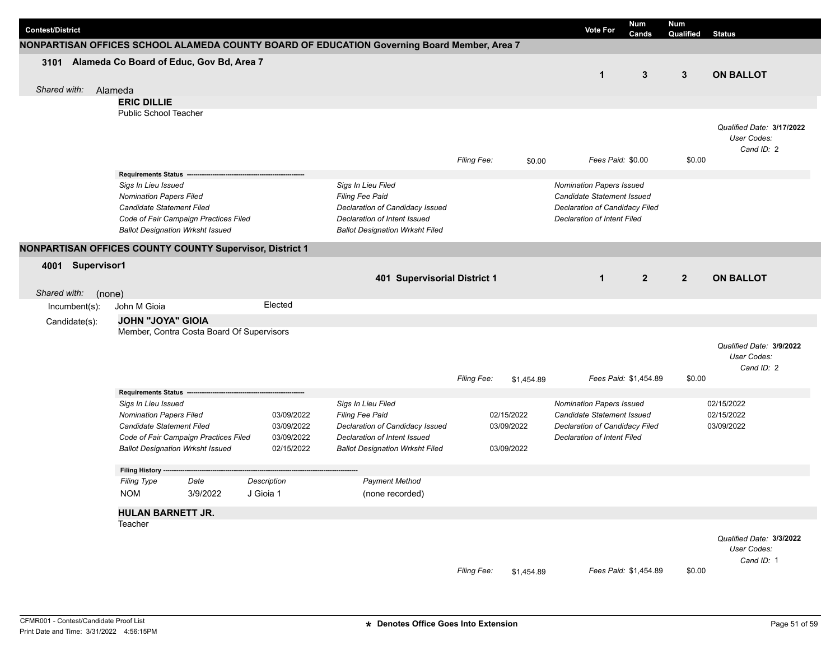| <b>Contest/District</b>                                  |                                                             |                                           |             |                                                                                             |             |            | <b>Vote For</b>                                               | <b>Num</b><br>Cands   | Num<br>Qualified | <b>Status</b>             |
|----------------------------------------------------------|-------------------------------------------------------------|-------------------------------------------|-------------|---------------------------------------------------------------------------------------------|-------------|------------|---------------------------------------------------------------|-----------------------|------------------|---------------------------|
|                                                          |                                                             |                                           |             | NONPARTISAN OFFICES SCHOOL ALAMEDA COUNTY BOARD OF EDUCATION Governing Board Member, Area 7 |             |            |                                                               |                       |                  |                           |
| 3101 Alameda Co Board of Educ, Gov Bd, Area 7            |                                                             |                                           |             |                                                                                             |             |            |                                                               |                       |                  |                           |
|                                                          |                                                             |                                           |             |                                                                                             |             |            | $\mathbf{1}$                                                  | 3                     | $\mathbf{3}$     | <b>ON BALLOT</b>          |
| Shared with:                                             | Alameda                                                     |                                           |             |                                                                                             |             |            |                                                               |                       |                  |                           |
|                                                          | <b>ERIC DILLIE</b>                                          |                                           |             |                                                                                             |             |            |                                                               |                       |                  |                           |
|                                                          | <b>Public School Teacher</b>                                |                                           |             |                                                                                             |             |            |                                                               |                       |                  |                           |
|                                                          |                                                             |                                           |             |                                                                                             |             |            |                                                               |                       |                  | Qualified Date: 3/17/2022 |
|                                                          |                                                             |                                           |             |                                                                                             |             |            |                                                               |                       |                  | User Codes:               |
|                                                          |                                                             |                                           |             |                                                                                             |             |            |                                                               |                       |                  | Cand ID: 2                |
|                                                          |                                                             |                                           |             |                                                                                             | Filing Fee: | \$0.00     |                                                               | Fees Paid: \$0.00     | \$0.00           |                           |
|                                                          | <b>Requirements Status -</b>                                |                                           |             |                                                                                             |             |            |                                                               |                       |                  |                           |
|                                                          | Sigs In Lieu Issued                                         |                                           |             | Sigs In Lieu Filed                                                                          |             |            | <b>Nomination Papers Issued</b>                               |                       |                  |                           |
|                                                          | <b>Nomination Papers Filed</b><br>Candidate Statement Filed |                                           |             | Filing Fee Paid<br>Declaration of Candidacy Issued                                          |             |            | Candidate Statement Issued<br>Declaration of Candidacy Filed  |                       |                  |                           |
|                                                          |                                                             | Code of Fair Campaign Practices Filed     |             | Declaration of Intent Issued                                                                |             |            | <b>Declaration of Intent Filed</b>                            |                       |                  |                           |
|                                                          | <b>Ballot Designation Wrksht Issued</b>                     |                                           |             | <b>Ballot Designation Wrksht Filed</b>                                                      |             |            |                                                               |                       |                  |                           |
|                                                          |                                                             |                                           |             |                                                                                             |             |            |                                                               |                       |                  |                           |
| NONPARTISAN OFFICES COUNTY COUNTY Supervisor, District 1 |                                                             |                                           |             |                                                                                             |             |            |                                                               |                       |                  |                           |
| 4001 Supervisor1                                         |                                                             |                                           |             |                                                                                             |             |            |                                                               |                       |                  |                           |
|                                                          |                                                             |                                           |             | 401 Supervisorial District 1                                                                |             |            | $\mathbf{1}$                                                  | $\overline{2}$        | $\overline{2}$   | <b>ON BALLOT</b>          |
| Shared with:<br>(none)                                   |                                                             |                                           |             |                                                                                             |             |            |                                                               |                       |                  |                           |
| Incumbent(s):                                            | John M Gioia                                                |                                           | Elected     |                                                                                             |             |            |                                                               |                       |                  |                           |
| Candidate(s):                                            | <b>JOHN "JOYA" GIOIA</b>                                    |                                           |             |                                                                                             |             |            |                                                               |                       |                  |                           |
|                                                          |                                                             | Member, Contra Costa Board Of Supervisors |             |                                                                                             |             |            |                                                               |                       |                  |                           |
|                                                          |                                                             |                                           |             |                                                                                             |             |            |                                                               |                       |                  | Qualified Date: 3/9/2022  |
|                                                          |                                                             |                                           |             |                                                                                             |             |            |                                                               |                       |                  | User Codes:               |
|                                                          |                                                             |                                           |             |                                                                                             |             |            |                                                               |                       |                  | Cand ID: 2                |
|                                                          |                                                             |                                           |             |                                                                                             | Filing Fee: | \$1,454.89 |                                                               | Fees Paid: \$1,454.89 | \$0.00           |                           |
|                                                          | <b>Requirements Status</b>                                  |                                           |             |                                                                                             |             |            |                                                               |                       |                  | 02/15/2022                |
|                                                          | Sigs In Lieu Issued<br><b>Nomination Papers Filed</b>       |                                           | 03/09/2022  | Sigs In Lieu Filed<br>Filing Fee Paid                                                       |             | 02/15/2022 | <b>Nomination Papers Issued</b><br>Candidate Statement Issued |                       |                  | 02/15/2022                |
|                                                          | Candidate Statement Filed                                   |                                           | 03/09/2022  | Declaration of Candidacy Issued                                                             |             | 03/09/2022 | Declaration of Candidacy Filed                                |                       |                  | 03/09/2022                |
|                                                          |                                                             | Code of Fair Campaign Practices Filed     | 03/09/2022  | Declaration of Intent Issued                                                                |             |            | <b>Declaration of Intent Filed</b>                            |                       |                  |                           |
|                                                          | <b>Ballot Designation Wrksht Issued</b>                     |                                           | 02/15/2022  | <b>Ballot Designation Wrksht Filed</b>                                                      |             | 03/09/2022 |                                                               |                       |                  |                           |
|                                                          |                                                             |                                           |             |                                                                                             |             |            |                                                               |                       |                  |                           |
|                                                          | <b>Filing History</b>                                       |                                           |             |                                                                                             |             |            |                                                               |                       |                  |                           |
|                                                          | <b>Filing Type</b>                                          | Date                                      | Description | <b>Payment Method</b>                                                                       |             |            |                                                               |                       |                  |                           |
|                                                          | <b>NOM</b>                                                  | 3/9/2022                                  | J Gioia 1   | (none recorded)                                                                             |             |            |                                                               |                       |                  |                           |
|                                                          | <b>HULAN BARNETT JR.</b>                                    |                                           |             |                                                                                             |             |            |                                                               |                       |                  |                           |
|                                                          | Teacher                                                     |                                           |             |                                                                                             |             |            |                                                               |                       |                  |                           |
|                                                          |                                                             |                                           |             |                                                                                             |             |            |                                                               |                       |                  | Qualified Date: 3/3/2022  |
|                                                          |                                                             |                                           |             |                                                                                             |             |            |                                                               |                       |                  | User Codes:               |
|                                                          |                                                             |                                           |             |                                                                                             |             |            |                                                               |                       |                  | Cand ID: 1                |
|                                                          |                                                             |                                           |             |                                                                                             | Filing Fee: | \$1,454.89 |                                                               | Fees Paid: \$1,454.89 | \$0.00           |                           |
|                                                          |                                                             |                                           |             |                                                                                             |             |            |                                                               |                       |                  |                           |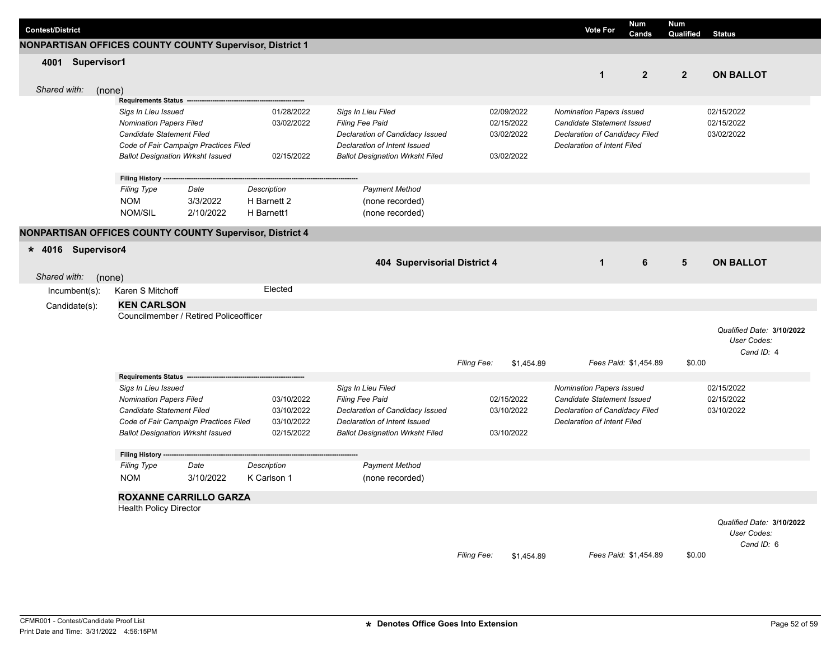| <b>Contest/District</b> |                    |                                                       |                                         |                                                          |                                              |                    |            | <b>Vote For</b>                                        | <b>Num</b><br>Cands   | <b>Num</b><br>Qualified | <b>Status</b>             |
|-------------------------|--------------------|-------------------------------------------------------|-----------------------------------------|----------------------------------------------------------|----------------------------------------------|--------------------|------------|--------------------------------------------------------|-----------------------|-------------------------|---------------------------|
|                         |                    |                                                       |                                         | NONPARTISAN OFFICES COUNTY COUNTY Supervisor, District 1 |                                              |                    |            |                                                        |                       |                         |                           |
| 4001                    | Supervisor1        |                                                       |                                         |                                                          |                                              |                    |            |                                                        |                       |                         |                           |
|                         |                    |                                                       |                                         |                                                          |                                              |                    |            | $\mathbf{1}$                                           | 2 <sup>2</sup>        | $2^{\circ}$             | <b>ON BALLOT</b>          |
| Shared with:            |                    | (none)                                                |                                         |                                                          |                                              |                    |            |                                                        |                       |                         |                           |
|                         |                    | <b>Requirements Status</b>                            |                                         |                                                          |                                              |                    |            |                                                        |                       |                         |                           |
|                         |                    | Sigs In Lieu Issued                                   |                                         | 01/28/2022                                               | Sigs In Lieu Filed                           |                    | 02/09/2022 | <b>Nomination Papers Issued</b>                        |                       |                         | 02/15/2022                |
|                         |                    | <b>Nomination Papers Filed</b>                        |                                         | 03/02/2022                                               | <b>Filing Fee Paid</b>                       |                    | 02/15/2022 | Candidate Statement Issued                             |                       |                         | 02/15/2022                |
|                         |                    | Candidate Statement Filed                             |                                         |                                                          | Declaration of Candidacy Issued              |                    | 03/02/2022 | Declaration of Candidacy Filed                         |                       |                         | 03/02/2022                |
|                         |                    |                                                       | Code of Fair Campaign Practices Filed   |                                                          | Declaration of Intent Issued                 |                    |            | <b>Declaration of Intent Filed</b>                     |                       |                         |                           |
|                         |                    |                                                       | <b>Ballot Designation Wrksht Issued</b> | 02/15/2022                                               | <b>Ballot Designation Wrksht Filed</b>       |                    | 03/02/2022 |                                                        |                       |                         |                           |
|                         |                    | <b>Filing History</b>                                 |                                         |                                                          |                                              |                    |            |                                                        |                       |                         |                           |
|                         |                    | <b>Filing Type</b>                                    | Date                                    | Description                                              | <b>Payment Method</b>                        |                    |            |                                                        |                       |                         |                           |
|                         |                    | <b>NOM</b>                                            | 3/3/2022                                | H Barnett 2                                              | (none recorded)                              |                    |            |                                                        |                       |                         |                           |
|                         |                    | NOM/SIL                                               | 2/10/2022                               | H Barnett1                                               | (none recorded)                              |                    |            |                                                        |                       |                         |                           |
|                         |                    |                                                       |                                         | NONPARTISAN OFFICES COUNTY COUNTY Supervisor, District 4 |                                              |                    |            |                                                        |                       |                         |                           |
| $* 4016$                | <b>Supervisor4</b> |                                                       |                                         |                                                          |                                              |                    |            |                                                        |                       |                         |                           |
|                         |                    |                                                       |                                         |                                                          | 404 Supervisorial District 4                 |                    |            | $\mathbf{1}$                                           | 6                     | 5                       | <b>ON BALLOT</b>          |
|                         |                    |                                                       |                                         |                                                          |                                              |                    |            |                                                        |                       |                         |                           |
| Shared with:            |                    | (none)                                                |                                         | Elected                                                  |                                              |                    |            |                                                        |                       |                         |                           |
|                         | Incumbent(s):      | Karen S Mitchoff                                      |                                         |                                                          |                                              |                    |            |                                                        |                       |                         |                           |
|                         | Candidate(s):      | <b>KEN CARLSON</b>                                    |                                         |                                                          |                                              |                    |            |                                                        |                       |                         |                           |
|                         |                    |                                                       | Councilmember / Retired Policeofficer   |                                                          |                                              |                    |            |                                                        |                       |                         |                           |
|                         |                    |                                                       |                                         |                                                          |                                              |                    |            |                                                        |                       |                         | Qualified Date: 3/10/2022 |
|                         |                    |                                                       |                                         |                                                          |                                              |                    |            |                                                        |                       |                         | User Codes:               |
|                         |                    |                                                       |                                         |                                                          |                                              |                    |            |                                                        | Fees Paid: \$1,454.89 | \$0.00                  | Cand ID: 4                |
|                         |                    |                                                       |                                         |                                                          |                                              | Filing Fee:        | \$1,454.89 |                                                        |                       |                         |                           |
|                         |                    | Requirements Status --                                |                                         |                                                          |                                              |                    |            |                                                        |                       |                         |                           |
|                         |                    | Sigs In Lieu Issued<br><b>Nomination Papers Filed</b> |                                         | 03/10/2022                                               | Sigs In Lieu Filed<br><b>Filing Fee Paid</b> |                    | 02/15/2022 | Nomination Papers Issued<br>Candidate Statement Issued |                       |                         | 02/15/2022<br>02/15/2022  |
|                         |                    | Candidate Statement Filed                             |                                         | 03/10/2022                                               | Declaration of Candidacy Issued              |                    | 03/10/2022 | Declaration of Candidacy Filed                         |                       |                         | 03/10/2022                |
|                         |                    |                                                       | Code of Fair Campaign Practices Filed   | 03/10/2022                                               | Declaration of Intent Issued                 |                    |            | <b>Declaration of Intent Filed</b>                     |                       |                         |                           |
|                         |                    |                                                       | <b>Ballot Designation Wrksht Issued</b> | 02/15/2022                                               | <b>Ballot Designation Wrksht Filed</b>       |                    | 03/10/2022 |                                                        |                       |                         |                           |
|                         |                    |                                                       |                                         |                                                          |                                              |                    |            |                                                        |                       |                         |                           |
|                         |                    | Filing History --                                     |                                         |                                                          |                                              |                    |            |                                                        |                       |                         |                           |
|                         |                    | <b>Filing Type</b>                                    | Date                                    | <b>Description</b>                                       | <b>Payment Method</b>                        |                    |            |                                                        |                       |                         |                           |
|                         |                    | <b>NOM</b>                                            | 3/10/2022                               | K Carlson 1                                              | (none recorded)                              |                    |            |                                                        |                       |                         |                           |
|                         |                    |                                                       | <b>ROXANNE CARRILLO GARZA</b>           |                                                          |                                              |                    |            |                                                        |                       |                         |                           |
|                         |                    | <b>Health Policy Director</b>                         |                                         |                                                          |                                              |                    |            |                                                        |                       |                         |                           |
|                         |                    |                                                       |                                         |                                                          |                                              |                    |            |                                                        |                       |                         | Qualified Date: 3/10/2022 |
|                         |                    |                                                       |                                         |                                                          |                                              |                    |            |                                                        |                       |                         | User Codes:               |
|                         |                    |                                                       |                                         |                                                          |                                              |                    |            |                                                        |                       |                         | Cand ID: 6                |
|                         |                    |                                                       |                                         |                                                          |                                              | <b>Filing Fee:</b> | \$1,454.89 |                                                        | Fees Paid: \$1.454.89 | \$0.00                  |                           |

I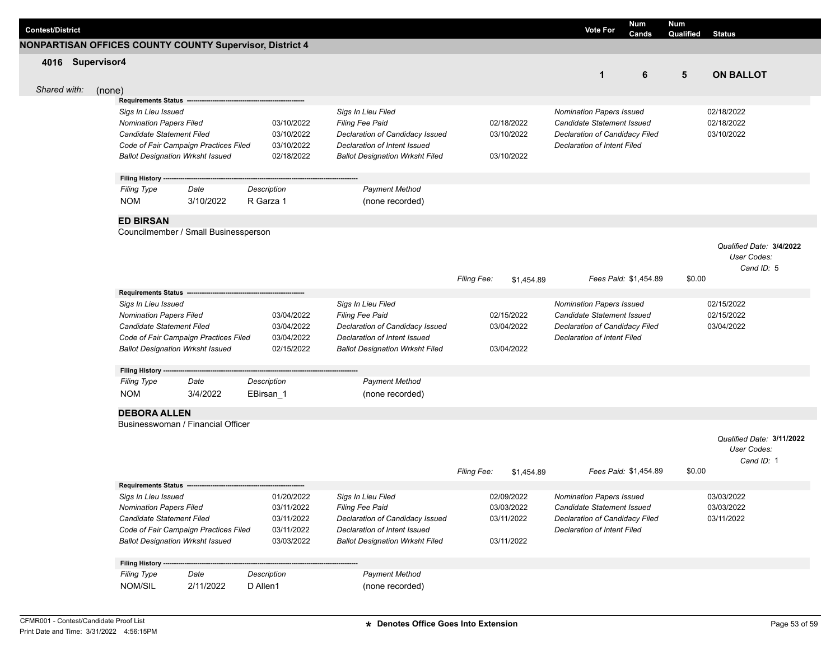|                         |                                                                                  |                          |                                                                 |                                  | <b>Num</b>                                                    | <b>Num</b>                 |
|-------------------------|----------------------------------------------------------------------------------|--------------------------|-----------------------------------------------------------------|----------------------------------|---------------------------------------------------------------|----------------------------|
| <b>Contest/District</b> |                                                                                  |                          |                                                                 |                                  | <b>Vote For</b><br>Cands                                      | Qualified<br><b>Status</b> |
|                         | <b>NONPARTISAN OFFICES COUNTY COUNTY Supervisor, District 4</b>                  |                          |                                                                 |                                  |                                                               |                            |
| 4016 Supervisor4        |                                                                                  |                          |                                                                 |                                  |                                                               |                            |
|                         |                                                                                  |                          |                                                                 |                                  | 6<br>$\mathbf{1}$                                             | 5<br><b>ON BALLOT</b>      |
| Shared with:<br>(none)  |                                                                                  |                          |                                                                 |                                  |                                                               |                            |
|                         | <b>Requirements Status -</b>                                                     |                          |                                                                 |                                  |                                                               |                            |
|                         | Sigs In Lieu Issued                                                              |                          | Sigs In Lieu Filed                                              |                                  | <b>Nomination Papers Issued</b>                               | 02/18/2022                 |
|                         | <b>Nomination Papers Filed</b>                                                   | 03/10/2022               | Filing Fee Paid                                                 | 02/18/2022                       | Candidate Statement Issued                                    | 02/18/2022                 |
|                         | <b>Candidate Statement Filed</b>                                                 | 03/10/2022               | Declaration of Candidacy Issued                                 | 03/10/2022                       | Declaration of Candidacy Filed                                | 03/10/2022                 |
|                         | Code of Fair Campaign Practices Filed<br><b>Ballot Designation Wrksht Issued</b> | 03/10/2022<br>02/18/2022 | Declaration of Intent Issued                                    | 03/10/2022                       | <b>Declaration of Intent Filed</b>                            |                            |
|                         |                                                                                  |                          | <b>Ballot Designation Wrksht Filed</b>                          |                                  |                                                               |                            |
|                         | Filing History ---                                                               |                          |                                                                 |                                  |                                                               |                            |
|                         | Date<br><b>Filing Type</b>                                                       | Description              | <b>Payment Method</b>                                           |                                  |                                                               |                            |
|                         | <b>NOM</b><br>3/10/2022                                                          | R Garza 1                | (none recorded)                                                 |                                  |                                                               |                            |
|                         | <b>ED BIRSAN</b>                                                                 |                          |                                                                 |                                  |                                                               |                            |
|                         | Councilmember / Small Businessperson                                             |                          |                                                                 |                                  |                                                               |                            |
|                         |                                                                                  |                          |                                                                 |                                  |                                                               | Qualified Date: 3/4/2022   |
|                         |                                                                                  |                          |                                                                 |                                  |                                                               | User Codes:                |
|                         |                                                                                  |                          |                                                                 |                                  |                                                               | Cand ID: 5                 |
|                         |                                                                                  |                          |                                                                 | Filing Fee:<br>\$1,454.89        | Fees Paid: \$1,454.89                                         | \$0.00                     |
|                         | <b>Requirements Status</b>                                                       |                          |                                                                 |                                  |                                                               |                            |
|                         | Sigs In Lieu Issued                                                              |                          | Sigs In Lieu Filed                                              |                                  | <b>Nomination Papers Issued</b>                               | 02/15/2022                 |
|                         | <b>Nomination Papers Filed</b>                                                   | 03/04/2022               | Filing Fee Paid                                                 | 02/15/2022                       | Candidate Statement Issued                                    | 02/15/2022                 |
|                         | Candidate Statement Filed<br>Code of Fair Campaign Practices Filed               | 03/04/2022<br>03/04/2022 | Declaration of Candidacy Issued<br>Declaration of Intent Issued | 03/04/2022                       | Declaration of Candidacy Filed<br>Declaration of Intent Filed | 03/04/2022                 |
|                         | <b>Ballot Designation Wrksht Issued</b>                                          | 02/15/2022               | <b>Ballot Designation Wrksht Filed</b>                          | 03/04/2022                       |                                                               |                            |
|                         |                                                                                  |                          |                                                                 |                                  |                                                               |                            |
|                         | Filing History --                                                                |                          |                                                                 |                                  |                                                               |                            |
|                         | <b>Filing Type</b><br>Date                                                       | Description              | <b>Payment Method</b>                                           |                                  |                                                               |                            |
|                         | <b>NOM</b><br>3/4/2022                                                           | EBirsan_1                | (none recorded)                                                 |                                  |                                                               |                            |
|                         | <b>DEBORA ALLEN</b>                                                              |                          |                                                                 |                                  |                                                               |                            |
|                         | Businesswoman / Financial Officer                                                |                          |                                                                 |                                  |                                                               |                            |
|                         |                                                                                  |                          |                                                                 |                                  |                                                               | Qualified Date: 3/11/2022  |
|                         |                                                                                  |                          |                                                                 |                                  |                                                               | User Codes:                |
|                         |                                                                                  |                          |                                                                 |                                  |                                                               | Cand ID: 1                 |
|                         |                                                                                  |                          |                                                                 | <b>Filing Fee:</b><br>\$1,454.89 | Fees Paid: \$1,454.89                                         | \$0.00                     |
|                         | <b>Requirements Status</b><br>Sigs In Lieu Issued                                | 01/20/2022               | Sigs In Lieu Filed                                              | 02/09/2022                       | <b>Nomination Papers Issued</b>                               | 03/03/2022                 |
|                         | <b>Nomination Papers Filed</b>                                                   | 03/11/2022               | Filing Fee Paid                                                 | 03/03/2022                       | Candidate Statement Issued                                    | 03/03/2022                 |
|                         | Candidate Statement Filed                                                        | 03/11/2022               | Declaration of Candidacy Issued                                 | 03/11/2022                       | Declaration of Candidacy Filed                                | 03/11/2022                 |
|                         | Code of Fair Campaign Practices Filed                                            | 03/11/2022               | Declaration of Intent Issued                                    |                                  | Declaration of Intent Filed                                   |                            |
|                         | <b>Ballot Designation Wrksht Issued</b>                                          | 03/03/2022               | <b>Ballot Designation Wrksht Filed</b>                          | 03/11/2022                       |                                                               |                            |
|                         |                                                                                  |                          |                                                                 |                                  |                                                               |                            |
|                         | <b>Filing History -</b><br>Date<br><b>Filing Type</b>                            | Description              | <b>Payment Method</b>                                           |                                  |                                                               |                            |
|                         | 2/11/2022<br>NOM/SIL                                                             | D Allen1                 | (none recorded)                                                 |                                  |                                                               |                            |
|                         |                                                                                  |                          |                                                                 |                                  |                                                               |                            |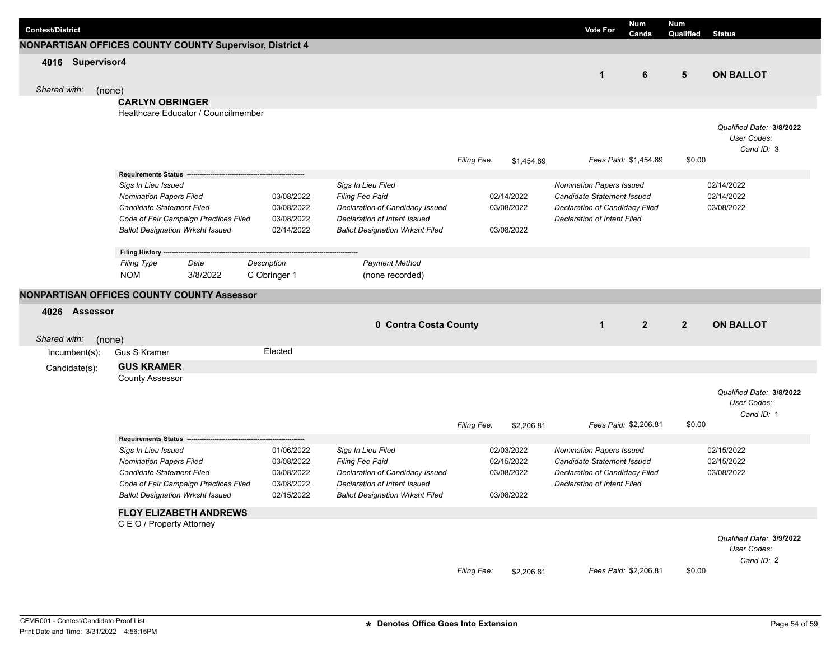| <b>Contest/District</b> |                                                          |              |                                        |             |            | <b>Vote For</b>                                        | Num<br>Cands          | Num<br>Qualified | <b>Status</b>            |
|-------------------------|----------------------------------------------------------|--------------|----------------------------------------|-------------|------------|--------------------------------------------------------|-----------------------|------------------|--------------------------|
|                         | NONPARTISAN OFFICES COUNTY COUNTY Supervisor, District 4 |              |                                        |             |            |                                                        |                       |                  |                          |
| 4016 Supervisor4        |                                                          |              |                                        |             |            |                                                        |                       |                  |                          |
|                         |                                                          |              |                                        |             |            | $\mathbf{1}$                                           | 6                     | $5\phantom{.0}$  | <b>ON BALLOT</b>         |
| Shared with:<br>(none)  |                                                          |              |                                        |             |            |                                                        |                       |                  |                          |
|                         | <b>CARLYN OBRINGER</b>                                   |              |                                        |             |            |                                                        |                       |                  |                          |
|                         | Healthcare Educator / Councilmember                      |              |                                        |             |            |                                                        |                       |                  |                          |
|                         |                                                          |              |                                        |             |            |                                                        |                       |                  | Qualified Date: 3/8/2022 |
|                         |                                                          |              |                                        |             |            |                                                        |                       |                  | User Codes:              |
|                         |                                                          |              |                                        |             |            |                                                        |                       |                  | Cand ID: 3               |
|                         |                                                          |              |                                        | Filing Fee: | \$1,454.89 |                                                        | Fees Paid: \$1,454.89 | \$0.00           |                          |
|                         | <b>Requirements Status -</b>                             |              |                                        |             |            |                                                        |                       |                  |                          |
|                         | Sigs In Lieu Issued<br><b>Nomination Papers Filed</b>    | 03/08/2022   | Sigs In Lieu Filed<br>Filing Fee Paid  |             | 02/14/2022 | Nomination Papers Issued<br>Candidate Statement Issued |                       |                  | 02/14/2022<br>02/14/2022 |
|                         | Candidate Statement Filed                                | 03/08/2022   | Declaration of Candidacy Issued        |             | 03/08/2022 | Declaration of Candidacy Filed                         |                       |                  | 03/08/2022               |
|                         | Code of Fair Campaign Practices Filed                    | 03/08/2022   | Declaration of Intent Issued           |             |            | <b>Declaration of Intent Filed</b>                     |                       |                  |                          |
|                         | <b>Ballot Designation Wrksht Issued</b>                  | 02/14/2022   | <b>Ballot Designation Wrksht Filed</b> |             | 03/08/2022 |                                                        |                       |                  |                          |
|                         |                                                          |              |                                        |             |            |                                                        |                       |                  |                          |
|                         | Filing History ---<br><b>Filing Type</b><br>Date         | Description  | <b>Payment Method</b>                  |             |            |                                                        |                       |                  |                          |
|                         | <b>NOM</b><br>3/8/2022                                   | C Obringer 1 | (none recorded)                        |             |            |                                                        |                       |                  |                          |
|                         |                                                          |              |                                        |             |            |                                                        |                       |                  |                          |
|                         | NONPARTISAN OFFICES COUNTY COUNTY Assessor               |              |                                        |             |            |                                                        |                       |                  |                          |
| 4026 Assessor           |                                                          |              |                                        |             |            |                                                        |                       |                  |                          |
|                         |                                                          |              | 0 Contra Costa County                  |             |            | $\mathbf{1}$                                           | $\overline{2}$        | $\overline{2}$   | <b>ON BALLOT</b>         |
| Shared with:<br>(none)  |                                                          |              |                                        |             |            |                                                        |                       |                  |                          |
| Incumbent(s):           | <b>Gus S Kramer</b>                                      | Elected      |                                        |             |            |                                                        |                       |                  |                          |
| Candidate(s):           | <b>GUS KRAMER</b>                                        |              |                                        |             |            |                                                        |                       |                  |                          |
|                         | <b>County Assessor</b>                                   |              |                                        |             |            |                                                        |                       |                  |                          |
|                         |                                                          |              |                                        |             |            |                                                        |                       |                  | Qualified Date: 3/8/2022 |
|                         |                                                          |              |                                        |             |            |                                                        |                       |                  | User Codes:              |
|                         |                                                          |              |                                        |             |            |                                                        |                       |                  | Cand ID: 1               |
|                         |                                                          |              |                                        | Filing Fee: | \$2,206.81 |                                                        | Fees Paid: \$2,206.81 | \$0.00           |                          |
|                         | <b>Requirements Status</b><br>Sigs In Lieu Issued        | 01/06/2022   | Sigs In Lieu Filed                     |             | 02/03/2022 | <b>Nomination Papers Issued</b>                        |                       |                  | 02/15/2022               |
|                         | <b>Nomination Papers Filed</b>                           | 03/08/2022   | Filing Fee Paid                        |             | 02/15/2022 | Candidate Statement Issued                             |                       |                  | 02/15/2022               |
|                         | Candidate Statement Filed                                | 03/08/2022   | Declaration of Candidacy Issued        |             | 03/08/2022 | Declaration of Candidacy Filed                         |                       |                  | 03/08/2022               |
|                         | Code of Fair Campaign Practices Filed                    | 03/08/2022   | Declaration of Intent Issued           |             |            | <b>Declaration of Intent Filed</b>                     |                       |                  |                          |
|                         | <b>Ballot Designation Wrksht Issued</b>                  | 02/15/2022   | <b>Ballot Designation Wrksht Filed</b> |             | 03/08/2022 |                                                        |                       |                  |                          |
|                         | <b>FLOY ELIZABETH ANDREWS</b>                            |              |                                        |             |            |                                                        |                       |                  |                          |
|                         | C E O / Property Attorney                                |              |                                        |             |            |                                                        |                       |                  |                          |
|                         |                                                          |              |                                        |             |            |                                                        |                       |                  | Qualified Date: 3/9/2022 |
|                         |                                                          |              |                                        |             |            |                                                        |                       |                  | User Codes:              |
|                         |                                                          |              |                                        |             |            |                                                        |                       |                  | Cand ID: 2               |
|                         |                                                          |              |                                        | Filing Fee: | \$2,206.81 |                                                        | Fees Paid: \$2,206.81 | \$0.00           |                          |
|                         |                                                          |              |                                        |             |            |                                                        |                       |                  |                          |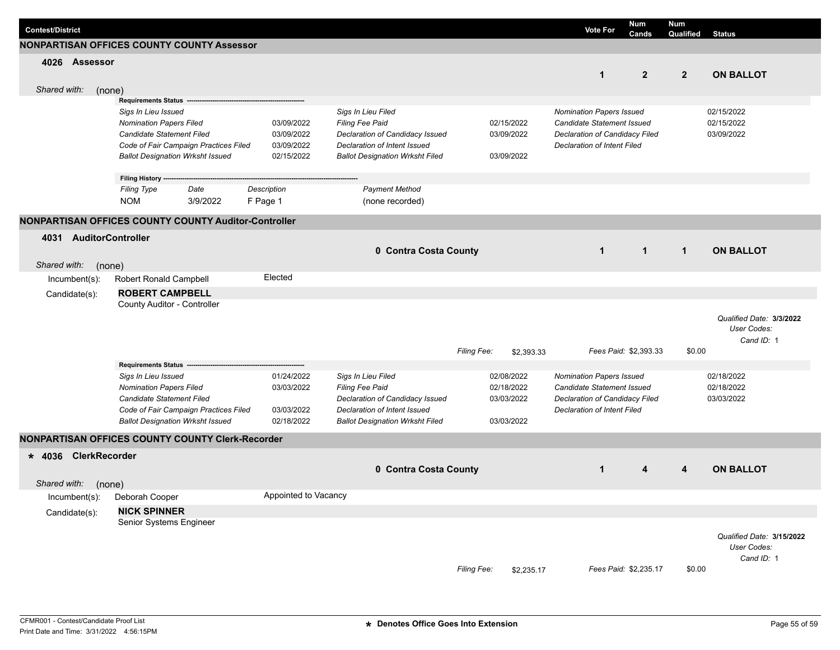| <b>Contest/District</b> |                      |        |                                                         |          |             |                      |                                        |             |            | <b>Vote For</b>                    | Num<br>Cands          | <b>Num</b><br>Qualified | <b>Status</b>             |  |
|-------------------------|----------------------|--------|---------------------------------------------------------|----------|-------------|----------------------|----------------------------------------|-------------|------------|------------------------------------|-----------------------|-------------------------|---------------------------|--|
|                         |                      |        | <b>NONPARTISAN OFFICES COUNTY COUNTY Assessor</b>       |          |             |                      |                                        |             |            |                                    |                       |                         |                           |  |
|                         | 4026 Assessor        |        |                                                         |          |             |                      |                                        |             |            |                                    |                       |                         |                           |  |
|                         |                      |        |                                                         |          |             |                      |                                        |             |            | $\mathbf{1}$                       | $\overline{2}$        | $\overline{2}$          | <b>ON BALLOT</b>          |  |
|                         | Shared with:         | (none) |                                                         |          |             |                      |                                        |             |            |                                    |                       |                         |                           |  |
|                         |                      |        | <b>Requirements Status</b> -                            |          |             |                      |                                        |             |            |                                    |                       |                         |                           |  |
|                         |                      |        | Sigs In Lieu Issued                                     |          |             |                      | Sigs In Lieu Filed                     |             |            | <b>Nomination Papers Issued</b>    |                       |                         | 02/15/2022                |  |
|                         |                      |        | <b>Nomination Papers Filed</b>                          |          |             | 03/09/2022           | <b>Filing Fee Paid</b>                 |             | 02/15/2022 | Candidate Statement Issued         |                       |                         | 02/15/2022                |  |
|                         |                      |        | Candidate Statement Filed                               |          |             | 03/09/2022           | Declaration of Candidacy Issued        |             | 03/09/2022 | Declaration of Candidacy Filed     |                       |                         | 03/09/2022                |  |
|                         |                      |        | Code of Fair Campaign Practices Filed                   |          |             | 03/09/2022           | Declaration of Intent Issued           |             |            | <b>Declaration of Intent Filed</b> |                       |                         |                           |  |
|                         |                      |        | <b>Ballot Designation Wrksht Issued</b>                 |          |             | 02/15/2022           | <b>Ballot Designation Wrksht Filed</b> |             | 03/09/2022 |                                    |                       |                         |                           |  |
|                         |                      |        | Filing History ---                                      |          |             |                      |                                        |             |            |                                    |                       |                         |                           |  |
|                         |                      |        | <b>Filing Type</b>                                      | Date     | Description |                      | <b>Payment Method</b>                  |             |            |                                    |                       |                         |                           |  |
|                         |                      |        | <b>NOM</b>                                              | 3/9/2022 | F Page 1    |                      | (none recorded)                        |             |            |                                    |                       |                         |                           |  |
|                         |                      |        | NONPARTISAN OFFICES COUNTY COUNTY Auditor-Controller    |          |             |                      |                                        |             |            |                                    |                       |                         |                           |  |
| 4031                    |                      |        | <b>AuditorController</b>                                |          |             |                      |                                        |             |            |                                    |                       |                         |                           |  |
|                         |                      |        |                                                         |          |             |                      | 0 Contra Costa County                  |             |            | $\mathbf{1}$                       | $\mathbf{1}$          | $\mathbf{1}$            | <b>ON BALLOT</b>          |  |
|                         | Shared with:         | (none) |                                                         |          |             |                      |                                        |             |            |                                    |                       |                         |                           |  |
|                         | Incumbent(s):        |        | Robert Ronald Campbell                                  |          |             | Elected              |                                        |             |            |                                    |                       |                         |                           |  |
|                         | Candidate(s):        |        | <b>ROBERT CAMPBELL</b>                                  |          |             |                      |                                        |             |            |                                    |                       |                         |                           |  |
|                         |                      |        | County Auditor - Controller                             |          |             |                      |                                        |             |            |                                    |                       |                         |                           |  |
|                         |                      |        |                                                         |          |             |                      |                                        |             |            |                                    |                       |                         | Qualified Date: 3/3/2022  |  |
|                         |                      |        |                                                         |          |             |                      |                                        |             |            |                                    |                       |                         | User Codes:               |  |
|                         |                      |        |                                                         |          |             |                      |                                        |             |            |                                    |                       |                         | Cand ID: 1                |  |
|                         |                      |        |                                                         |          |             |                      |                                        | Filing Fee: | \$2,393.33 |                                    | Fees Paid: \$2,393.33 | \$0.00                  |                           |  |
|                         |                      |        | Requirements Status ---                                 |          |             |                      |                                        |             |            |                                    |                       |                         |                           |  |
|                         |                      |        | Sigs In Lieu Issued                                     |          |             | 01/24/2022           | Sigs In Lieu Filed                     |             | 02/08/2022 | <b>Nomination Papers Issued</b>    |                       |                         | 02/18/2022                |  |
|                         |                      |        | <b>Nomination Papers Filed</b>                          |          |             | 03/03/2022           | <b>Filing Fee Paid</b>                 |             | 02/18/2022 | Candidate Statement Issued         |                       |                         | 02/18/2022                |  |
|                         |                      |        | Candidate Statement Filed                               |          |             |                      | Declaration of Candidacy Issued        |             | 03/03/2022 | Declaration of Candidacy Filed     |                       |                         | 03/03/2022                |  |
|                         |                      |        | Code of Fair Campaign Practices Filed                   |          |             | 03/03/2022           | Declaration of Intent Issued           |             |            | <b>Declaration of Intent Filed</b> |                       |                         |                           |  |
|                         |                      |        | <b>Ballot Designation Wrksht Issued</b>                 |          |             | 02/18/2022           | <b>Ballot Designation Wrksht Filed</b> |             | 03/03/2022 |                                    |                       |                         |                           |  |
|                         |                      |        | <b>NONPARTISAN OFFICES COUNTY COUNTY Clerk-Recorder</b> |          |             |                      |                                        |             |            |                                    |                       |                         |                           |  |
| $* 4036$                | <b>ClerkRecorder</b> |        |                                                         |          |             |                      |                                        |             |            |                                    |                       |                         |                           |  |
|                         |                      |        |                                                         |          |             |                      | 0 Contra Costa County                  |             |            | $\mathbf 1$                        | 4                     | 4                       | <b>ON BALLOT</b>          |  |
|                         | Shared with:         | (none) |                                                         |          |             |                      |                                        |             |            |                                    |                       |                         |                           |  |
|                         | Incumbent(s):        |        | Deborah Cooper                                          |          |             | Appointed to Vacancy |                                        |             |            |                                    |                       |                         |                           |  |
|                         | Candidate(s):        |        | <b>NICK SPINNER</b>                                     |          |             |                      |                                        |             |            |                                    |                       |                         |                           |  |
|                         |                      |        | Senior Systems Engineer                                 |          |             |                      |                                        |             |            |                                    |                       |                         |                           |  |
|                         |                      |        |                                                         |          |             |                      |                                        |             |            |                                    |                       |                         | Qualified Date: 3/15/2022 |  |
|                         |                      |        |                                                         |          |             |                      |                                        |             |            |                                    |                       |                         | User Codes:               |  |
|                         |                      |        |                                                         |          |             |                      |                                        |             |            |                                    |                       |                         | Cand ID: 1                |  |
|                         |                      |        |                                                         |          |             |                      |                                        | Filing Fee: | \$2,235.17 |                                    | Fees Paid: \$2,235.17 | \$0.00                  |                           |  |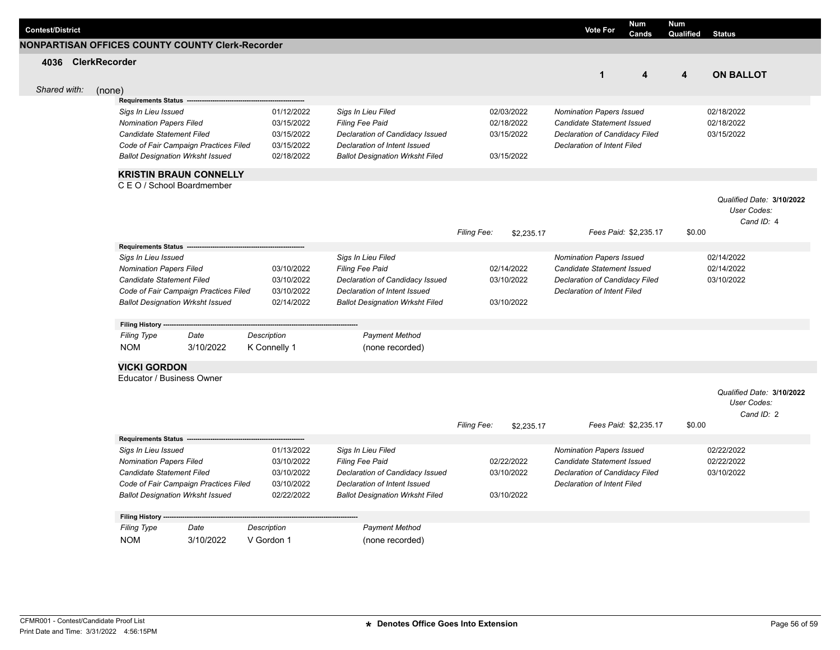| <b>Contest/District</b> |                                                       |                                         |                    |                                        |             |            | <b>Vote For</b>                 | <b>Num</b><br>Cands   | <b>Num</b><br><b>Qualified</b> | <b>Status</b>             |
|-------------------------|-------------------------------------------------------|-----------------------------------------|--------------------|----------------------------------------|-------------|------------|---------------------------------|-----------------------|--------------------------------|---------------------------|
|                         | NONPARTISAN OFFICES COUNTY COUNTY Clerk-Recorder      |                                         |                    |                                        |             |            |                                 |                       |                                |                           |
|                         | 4036 ClerkRecorder                                    |                                         |                    |                                        |             |            |                                 |                       |                                |                           |
|                         |                                                       |                                         |                    |                                        |             |            | $\mathbf{1}$                    | 4                     | 4                              | <b>ON BALLOT</b>          |
| Shared with:            | (none)                                                |                                         |                    |                                        |             |            |                                 |                       |                                |                           |
|                         | Requirements Status -                                 |                                         |                    |                                        |             |            |                                 |                       |                                |                           |
|                         | Sigs In Lieu Issued                                   |                                         | 01/12/2022         | Sigs In Lieu Filed                     |             | 02/03/2022 | Nomination Papers Issued        |                       |                                | 02/18/2022                |
|                         | <b>Nomination Papers Filed</b>                        |                                         | 03/15/2022         | <b>Filing Fee Paid</b>                 |             | 02/18/2022 | Candidate Statement Issued      |                       |                                | 02/18/2022                |
|                         | <b>Candidate Statement Filed</b>                      |                                         | 03/15/2022         | Declaration of Candidacy Issued        |             | 03/15/2022 | Declaration of Candidacy Filed  |                       |                                | 03/15/2022                |
|                         |                                                       | Code of Fair Campaign Practices Filed   | 03/15/2022         | Declaration of Intent Issued           |             |            | Declaration of Intent Filed     |                       |                                |                           |
|                         |                                                       | <b>Ballot Designation Wrksht Issued</b> | 02/18/2022         | <b>Ballot Designation Wrksht Filed</b> |             | 03/15/2022 |                                 |                       |                                |                           |
|                         |                                                       | <b>KRISTIN BRAUN CONNELLY</b>           |                    |                                        |             |            |                                 |                       |                                |                           |
|                         |                                                       | C E O / School Boardmember              |                    |                                        |             |            |                                 |                       |                                |                           |
|                         |                                                       |                                         |                    |                                        |             |            |                                 |                       |                                | Qualified Date: 3/10/2022 |
|                         |                                                       |                                         |                    |                                        |             |            |                                 |                       |                                | User Codes:               |
|                         |                                                       |                                         |                    |                                        |             |            |                                 |                       |                                | Cand ID: 4                |
|                         |                                                       |                                         |                    |                                        | Filing Fee: | \$2,235.17 |                                 | Fees Paid: \$2,235.17 | \$0.00                         |                           |
|                         | Requirements Status --                                |                                         |                    |                                        |             |            |                                 |                       |                                |                           |
|                         | Sigs In Lieu Issued                                   |                                         |                    | Sigs In Lieu Filed                     |             |            | <b>Nomination Papers Issued</b> |                       |                                | 02/14/2022                |
|                         | <b>Nomination Papers Filed</b>                        |                                         | 03/10/2022         | <b>Filing Fee Paid</b>                 |             | 02/14/2022 | Candidate Statement Issued      |                       |                                | 02/14/2022                |
|                         | Candidate Statement Filed                             |                                         | 03/10/2022         | Declaration of Candidacy Issued        |             | 03/10/2022 | Declaration of Candidacy Filed  |                       |                                | 03/10/2022                |
|                         |                                                       | Code of Fair Campaign Practices Filed   | 03/10/2022         | Declaration of Intent Issued           |             |            | Declaration of Intent Filed     |                       |                                |                           |
|                         |                                                       | <b>Ballot Designation Wrksht Issued</b> | 02/14/2022         | <b>Ballot Designation Wrksht Filed</b> |             | 03/10/2022 |                                 |                       |                                |                           |
|                         | Filing History ---                                    |                                         |                    |                                        |             |            |                                 |                       |                                |                           |
|                         | <b>Filing Type</b>                                    | Date                                    | Description        | <b>Payment Method</b>                  |             |            |                                 |                       |                                |                           |
|                         | <b>NOM</b>                                            | 3/10/2022                               | K Connelly 1       | (none recorded)                        |             |            |                                 |                       |                                |                           |
|                         |                                                       |                                         |                    |                                        |             |            |                                 |                       |                                |                           |
|                         | <b>VICKI GORDON</b><br>Educator / Business Owner      |                                         |                    |                                        |             |            |                                 |                       |                                |                           |
|                         |                                                       |                                         |                    |                                        |             |            |                                 |                       |                                |                           |
|                         |                                                       |                                         |                    |                                        |             |            |                                 |                       |                                | Qualified Date: 3/10/2022 |
|                         |                                                       |                                         |                    |                                        |             |            |                                 |                       |                                | User Codes:<br>Cand ID: 2 |
|                         |                                                       |                                         |                    |                                        | Filing Fee: | \$2,235.17 |                                 | Fees Paid: \$2,235.17 | \$0.00                         |                           |
|                         |                                                       |                                         |                    |                                        |             |            |                                 |                       |                                |                           |
|                         | <b>Requirements Status</b>                            |                                         | 01/13/2022         | Sigs In Lieu Filed                     |             |            | <b>Nomination Papers Issued</b> |                       |                                | 02/22/2022                |
|                         | Sigs In Lieu Issued<br><b>Nomination Papers Filed</b> |                                         | 03/10/2022         | <b>Filing Fee Paid</b>                 |             | 02/22/2022 | Candidate Statement Issued      |                       |                                | 02/22/2022                |
|                         | Candidate Statement Filed                             |                                         | 03/10/2022         | Declaration of Candidacy Issued        |             | 03/10/2022 | Declaration of Candidacy Filed  |                       |                                | 03/10/2022                |
|                         |                                                       | Code of Fair Campaign Practices Filed   | 03/10/2022         | Declaration of Intent Issued           |             |            | Declaration of Intent Filed     |                       |                                |                           |
|                         |                                                       | <b>Ballot Designation Wrksht Issued</b> | 02/22/2022         | <b>Ballot Designation Wrksht Filed</b> |             | 03/10/2022 |                                 |                       |                                |                           |
|                         |                                                       |                                         |                    |                                        |             |            |                                 |                       |                                |                           |
|                         | <b>Filing History</b>                                 |                                         |                    |                                        |             |            |                                 |                       |                                |                           |
|                         | <b>Filing Type</b>                                    | Date                                    | <b>Description</b> | <b>Payment Method</b>                  |             |            |                                 |                       |                                |                           |
|                         | <b>NOM</b>                                            | 3/10/2022                               | V Gordon 1         | (none recorded)                        |             |            |                                 |                       |                                |                           |
|                         |                                                       |                                         |                    |                                        |             |            |                                 |                       |                                |                           |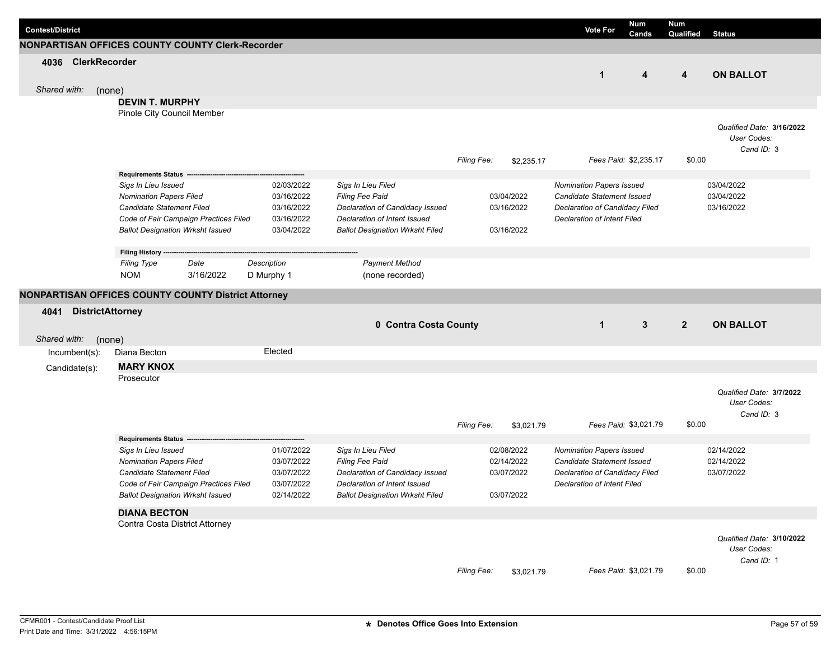| <b>Contest/District</b>         |                                                             |                          |                                                    |             |                          | <b>Vote For</b>                                              | <b>Num</b><br>Cands   | Num<br>Qualified | <b>Status</b>                            |
|---------------------------------|-------------------------------------------------------------|--------------------------|----------------------------------------------------|-------------|--------------------------|--------------------------------------------------------------|-----------------------|------------------|------------------------------------------|
|                                 | NONPARTISAN OFFICES COUNTY COUNTY Clerk-Recorder            |                          |                                                    |             |                          |                                                              |                       |                  |                                          |
| 4036 ClerkRecorder              |                                                             |                          |                                                    |             |                          |                                                              |                       |                  |                                          |
|                                 |                                                             |                          |                                                    |             |                          | $\mathbf{1}$                                                 | $\boldsymbol{4}$      | 4                | <b>ON BALLOT</b>                         |
| Shared with:<br>(none)          |                                                             |                          |                                                    |             |                          |                                                              |                       |                  |                                          |
|                                 | <b>DEVIN T. MURPHY</b>                                      |                          |                                                    |             |                          |                                                              |                       |                  |                                          |
|                                 | Pinole City Council Member                                  |                          |                                                    |             |                          |                                                              |                       |                  |                                          |
|                                 |                                                             |                          |                                                    |             |                          |                                                              |                       |                  | Qualified Date: 3/16/2022<br>User Codes: |
|                                 |                                                             |                          |                                                    |             |                          |                                                              |                       |                  | Cand ID: 3                               |
|                                 |                                                             |                          |                                                    | Filing Fee: | \$2,235.17               |                                                              | Fees Paid: \$2,235.17 | \$0.00           |                                          |
|                                 | Requirements Status -                                       |                          |                                                    |             |                          |                                                              |                       |                  |                                          |
|                                 | Sigs In Lieu Issued                                         | 02/03/2022               | Sigs In Lieu Filed                                 |             |                          | Nomination Papers Issued                                     |                       |                  | 03/04/2022                               |
|                                 | <b>Nomination Papers Filed</b><br>Candidate Statement Filed | 03/16/2022<br>03/16/2022 | Filing Fee Paid<br>Declaration of Candidacy Issued |             | 03/04/2022<br>03/16/2022 | Candidate Statement Issued<br>Declaration of Candidacy Filed |                       |                  | 03/04/2022<br>03/16/2022                 |
|                                 | Code of Fair Campaign Practices Filed                       | 03/16/2022               | Declaration of Intent Issued                       |             |                          | <b>Declaration of Intent Filed</b>                           |                       |                  |                                          |
|                                 | <b>Ballot Designation Wrksht Issued</b>                     | 03/04/2022               | <b>Ballot Designation Wrksht Filed</b>             |             | 03/16/2022               |                                                              |                       |                  |                                          |
|                                 |                                                             |                          |                                                    |             |                          |                                                              |                       |                  |                                          |
|                                 | Filing History ----<br><b>Filing Type</b><br>Date           | Description              | <b>Payment Method</b>                              |             |                          |                                                              |                       |                  |                                          |
|                                 | <b>NOM</b><br>3/16/2022                                     | D Murphy 1               | (none recorded)                                    |             |                          |                                                              |                       |                  |                                          |
|                                 |                                                             |                          |                                                    |             |                          |                                                              |                       |                  |                                          |
|                                 | NONPARTISAN OFFICES COUNTY COUNTY District Attorney         |                          |                                                    |             |                          |                                                              |                       |                  |                                          |
|                                 |                                                             |                          |                                                    |             |                          |                                                              |                       |                  |                                          |
| <b>DistrictAttorney</b><br>4041 |                                                             |                          |                                                    |             |                          |                                                              |                       |                  |                                          |
|                                 |                                                             |                          | 0 Contra Costa County                              |             |                          | $\mathbf{1}$                                                 | 3                     | $2^{\circ}$      | <b>ON BALLOT</b>                         |
| Shared with:                    | (none)                                                      |                          |                                                    |             |                          |                                                              |                       |                  |                                          |
| $Incumbent(s)$ :                | Diana Becton                                                | Elected                  |                                                    |             |                          |                                                              |                       |                  |                                          |
| Candidate(s):                   | <b>MARY KNOX</b>                                            |                          |                                                    |             |                          |                                                              |                       |                  |                                          |
|                                 | Prosecutor                                                  |                          |                                                    |             |                          |                                                              |                       |                  |                                          |
|                                 |                                                             |                          |                                                    |             |                          |                                                              |                       |                  | Qualified Date: 3/7/2022<br>User Codes:  |
|                                 |                                                             |                          |                                                    |             |                          |                                                              |                       |                  | Cand ID: 3                               |
|                                 |                                                             |                          |                                                    | Filing Fee: | \$3,021.79               |                                                              | Fees Paid: \$3,021.79 | \$0.00           |                                          |
|                                 | <b>Requirements Status</b>                                  |                          |                                                    |             |                          |                                                              |                       |                  |                                          |
|                                 | Sigs In Lieu Issued                                         | 01/07/2022               | Sigs In Lieu Filed                                 |             | 02/08/2022               | <b>Nomination Papers Issued</b>                              |                       |                  | 02/14/2022                               |
|                                 | <b>Nomination Papers Filed</b><br>Candidate Statement Filed | 03/07/2022<br>03/07/2022 | Filing Fee Paid<br>Declaration of Candidacy Issued |             | 02/14/2022<br>03/07/2022 | Candidate Statement Issued<br>Declaration of Candidacy Filed |                       |                  | 02/14/2022<br>03/07/2022                 |
|                                 | Code of Fair Campaign Practices Filed                       | 03/07/2022               | Declaration of Intent Issued                       |             |                          | Declaration of Intent Filed                                  |                       |                  |                                          |
|                                 | <b>Ballot Designation Wrksht Issued</b>                     | 02/14/2022               | <b>Ballot Designation Wrksht Filed</b>             |             | 03/07/2022               |                                                              |                       |                  |                                          |
|                                 | <b>DIANA BECTON</b>                                         |                          |                                                    |             |                          |                                                              |                       |                  |                                          |
|                                 | Contra Costa District Attorney                              |                          |                                                    |             |                          |                                                              |                       |                  |                                          |
|                                 |                                                             |                          |                                                    |             |                          |                                                              |                       |                  | Qualified Date: 3/10/2022                |
|                                 |                                                             |                          |                                                    |             |                          |                                                              |                       |                  | User Codes:                              |
|                                 |                                                             |                          |                                                    | Filing Fee: | \$3,021.79               |                                                              | Fees Paid: \$3,021.79 | \$0.00           | Cand ID: 1                               |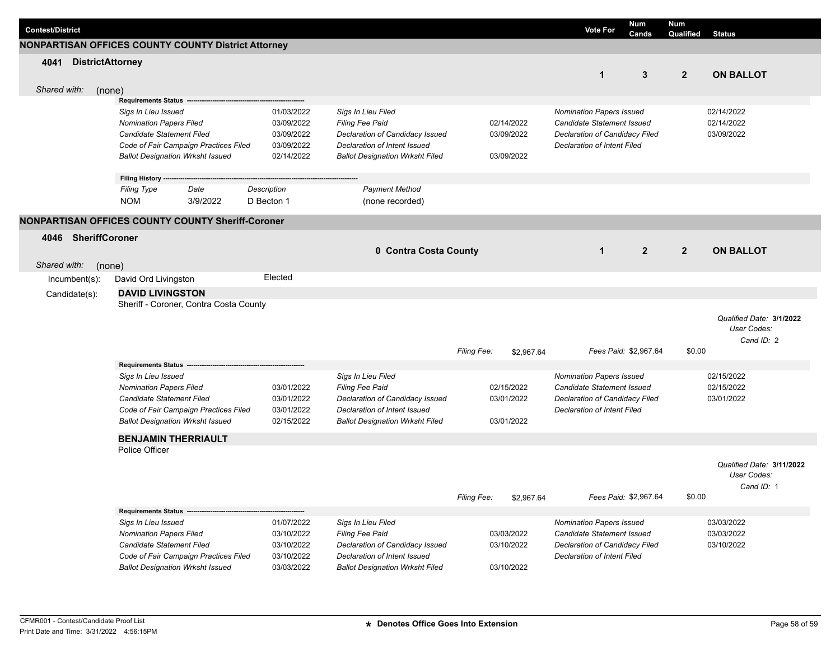| <b>Contest/District</b>         |                                                                                                                                                                        |                                                                    |                                                                                                                                                           |             |                                        | <b>Vote For</b>                                                                                                                              | <b>Num</b><br>Cands   | <b>Num</b><br>Qualified | <b>Status</b>                                          |
|---------------------------------|------------------------------------------------------------------------------------------------------------------------------------------------------------------------|--------------------------------------------------------------------|-----------------------------------------------------------------------------------------------------------------------------------------------------------|-------------|----------------------------------------|----------------------------------------------------------------------------------------------------------------------------------------------|-----------------------|-------------------------|--------------------------------------------------------|
|                                 | <b>NONPARTISAN OFFICES COUNTY COUNTY District Attorney</b>                                                                                                             |                                                                    |                                                                                                                                                           |             |                                        |                                                                                                                                              |                       |                         |                                                        |
| 4041<br><b>DistrictAttorney</b> |                                                                                                                                                                        |                                                                    |                                                                                                                                                           |             |                                        | $\mathbf{1}$                                                                                                                                 | 3                     | $\overline{2}$          | <b>ON BALLOT</b>                                       |
| Shared with:                    | (none)<br><b>Requirements Status</b>                                                                                                                                   |                                                                    |                                                                                                                                                           |             |                                        |                                                                                                                                              |                       |                         |                                                        |
|                                 | Sigs In Lieu Issued<br><b>Nomination Papers Filed</b><br>Candidate Statement Filed<br>Code of Fair Campaign Practices Filed<br><b>Ballot Designation Wrksht Issued</b> | 01/03/2022<br>03/09/2022<br>03/09/2022<br>03/09/2022<br>02/14/2022 | Sigs In Lieu Filed<br>Filing Fee Paid<br>Declaration of Candidacy Issued<br>Declaration of Intent Issued<br><b>Ballot Designation Wrksht Filed</b>        |             | 02/14/2022<br>03/09/2022<br>03/09/2022 | <b>Nomination Papers Issued</b><br>Candidate Statement Issued<br>Declaration of Candidacy Filed<br><b>Declaration of Intent Filed</b>        |                       |                         | 02/14/2022<br>02/14/2022<br>03/09/2022                 |
|                                 | Filing History ---<br><b>Filing Type</b><br>Date<br><b>NOM</b><br>3/9/2022                                                                                             | Description<br>D Becton 1                                          | <b>Payment Method</b><br>(none recorded)                                                                                                                  |             |                                        |                                                                                                                                              |                       |                         |                                                        |
|                                 | NONPARTISAN OFFICES COUNTY COUNTY Sheriff-Coroner                                                                                                                      |                                                                    |                                                                                                                                                           |             |                                        |                                                                                                                                              |                       |                         |                                                        |
| SheriffCoroner<br>4046          |                                                                                                                                                                        |                                                                    | 0 Contra Costa County                                                                                                                                     |             |                                        | $\mathbf 1$                                                                                                                                  | $\overline{2}$        | $\overline{2}$          | <b>ON BALLOT</b>                                       |
| Shared with:                    | (none)                                                                                                                                                                 |                                                                    |                                                                                                                                                           |             |                                        |                                                                                                                                              |                       |                         |                                                        |
| Incumbent(s):                   | David Ord Livingston<br><b>DAVID LIVINGSTON</b>                                                                                                                        | Elected                                                            |                                                                                                                                                           |             |                                        |                                                                                                                                              |                       |                         |                                                        |
| Candidate(s):                   | Sheriff - Coroner, Contra Costa County                                                                                                                                 |                                                                    |                                                                                                                                                           | Filing Fee: | \$2,967.64                             |                                                                                                                                              | Fees Paid: \$2,967.64 | \$0.00                  | Qualified Date: 3/1/2022<br>User Codes:<br>Cand ID: 2  |
|                                 | Requirements Status -                                                                                                                                                  |                                                                    |                                                                                                                                                           |             |                                        |                                                                                                                                              |                       |                         |                                                        |
|                                 | Sigs In Lieu Issued<br><b>Nomination Papers Filed</b><br>Candidate Statement Filed<br>Code of Fair Campaign Practices Filed<br><b>Ballot Designation Wrksht Issued</b> | 03/01/2022<br>03/01/2022<br>03/01/2022<br>02/15/2022               | Sigs In Lieu Filed<br>Filing Fee Paid<br>Declaration of Candidacy Issued<br>Declaration of Intent Issued<br><b>Ballot Designation Wrksht Filed</b>        |             | 02/15/2022<br>03/01/2022<br>03/01/2022 | <b>Nomination Papers Issued</b><br><b>Candidate Statement Issued</b><br>Declaration of Candidacy Filed<br><b>Declaration of Intent Filed</b> |                       |                         | 02/15/2022<br>02/15/2022<br>03/01/2022                 |
|                                 | <b>BENJAMIN THERRIAULT</b><br>Police Officer                                                                                                                           |                                                                    |                                                                                                                                                           |             |                                        |                                                                                                                                              |                       |                         |                                                        |
|                                 |                                                                                                                                                                        |                                                                    |                                                                                                                                                           | Filing Fee: | \$2,967.64                             |                                                                                                                                              | Fees Paid: \$2,967.64 | \$0.00                  | Qualified Date: 3/11/2022<br>User Codes:<br>Cand ID: 1 |
|                                 | Requirements Status --                                                                                                                                                 |                                                                    |                                                                                                                                                           |             |                                        |                                                                                                                                              |                       |                         |                                                        |
|                                 | Sigs In Lieu Issued<br><b>Nomination Papers Filed</b><br>Candidate Statement Filed<br>Code of Fair Campaign Practices Filed<br><b>Ballot Designation Wrksht Issued</b> | 01/07/2022<br>03/10/2022<br>03/10/2022<br>03/10/2022<br>03/03/2022 | Sigs In Lieu Filed<br><b>Filing Fee Paid</b><br>Declaration of Candidacy Issued<br>Declaration of Intent Issued<br><b>Ballot Designation Wrksht Filed</b> |             | 03/03/2022<br>03/10/2022<br>03/10/2022 | <b>Nomination Papers Issued</b><br>Candidate Statement Issued<br>Declaration of Candidacy Filed<br>Declaration of Intent Filed               |                       |                         | 03/03/2022<br>03/03/2022<br>03/10/2022                 |